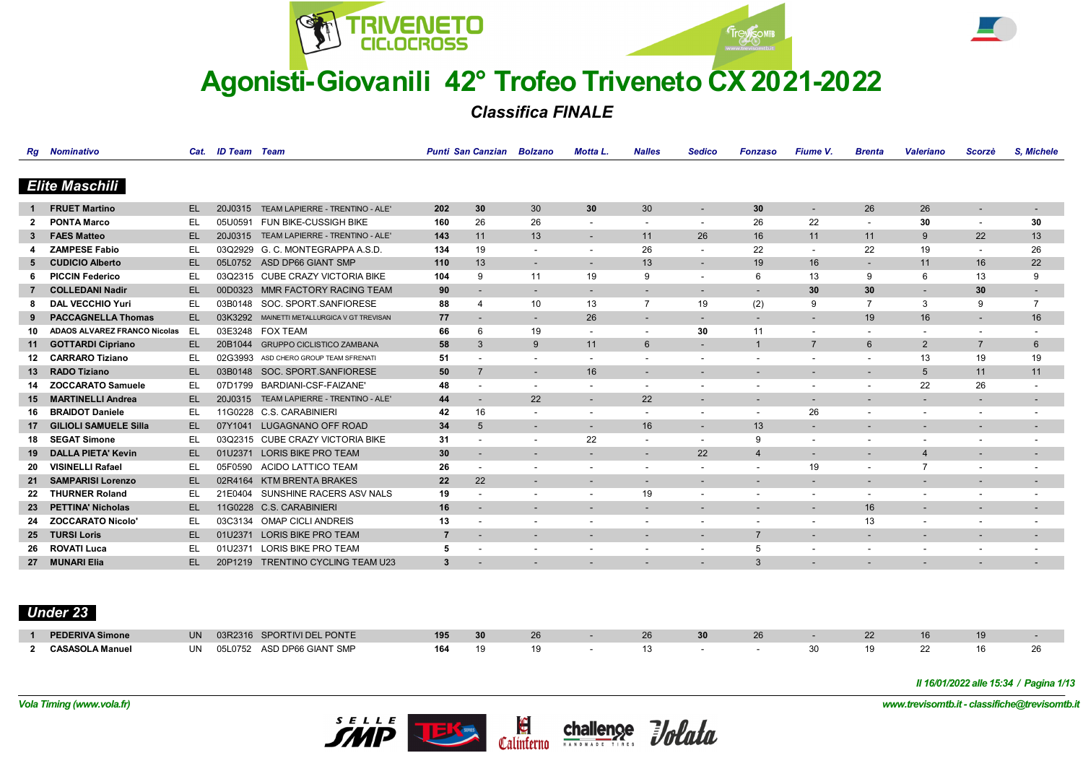



*Classifica FINALE*

|                 | <b>Rg</b> Nominativo                |     | Cat. ID Team Team |                                       |                | <b>Punti San Canzian Bolzano</b> |                          | <b>Motta L.</b>          | <b>Nalles</b>            | <b>Sedico</b>            | <b>Fonzaso</b>           | Fiume V.                 | <b>Brenta</b>            | <b>Valeriano</b>         | <b>Scorzè</b>            | S. Michele               |
|-----------------|-------------------------------------|-----|-------------------|---------------------------------------|----------------|----------------------------------|--------------------------|--------------------------|--------------------------|--------------------------|--------------------------|--------------------------|--------------------------|--------------------------|--------------------------|--------------------------|
|                 |                                     |     |                   |                                       |                |                                  |                          |                          |                          |                          |                          |                          |                          |                          |                          |                          |
|                 | <b>Elite Maschili</b>               |     |                   |                                       |                |                                  |                          |                          |                          |                          |                          |                          |                          |                          |                          |                          |
|                 | <b>FRUET Martino</b>                | EL. | 20J0315           | TEAM LAPIERRE - TRENTINO - ALE'       | 202            | 30                               | 30                       | 30                       | 30                       | $\overline{\phantom{a}}$ | 30                       | $\overline{\phantom{a}}$ | 26                       | 26                       | $\overline{\phantom{a}}$ | $\overline{\phantom{a}}$ |
|                 | <b>PONTA Marco</b>                  | EL  | 05U0591           | FUN BIKE-CUSSIGH BIKE                 | 160            | 26                               | 26                       |                          | $\overline{\phantom{a}}$ | $\overline{\phantom{a}}$ | 26                       | 22                       |                          | 30                       |                          | 30                       |
|                 | <b>FAES Matteo</b>                  | EL. | 20J0315           | TEAM LAPIERRE - TRENTINO - ALE'       | 143            | 11                               | 13                       | $\overline{\phantom{a}}$ | 11                       | 26                       | 16                       | 11                       | 11                       | 9                        | 22                       | 13                       |
|                 | <b>ZAMPESE Fabio</b>                | EL  |                   | 03Q2929 G. C. MONTEGRAPPA A.S.D.      | 134            | 19                               | $\overline{\phantom{a}}$ | $\overline{\phantom{a}}$ | 26                       | $\overline{\phantom{a}}$ | 22                       | $\overline{\phantom{a}}$ | 22                       | 19                       | $\blacksquare$           | 26                       |
| 5               | <b>CUDICIO Alberto</b>              | EL. | 05L0752           | ASD DP66 GIANT SMP                    | 110            | 13                               | $\overline{\phantom{a}}$ | $\overline{\phantom{a}}$ | 13                       | $\overline{\phantom{a}}$ | 19                       | 16                       | $\sim$                   | 11                       | 16                       | 22                       |
|                 | <b>PICCIN Federico</b>              | EL  |                   | 03Q2315 CUBE CRAZY VICTORIA BIKE      | 104            | -9                               | 11                       | 19                       | 9                        | $\overline{\phantom{a}}$ | 6                        | 13                       | 9                        | 6                        | 13                       | 9                        |
|                 | <b>COLLEDANI Nadir</b>              | EL  | 00D0323           | MMR FACTORY RACING TEAM               | 90             | $\overline{\phantom{a}}$         | $\overline{\phantom{a}}$ |                          | $\overline{\phantom{a}}$ | $\overline{\phantom{a}}$ | $\overline{\phantom{a}}$ | 30                       | 30                       | $\overline{\phantom{a}}$ | 30                       | $\overline{\phantom{a}}$ |
|                 | <b>DAL VECCHIO Yuri</b>             | EL  | 03B0148           | SOC. SPORT.SANFIORESE                 | 88             |                                  | 10                       | 13                       | $\overline{7}$           | 19                       | (2)                      | 9                        | $\overline{7}$           | 3                        | 9                        | $\overline{7}$           |
|                 | <b>PACCAGNELLA Thomas</b>           | EL. | 03K3292           | MAINETTI METALLURGICA V GT TREVISAN   | 77             | $\overline{\phantom{a}}$         | $\overline{\phantom{a}}$ | 26                       | $\overline{\phantom{a}}$ | $\overline{\phantom{a}}$ | $\overline{\phantom{a}}$ | $\overline{\phantom{a}}$ | 19                       | 16                       | $\overline{\phantom{a}}$ | 16                       |
| 10              | <b>ADAOS ALVAREZ FRANCO Nicolas</b> | EL  |                   | 03E3248 FOX TEAM                      | 66             | 6                                | 19                       | $\overline{\phantom{a}}$ | $\overline{\phantom{a}}$ | 30                       | 11                       | $\overline{\phantom{a}}$ | $\overline{\phantom{a}}$ | $\overline{\phantom{a}}$ | $\overline{\phantom{a}}$ | $\overline{\phantom{a}}$ |
| 11              | <b>GOTTARDI Cipriano</b>            | EL. | 20B1044           | <b>GRUPPO CICLISTICO ZAMBANA</b>      | 58             | 3                                | 9                        | 11                       | 6                        | $\overline{\phantom{a}}$ | $\overline{1}$           | $\overline{7}$           | $6\phantom{1}$           | $\overline{2}$           | $\overline{7}$           | 6                        |
|                 | <b>CARRARO Tiziano</b>              | EL  |                   | 02G3993 ASD CHERO GROUP TEAM SFRENATI | 51             |                                  | $\overline{\phantom{a}}$ |                          |                          |                          | $\overline{\phantom{a}}$ | $\blacksquare$           |                          | 13                       | 19                       | 19                       |
| 13              | <b>RADO Tiziano</b>                 | EL. | 03B0148           | SOC. SPORT.SANFIORESE                 | 50             | $\overline{7}$                   | $\overline{\phantom{a}}$ | 16                       | $\overline{\phantom{a}}$ |                          | $\overline{\phantom{a}}$ | $\overline{\phantom{a}}$ |                          | 5                        | 11                       | 11                       |
|                 | <b>ZOCCARATO Samuele</b>            | EL  | 07D1799           | BARDIANI-CSF-FAIZANE'                 | 48             | $\qquad \qquad \blacksquare$     | $\overline{\phantom{a}}$ | $\overline{\phantom{a}}$ | $\overline{\phantom{a}}$ | $\overline{\phantom{a}}$ | $\overline{\phantom{a}}$ | $\overline{\phantom{a}}$ | $\overline{\phantom{a}}$ | 22                       | 26                       | ۰                        |
| 15              | <b>MARTINELLI Andrea</b>            | EL. | 20J0315           | TEAM LAPIERRE - TRENTINO - ALE'       | 44             | $\overline{\phantom{a}}$         | 22                       | $\overline{\phantom{a}}$ | 22                       | $\overline{\phantom{a}}$ | $\overline{\phantom{a}}$ | $\overline{\phantom{a}}$ |                          | $\overline{\phantom{a}}$ | $\overline{\phantom{a}}$ | $\overline{\phantom{a}}$ |
| 16              | <b>BRAIDOT Daniele</b>              | EL  |                   | 11G0228 C.S. CARABINIERI              | 42             | 16                               |                          |                          |                          | $\overline{\phantom{a}}$ | $\overline{\phantom{a}}$ | 26                       |                          |                          | $\overline{\phantom{a}}$ | $\overline{\phantom{a}}$ |
|                 | <b>GILIOLI SAMUELE Silla</b>        | EL. |                   | 07Y1041 LUGAGNANO OFF ROAD            | 34             | 5                                | $\overline{\phantom{a}}$ | $\overline{\phantom{0}}$ | 16                       | $\overline{\phantom{a}}$ | 13                       | $\overline{\phantom{a}}$ | $\overline{\phantom{a}}$ | $\overline{\phantom{a}}$ | $\overline{\phantom{a}}$ | $\overline{\phantom{a}}$ |
| 18              | <b>SEGAT Simone</b>                 | EL  |                   | 03Q2315 CUBE CRAZY VICTORIA BIKE      | 31             |                                  |                          | 22                       | $\overline{\phantom{a}}$ | $\overline{\phantom{a}}$ | 9                        | $\overline{\phantom{a}}$ |                          | $\overline{\phantom{a}}$ | $\overline{\phantom{a}}$ | $\overline{\phantom{a}}$ |
|                 | <b>DALLA PIETA' Kevin</b>           | EL. | 01U2371           | <b>LORIS BIKE PRO TEAM</b>            | 30             |                                  |                          |                          | $\overline{\phantom{a}}$ | 22                       | $\overline{4}$           | $\overline{\phantom{a}}$ | $\overline{\phantom{a}}$ | $\overline{4}$           | $\overline{\phantom{a}}$ | $\overline{\phantom{a}}$ |
| 20              | <b>VISINELLI Rafael</b>             | EL  | 05F0590           | ACIDO LATTICO TEAM                    | 26             | $\overline{\phantom{0}}$         |                          |                          | $\overline{\phantom{a}}$ | $\overline{\phantom{a}}$ | $\overline{\phantom{a}}$ | 19                       |                          | $\overline{7}$           |                          | $\overline{\phantom{a}}$ |
| 21              | <b>SAMPARISI Lorenzo</b>            | EL. | 02R4164           | <b>KTM BRENTA BRAKES</b>              | 22             | 22                               | $\overline{\phantom{a}}$ | $\overline{\phantom{a}}$ | $\sim$                   | $\overline{\phantom{a}}$ | $\overline{\phantom{a}}$ | $\overline{\phantom{a}}$ | $\overline{\phantom{a}}$ | $\overline{\phantom{0}}$ | $\overline{\phantom{a}}$ | $\overline{\phantom{a}}$ |
| 22              | <b>THURNER Roland</b>               | EL  | 21E0404           | SUNSHINE RACERS ASV NALS              | 19             | ٠                                |                          |                          | 19                       | $\overline{\phantom{a}}$ | $\overline{\phantom{a}}$ | $\overline{\phantom{a}}$ | $\overline{\phantom{a}}$ | $\overline{\phantom{a}}$ | $\overline{\phantom{a}}$ | ۰                        |
| 23              | <b>PETTINA' Nicholas</b>            | EL. | 11G0228           | <b>C.S. CARABINIERI</b>               | 16             | $\overline{\phantom{a}}$         | $\overline{\phantom{a}}$ |                          | $\overline{\phantom{a}}$ | $\overline{\phantom{a}}$ | $\overline{\phantom{a}}$ | $\overline{\phantom{a}}$ | 16                       | $\overline{\phantom{a}}$ | $\overline{\phantom{a}}$ | $\sim$                   |
| 24              | <b>ZOCCARATO Nicolo'</b>            | EL  | 03C3134           | OMAP CICLI ANDREIS                    | 13             |                                  |                          |                          | $\overline{\phantom{a}}$ | $\overline{\phantom{a}}$ | $\overline{\phantom{a}}$ | $\overline{\phantom{a}}$ | 13                       |                          |                          | $\overline{\phantom{a}}$ |
| 25 <sub>2</sub> | <b>TURSI Loris</b>                  | EL. | 01U2371           | <b>LORIS BIKE PRO TEAM</b>            | $\overline{7}$ | $\overline{\phantom{a}}$         | $\overline{\phantom{a}}$ | $\sim$                   | $\overline{\phantom{a}}$ | $\overline{\phantom{a}}$ | $\overline{7}$           | $\overline{\phantom{a}}$ | $\sim$                   | $\overline{\phantom{a}}$ | ٠                        | $\sim$                   |
| 26              | <b>ROVATI Luca</b>                  | EL. | 01U2371           | <b>LORIS BIKE PRO TEAM</b>            | 5              |                                  |                          |                          |                          | $\overline{\phantom{a}}$ | 5                        | $\overline{\phantom{a}}$ |                          |                          |                          | $\overline{\phantom{a}}$ |
|                 | 27 MUNARI Elia                      | EL. | 20P1219           | <b>TRENTINO CYCLING TEAM U23</b>      | 3              |                                  |                          |                          |                          |                          | 3                        |                          |                          |                          |                          | $\overline{\phantom{a}}$ |

# *Under 23*

| <b>PEDERIVA Simone</b> | <b>UN</b> | 03R2316 SPORTIVI DEL PONTE     | 195 |  | ້ |  |  |  |    |
|------------------------|-----------|--------------------------------|-----|--|---|--|--|--|----|
| <b>CASASOLA Manuel</b> | UN.       | ASD DP66 GIANT SMP<br>051 0752 | 164 |  |   |  |  |  | ∠∪ |

*Il 16/01/2022 alle 15:34 / Pagina 1/13*





*Vola Timing (www.vola.fr) www.trevisomtb.it - classifiche@trevisomtb.it*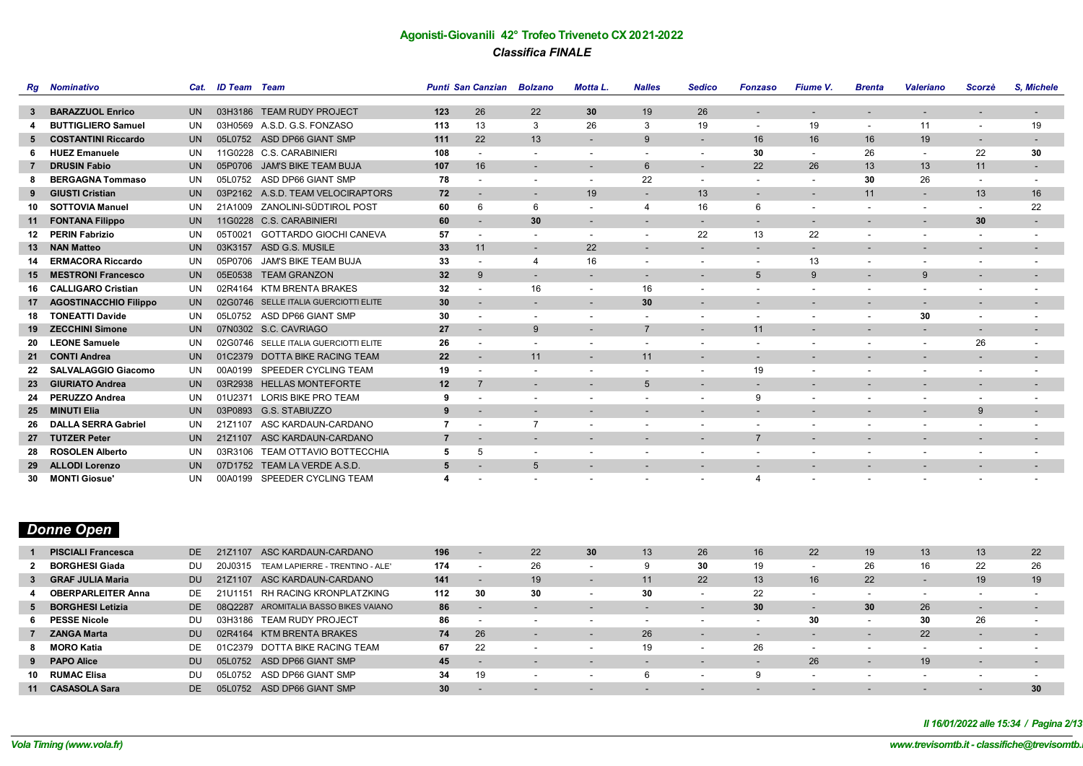|    | <b>Rg</b> Nominativo         | Cat.      | <b>ID Team</b> Team |                                       |                | <b>Punti San Canzian</b> | <b>Bolzano</b>           | <b>Motta L.</b>          | <b>Nalles</b>            | <b>Sedico</b>                | <b>Fonzaso</b>           | Fiume V.                 | <b>Brenta</b>            | <b>Valeriano</b>         | Scorzè                   | S. Michele               |
|----|------------------------------|-----------|---------------------|---------------------------------------|----------------|--------------------------|--------------------------|--------------------------|--------------------------|------------------------------|--------------------------|--------------------------|--------------------------|--------------------------|--------------------------|--------------------------|
|    |                              |           |                     |                                       |                |                          |                          |                          |                          |                              |                          |                          |                          |                          |                          |                          |
| 3  | <b>BARAZZUOL Enrico</b>      | <b>UN</b> | 03H3186             | <b>TEAM RUDY PROJECT</b>              | 123            | 26                       | 22                       | 30                       | 19                       | 26                           | $\overline{\phantom{a}}$ |                          |                          |                          |                          | $\overline{\phantom{a}}$ |
|    | <b>BUTTIGLIERO Samuel</b>    | UN        |                     | 03H0569 A.S.D. G.S. FONZASO           | 113            | 13                       | 3                        | 26                       | 3                        | 19                           | $\overline{\phantom{a}}$ | 19                       | $\overline{\phantom{a}}$ | 11                       |                          | 19                       |
| 5  | <b>COSTANTINI Riccardo</b>   | <b>UN</b> |                     | 05L0752 ASD DP66 GIANT SMP            | 111            | 22                       | 13                       | $\blacksquare$           | 9                        | $\overline{\phantom{a}}$     | 16                       | 16                       | 16                       | 19                       | $\overline{\phantom{a}}$ | $\overline{\phantom{a}}$ |
|    | <b>HUEZ Emanuele</b>         | UN        | 11G0228             | <b>C.S. CARABINIERI</b>               | 108            |                          | $\overline{\phantom{a}}$ | $\overline{\phantom{a}}$ | $\overline{\phantom{a}}$ | ٠                            | 30                       | $\overline{\phantom{a}}$ | 26                       | $\sim$                   | 22                       | 30                       |
|    | <b>DRUSIN Fabio</b>          | <b>UN</b> | 05P0706             | <b>JAM'S BIKE TEAM BUJA</b>           | 107            | 16                       |                          | $\overline{\phantom{a}}$ | $6\phantom{1}6$          | $\overline{\phantom{a}}$     | 22                       | 26                       | 13                       | 13                       | 11                       | $\sim$                   |
|    | <b>BERGAGNA Tommaso</b>      | UN        | 05L0752             | ASD DP66 GIANT SMP                    | 78             |                          |                          | $\overline{\phantom{a}}$ | 22                       | $\overline{\phantom{a}}$     | $\overline{\phantom{a}}$ | $\overline{\phantom{a}}$ | 30                       | 26                       | $\overline{\phantom{a}}$ |                          |
| 9  | <b>GIUSTI Cristian</b>       | <b>UN</b> |                     | 03P2162 A.S.D. TEAM VELOCIRAPTORS     | 72             |                          | $\overline{\phantom{a}}$ | 19                       | $\sim$                   | 13                           | $\overline{\phantom{a}}$ | $\overline{\phantom{a}}$ | 11                       | $\sim$                   | 13                       | 16                       |
| 10 | <b>SOTTOVIA Manuel</b>       | UN        | 21A1009             | ZANOLINI-SÜDTIROL POST                | 60             | 6                        | 6                        | $\blacksquare$           | 4                        | 16                           | 6                        |                          |                          | $\overline{\phantom{a}}$ | $\overline{\phantom{a}}$ | 22                       |
| 11 | <b>FONTANA Filippo</b>       | <b>UN</b> |                     | 11G0228 C.S. CARABINIERI              | 60             |                          | 30                       | $\overline{\phantom{a}}$ | $\overline{\phantom{a}}$ | $\overline{\phantom{a}}$     | $\overline{\phantom{a}}$ | $\overline{\phantom{0}}$ |                          | $\sim$                   | 30                       | $\sim$                   |
| 12 | <b>PERIN Fabrizio</b>        | UN        | 05T0021             | <b>GOTTARDO GIOCHI CANEVA</b>         | 57             |                          |                          | $\overline{\phantom{a}}$ | $\overline{\phantom{a}}$ | 22                           | 13                       | 22                       |                          |                          |                          |                          |
| 13 | <b>NAN Matteo</b>            | <b>UN</b> |                     | 03K3157 ASD G.S. MUSILE               | 33             | 11                       | $\overline{\phantom{a}}$ | 22                       | $\overline{\phantom{a}}$ | $\overline{\phantom{a}}$     | $\overline{\phantom{a}}$ | $\overline{\phantom{a}}$ |                          |                          | $\overline{\phantom{a}}$ | ٠                        |
| 14 | <b>ERMACORA Riccardo</b>     | UN        | 05P0706             | <b>JAM'S BIKE TEAM BUJA</b>           | 33             |                          | $\overline{4}$           | 16                       | $\overline{\phantom{a}}$ | ٠                            | $\overline{\phantom{a}}$ | 13                       |                          |                          |                          |                          |
| 15 | <b>MESTRONI Francesco</b>    | <b>UN</b> | 05E0538             | <b>TEAM GRANZON</b>                   | 32             | 9                        | $\overline{\phantom{a}}$ | $\overline{\phantom{a}}$ | $\overline{\phantom{a}}$ | $\overline{\phantom{a}}$     | $5\phantom{.0}$          | 9                        | $\sim$                   | 9                        | $\overline{\phantom{a}}$ | $\sim$                   |
| 16 | <b>CALLIGARO Cristian</b>    | UN        |                     | 02R4164 KTM BRENTA BRAKES             | 32             |                          | 16                       | $\overline{\phantom{a}}$ | 16                       | $\overline{\phantom{a}}$     | $\overline{\phantom{a}}$ |                          |                          |                          |                          | ٠                        |
| 17 | <b>AGOSTINACCHIO Filippo</b> | <b>UN</b> |                     | 02G0746 SELLE ITALIA GUERCIOTTI ELITE | 30             |                          | $\overline{\phantom{a}}$ | $\overline{\phantom{a}}$ | 30                       | $\overline{\phantom{a}}$     | $\overline{\phantom{a}}$ | $\overline{\phantom{a}}$ | $\overline{\phantom{0}}$ | $\sim$                   | $\overline{\phantom{a}}$ | $\overline{\phantom{a}}$ |
| 18 | <b>TONEATTI Davide</b>       | UN        | 05L0752             | ASD DP66 GIANT SMP                    | 30             |                          |                          | $\overline{\phantom{a}}$ |                          | ۰                            | $\blacksquare$           |                          | $\overline{\phantom{0}}$ | 30                       |                          |                          |
| 19 | <b>ZECCHINI Simone</b>       | <b>UN</b> |                     | 07N0302 S.C. CAVRIAGO                 | 27             | $\sim$                   | 9                        | $\overline{\phantom{a}}$ | $\overline{7}$           | $\overline{\phantom{a}}$     | 11                       | $\sim$                   | $\overline{\phantom{a}}$ | $\sim$                   | $\overline{\phantom{a}}$ | $\sim$                   |
| 20 | <b>LEONE Samuele</b>         | UN        |                     | 02G0746 SELLE ITALIA GUERCIOTTI ELITE | 26             |                          |                          | $\overline{\phantom{a}}$ |                          | ۰                            | $\overline{\phantom{a}}$ |                          |                          | $\overline{\phantom{a}}$ | 26                       | ٠                        |
| 21 | <b>CONTI Andrea</b>          | <b>UN</b> |                     | 01C2379 DOTTA BIKE RACING TEAM        | 22             |                          | 11                       | $\overline{\phantom{a}}$ | 11                       | $\overline{\phantom{a}}$     | $\overline{\phantom{a}}$ | $\overline{\phantom{a}}$ | $\overline{\phantom{0}}$ | $\overline{\phantom{a}}$ | $\overline{\phantom{a}}$ | $\sim$                   |
| 22 | <b>SALVALAGGIO Giacomo</b>   | UN        | 00A0199             | SPEEDER CYCLING TEAM                  | 19             |                          |                          |                          |                          | $\overline{\phantom{a}}$     | 19                       |                          |                          |                          |                          |                          |
| 23 | <b>GIURIATO Andrea</b>       | <b>UN</b> | 03R2938             | <b>HELLAS MONTEFORTE</b>              | 12             | $\overline{7}$           | $\overline{\phantom{a}}$ | $\overline{\phantom{a}}$ | 5                        | $\overline{\phantom{a}}$     | $\overline{\phantom{a}}$ | $\overline{\phantom{a}}$ | $\overline{\phantom{0}}$ | $\sim$                   | ٠                        | $\sim$                   |
| 24 | <b>PERUZZO Andrea</b>        | UN        | 01U2371             | <b>LORIS BIKE PRO TEAM</b>            | 9              |                          |                          |                          |                          | ٠                            | 9                        |                          |                          |                          |                          | ۰                        |
| 25 | <b>MINUTI Elia</b>           | <b>UN</b> | 03P0893             | G.S. STABIUZZO                        | 9              |                          | $\overline{\phantom{a}}$ | $\overline{\phantom{a}}$ | $\overline{\phantom{a}}$ | -                            | $\overline{\phantom{a}}$ | $\overline{\phantom{a}}$ | $\overline{\phantom{0}}$ | $\sim$                   | 9                        | $\sim$                   |
| 26 | <b>DALLA SERRA Gabriel</b>   | UN        | 21Z1107             | ASC KARDAUN-CARDANO                   | $\overline{7}$ |                          | $\overline{7}$           | $\overline{\phantom{a}}$ | $\blacksquare$           | ۰                            | $\blacksquare$           | $\overline{\phantom{a}}$ | $\overline{\phantom{0}}$ | $\overline{\phantom{a}}$ |                          | ۰                        |
| 27 | <b>TUTZER Peter</b>          | <b>UN</b> | 21Z1107             | ASC KARDAUN-CARDANO                   | $\overline{7}$ |                          | $\overline{\phantom{a}}$ | $\overline{\phantom{a}}$ | $\overline{\phantom{a}}$ | $\overline{\phantom{a}}$     | $\overline{7}$           | $\overline{\phantom{a}}$ | $\overline{\phantom{a}}$ | $\overline{\phantom{a}}$ | $\overline{\phantom{a}}$ | $\overline{\phantom{a}}$ |
| 28 | <b>ROSOLEN Alberto</b>       | UN        | 03R3106             | <b>TEAM OTTAVIO BOTTECCHIA</b>        | 5              | 5                        |                          |                          |                          |                              |                          |                          |                          |                          |                          |                          |
| 29 | <b>ALLODI Lorenzo</b>        | UN        | 07D1752             | TEAM LA VERDE A.S.D.                  | 5              |                          | 5                        | $\overline{\phantom{a}}$ | $\overline{\phantom{a}}$ | $\qquad \qquad \blacksquare$ | $\overline{\phantom{a}}$ |                          |                          |                          | $\overline{\phantom{a}}$ |                          |
| 30 | <b>MONTI Giosue</b>          | <b>UN</b> | 00A0199             | SPEEDER CYCLING TEAM                  |                |                          |                          |                          |                          | ۰.                           | Δ                        |                          |                          |                          |                          | ۰                        |

# *Donne Open*

|    | <b>PISCIALI Francesca</b> | DE.       | 21Z1107  | ASC KARDAUN-CARDANO                   | 196             |                          | 22                       | 30                       | 13 | 26 | 16                       | 22 | 19 | 13                       | 13 <sup>°</sup>          | 22                       |
|----|---------------------------|-----------|----------|---------------------------------------|-----------------|--------------------------|--------------------------|--------------------------|----|----|--------------------------|----|----|--------------------------|--------------------------|--------------------------|
|    | <b>BORGHESI Giada</b>     | DU        | 20J0315  | TEAM LAPIERRE - TRENTINO - ALE'       | 174             |                          | 26                       |                          |    | 30 | 19                       |    | 26 |                          | 22                       | 26                       |
|    | 3 GRAF JULIA Maria        | <b>DU</b> | 21Z1107  | ASC KARDAUN-CARDANO                   | 141             |                          | 19                       | -                        |    | 22 | 13 <sup>°</sup>          | 16 | 22 |                          | 19                       | 19                       |
|    | <b>OBERPARLEITER Anna</b> | DE.       | 21lJ1151 | RH RACING KRONPLATZKING               | 112             | 30                       | 30                       |                          | 30 |    | 22                       |    |    |                          |                          |                          |
|    | 5 BORGHESI Letizia        | DE.       |          | 08Q2287 AROMITALIA BASSO BIKES VAIANO | 86              |                          |                          |                          |    |    | 30                       |    | 30 | 26                       |                          |                          |
|    | <b>PESSE Nicole</b>       | DU        | 03H3186  | <b>TEAM RUDY PROJECT</b>              | 86              | $\overline{\phantom{a}}$ | $\overline{\phantom{0}}$ | $\overline{\phantom{a}}$ |    |    | $\overline{\phantom{a}}$ | 30 |    | 30                       | 26                       |                          |
|    | 7 ZANGA Marta             | DU.       | 02R4164  | KTM BRENTA BRAKES                     | 74              | 26                       |                          | $\overline{\phantom{0}}$ | 26 |    |                          |    |    | 22                       | $\overline{\phantom{0}}$ | $\overline{\phantom{0}}$ |
|    | 8 MORO Katia              | DE.       |          | 01C2379 DOTTA BIKE RACING TEAM        | 67              | 22                       |                          |                          | 19 |    | 26                       |    |    |                          |                          |                          |
|    | 9 PAPO Alice              | DU.       | 05L0752  | ASD DP66 GIANT SMP                    | 45              |                          |                          | $\overline{\phantom{a}}$ |    |    |                          | 26 |    | 19                       | $\overline{\phantom{a}}$ | $\overline{\phantom{0}}$ |
| 10 | <b>RUMAC Elisa</b>        | DU        | 05L0752  | ASD DP66 GIANT SMP                    | 34              | 19                       |                          |                          |    |    |                          |    |    |                          |                          |                          |
|    | 11 CASASOLA Sara          | DE.       | 05L0752  | ASD DP66 GIANT SMP                    | 30 <sub>2</sub> |                          |                          |                          |    |    |                          |    |    | $\overline{\phantom{a}}$ | $\overline{\phantom{0}}$ | 30                       |

*Il 16/01/2022 alle 15:34 / Pagina 2/13*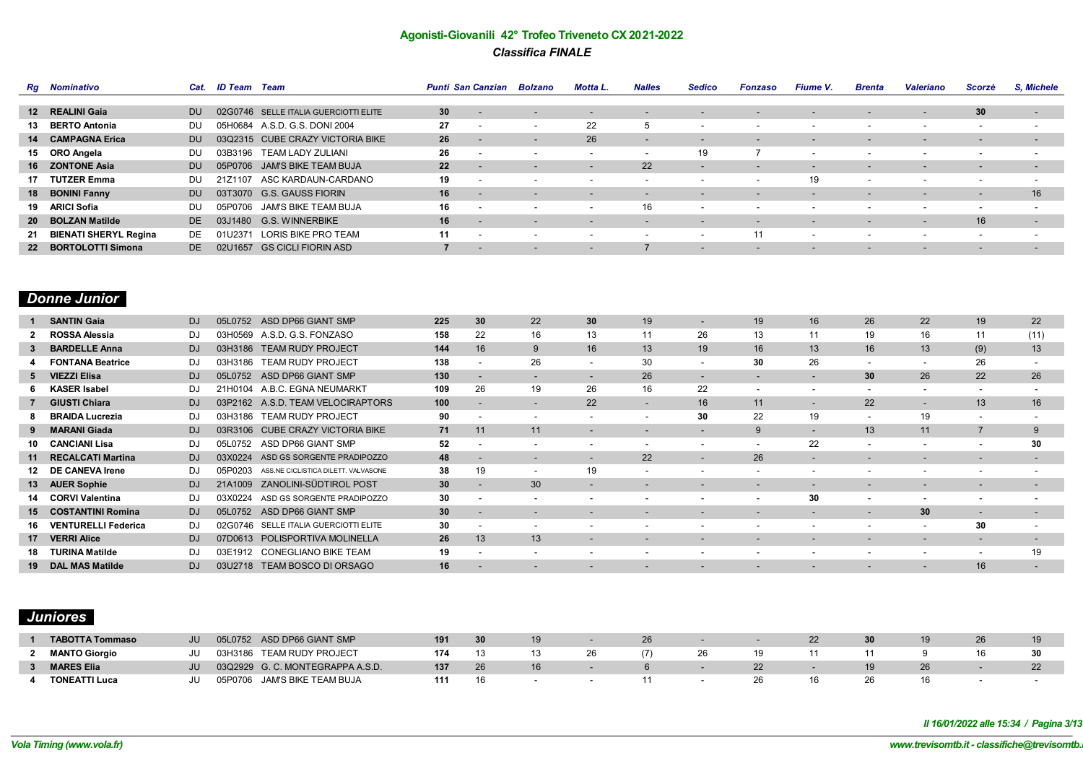| <b>Rg</b> Nominativo     | Cat.      | ID Team Team |                                       | <b>Punti San Canzian</b> |                          | <b>Bolzano</b>           | Motta L.                 | <b>Nalles</b>            | <b>Sedico</b>            | <b>Fonzaso</b>           | Fiume V.                 | <b>Brenta</b>            | <b>Valeriano</b>         | Scorzè                   | <b>S. Michele</b>        |
|--------------------------|-----------|--------------|---------------------------------------|--------------------------|--------------------------|--------------------------|--------------------------|--------------------------|--------------------------|--------------------------|--------------------------|--------------------------|--------------------------|--------------------------|--------------------------|
|                          |           |              |                                       |                          |                          |                          |                          |                          |                          |                          |                          |                          |                          |                          |                          |
| 12 REALINI Gaia          | DU.       |              | 02G0746 SELLE ITALIA GUERCIOTTI ELITE | 30 <sup>°</sup>          | $\overline{\phantom{0}}$ | $\overline{\phantom{a}}$ | $\overline{\phantom{0}}$ | $\overline{\phantom{0}}$ | $\overline{\phantom{a}}$ | $\overline{\phantom{a}}$ | $\overline{\phantom{0}}$ | $\overline{\phantom{0}}$ | $\overline{\phantom{0}}$ | 30                       | $\overline{\phantom{a}}$ |
| 13 BERTO Antonia         | DU        |              | 05H0684 A.S.D. G.S. DONI 2004         | 27                       | $\overline{\phantom{a}}$ | $\overline{\phantom{a}}$ | 22                       |                          | $\overline{\phantom{a}}$ | $\overline{\phantom{a}}$ |                          |                          | $\overline{\phantom{0}}$ |                          | $\overline{\phantom{a}}$ |
| 14 CAMPAGNA Erica        | <b>DU</b> |              | 03Q2315 CUBE CRAZY VICTORIA BIKE      | 26                       |                          |                          | 26                       | $\overline{\phantom{a}}$ |                          | $\overline{\phantom{0}}$ |                          |                          | $\overline{\phantom{a}}$ | $\overline{\phantom{a}}$ | $\overline{\phantom{a}}$ |
| 15 ORO Angela            | DU        | 03B3196      | TEAM LADY ZULIANI                     | 26                       |                          |                          |                          | $\overline{\phantom{a}}$ | 19                       |                          | $\sim$                   |                          | $\overline{\phantom{0}}$ |                          | $\overline{\phantom{a}}$ |
| 16 ZONTONE Asia          | DU.       |              | 05P0706 JAM'S BIKE TEAM BUJA          | 22                       |                          |                          | $\overline{\phantom{a}}$ | 22                       | $\overline{\phantom{a}}$ | $\overline{\phantom{0}}$ | $\overline{\phantom{0}}$ |                          | $\overline{\phantom{0}}$ | $\overline{\phantom{a}}$ | $\overline{\phantom{a}}$ |
| 17 TUTZER Emma           | DU.       | 21Z1107      | ASC KARDAUN-CARDANO                   | 19                       |                          |                          |                          |                          |                          | $\overline{\phantom{a}}$ | 19                       | $\sim$                   |                          |                          | $\overline{\phantom{a}}$ |
| 18 BONINI Fanny          | DU.       |              | 03T3070 G.S. GAUSS FIORIN             | 16                       |                          |                          |                          | $\overline{\phantom{a}}$ |                          | $\overline{\phantom{0}}$ |                          |                          |                          | $\overline{\phantom{a}}$ | 16                       |
| 19 ARICI Sofia           | DU.       | 05P0706      | JAM'S BIKE TEAM BUJA                  | 16                       | . .                      | $\overline{\phantom{0}}$ | $\overline{\phantom{a}}$ | 16                       | $\overline{\phantom{a}}$ | $\overline{\phantom{a}}$ |                          |                          | $\overline{\phantom{0}}$ | $\overline{\phantom{a}}$ | $\overline{\phantom{0}}$ |
| 20 BOLZAN Matilde        | DE.       |              | 03J1480 G.S. WINNERBIKE               | 16                       | $\sim$                   | $\overline{\phantom{a}}$ | $\overline{\phantom{0}}$ | $\overline{\phantom{a}}$ | $\overline{\phantom{a}}$ | $\sim$                   | $\overline{\phantom{0}}$ | $\overline{\phantom{0}}$ | $\sim$                   | 16                       | $\overline{\phantom{0}}$ |
| 21 BIENATI SHERYL Regina | DE.       | 01U2371      | LORIS BIKE PRO TEAM                   | 11                       |                          | $\overline{\phantom{0}}$ | $\overline{\phantom{a}}$ | $\overline{\phantom{a}}$ | $\overline{\phantom{a}}$ | 11                       | $\overline{\phantom{0}}$ | $\overline{\phantom{0}}$ | $\overline{\phantom{0}}$ | $\overline{\phantom{a}}$ | $\overline{\phantom{a}}$ |
| 22 BORTOLOTTI Simona     | DE.       | 02U1657      | <b>GS CICLI FIORIN ASD</b>            |                          |                          |                          | $\overline{\phantom{a}}$ |                          | $\overline{\phantom{a}}$ | $\overline{\phantom{0}}$ |                          |                          | $\overline{\phantom{0}}$ | $\overline{\phantom{a}}$ | $\overline{\phantom{a}}$ |

# *Donne Junior*

|              | <b>SANTIN Gaia</b>         | <b>DJ</b> | 05L0752 | ASD DP66 GIANT SMP                  | 225 | 30                       | 22                       | 30                       | 19                       |                          | 19                       | 16                       | 26                       | 22                       | 19                       | 22   |
|--------------|----------------------------|-----------|---------|-------------------------------------|-----|--------------------------|--------------------------|--------------------------|--------------------------|--------------------------|--------------------------|--------------------------|--------------------------|--------------------------|--------------------------|------|
| $\mathbf{2}$ | <b>ROSSA Alessia</b>       | DJ        | 03H0569 | A.S.D. G.S. FONZASO                 | 158 | 22                       | 16                       | 13                       | 11                       | 26                       | 13                       | 11                       | 19                       | 16                       | 11                       | (11) |
| 3            | <b>BARDELLE Anna</b>       | <b>DJ</b> | 03H3186 | <b>TEAM RUDY PROJECT</b>            | 144 | 16                       | 9                        | 16                       | 13                       | 19                       | 16                       | 13                       | 16                       | 13                       | (9)                      | 13   |
|              | <b>FONTANA Beatrice</b>    | DJ        | 03H3186 | <b>TEAM RUDY PROJECT</b>            | 138 |                          | 26                       | ۰.                       | 30                       | ۰.                       | 30                       | 26                       | ۰.                       |                          | 26                       |      |
|              | 5 VIEZZI Elisa             | <b>DJ</b> | 05L0752 | ASD DP66 GIANT SMP                  | 130 | $\overline{\phantom{a}}$ | -                        | $\overline{\phantom{0}}$ | 26                       | -                        | $\overline{\phantom{0}}$ | -                        | 30                       | 26                       | 22                       | 26   |
|              | 6 KASER Isabel             | DJ        | 21H0104 | A.B.C. EGNA NEUMARKT                | 109 | 26                       | 19                       | 26                       | 16                       | 22                       | ۰.                       |                          | . .                      | $\overline{\phantom{a}}$ | -                        |      |
|              | <b>GIUSTI Chiara</b>       | DJ        | 03P2162 | A.S.D. TEAM VELOCIRAPTORS           | 100 |                          |                          | 22                       |                          | 16                       | 11                       | -                        | 22                       |                          | 13                       | 16   |
| 8            | <b>BRAIDA Lucrezia</b>     | DJ        | 03H3186 | <b>TEAM RUDY PROJECT</b>            | 90  | $\overline{\phantom{a}}$ | $\overline{\phantom{0}}$ | $\overline{\phantom{0}}$ | $\overline{\phantom{0}}$ | 30                       | 22                       | 19                       | $\overline{\phantom{a}}$ | 19                       | $\overline{\phantom{0}}$ |      |
|              | <b>MARANI Giada</b>        | <b>DJ</b> | 03R3106 | <b>CUBE CRAZY VICTORIA BIKE</b>     | 71  | 11                       | 11                       | $\overline{\phantom{a}}$ | $\overline{\phantom{0}}$ | $\overline{\phantom{a}}$ | 9                        | $\overline{\phantom{0}}$ | 13                       | 11                       |                          | 9    |
| 10           | <b>CANCIANI Lisa</b>       | DJ        | 05L0752 | ASD DP66 GIANT SMP                  | 52  | $\overline{\phantom{a}}$ | $\overline{\phantom{0}}$ | $\overline{\phantom{a}}$ | $\overline{\phantom{a}}$ | $\overline{\phantom{0}}$ | $\overline{\phantom{0}}$ | 22                       | $\overline{\phantom{a}}$ | $\overline{\phantom{0}}$ |                          | 30   |
|              | 11 RECALCATI Martina       | DJ        | 03X0224 | ASD GS SORGENTE PRADIPOZZO          | 48  | $\overline{\phantom{a}}$ | -                        | $\overline{\phantom{a}}$ | 22                       | -                        | 26                       | $\overline{\phantom{a}}$ | $\overline{\phantom{a}}$ | $\overline{\phantom{a}}$ | $\overline{\phantom{a}}$ | -    |
| 12           | <b>DE CANEVA Irene</b>     | DJ        | 05P0203 | ASS.NE CICLISTICA DILETT. VALVASONE | 38  | 19                       | ۰.                       | 19                       | $\overline{\phantom{a}}$ | ۰                        | $\overline{\phantom{a}}$ | ۰.                       |                          |                          |                          |      |
|              | 13 AUER Sophie             | <b>DJ</b> | 21A1009 | ZANOLINI-SÜDTIROL POST              | 30  |                          | 30                       |                          | $\overline{\phantom{0}}$ | $\overline{\phantom{a}}$ | $\overline{\phantom{0}}$ | -                        | -                        | $\overline{\phantom{a}}$ | -                        |      |
|              | 14 CORVI Valentina         | DJ        | 03X0224 | ASD GS SORGENTE PRADIPOZZO          | 30  |                          | ۰.                       | $\overline{\phantom{a}}$ | $\overline{\phantom{a}}$ | $\overline{\phantom{0}}$ | $\overline{\phantom{a}}$ | 30                       | $\overline{\phantom{0}}$ | $\overline{\phantom{a}}$ |                          |      |
|              | 15 COSTANTINI Romina       | <b>DJ</b> | 05L0752 | ASD DP66 GIANT SMP                  | 30  | $\overline{\phantom{0}}$ |                          |                          | $\overline{\phantom{0}}$ |                          | $\overline{\phantom{0}}$ | -                        |                          | 30                       | -                        |      |
| 16           | <b>VENTURELLI Federica</b> | DJ        | 02G0746 | SELLE ITALIA GUERCIOTTI ELITE       | 30  | $\overline{\phantom{a}}$ | $\overline{\phantom{0}}$ | $\overline{\phantom{a}}$ | $\overline{\phantom{a}}$ | $\overline{\phantom{0}}$ | $\overline{\phantom{a}}$ | ۰                        | $\overline{\phantom{a}}$ | $\overline{\phantom{a}}$ | 30                       |      |
|              | 17 VERRI Alice             | <b>DJ</b> | 07D0613 | POLISPORTIVA MOLINELLA              | 26  | 13                       | 13                       |                          |                          |                          |                          |                          |                          |                          |                          |      |
| 18           | <b>TURINA Matilde</b>      | DJ        | 03E1912 | <b>CONEGLIANO BIKE TEAM</b>         | 19  |                          |                          |                          |                          |                          |                          |                          |                          |                          |                          | 19   |
|              | 19 DAL MAS Matilde         | <b>DJ</b> |         | 03U2718 TEAM BOSCO DI ORSAGO        | 16  |                          |                          |                          |                          |                          |                          |                          |                          |                          | 16                       |      |

# *Juniores*

| <b>TABOTTA Tommaso</b> | JU | 05L0752 | ASD DP66 GIANT SMP              | 191 | 30 |    | 26. |     |    | 30 |    | 26 | 19 |
|------------------------|----|---------|---------------------------------|-----|----|----|-----|-----|----|----|----|----|----|
| <b>MANTO Giorgio</b>   |    | 03H3186 | TEAM RUDY PROJECT               | 174 |    | 26 |     | ZO. | 19 |    |    |    | 30 |
| <b>MARES Elia</b>      |    |         | 03Q2929 G.C. MONTEGRAPPA A.S.D. | 137 |    |    |     |     |    |    | 26 |    |    |
| <b>TONEATTI Luca</b>   |    | 05P0706 | JAM'S BIKE TEAM BUJA            | 111 |    |    |     |     |    |    |    |    |    |

*Il 16/01/2022 alle 15:34 / Pagina 3/13*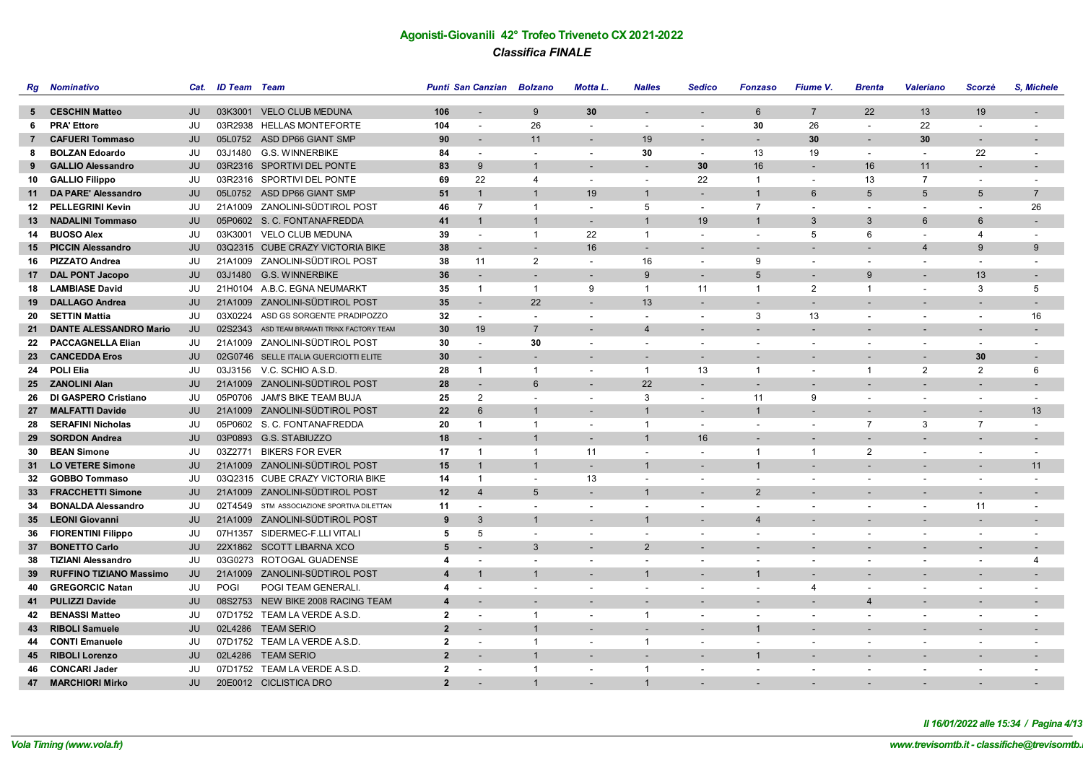|                  | <b>Rg</b> Nominativo           | Cat.      | <b>ID Team</b> Team |                                             |                | Punti San Canzian Bolzano |                          | Motta L.                 | <b>Nalles</b>            | <b>Sedico</b>            | <b>Fonzaso</b>           | Fiume V.                 | <b>Brenta</b>            | <b>Valeriano</b>         | Scorzè                   | S. Michele               |
|------------------|--------------------------------|-----------|---------------------|---------------------------------------------|----------------|---------------------------|--------------------------|--------------------------|--------------------------|--------------------------|--------------------------|--------------------------|--------------------------|--------------------------|--------------------------|--------------------------|
|                  |                                |           |                     |                                             |                |                           |                          |                          |                          |                          |                          |                          |                          |                          |                          |                          |
|                  | 5 CESCHIN Matteo               | JU        |                     | 03K3001 VELO CLUB MEDUNA                    | 106            | $\overline{\phantom{a}}$  | 9                        | 30                       | $\overline{\phantom{a}}$ | $\sim$                   | 6                        | $\overline{7}$           | 22                       | 13                       | 19                       | $\overline{\phantom{a}}$ |
| 6                | <b>PRA' Ettore</b>             | JU        |                     | 03R2938 HELLAS MONTEFORTE                   | 104            | $\blacksquare$            | 26                       | $\overline{\phantom{a}}$ | $\blacksquare$           | $\blacksquare$           | 30                       | 26                       | $\overline{\phantom{a}}$ | 22                       | $\blacksquare$           |                          |
| $7^{\circ}$      | <b>CAFUERI Tommaso</b>         | JU        |                     | 05L0752 ASD DP66 GIANT SMP                  | 90             | $\blacksquare$            | 11                       |                          | 19                       | $\blacksquare$           | $\overline{\phantom{a}}$ | 30                       | $\overline{\phantom{a}}$ | 30                       |                          |                          |
| 8                | <b>BOLZAN Edoardo</b>          | JU        |                     | 03J1480 G.S. WINNERBIKE                     | 84             | $\overline{\phantom{a}}$  | $\overline{a}$           | $\overline{a}$           | 30                       | $\overline{\phantom{a}}$ | 13                       | 19                       | $\sim$                   | $\overline{\phantom{a}}$ | 22                       | $\sim$                   |
| 9                | <b>GALLIO Alessandro</b>       | JU        |                     | 03R2316 SPORTIVI DEL PONTE                  | 83             | 9                         | $\overline{1}$           |                          | $\overline{\phantom{a}}$ | 30                       | 16                       | $\overline{\phantom{a}}$ | 16                       | 11                       |                          |                          |
| 10               | <b>GALLIO Filippo</b>          | JU        |                     | 03R2316 SPORTIVI DEL PONTE                  | 69             | 22                        | 4                        | $\sim$                   | $\blacksquare$           | 22                       | $\overline{1}$           | $\blacksquare$           | 13                       | $\overline{7}$           | $\overline{\phantom{a}}$ | $\overline{\phantom{a}}$ |
|                  | 11 DA PARE' Alessandro         | JU        |                     | 05L0752 ASD DP66 GIANT SMP                  | 51             | $\overline{1}$            | $\overline{1}$           | 19                       | $\overline{1}$           | $\overline{a}$           | $\mathbf{1}$             | 6                        | 5                        | 5                        | $5\overline{)}$          | $\overline{7}$           |
| 12 <sup>12</sup> | <b>PELLEGRINI Kevin</b>        | JU        |                     | 21A1009 ZANOLINI-SÜDTIROL POST              | 46             | $\overline{7}$            | $\overline{1}$           | $\overline{\phantom{a}}$ | 5                        | $\blacksquare$           | $\overline{7}$           | $\blacksquare$           |                          | $\sim$                   | $\blacksquare$           | 26                       |
|                  | 13 NADALINI Tommaso            | JU        |                     | 05P0602 S. C. FONTANAFREDDA                 | 41             | $\overline{1}$            | $\overline{1}$           |                          | $\mathbf{1}$             | 19                       | $\mathbf{1}$             | 3                        | 3                        | 6                        | 6                        |                          |
| 14               | <b>BUOSO Alex</b>              | JU        |                     | 03K3001 VELO CLUB MEDUNA                    | 39             | $\overline{\phantom{a}}$  | $\mathbf{1}$             | 22                       | $\mathbf{1}$             | $\overline{\phantom{a}}$ | $\blacksquare$           | 5                        | 6                        | $\overline{\phantom{a}}$ | $\overline{4}$           | $\blacksquare$           |
|                  | 15 PICCIN Alessandro           | JU        |                     | 03Q2315 CUBE CRAZY VICTORIA BIKE            | 38             | $\overline{\phantom{a}}$  | $\sim$                   | 16                       | $\blacksquare$           | $\overline{\phantom{a}}$ | $\overline{a}$           |                          |                          | $\overline{4}$           | 9                        | 9                        |
| 16               | <b>PIZZATO Andrea</b>          | JU        |                     | 21A1009 ZANOLINI-SÜDTIROL POST              | 38             | 11                        | 2                        | $\sim$                   | 16                       | $\overline{\phantom{a}}$ | 9                        | $\overline{\phantom{a}}$ | $\overline{\phantom{a}}$ | $\overline{\phantom{a}}$ | $\blacksquare$           | $\overline{\phantom{a}}$ |
| 17               | <b>DAL PONT Jacopo</b>         | JU        |                     | 03J1480 G.S. WINNERBIKE                     | 36             | $\overline{\phantom{a}}$  | $\overline{\phantom{a}}$ | $\overline{\phantom{a}}$ | 9                        | $\overline{\phantom{a}}$ | 5                        | $\overline{\phantom{a}}$ | 9                        | $\overline{a}$           | 13                       | $\overline{\phantom{a}}$ |
| 18               | <b>LAMBIASE David</b>          | JU        |                     | 21H0104 A.B.C. EGNA NEUMARKT                | 35             | $\overline{1}$            | $\overline{1}$           | 9                        | $\overline{1}$           | 11                       | $\overline{1}$           | $\overline{2}$           | $\mathbf{1}$             | $\overline{\phantom{a}}$ | 3                        | 5                        |
| 19               | <b>DALLAGO Andrea</b>          | JU        |                     | 21A1009 ZANOLINI-SÜDTIROL POST              | 35             |                           | 22                       |                          | 13                       |                          |                          |                          |                          |                          |                          |                          |
| 20               | <b>SETTIN Mattia</b>           | JU        |                     | 03X0224 ASD GS SORGENTE PRADIPOZZO          | 32             | $\overline{\phantom{a}}$  | $\overline{a}$           | $\overline{\phantom{a}}$ | $\overline{\phantom{a}}$ | $\blacksquare$           | 3                        | 13                       | $\overline{\phantom{a}}$ | $\sim$                   | $\overline{\phantom{a}}$ | 16                       |
| 21               | <b>DANTE ALESSANDRO Mario</b>  | JU        |                     | 02S2343 ASD TEAM BRAMATI TRINX FACTORY TEAM | 30             | 19                        | $\overline{7}$           | $\overline{\phantom{a}}$ | $\overline{4}$           | $\overline{\phantom{a}}$ | $\overline{a}$           | $\overline{\phantom{a}}$ |                          |                          | $\overline{\phantom{a}}$ |                          |
| 22               | <b>PACCAGNELLA Elian</b>       | JU        |                     | 21A1009 ZANOLINI-SÜDTIROL POST              | 30             | $\sim$                    | 30                       | $\sim$                   | $\overline{\phantom{a}}$ | $\overline{\phantom{a}}$ | $\overline{\phantom{a}}$ | $\overline{\phantom{a}}$ | $\overline{\phantom{a}}$ | $\overline{\phantom{a}}$ | $\blacksquare$           | $\blacksquare$           |
|                  | 23 CANCEDDA Eros               | JU        |                     | 02G0746 SELLE ITALIA GUERCIOTTI ELITE       | 30             | $\overline{\phantom{a}}$  | $\overline{\phantom{a}}$ | $\overline{\phantom{0}}$ | $\overline{\phantom{a}}$ | $\overline{\phantom{a}}$ | $\overline{\phantom{a}}$ | $\overline{\phantom{a}}$ |                          | $\overline{a}$           | 30                       | $\overline{\phantom{a}}$ |
|                  | 24 POLI Elia                   | JU        |                     | 03J3156 V.C. SCHIO A.S.D.                   | 28             | $\overline{1}$            | $\overline{1}$           | $\overline{\phantom{a}}$ | $\overline{1}$           | 13                       | $\overline{1}$           | $\overline{\phantom{a}}$ | $\mathbf{1}$             | $\overline{2}$           | $\overline{2}$           | 6                        |
|                  | 25 ZANOLINI Alan               | JU        |                     | 21A1009 ZANOLINI-SÜDTIROL POST              | 28             |                           | 6                        |                          | 22                       | $\overline{\phantom{a}}$ |                          |                          |                          |                          |                          |                          |
| 26               | DI GASPERO Cristiano           | JU        |                     | 05P0706 JAM'S BIKE TEAM BUJA                | 25             | 2                         | $\overline{\phantom{a}}$ | $\overline{a}$           | 3                        | $\overline{\phantom{a}}$ | 11                       | 9                        | $\overline{\phantom{a}}$ | $\sim$                   | $\overline{\phantom{a}}$ | $\overline{\phantom{a}}$ |
| 27               | <b>MALFATTI Davide</b>         | JU        |                     | 21A1009 ZANOLINI-SÜDTIROL POST              | 22             | 6                         | $\mathbf{1}$             |                          | $\mathbf{1}$             | $\overline{\phantom{a}}$ | $\mathbf{1}$             |                          |                          |                          |                          | 13                       |
| 28               | <b>SERAFINI Nicholas</b>       | JU        |                     | 05P0602 S. C. FONTANAFREDDA                 | 20             | $\overline{1}$            | $\overline{1}$           | $\overline{\phantom{a}}$ | $\overline{1}$           | $\overline{\phantom{a}}$ | $\overline{\phantom{a}}$ | $\overline{\phantom{a}}$ | $\overline{7}$           | 3                        | $\overline{7}$           | $\overline{\phantom{a}}$ |
| 29               | <b>SORDON Andrea</b>           | JU        |                     | 03P0893 G.S. STABIUZZO                      | 18             | $\overline{a}$            | $\overline{1}$           |                          | $\overline{1}$           | 16                       | $\overline{a}$           |                          |                          |                          | $\overline{\phantom{a}}$ | $\overline{\phantom{a}}$ |
| 30               | <b>BEAN Simone</b>             | JU        | 03Z2771             | <b>BIKERS FOR EVER</b>                      | 17             | $\overline{1}$            | $\overline{1}$           | 11                       | $\blacksquare$           | $\blacksquare$           | $\overline{1}$           | $\overline{1}$           | $\overline{2}$           | $\overline{\phantom{a}}$ | $\overline{\phantom{a}}$ |                          |
|                  | 31 LO VETERE Simone            | JU        |                     | 21A1009 ZANOLINI-SÜDTIROL POST              | 15             | $\overline{1}$            | $\mathbf{1}$             |                          | $\mathbf{1}$             | $\overline{\phantom{a}}$ | $\mathbf{1}$             |                          |                          |                          |                          | 11                       |
| 32               | <b>GOBBO Tommaso</b>           | JU        |                     | 03Q2315 CUBE CRAZY VICTORIA BIKE            | 14             | $\overline{1}$            | $\overline{\phantom{a}}$ | 13                       | $\blacksquare$           | $\overline{\phantom{a}}$ | $\blacksquare$           | $\overline{\phantom{a}}$ | $\overline{\phantom{a}}$ | $\overline{\phantom{a}}$ | $\overline{\phantom{a}}$ | $\blacksquare$           |
| 33               | <b>FRACCHETTI Simone</b>       | <b>JU</b> |                     | 21A1009 ZANOLINI-SÜDTIROL POST              | 12             | $\overline{4}$            | 5                        |                          | $\mathbf{1}$             | $\overline{\phantom{a}}$ | 2                        |                          |                          |                          |                          |                          |
| 34               | <b>BONALDA Alessandro</b>      | JU        |                     | 02T4549 STM ASSOCIAZIONE SPORTIVA DILETTAN  | 11             | $\overline{\phantom{a}}$  | $\overline{\phantom{a}}$ |                          | $\overline{\phantom{a}}$ | $\overline{\phantom{a}}$ | $\overline{\phantom{a}}$ | $\overline{\phantom{a}}$ |                          | $\overline{\phantom{a}}$ | 11                       | $\overline{\phantom{a}}$ |
| 35               | <b>LEONI Giovanni</b>          | JU        |                     | 21A1009 ZANOLINI-SÜDTIROL POST              | 9              | $\mathbf{3}$              | $\overline{1}$           |                          | $\overline{1}$           | $\overline{a}$           | $\Delta$                 |                          |                          |                          | $\overline{\phantom{a}}$ | $\overline{\phantom{a}}$ |
| 36               | <b>FIORENTINI Filippo</b>      | JU        |                     | 07H1357 SIDERMEC-F.LLI VITALI               | 5              | 5                         | $\overline{\phantom{a}}$ | $\overline{\phantom{a}}$ | $\blacksquare$           | $\blacksquare$           | $\blacksquare$           | $\overline{\phantom{a}}$ |                          | $\overline{\phantom{a}}$ | $\overline{\phantom{a}}$ |                          |
|                  | 37 BONETTO Carlo               | JU        |                     | 22X1862 SCOTT LIBARNA XCO                   | 5              |                           | 3                        |                          | 2                        | $\overline{\phantom{a}}$ |                          |                          |                          |                          |                          |                          |
| 38               | TIZIANI Alessandro             | JU        |                     | 03G0273 ROTOGAL GUADENSE                    | 4              | $\overline{\phantom{a}}$  | $\overline{\phantom{a}}$ | $\overline{\phantom{a}}$ | $\overline{\phantom{a}}$ | $\overline{\phantom{a}}$ | $\blacksquare$           | $\overline{\phantom{a}}$ | $\overline{\phantom{a}}$ | $\overline{\phantom{a}}$ | $\overline{\phantom{a}}$ | $\overline{4}$           |
| 39               | <b>RUFFINO TIZIANO Massimo</b> | <b>JU</b> |                     | 21A1009 ZANOLINI-SÜDTIROL POST              | 4              | $\mathbf{1}$              | $\overline{1}$           |                          | $\mathbf{1}$             | $\overline{\phantom{a}}$ | $\mathbf{1}$             | $\overline{\phantom{a}}$ |                          |                          |                          |                          |
| 40               | <b>GREGORCIC Natan</b>         | JU        | <b>POGI</b>         | POGI TEAM GENERALI.                         | 4              | $\blacksquare$            | $\overline{\phantom{a}}$ | $\overline{\phantom{a}}$ | $\blacksquare$           | $\overline{\phantom{a}}$ | $\blacksquare$           | 4                        | $\overline{\phantom{a}}$ | $\overline{\phantom{a}}$ | $\blacksquare$           | $\blacksquare$           |
| 41               | <b>PULIZZI Davide</b>          | JU        |                     | 08S2753 NEW BIKE 2008 RACING TEAM           | 4              | $\overline{\phantom{a}}$  |                          |                          | <b>.</b>                 | ۰                        | $\overline{\phantom{a}}$ | $\overline{\phantom{a}}$ | $\overline{4}$           |                          | $\overline{\phantom{a}}$ | $\overline{\phantom{a}}$ |
| 42               | <b>BENASSI Matteo</b>          | JU        |                     | 07D1752 TEAM LA VERDE A.S.D.                | $\mathbf{2}$   | $\overline{\phantom{a}}$  | -1                       | $\overline{\phantom{a}}$ | $\overline{1}$           | $\blacksquare$           | $\blacksquare$           | $\blacksquare$           |                          |                          |                          |                          |
| 43               | <b>RIBOLI Samuele</b>          | JU        |                     | 02L4286 TEAM SERIO                          | $\overline{2}$ | $\blacksquare$            | $\overline{1}$           | $\overline{\phantom{a}}$ | $\overline{\phantom{a}}$ | $\overline{\phantom{a}}$ | $\mathbf{1}$             |                          |                          |                          |                          | $\overline{\phantom{a}}$ |
| 44               | <b>CONTI Emanuele</b>          | JU        |                     | 07D1752 TEAM LA VERDE A.S.D.                | $\mathbf{2}$   | $\overline{\phantom{a}}$  | $\mathbf{1}$             | $\sim$                   | $\mathbf{1}$             | $\sim$                   | $\overline{\phantom{a}}$ | $\sim$                   | $\sim$                   | $\sim$                   | $\sim$                   | $\sim$                   |
| 45               | <b>RIBOLI Lorenzo</b>          | JU        |                     | 02L4286 TEAM SERIO                          | $\overline{2}$ |                           | $\mathbf{1}$             |                          | $\overline{\phantom{a}}$ | $\overline{\phantom{a}}$ | $\mathbf{1}$             | $\overline{\phantom{a}}$ |                          |                          |                          |                          |
| 46               | <b>CONCARI Jader</b>           | JU        |                     | 07D1752 TEAM LA VERDE A.S.D.                | $\overline{2}$ | $\overline{a}$            | $\overline{1}$           | $\overline{a}$           | $\mathbf{1}$             | $\overline{a}$           | $\overline{\phantom{a}}$ | $\overline{\phantom{a}}$ | $\overline{\phantom{a}}$ | $\sim$                   | $\sim$                   | $\overline{\phantom{a}}$ |
| 47               | <b>MARCHIORI Mirko</b>         | JU        |                     | 20E0012 CICLISTICA DRO                      | $\overline{2}$ |                           | $\overline{1}$           |                          | $\mathbf{1}$             |                          |                          |                          |                          |                          |                          |                          |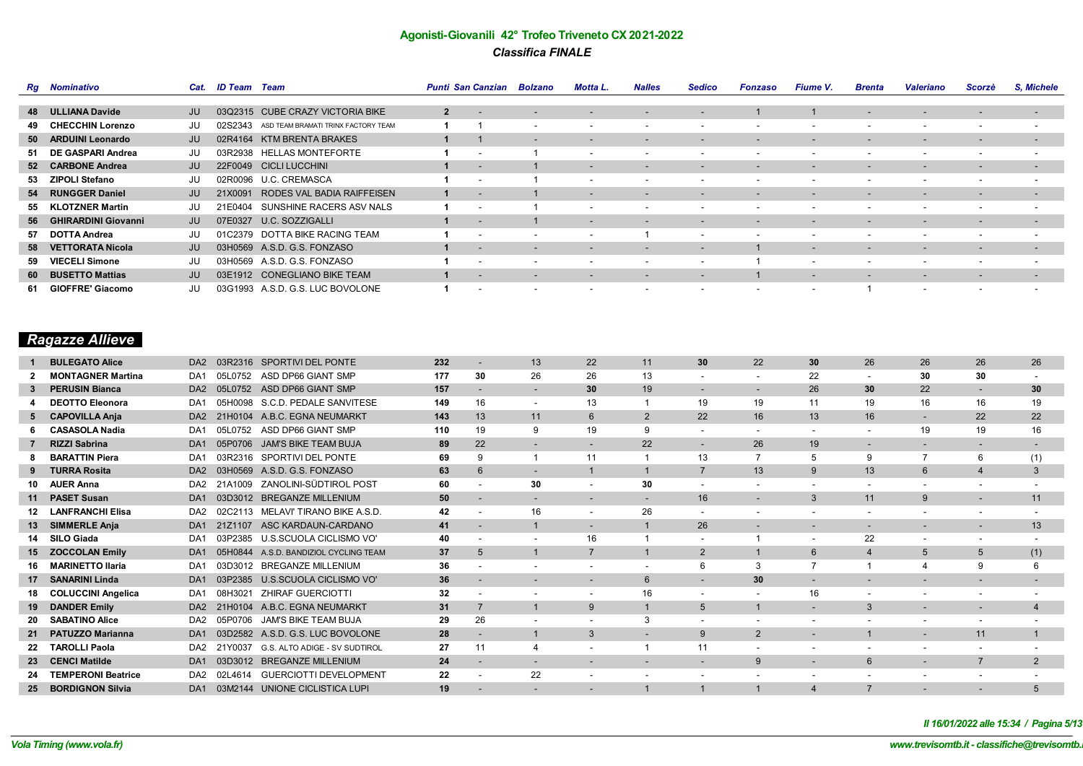|    | <b>Rg</b> Nominativo   | Cat. | ID Team | Team                                | <b>Punti San Canzian</b> |                          | <b>Bolzano</b>           | <b>Motta L.</b>          | <b>Nalles</b>            | <b>Sedico</b>            | Fonzaso                  | <b>Fiume V.</b>          | <b>Brenta</b>            | <b>Valeriano</b>         | Scorzè                   | S, Michele               |
|----|------------------------|------|---------|-------------------------------------|--------------------------|--------------------------|--------------------------|--------------------------|--------------------------|--------------------------|--------------------------|--------------------------|--------------------------|--------------------------|--------------------------|--------------------------|
|    |                        |      |         |                                     |                          |                          |                          |                          |                          |                          |                          |                          |                          |                          |                          |                          |
|    | 48 ULLIANA Davide      | JU   |         | 03Q2315 CUBE CRAZY VICTORIA BIKE    | $\overline{2}$           |                          |                          |                          |                          | $\overline{\phantom{a}}$ |                          |                          |                          |                          | $\overline{\phantom{a}}$ | $\overline{\phantom{0}}$ |
|    | 49 CHECCHIN Lorenzo    | JU   | 02S2343 | ASD TEAM BRAMATI TRINX FACTORY TEAM |                          |                          | $\overline{\phantom{0}}$ | $\overline{\phantom{a}}$ | $\overline{\phantom{a}}$ | $\overline{\phantom{a}}$ | $\overline{\phantom{0}}$ | $\sim$                   | $\overline{\phantom{0}}$ | $\overline{\phantom{0}}$ | $\overline{\phantom{a}}$ | $\overline{\phantom{a}}$ |
|    | 50 ARDUINI Leonardo    | JU   |         | 02R4164 KTM BRENTA BRAKES           |                          |                          | $\overline{\phantom{0}}$ | $\overline{\phantom{0}}$ | $\overline{\phantom{a}}$ | $\overline{\phantom{a}}$ | $\overline{\phantom{0}}$ | $\overline{\phantom{0}}$ | $\overline{\phantom{a}}$ | $\overline{\phantom{0}}$ | $\overline{\phantom{a}}$ | $\overline{\phantom{a}}$ |
|    | 51 DE GASPARI Andrea   | JU   |         | 03R2938 HELLAS MONTEFORTE           |                          |                          |                          | $\overline{\phantom{0}}$ |                          |                          | $\overline{\phantom{0}}$ |                          |                          | $\overline{\phantom{0}}$ |                          |                          |
|    | 52 CARBONE Andrea      | JU   |         | 22F0049 CICLI LUCCHINI              |                          |                          |                          | $\overline{\phantom{0}}$ | $\overline{\phantom{a}}$ | $\overline{\phantom{0}}$ | $\overline{\phantom{0}}$ | $\overline{\phantom{a}}$ |                          | $\overline{\phantom{a}}$ | $\overline{\phantom{a}}$ | $\overline{\phantom{a}}$ |
|    | 53 ZIPOLI Stefano      | JU   |         | 02R0096 U.C. CREMASCA               |                          |                          |                          | $\overline{\phantom{a}}$ | $\overline{\phantom{a}}$ | $\overline{\phantom{a}}$ | $\overline{\phantom{a}}$ |                          |                          | $\overline{\phantom{0}}$ |                          | $\overline{\phantom{a}}$ |
|    | 54 RUNGGER Daniel      | JU   | 21X0091 | RODES VAL BADIA RAIFFEISEN          |                          |                          |                          | $\sim$                   | $\overline{\phantom{a}}$ | $\overline{\phantom{0}}$ | $\overline{\phantom{a}}$ | $\overline{\phantom{0}}$ | $\overline{\phantom{a}}$ | $\overline{\phantom{0}}$ | $\overline{\phantom{a}}$ | $\overline{\phantom{a}}$ |
|    | 55 KLOTZNER Martin     | JU   | 21E0404 | SUNSHINE RACERS ASV NALS            |                          |                          |                          | $\overline{\phantom{a}}$ | $\overline{\phantom{a}}$ | $\overline{\phantom{a}}$ | $\overline{\phantom{a}}$ |                          | $\overline{\phantom{0}}$ | $\overline{\phantom{0}}$ | $\overline{\phantom{a}}$ | $\overline{\phantom{a}}$ |
|    | 56 GHIRARDINI Giovanni | JU   |         | 07E0327 U.C. SOZZIGALLI             |                          |                          |                          | $\overline{\phantom{0}}$ | $\overline{\phantom{a}}$ | -                        | $\overline{\phantom{a}}$ |                          |                          | $\overline{\phantom{a}}$ | $\overline{\phantom{a}}$ | $\overline{\phantom{a}}$ |
|    | 57 DOTTA Andrea        | JU   |         | 01C2379 DOTTA BIKE RACING TEAM      |                          |                          | $\overline{\phantom{0}}$ | $\overline{\phantom{a}}$ |                          | $\overline{\phantom{a}}$ | $\overline{\phantom{a}}$ | $\sim$                   | $\overline{\phantom{0}}$ | $\overline{\phantom{0}}$ | $\overline{\phantom{a}}$ | ٠                        |
|    | 58 VETTORATA Nicola    | JU   |         | 03H0569 A.S.D. G.S. FONZASO         |                          | $\overline{\phantom{a}}$ | $\overline{\phantom{0}}$ | $\overline{\phantom{0}}$ | $\overline{\phantom{a}}$ | $\overline{\phantom{a}}$ |                          | $\overline{\phantom{0}}$ | $\overline{\phantom{a}}$ | $\overline{\phantom{0}}$ | $\overline{\phantom{a}}$ | $\overline{\phantom{a}}$ |
| 59 | <b>VIECELI Simone</b>  | JU   |         | 03H0569 A.S.D. G.S. FONZASO         |                          |                          |                          | $\overline{\phantom{a}}$ | $\overline{\phantom{a}}$ | $\overline{\phantom{a}}$ |                          | $\sim$                   |                          | $\overline{\phantom{0}}$ | $\overline{\phantom{a}}$ | $\overline{\phantom{a}}$ |
|    | 60 BUSETTO Mattias     | JU   |         | 03E1912 CONEGLIANO BIKE TEAM        |                          |                          | $\overline{\phantom{0}}$ | $\overline{\phantom{a}}$ | $\overline{\phantom{a}}$ | $\overline{\phantom{a}}$ |                          | $\overline{\phantom{0}}$ | $\overline{\phantom{0}}$ | $\overline{\phantom{0}}$ | $\overline{\phantom{a}}$ | $\overline{\phantom{a}}$ |
|    | 61 GIOFFRE' Giacomo    | JU   |         | 03G1993 A.S.D. G.S. LUC BOVOLONE    |                          |                          |                          | $\overline{\phantom{a}}$ | $\overline{\phantom{a}}$ | $\overline{\phantom{a}}$ | $\overline{\phantom{a}}$ | $\overline{\phantom{0}}$ |                          | $\overline{\phantom{a}}$ | $\overline{\phantom{a}}$ | $\overline{\phantom{a}}$ |

# *Ragazze Allieve*

|     | <b>BULEGATO Alice</b>     | DA <sub>2</sub> | 03R2316 | <b>SPORTIVI DEL PONTE</b>          | 232 |                          | 13                       | 22                       | 11                       | 30                       | 22                       | 30                       | 26                       | 26                       | 26                       | 26  |
|-----|---------------------------|-----------------|---------|------------------------------------|-----|--------------------------|--------------------------|--------------------------|--------------------------|--------------------------|--------------------------|--------------------------|--------------------------|--------------------------|--------------------------|-----|
|     | <b>MONTAGNER Martina</b>  | DA <sub>1</sub> | 05L0752 | ASD DP66 GIANT SMP                 | 177 | 30                       | 26                       | 26                       | 13                       |                          |                          | 22                       | $\overline{\phantom{a}}$ | 30                       | 30                       |     |
|     | <b>PERUSIN Bianca</b>     | DA <sub>2</sub> | 05L0752 | ASD DP66 GIANT SMP                 | 157 |                          |                          | 30                       | 19                       |                          |                          | 26                       | 30                       | 22                       |                          | 30  |
|     | <b>DEOTTO Eleonora</b>    | DA <sub>1</sub> |         | 05H0098 S.C.D. PEDALE SANVITESE    | 149 | 16                       | $\overline{\phantom{a}}$ | 13                       |                          | 19                       | 19                       | 11                       | 19                       | 16                       | 16                       | 19  |
|     | 5 CAPOVILLA Anja          | DA <sub>2</sub> | 21H0104 | A.B.C. EGNA NEUMARKT               | 143 | 13                       | 11                       | 6                        | $\overline{2}$           | 22                       | 16                       | 13                       | 16                       |                          | 22                       | 22  |
|     | <b>CASASOLA Nadia</b>     | DA <sub>1</sub> | 05L0752 | ASD DP66 GIANT SMP                 | 110 | 19                       | 9                        | 19                       | 9                        |                          | $\overline{\phantom{a}}$ | $\overline{\phantom{a}}$ |                          | 19                       | 19                       | 16  |
|     | <b>RIZZI Sabrina</b>      | DA <sub>1</sub> | 05P0706 | <b>JAM'S BIKE TEAM BUJA</b>        | 89  | 22                       |                          |                          | 22                       |                          | 26                       | 19                       |                          |                          |                          |     |
|     | <b>BARATTIN Piera</b>     | DA <sub>1</sub> | 03R2316 | SPORTIVI DEL PONTE                 | 69  | 9                        |                          | 11                       |                          | 13                       |                          | 5                        | 9                        |                          | 6                        | (1) |
|     | <b>TURRA Rosita</b>       | DA <sub>2</sub> | 03H0569 | A.S.D. G.S. FONZASO                | 63  | 6                        |                          |                          |                          | $\overline{7}$           | 13                       | 9                        | 13                       | 6                        |                          | 3   |
| 10  | <b>AUER Anna</b>          | DA <sub>2</sub> | 21A1009 | ZANOLINI-SÜDTIROL POST             | 60  |                          | 30                       |                          | 30                       |                          |                          |                          |                          |                          |                          |     |
|     | <b>PASET Susan</b>        | DA <sub>1</sub> | 03D3012 | <b>BREGANZE MILLENIUM</b>          | 50  | $\overline{\phantom{a}}$ | $\overline{\phantom{a}}$ | $\overline{\phantom{a}}$ | $\overline{\phantom{a}}$ | 16                       | $\overline{\phantom{a}}$ | 3                        | 11                       | 9                        | $\overline{\phantom{a}}$ | 11  |
|     | <b>LANFRANCHI Elisa</b>   | DA <sub>2</sub> | 02C2113 | MELAVI' TIRANO BIKE A.S.D.         | 42  | $\overline{\phantom{a}}$ | 16                       | $\overline{\phantom{a}}$ | 26                       | $\overline{\phantom{a}}$ |                          |                          |                          |                          |                          |     |
|     | 13 SIMMERLE Anja          | DA <sub>1</sub> | 21Z1107 | ASC KARDAUN-CARDANO                | 41  | $\overline{\phantom{a}}$ |                          | $\overline{\phantom{a}}$ |                          | 26                       | $\overline{\phantom{a}}$ | $\overline{\phantom{a}}$ | $\overline{\phantom{a}}$ | $\overline{\phantom{a}}$ | $\overline{\phantom{a}}$ | 13  |
|     | 14 SILO Giada             | DA <sub>1</sub> | 03P2385 | U.S.SCUOLA CICLISMO VO'            | 40  | $\overline{\phantom{a}}$ |                          | 16                       |                          | $\overline{\phantom{a}}$ |                          | $\overline{\phantom{0}}$ | 22                       | $\overline{\phantom{0}}$ | $\overline{\phantom{a}}$ |     |
|     | 15 ZOCCOLAN Emily         | DA <sub>1</sub> | 05H0844 | A.S.D. BANDIZIOL CYCLING TEAM      | 37  | 5                        |                          | $\overline{7}$           |                          | $\overline{2}$           |                          | $6^{\circ}$              | $\overline{4}$           | 5                        | 5                        | (1) |
| 16. | <b>MARINETTO Ilaria</b>   | DA <sub>1</sub> | 03D3012 | <b>BREGANZE MILLENIUM</b>          | 36  | $\overline{\phantom{a}}$ |                          | $\overline{\phantom{a}}$ | $\overline{\phantom{a}}$ | 6                        | 3                        |                          |                          |                          | 9                        |     |
| 17  | <b>SANARINI Linda</b>     | DA <sub>1</sub> | 03P2385 | U.S.SCUOLA CICLISMO VO'            | 36  | $\overline{\phantom{a}}$ |                          |                          | $6^{\circ}$              |                          | 30                       |                          |                          |                          |                          |     |
|     | <b>COLUCCINI Angelica</b> | DA <sub>1</sub> | 08H3021 | <b>ZHIRAF GUERCIOTTI</b>           | 32  | $\overline{\phantom{a}}$ | $\overline{\phantom{a}}$ | $\overline{\phantom{a}}$ | 16                       | $\overline{\phantom{a}}$ | $\overline{\phantom{a}}$ | 16                       | $\overline{\phantom{a}}$ |                          | $\overline{\phantom{a}}$ |     |
| 19  | <b>DANDER Emily</b>       | DA <sub>2</sub> | 21H0104 | A.B.C. EGNA NEUMARKT               | 31  | $\overline{7}$           |                          | 9                        |                          | 5                        |                          |                          | 3                        |                          |                          |     |
|     | <b>SABATINO Alice</b>     | DA <sub>2</sub> | 05P0706 | JAM'S BIKE TEAM BUJA               | 29  | 26                       |                          |                          | 3                        |                          |                          |                          |                          |                          | $\overline{\phantom{0}}$ |     |
| 21  | <b>PATUZZO Marianna</b>   | DA <sub>1</sub> | 03D2582 | A.S.D. G.S. LUC BOVOLONE           | 28  | $\overline{\phantom{a}}$ |                          | 3                        | $\overline{\phantom{a}}$ | 9                        | $\overline{2}$           | $\overline{\phantom{a}}$ |                          | $\overline{\phantom{0}}$ | 11                       |     |
|     | <b>TAROLLI Paola</b>      | DA <sub>2</sub> | 21Y0037 | G.S. ALTO ADIGE - SV SUDTIROL      | 27  | 11                       |                          |                          |                          | 11                       |                          |                          |                          |                          |                          |     |
| 23  | <b>CENCI Matilde</b>      | DA <sub>1</sub> | 03D3012 | <b>BREGANZE MILLENIUM</b>          | 24  | $\overline{\phantom{0}}$ | $\overline{\phantom{0}}$ |                          |                          | $\overline{\phantom{a}}$ | 9                        | $\blacksquare$           | 6                        | $\overline{\phantom{0}}$ |                          | 2   |
|     | <b>TEMPERONI Beatrice</b> | DA <sub>2</sub> | 02L4614 | <b>GUERCIOTTI DEVELOPMENT</b>      | 22  |                          | 22                       |                          |                          |                          |                          |                          |                          |                          |                          |     |
| 25  | <b>BORDIGNON Silvia</b>   |                 |         | DA1 03M2144 UNIONE CICLISTICA LUPI | 19  |                          |                          |                          |                          |                          |                          |                          |                          |                          |                          |     |

*Il 16/01/2022 alle 15:34 / Pagina 5/13*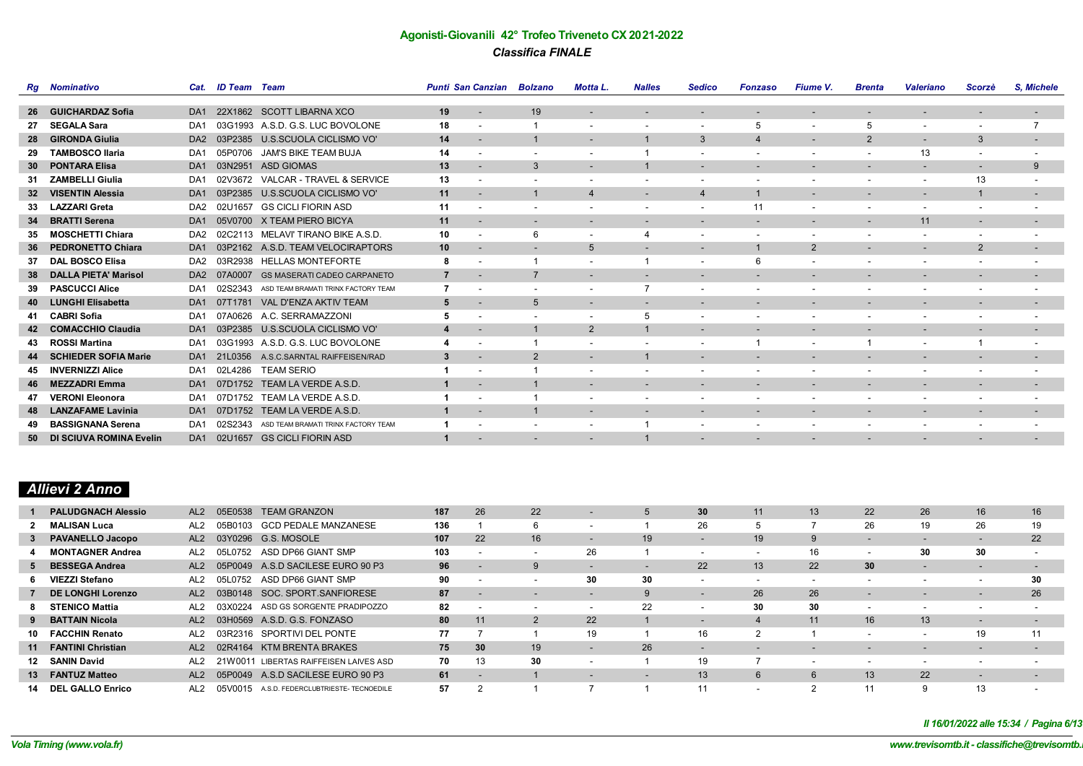|    | <b>Rg</b> Nominativo           |                 | Cat. ID Team Team |                                             | <b>Punti San Canzian Bolzano</b> |                          |                          | Motta L.                 | <b>Nalles</b>            | <b>Sedico</b>                | Fonzaso                  | <b>Fiume V.</b>          | <b>Brenta</b>            | <b>Valeriano</b>         | Scorzè                   | S. Michele               |
|----|--------------------------------|-----------------|-------------------|---------------------------------------------|----------------------------------|--------------------------|--------------------------|--------------------------|--------------------------|------------------------------|--------------------------|--------------------------|--------------------------|--------------------------|--------------------------|--------------------------|
|    |                                |                 |                   |                                             |                                  |                          |                          |                          |                          |                              |                          |                          |                          |                          |                          |                          |
| 26 | <b>GUICHARDAZ Sofia</b>        | DA <sub>1</sub> | 22X1862           | <b>SCOTT LIBARNA XCO</b>                    | 19                               |                          | 19                       |                          |                          |                              |                          |                          |                          |                          |                          | -                        |
| 27 | <b>SEGALA Sara</b>             | DA1             |                   | 03G1993 A.S.D. G.S. LUC BOVOLONE            | 18                               |                          |                          | $\overline{\phantom{a}}$ | $\overline{\phantom{a}}$ | $\overline{\phantom{a}}$     | 5                        | $\overline{\phantom{a}}$ | 5                        | $\sim$                   | $\overline{\phantom{a}}$ | $\overline{7}$           |
| 28 | <b>GIRONDA Giulia</b>          | DA <sub>2</sub> | 03P2385           | U.S.SCUOLA CICLISMO VO'                     | 14                               | $\overline{\phantom{a}}$ |                          | $\overline{\phantom{a}}$ |                          | $\mathbf{3}$                 | $\overline{4}$           | $\sim$                   | $\overline{2}$           | $\sim$                   | 3                        | $\overline{\phantom{a}}$ |
| 29 | <b>TAMBOSCO Ilaria</b>         | DA <sub>1</sub> | 05P0706           | JAM'S BIKE TEAM BUJA                        | 14                               |                          |                          |                          |                          | ۰                            | $\blacksquare$           |                          |                          | 13                       |                          | $\overline{\phantom{a}}$ |
| 30 | <b>PONTARA Elisa</b>           | DA <sub>1</sub> | 03N2951           | <b>ASD GIOMAS</b>                           | 13                               |                          | 3                        |                          |                          | -                            | $\overline{\phantom{a}}$ |                          |                          | $\overline{\phantom{a}}$ | $\overline{\phantom{a}}$ | 9                        |
| 31 | <b>ZAMBELLI Giulia</b>         | DA <sub>1</sub> | 02V3672           | VALCAR - TRAVEL & SERVICE                   | 13                               |                          |                          | $\overline{\phantom{a}}$ | $\overline{\phantom{a}}$ | $\overline{\phantom{a}}$     | $\overline{\phantom{a}}$ |                          | $\overline{\phantom{0}}$ | $\overline{\phantom{a}}$ | 13                       | $\overline{\phantom{a}}$ |
| 32 | <b>VISENTIN Alessia</b>        | DA <sub>1</sub> | 03P2385           | U.S.SCUOLA CICLISMO VO'                     | 11                               |                          |                          | 4                        | $\overline{\phantom{a}}$ |                              |                          | $\overline{\phantom{a}}$ |                          | $\overline{\phantom{0}}$ | $\mathbf 1$              | $\sim$                   |
| 33 | <b>LAZZARI Greta</b>           | DA <sub>2</sub> | 02U1657           | <b>GS CICLI FIORIN ASD</b>                  | 11                               |                          |                          | $\overline{\phantom{a}}$ | $\overline{\phantom{a}}$ | $\overline{\phantom{a}}$     | 11                       | $\overline{\phantom{a}}$ | $\overline{\phantom{0}}$ | $\overline{\phantom{a}}$ | $\overline{\phantom{a}}$ | $\overline{\phantom{a}}$ |
| 34 | <b>BRATTI Serena</b>           | DA <sub>1</sub> |                   | 05V0700 X TEAM PIERO BICYA                  | 11                               |                          | $\overline{\phantom{a}}$ | $\overline{\phantom{a}}$ | $\overline{\phantom{a}}$ |                              | $\overline{\phantom{a}}$ |                          | $\overline{\phantom{a}}$ | 11                       | $\overline{\phantom{a}}$ | $\overline{\phantom{a}}$ |
| 35 | <b>MOSCHETTI Chiara</b>        | DA <sub>2</sub> |                   | 02C2113 MELAVI' TIRANO BIKE A.S.D.          | 10                               |                          | 6                        | $\overline{\phantom{a}}$ |                          | $\overline{\phantom{a}}$     | $\overline{\phantom{a}}$ |                          |                          | $\overline{\phantom{a}}$ |                          |                          |
| 36 | <b>PEDRONETTO Chiara</b>       | DA <sub>1</sub> |                   | 03P2162 A.S.D. TEAM VELOCIRAPTORS           | 10                               |                          |                          | 5                        | $\overline{\phantom{a}}$ | $\overline{\phantom{0}}$     |                          | $\overline{2}$           |                          | $\overline{\phantom{a}}$ | 2                        | $\overline{\phantom{a}}$ |
| 37 | <b>DAL BOSCO Elisa</b>         | DA2             |                   | 03R2938 HELLAS MONTEFORTE                   | 8                                |                          |                          | $\overline{\phantom{a}}$ |                          | $\overline{\phantom{a}}$     | 6                        |                          |                          | $\overline{\phantom{a}}$ | $\overline{\phantom{a}}$ | $\overline{\phantom{a}}$ |
| 38 | <b>DALLA PIETA' Marisol</b>    | DA <sub>2</sub> | 07A0007           | <b>GS MASERATI CADEO CARPANETO</b>          | $\overline{7}$                   | $\overline{\phantom{a}}$ | $\overline{7}$           | $\overline{\phantom{a}}$ | $\overline{\phantom{a}}$ | $\overline{\phantom{a}}$     | $\overline{\phantom{a}}$ | $\sim$                   | $\sim$                   | $\sim$                   | $\overline{\phantom{a}}$ | $\sim$                   |
| 39 | <b>PASCUCCI Alice</b>          | DA <sub>1</sub> |                   | 02S2343 ASD TEAM BRAMATI TRINX FACTORY TEAM |                                  |                          | $\overline{\phantom{a}}$ | $\overline{\phantom{a}}$ |                          | $\overline{\phantom{0}}$     | $\overline{\phantom{a}}$ |                          |                          |                          |                          | $\overline{\phantom{a}}$ |
| 40 | <b>LUNGHI Elisabetta</b>       | DA <sub>1</sub> | 07T1781           | VAL D'ENZA AKTIV TEAM                       | 5                                |                          | 5                        |                          |                          |                              | $\overline{\phantom{a}}$ |                          |                          |                          | $\overline{\phantom{a}}$ | ٠                        |
| 41 | <b>CABRI Sofia</b>             | DA1             | 07A0626           | A.C. SERRAMAZZONI                           |                                  |                          |                          | $\overline{\phantom{a}}$ | 5                        | $\overline{\phantom{a}}$     | $\overline{\phantom{0}}$ |                          | $\overline{\phantom{a}}$ | $\overline{\phantom{a}}$ |                          | ٠                        |
| 42 | <b>COMACCHIO Claudia</b>       | DA <sub>1</sub> | 03P2385           | U.S.SCUOLA CICLISMO VO'                     | 4                                |                          |                          | $\overline{2}$           |                          |                              |                          |                          |                          | $\overline{\phantom{a}}$ | $\overline{\phantom{a}}$ | $\overline{\phantom{a}}$ |
| 43 | <b>ROSSI Martina</b>           | DA <sub>1</sub> | 03G1993           | A.S.D. G.S. LUC BOVOLONE                    |                                  |                          |                          | $\overline{\phantom{a}}$ |                          | $\overline{\phantom{a}}$     |                          | $\overline{\phantom{a}}$ |                          | $\overline{\phantom{a}}$ |                          | $\overline{\phantom{a}}$ |
| 44 | <b>SCHIEDER SOFIA Marie</b>    | DA <sub>1</sub> | 21L0356           | A.S.C.SARNTAL RAIFFEISEN/RAD                | 3                                |                          | $\overline{2}$           | $\overline{\phantom{a}}$ |                          | $\qquad \qquad \blacksquare$ | $\overline{\phantom{a}}$ |                          |                          | $\overline{\phantom{a}}$ |                          | ٠                        |
|    | <b>INVERNIZZI Alice</b>        | DA1             | 02L4286           | <b>TEAM SERIO</b>                           |                                  |                          |                          | $\overline{\phantom{a}}$ |                          |                              | $\overline{\phantom{a}}$ |                          |                          |                          |                          | ٠                        |
| 46 | <b>MEZZADRI Emma</b>           | DA <sub>1</sub> | 07D1752           | TEAM LA VERDE A.S.D.                        |                                  | $\overline{\phantom{a}}$ |                          | $\overline{\phantom{a}}$ | $\overline{\phantom{a}}$ | -                            | $\overline{\phantom{a}}$ | $\overline{\phantom{a}}$ |                          | $\overline{\phantom{a}}$ | $\overline{\phantom{a}}$ | $\overline{\phantom{a}}$ |
| 47 | <b>VERONI Eleonora</b>         | DA <sub>1</sub> | 07D1752           | TEAM LA VERDE A.S.D.                        |                                  |                          |                          |                          |                          |                              | $\overline{\phantom{a}}$ |                          |                          |                          |                          | ٠                        |
| 48 | <b>LANZAFAME Lavinia</b>       | DA <sub>1</sub> | 07D1752           | TEAM LA VERDE A.S.D.                        | $\mathbf{1}$                     | $\overline{\phantom{a}}$ |                          | $\overline{\phantom{a}}$ | $\overline{\phantom{a}}$ |                              | ٠                        | $\overline{\phantom{a}}$ | $\sim$                   | $\sim$                   | $\sim$                   | $\sim$                   |
| 49 | <b>BASSIGNANA Serena</b>       | DA <sub>1</sub> | 02S2343           | ASD TEAM BRAMATI TRINX FACTORY TEAM         |                                  |                          |                          | $\overline{\phantom{a}}$ |                          | ٠                            |                          |                          |                          |                          |                          |                          |
| 50 | <b>DI SCIUVA ROMINA Evelin</b> | DA <sub>1</sub> | 02U1657           | <b>GS CICLI FIORIN ASD</b>                  |                                  |                          |                          |                          |                          |                              |                          |                          |                          |                          |                          |                          |

# *Allievi 2 Anno*

|     | <b>PALUDGNACH Alessio</b> | AL <sub>2</sub> |         | 05E0538 TEAM GRANZON                   | 187 | 26 | 22 | $\overline{\phantom{0}}$ |    | 30                       | 11                       | 13                       | 22                       | 26                       | 16                       | 16                       |
|-----|---------------------------|-----------------|---------|----------------------------------------|-----|----|----|--------------------------|----|--------------------------|--------------------------|--------------------------|--------------------------|--------------------------|--------------------------|--------------------------|
|     | 2 MALISAN Luca            | AL <sub>2</sub> | 05B0103 | <b>GCD PEDALE MANZANESE</b>            | 136 |    |    |                          |    | 26                       |                          |                          | 26                       | 19                       | 26                       | 19                       |
|     | 3 PAVANELLO Jacopo        | AL2             |         | 03Y0296 G.S. MOSOLE                    | 107 | 22 | 16 |                          | 19 |                          | 19                       | 9                        | -                        | -                        | $\overline{\phantom{a}}$ | 22                       |
|     | <b>MONTAGNER Andrea</b>   | AL2             | 05L0752 | ASD DP66 GIANT SMP                     | 103 |    |    | 26                       |    | $\overline{\phantom{0}}$ | $\overline{\phantom{a}}$ | 16                       | $\overline{\phantom{a}}$ | 30                       | 30                       | $\overline{\phantom{a}}$ |
|     | 5 BESSEGA Andrea          | AL <sub>2</sub> |         | 05P0049 A.S.D SACILESE EURO 90 P3      | 96  |    |    | $\overline{\phantom{0}}$ |    | 22                       | 13                       | 22                       | 30                       | $\overline{\phantom{a}}$ | $\overline{\phantom{a}}$ | $\overline{\phantom{a}}$ |
|     | 6 VIEZZI Stefano          | AL <sub>2</sub> | 05L0752 | ASD DP66 GIANT SMP                     | 90  |    |    | 30                       | 30 |                          | $\overline{\phantom{0}}$ |                          |                          | $\overline{\phantom{0}}$ |                          | 30                       |
|     | DE LONGHI Lorenzo         | AL <sub>2</sub> |         | 03B0148 SOC. SPORT.SANFIORESE          | 87  |    |    |                          | 9  | $\overline{\phantom{0}}$ | 26                       | 26                       | $\overline{\phantom{a}}$ | $\overline{\phantom{a}}$ | $\overline{\phantom{a}}$ | 26                       |
|     | <b>STENICO Mattia</b>     | AL <sub>2</sub> | 03X0224 | ASD GS SORGENTE PRADIPOZZO             | 82  |    |    |                          | 22 |                          | 30                       | 30                       | $\overline{\phantom{a}}$ | $\overline{\phantom{0}}$ | $\overline{\phantom{a}}$ | $\overline{\phantom{a}}$ |
|     | <b>BATTAIN Nicola</b>     | AL2             |         | 03H0569 A.S.D. G.S. FONZASO            | 80  | 11 |    | 22                       |    | $\overline{\phantom{0}}$ |                          | 11                       | 16                       | 13                       | $\overline{\phantom{a}}$ | -                        |
| 10  | <b>FACCHIN Renato</b>     | AL2             |         | 03R2316 SPORTIVI DEL PONTE             | 77  |    |    | 19                       |    | 16                       |                          |                          |                          |                          | 19                       | 11                       |
|     | 11 FANTINI Christian      | AL2             |         | 02R4164 KTM BRENTA BRAKES              | 75  | 30 | 19 |                          | 26 |                          | $\overline{\phantom{a}}$ | $\overline{\phantom{a}}$ | $\overline{\phantom{a}}$ | $\overline{\phantom{a}}$ | $\overline{\phantom{a}}$ | $\overline{\phantom{0}}$ |
|     | 12 SANIN David            | AL2             |         | 21W0011 LIBERTAS RAIFFEISEN LAIVES ASD | 70  | 13 | 30 |                          |    | 19                       |                          |                          |                          |                          |                          |                          |
|     | 13 FANTUZ Matteo          | AL <sub>2</sub> |         | 05P0049 A.S.D SACILESE EURO 90 P3      | 61  |    |    | $\overline{\phantom{0}}$ |    | 13                       | 6                        |                          | 13                       | 22                       | $\overline{\phantom{a}}$ | $\overline{\phantom{0}}$ |
| 14. | <b>DEL GALLO Enrico</b>   | AL2             | 05V0015 | A.S.D. FEDERCLUBTRIESTE- TECNOEDILE    | 57  |    |    |                          |    | 11                       | $\overline{\phantom{0}}$ |                          | 11                       | q                        | 13                       |                          |

*Il 16/01/2022 alle 15:34 / Pagina 6/13*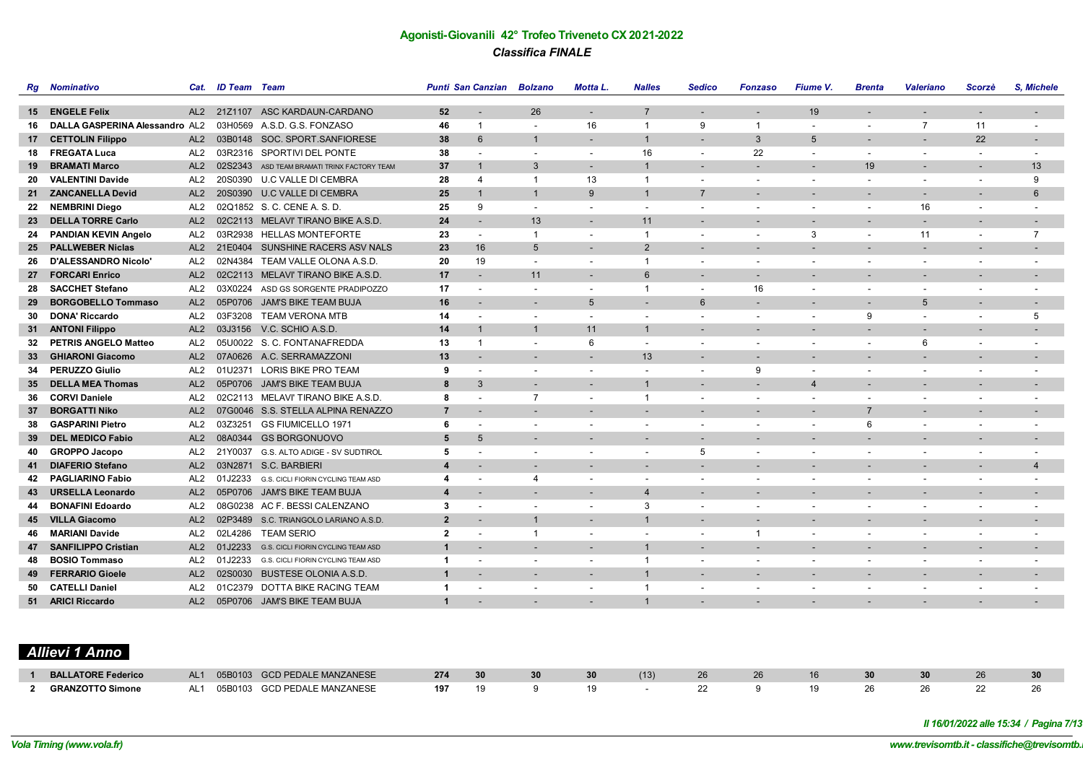|    | <b>Rg</b> Nominativo           | Cat.            | <b>ID Team</b> Team |                                             |                | <b>Punti San Canzian</b> | <b>Bolzano</b>           | <b>Motta L.</b>          | <b>Nalles</b>            | <b>Sedico</b>            | <b>Fonzaso</b>           | <b>Fiume V.</b>          | <b>Brenta</b>            | <b>Valeriano</b>         | Scorzè                   | S. Michele                   |
|----|--------------------------------|-----------------|---------------------|---------------------------------------------|----------------|--------------------------|--------------------------|--------------------------|--------------------------|--------------------------|--------------------------|--------------------------|--------------------------|--------------------------|--------------------------|------------------------------|
|    |                                |                 |                     |                                             |                |                          |                          |                          |                          |                          |                          |                          |                          |                          |                          |                              |
|    | 15 ENGELE Felix                | AL <sub>2</sub> | 21Z1107             | ASC KARDAUN-CARDANO                         | 52             | $\overline{\phantom{a}}$ | 26                       | $\blacksquare$           | $\overline{7}$           | $\blacksquare$           | $\overline{\phantom{a}}$ | 19                       |                          |                          |                          |                              |
| 16 | DALLA GASPERINA Alessandro AL2 |                 |                     | 03H0569 A.S.D. G.S. FONZASO                 | 46             | $\mathbf{1}$             | $\sim$                   | 16                       | $\mathbf{1}$             | 9                        | $\overline{1}$           | $\overline{\phantom{a}}$ |                          | $\overline{7}$           | 11                       | $\qquad \qquad \blacksquare$ |
| 17 | <b>CETTOLIN Filippo</b>        | AL2             |                     | 03B0148 SOC. SPORT.SANFIORESE               | 38             | $6\phantom{1}$           | $\mathbf{1}$             | $\overline{\phantom{a}}$ | $\overline{1}$           | $\overline{a}$           | $\mathbf{3}$             | $5\phantom{.0}$          | $\overline{\phantom{a}}$ | $\overline{\phantom{a}}$ | 22                       | $\overline{\phantom{a}}$     |
| 18 | <b>FREGATA Luca</b>            | AL <sub>2</sub> |                     | 03R2316 SPORTIVI DEL PONTE                  | 38             | $\overline{\phantom{a}}$ | $\overline{\phantom{a}}$ | $\blacksquare$           | 16                       | $\blacksquare$           | 22                       | $\overline{\phantom{a}}$ | $\sim$                   | $\sim$                   | $\overline{\phantom{a}}$ | $\overline{\phantom{a}}$     |
| 19 | <b>BRAMATI Marco</b>           | AL <sub>2</sub> |                     | 02S2343 ASD TEAM BRAMATI TRINX FACTORY TEAM | 37             | $\mathbf{1}$             | 3                        |                          | $\overline{1}$           | $\overline{a}$           |                          |                          | 19                       | $\overline{\phantom{a}}$ | $\overline{\phantom{a}}$ | 13                           |
| 20 | <b>VALENTINI Davide</b>        | AL <sub>2</sub> |                     | 20S0390 U.C VALLE DI CEMBRA                 | 28             | $\overline{4}$           | $\mathbf{1}$             | 13                       | $\mathbf{1}$             | ٠                        | $\overline{\phantom{a}}$ |                          | $\overline{\phantom{a}}$ | $\overline{\phantom{a}}$ | $\overline{\phantom{a}}$ | 9                            |
| 21 | <b>ZANCANELLA Devid</b>        | AL <sub>2</sub> | 20S0390             | U.C VALLE DI CEMBRA                         | 25             | $\overline{1}$           | $\mathbf{1}$             | 9                        | $\mathbf{1}$             | $\overline{7}$           |                          |                          |                          |                          |                          | 6                            |
| 22 | <b>NEMBRINI Diego</b>          | AL <sub>2</sub> |                     | 02Q1852 S. C. CENE A. S. D.                 | 25             | 9                        | $\overline{\phantom{a}}$ | $\blacksquare$           | $\blacksquare$           | ٠                        | $\overline{\phantom{a}}$ |                          |                          | 16                       | $\blacksquare$           | ٠                            |
| 23 | <b>DELLA TORRE Carlo</b>       | AL2             |                     | 02C2113 MELAVI' TIRANO BIKE A.S.D.          | 24             |                          | 13                       | $\blacksquare$           | 11                       | $\overline{a}$           | $\overline{\phantom{a}}$ |                          |                          | $\overline{\phantom{a}}$ | $\overline{a}$           | $\overline{\phantom{a}}$     |
| 24 | <b>PANDIAN KEVIN Angelo</b>    | AL <sub>2</sub> |                     | 03R2938 HELLAS MONTEFORTE                   | 23             | $\overline{\phantom{a}}$ | $\overline{1}$           | $\sim$                   | $\overline{1}$           | $\overline{\phantom{a}}$ | $\overline{\phantom{a}}$ | 3                        | $\overline{\phantom{a}}$ | 11                       | $\overline{\phantom{a}}$ | $\overline{7}$               |
| 25 | <b>PALLWEBER Niclas</b>        | AL2             | 21E0404             | SUNSHINE RACERS ASV NALS                    | 23             | 16                       | 5                        | $\blacksquare$           | 2                        | $\overline{\phantom{a}}$ |                          |                          |                          |                          |                          | $\blacksquare$               |
| 26 | D'ALESSANDRO Nicolo'           | AL <sub>2</sub> |                     | 02N4384 TEAM VALLE OLONA A.S.D              | 20             | 19                       |                          | $\overline{\phantom{a}}$ | $\mathbf{1}$             | $\overline{\phantom{a}}$ | $\overline{\phantom{a}}$ |                          |                          | $\overline{\phantom{a}}$ | $\blacksquare$           |                              |
| 27 | <b>FORCARI Enrico</b>          | AL <sub>2</sub> |                     | 02C2113 MELAVI' TIRANO BIKE A.S.D.          | 17             |                          | 11                       | $\overline{\phantom{a}}$ | 6                        | $\overline{\phantom{a}}$ | $\overline{\phantom{a}}$ |                          |                          | $\overline{\phantom{a}}$ |                          |                              |
| 28 | <b>SACCHET Stefano</b>         | AL2             |                     | 03X0224 ASD GS SORGENTE PRADIPOZZO          | 17             |                          |                          | $\blacksquare$           | $\mathbf{1}$             | $\blacksquare$           | 16                       |                          |                          |                          | $\blacksquare$           |                              |
| 29 | <b>BORGOBELLO Tommaso</b>      | AL2             |                     | 05P0706 JAM'S BIKE TEAM BUJA                | 16             |                          |                          | 5                        | $\overline{a}$           | 6                        | $\overline{\phantom{a}}$ |                          |                          | 5                        | $\overline{\phantom{a}}$ | $\overline{\phantom{a}}$     |
| 30 | <b>DONA' Riccardo</b>          | AL <sub>2</sub> |                     | 03F3208 TEAM VERONA MTB                     | 14             | $\overline{\phantom{a}}$ | $\overline{\phantom{a}}$ | $\blacksquare$           | $\blacksquare$           | $\blacksquare$           | $\blacksquare$           | $\overline{\phantom{a}}$ | 9                        | $\sim$                   | $\blacksquare$           | 5                            |
| 31 | <b>ANTONI Filippo</b>          | AL2             |                     | 03J3156 V.C. SCHIO A.S.D.                   | 14             | $\mathbf{1}$             | $\overline{\mathbf{1}}$  | 11                       | $\overline{1}$           | $\overline{\phantom{a}}$ |                          |                          |                          |                          |                          |                              |
| 32 | <b>PETRIS ANGELO Matteo</b>    | AL <sub>2</sub> |                     | 05U0022 S. C. FONTANAFREDDA                 | 13             | $\mathbf{1}$             | $\overline{\phantom{a}}$ | 6                        | $\overline{\phantom{a}}$ | $\overline{\phantom{a}}$ | $\overline{\phantom{a}}$ |                          | $\overline{\phantom{a}}$ | 6                        | $\blacksquare$           | ٠                            |
| 33 | <b>GHIARONI Giacomo</b>        | AL <sub>2</sub> |                     | 07A0626 A.C. SERRAMAZZONI                   | 13             |                          |                          | $\overline{a}$           | 13                       | $\overline{a}$           |                          |                          |                          |                          |                          | $\overline{\phantom{a}}$     |
| 34 | <b>PERUZZO Giulio</b>          | AL <sub>2</sub> |                     | 01U2371 LORIS BIKE PRO TEAM                 | 9              |                          | $\overline{\phantom{a}}$ | $\blacksquare$           | $\blacksquare$           | $\blacksquare$           | 9                        | $\overline{\phantom{a}}$ |                          | $\overline{\phantom{a}}$ | $\overline{\phantom{a}}$ | $\overline{\phantom{a}}$     |
| 35 | <b>DELLA MEA Thomas</b>        | AL2             |                     | 05P0706 JAM'S BIKE TEAM BUJA                | 8              | $\mathcal{A}$            | $\overline{\phantom{a}}$ | $\overline{a}$           | $\overline{1}$           | $\overline{\phantom{a}}$ | $\overline{a}$           | $\overline{4}$           | $\overline{\phantom{a}}$ | $\overline{\phantom{a}}$ | $\overline{\phantom{a}}$ | $\overline{\phantom{a}}$     |
| 36 | <b>CORVI Daniele</b>           | AL <sub>2</sub> |                     | 02C2113 MELAVI' TIRANO BIKE A.S.D.          | 8              | $\overline{\phantom{a}}$ | $\overline{7}$           | $\blacksquare$           | $\mathbf{1}$             | $\blacksquare$           | $\overline{\phantom{a}}$ | $\overline{\phantom{a}}$ | $\overline{\phantom{a}}$ | $\overline{\phantom{a}}$ | $\overline{\phantom{a}}$ | $\overline{\phantom{a}}$     |
| 37 | <b>BORGATTI Niko</b>           | AL2             |                     | 07G0046 S.S. STELLA ALPINA RENAZZO          | $\overline{7}$ | $\overline{\phantom{a}}$ |                          | $\blacksquare$           | $\overline{\phantom{a}}$ | $\overline{\phantom{a}}$ | $\overline{a}$           | $\overline{\phantom{a}}$ | $\overline{7}$           | $\overline{\phantom{a}}$ | $\overline{\phantom{a}}$ | $\blacksquare$               |
| 38 | <b>GASPARINI Pietro</b>        | AL <sub>2</sub> | 03Z3251             | GS FIUMICELLO 1971                          | 6              |                          |                          | $\blacksquare$           | $\overline{\phantom{a}}$ | ٠                        | $\blacksquare$           |                          | 6                        | $\overline{\phantom{a}}$ | $\overline{\phantom{a}}$ |                              |
| 39 | <b>DEL MEDICO Fabio</b>        | AL <sub>2</sub> |                     | 08A0344 GS BORGONUOVO                       | 5              | $5\overline{5}$          |                          | $\overline{\phantom{a}}$ | $\overline{\phantom{a}}$ | ٠                        |                          |                          |                          |                          |                          |                              |
| 40 | <b>GROPPO Jacopo</b>           | AL <sub>2</sub> |                     | 21Y0037 G.S. ALTO ADIGE - SV SUDTIROL       | 5              |                          |                          | $\overline{\phantom{a}}$ | $\blacksquare$           | 5                        | $\overline{\phantom{a}}$ |                          |                          | $\overline{\phantom{a}}$ | $\overline{\phantom{a}}$ | $\overline{\phantom{a}}$     |
| 41 | <b>DIAFERIO Stefano</b>        | AL <sub>2</sub> |                     | 03N2871 S.C. BARBIERI                       | Δ              |                          |                          |                          |                          |                          |                          |                          |                          | $\overline{\phantom{a}}$ | $\overline{\phantom{a}}$ | $\overline{4}$               |
| 42 | <b>PAGLIARINO Fabio</b>        | AL <sub>2</sub> |                     | 01J2233 G.S. CICLI FIORIN CYCLING TEAM ASD  | 4              |                          | 4                        | $\overline{\phantom{a}}$ | $\blacksquare$           | $\blacksquare$           | $\overline{\phantom{a}}$ |                          | $\overline{\phantom{a}}$ | $\overline{\phantom{a}}$ | $\overline{\phantom{a}}$ | $\overline{\phantom{a}}$     |
| 43 | <b>URSELLA Leonardo</b>        | AL <sub>2</sub> |                     | 05P0706 JAM'S BIKE TEAM BUJA                | 4              |                          |                          | $\overline{\phantom{a}}$ | $\overline{4}$           | $\overline{\phantom{a}}$ | $\overline{\phantom{0}}$ |                          |                          |                          |                          | ٠                            |
| 44 | <b>BONAFINI Edoardo</b>        | AL <sub>2</sub> |                     | 08G0238 AC F. BESSI CALENZANO               | 3              |                          |                          | $\blacksquare$           | 3                        | ٠                        |                          |                          |                          |                          |                          |                              |
| 45 | <b>VILLA Giacomo</b>           | AL2             |                     | 02P3489 S.C. TRIANGOLO LARIANO A.S.D.       | $\overline{2}$ |                          | $\overline{1}$           | $\sim$                   | $\mathbf{1}$             |                          |                          |                          |                          |                          |                          |                              |
| 46 | <b>MARIANI Davide</b>          | AL <sub>2</sub> | 02L4286             | <b>TEAM SERIO</b>                           | $\overline{2}$ |                          | $\mathbf{1}$             | $\overline{\phantom{a}}$ |                          | $\overline{a}$           | -1                       |                          |                          | $\overline{\phantom{a}}$ |                          |                              |
| 47 | <b>SANFILIPPO Cristian</b>     | AL2             |                     | 01J2233 G.S. CICLI FIORIN CYCLING TEAM ASD  | $\mathbf{1}$   | $\overline{\phantom{a}}$ | $\overline{\phantom{a}}$ | $\blacksquare$           | $\overline{1}$           | $\blacksquare$           | $\sim$                   | $\overline{\phantom{a}}$ | $\overline{\phantom{a}}$ | $\overline{\phantom{a}}$ | $\blacksquare$           | $\blacksquare$               |
| 48 | <b>BOSIO Tommaso</b>           | AL <sub>2</sub> | 01J2233             | G.S. CICLI FIORIN CYCLING TEAM ASD          | $\mathbf{1}$   |                          |                          | $\blacksquare$           | $\mathbf{1}$             | $\overline{\phantom{a}}$ | $\overline{\phantom{a}}$ |                          |                          | $\overline{\phantom{a}}$ | $\overline{\phantom{a}}$ |                              |
| 49 | <b>FERRARIO Gioele</b>         | AL <sub>2</sub> | 02S0030             | <b>BUSTESE OLONIA A.S.D.</b>                | $\overline{1}$ | $\overline{\phantom{a}}$ | $\overline{\phantom{a}}$ | $\overline{\phantom{a}}$ | $\overline{1}$           | $\overline{\phantom{a}}$ | $\overline{\phantom{a}}$ | $\overline{\phantom{a}}$ |                          | $\overline{\phantom{a}}$ | $\overline{\phantom{a}}$ | -                            |
| 50 | <b>CATELLI Daniel</b>          | AL <sub>2</sub> | 01C2379             | DOTTA BIKE RACING TEAM                      |                |                          |                          | $\overline{\phantom{a}}$ | $\overline{1}$           | ٠                        |                          |                          |                          |                          |                          |                              |
|    | 51 ARICI Riccardo              |                 |                     | AL2 05P0706 JAM'S BIKE TEAM BUJA            | $\mathbf{1}$   |                          |                          |                          | $\overline{1}$           |                          |                          |                          |                          |                          |                          |                              |

# *Allievi 1 Anno*

| <b>BALLATORE Federico</b> | AL <sub>1</sub> | 05B0103 GCD PEDALE MANZANESE | 274 | 30 |  |    |  |  |  |
|---------------------------|-----------------|------------------------------|-----|----|--|----|--|--|--|
| <b>GRANZOTTO Simone</b>   | AL <sub>1</sub> | 05B0103 GCD PEDALE MANZANESE | 197 |    |  | -- |  |  |  |

*Il 16/01/2022 alle 15:34 / Pagina 7/13*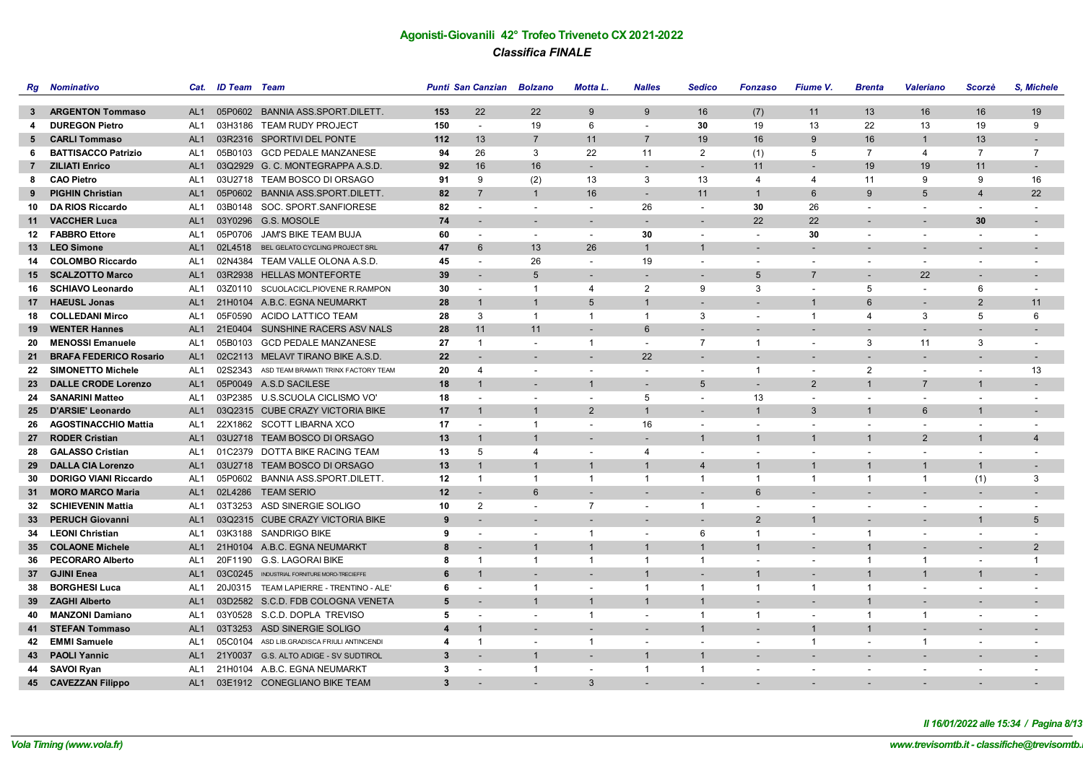| Rg              | Nominativo                    | Cat.            | <b>ID Team</b> Team |                                             |     | Punti San Canzian Bolzano |                          | Motta L.                 | <b>Nalles</b>            | <b>Sedico</b>            | <b>Fonzaso</b>           | Fiume V.                 | <b>Brenta</b>            | <b>Valeriano</b>         | Scorzè                   | S. Michele               |
|-----------------|-------------------------------|-----------------|---------------------|---------------------------------------------|-----|---------------------------|--------------------------|--------------------------|--------------------------|--------------------------|--------------------------|--------------------------|--------------------------|--------------------------|--------------------------|--------------------------|
|                 |                               |                 |                     |                                             |     |                           |                          |                          |                          |                          |                          |                          |                          |                          |                          |                          |
|                 | 3 ARGENTON Tommaso            | AL <sub>1</sub> |                     | 05P0602 BANNIA ASS.SPORT.DILETT.            | 153 | 22                        | 22                       | $\mathbf{Q}$             | 9                        | 16                       | (7)                      | 11                       | 13                       | 16                       | 16                       | 19                       |
| 4               | <b>DUREGON Pietro</b>         | AL <sub>1</sub> |                     | 03H3186 TEAM RUDY PROJECT                   | 150 | $\overline{\phantom{a}}$  | 19                       | 6                        | $\blacksquare$           | 30                       | 19                       | 13                       | 22                       | 13                       | 19                       | 9                        |
| 5               | <b>CARLI Tommaso</b>          | AL <sub>1</sub> |                     | 03R2316 SPORTIVI DEL PONTE                  | 112 | 13                        | $\overline{7}$           | 11                       | $\overline{7}$           | 19                       | 16                       | 9                        | 16                       | $\mathbf{1}$             | 13                       |                          |
| 6               | <b>BATTISACCO Patrizio</b>    | AL <sub>1</sub> |                     | 05B0103 GCD PEDALE MANZANESE                | 94  | 26                        | 3                        | 22                       | 11                       | $\overline{2}$           | (1)                      | 5                        | $\overline{7}$           | 4                        | $\overline{7}$           | $\overline{7}$           |
|                 | 7 ZILIATI Enrico              | AL <sub>1</sub> |                     | 03Q2929 G. C. MONTEGRAPPA A.S.D             | 92  | 16                        | 16                       | $\overline{\phantom{a}}$ | $\overline{\phantom{a}}$ | $\overline{\phantom{a}}$ | 11                       |                          | 19                       | 19                       | 11                       | $\overline{\phantom{a}}$ |
| 8               | <b>CAO Pietro</b>             | AL <sub>1</sub> |                     | 03U2718 TEAM BOSCO DI ORSAGO                | 91  | 9                         | (2)                      | 13                       | 3                        | 13                       | $\overline{4}$           | 4                        | 11                       | 9                        | 9                        | 16                       |
| 9               | <b>PIGHIN Christian</b>       | AL1             |                     | 05P0602 BANNIA ASS.SPORT.DILETT.            | 82  | $\overline{7}$            | $\overline{1}$           | 16                       | $\overline{\phantom{a}}$ | 11                       | $\overline{1}$           | $6\phantom{1}$           | 9                        | 5                        | $\overline{4}$           | 22                       |
| 10              | <b>DA RIOS Riccardo</b>       | AL <sub>1</sub> |                     | 03B0148 SOC. SPORT.SANFIORESE               | 82  | $\overline{\phantom{a}}$  |                          | $\overline{\phantom{a}}$ | 26                       | $\tilde{\phantom{a}}$    | 30                       | 26                       | $\overline{\phantom{a}}$ | $\overline{\phantom{a}}$ | $\blacksquare$           |                          |
|                 | 11 VACCHER Luca               | AL <sub>1</sub> |                     | 03Y0296 G.S. MOSOLE                         | 74  |                           |                          | $\overline{\phantom{a}}$ |                          | $\overline{\phantom{a}}$ | 22                       | 22                       |                          |                          | 30                       | $\overline{\phantom{a}}$ |
|                 | 12 FABBRO Ettore              | AL <sub>1</sub> |                     | 05P0706 JAM'S BIKE TEAM BUJA                | 60  | $\overline{\phantom{a}}$  | $\overline{\phantom{a}}$ | $\overline{\phantom{a}}$ | 30                       | $\overline{\phantom{a}}$ | $\blacksquare$           | 30                       | $\overline{\phantom{a}}$ | $\overline{\phantom{a}}$ | $\blacksquare$           | $\overline{\phantom{a}}$ |
|                 | 13 LEO Simone                 | AL <sub>1</sub> |                     | 02L4518 BEL GELATO CYCLING PROJECT SRL      | 47  | 6                         | 13                       | 26                       | $\mathbf{1}$             | $\mathbf{1}$             | $\overline{\phantom{a}}$ |                          |                          |                          |                          |                          |
|                 | 14 COLOMBO Riccardo           | AL <sub>1</sub> |                     | 02N4384 TEAM VALLE OLONA A.S.D.             | 45  | $\overline{\phantom{a}}$  | 26                       | $\overline{\phantom{a}}$ | 19                       | $\overline{\phantom{a}}$ | $\overline{\phantom{a}}$ |                          | $\overline{\phantom{a}}$ | $\overline{\phantom{a}}$ | $\overline{\phantom{a}}$ | $\overline{\phantom{a}}$ |
|                 | 15 SCALZOTTO Marco            | AL1             |                     | 03R2938 HELLAS MONTEFORTE                   | 39  | $\overline{\phantom{a}}$  | 5                        | $\overline{\phantom{a}}$ | $\overline{\phantom{a}}$ | $\overline{\phantom{a}}$ | 5                        | $\overline{7}$           | $\overline{\phantom{a}}$ | 22                       | $\overline{\phantom{a}}$ | $\overline{\phantom{a}}$ |
|                 | 16 SCHIAVO Leonardo           | AL <sub>1</sub> |                     | 03Z0110 SCUOLACICL.PIOVENE R.RAMPON         | 30  | $\overline{\phantom{a}}$  | $\overline{1}$           | 4                        | $\overline{2}$           | 9                        | 3                        | $\overline{\phantom{a}}$ | 5                        | $\sim$                   | 6                        | $\overline{\phantom{a}}$ |
|                 | 17 HAEUSL Jonas               | AL <sub>1</sub> |                     | 21H0104 A.B.C. EGNA NEUMARKT                | 28  | $\overline{1}$            | $\overline{1}$           | 5                        | $\mathbf{1}$             |                          |                          | $\mathbf{1}$             | 6                        |                          | $\overline{2}$           | 11                       |
| 18              | <b>COLLEDANI Mirco</b>        | AL <sub>1</sub> |                     | 05F0590 ACIDO LATTICO TEAM                  | 28  | 3                         | $\mathbf{1}$             | $\mathbf{1}$             | $\overline{1}$           | 3                        | $\overline{\phantom{a}}$ | $\mathbf{1}$             | $\overline{\mathbf{A}}$  | 3                        | 5                        | 6                        |
| 19              | <b>WENTER Hannes</b>          | AL <sub>1</sub> |                     | 21E0404 SUNSHINE RACERS ASV NALS            | 28  | 11                        | 11                       | $\overline{\phantom{a}}$ | $6\overline{6}$          | $\blacksquare$           | $\overline{a}$           |                          |                          |                          |                          |                          |
| 20              | <b>MENOSSI Emanuele</b>       | AL <sub>1</sub> |                     | 05B0103 GCD PEDALE MANZANESE                | 27  | $\overline{1}$            | $\overline{\phantom{a}}$ | $\mathbf{1}$             | $\blacksquare$           | $\overline{7}$           | $\overline{1}$           | $\overline{\phantom{a}}$ | 3                        | 11                       | 3                        | $\overline{\phantom{a}}$ |
| 21              | <b>BRAFA FEDERICO Rosario</b> | AL <sub>1</sub> |                     | 02C2113 MELAVI' TIRANO BIKE A.S.D.          | 22  | $\overline{\phantom{a}}$  |                          | $\overline{\phantom{a}}$ | 22                       | $\overline{a}$           | $\overline{a}$           |                          |                          | $\overline{\phantom{a}}$ | $\overline{\phantom{a}}$ | $\overline{\phantom{a}}$ |
| 22              | <b>SIMONETTO Michele</b>      | AL <sub>1</sub> |                     | 02S2343 ASD TEAM BRAMATI TRINX FACTORY TEAM | 20  | $\overline{4}$            | $\overline{\phantom{a}}$ | $\overline{\phantom{a}}$ | $\blacksquare$           | $\sim$                   | $\overline{1}$           | $\overline{\phantom{a}}$ | 2                        | $\overline{\phantom{a}}$ | $\overline{\phantom{a}}$ | 13                       |
| 23              | <b>DALLE CRODE Lorenzo</b>    | AL <sub>1</sub> |                     | 05P0049 A.S.D SACILESE                      | 18  | $\mathbf{1}$              |                          | $\mathbf{1}$             | $\blacksquare$           | 5                        |                          | 2                        |                          | $\overline{7}$           | $\mathbf{1}$             | $\overline{\phantom{a}}$ |
|                 | 24 SANARINI Matteo            | AL <sub>1</sub> |                     | 03P2385 U.S.SCUOLA CICLISMO VO'             | 18  | $\overline{a}$            | $\overline{\phantom{a}}$ | $\overline{\phantom{a}}$ | 5                        | $\overline{\phantom{a}}$ | 13                       | $\overline{\phantom{a}}$ | $\overline{\phantom{a}}$ | $\overline{\phantom{a}}$ | $\overline{\phantom{a}}$ | $\overline{\phantom{a}}$ |
|                 | 25 D'ARSIE' Leonardo          | AL <sub>1</sub> |                     | 03Q2315 CUBE CRAZY VICTORIA BIKE            | 17  | $\mathbf{1}$              | $\overline{1}$           | $\overline{2}$           | $\mathbf{1}$             | $\blacksquare$           | $\mathbf{1}$             | 3                        | $\mathbf{1}$             | 6                        | $\mathbf{1}$             |                          |
|                 | 26 AGOSTINACCHIO Mattia       | AL <sub>1</sub> |                     | 22X1862 SCOTT LIBARNA XCO                   | 17  | $\overline{\phantom{a}}$  | $\overline{1}$           | $\overline{\phantom{a}}$ | 16                       | $\overline{\phantom{a}}$ | $\overline{\phantom{a}}$ | $\overline{\phantom{a}}$ | $\overline{\phantom{a}}$ | $\overline{\phantom{a}}$ | $\blacksquare$           | $\overline{\phantom{a}}$ |
|                 | 27 RODER Cristian             | AL <sub>1</sub> |                     | 03U2718 TEAM BOSCO DI ORSAGO                | 13  | $\overline{1}$            | $\overline{1}$           |                          | $\blacksquare$           | $\mathbf{1}$             | $\overline{1}$           | $\overline{1}$           | $\overline{1}$           | 2                        | $\mathbf{1}$             | $\overline{4}$           |
| 28              | <b>GALASSO Cristian</b>       | AL <sub>1</sub> |                     | 01C2379 DOTTA BIKE RACING TEAM              | 13  | 5                         | $\overline{4}$           | $\overline{\phantom{a}}$ | $\overline{4}$           | $\blacksquare$           | $\blacksquare$           |                          |                          |                          |                          |                          |
| 29              | <b>DALLA CIA Lorenzo</b>      | AL <sub>1</sub> |                     | 03U2718 TEAM BOSCO DI ORSAGO                | 13  | $\mathbf 1$               | $\overline{1}$           | $\mathbf{1}$             | $\mathbf{1}$             | $\overline{4}$           | $\mathbf{1}$             | $\mathbf{1}$             |                          | $\mathbf{1}$             | $\mathbf{1}$             | $\overline{\phantom{a}}$ |
| 30              | <b>DORIGO VIANI Riccardo</b>  | AL <sub>1</sub> |                     | 05P0602 BANNIA ASS.SPORT.DILETT.            | 12  | $\overline{1}$            | $\overline{1}$           | $\mathbf{1}$             | $\overline{1}$           | $\overline{1}$           | $\overline{1}$           | $\mathbf{1}$             | $\mathbf{1}$             | $\mathbf{1}$             | (1)                      | 3                        |
| 31              | <b>MORO MARCO Maria</b>       | AL <sub>1</sub> |                     | 02L4286 TEAM SERIO                          | 12  |                           | 6                        | $\sim$                   | $\sim$                   | $\overline{a}$           | 6                        | $\overline{\phantom{a}}$ |                          |                          |                          |                          |
| 32              | <b>SCHIEVENIN Mattia</b>      | AL <sub>1</sub> |                     | 03T3253 ASD SINERGIE SOLIGO                 | 10  | $\overline{2}$            | $\overline{\phantom{a}}$ | $\overline{7}$           | $\blacksquare$           | $\mathbf{1}$             | $\blacksquare$           | $\blacksquare$           | $\overline{\phantom{a}}$ | $\overline{\phantom{a}}$ | $\blacksquare$           | $\blacksquare$           |
| 33              | <b>PERUCH Giovanni</b>        | AL <sub>1</sub> |                     | 03Q2315 CUBE CRAZY VICTORIA BIKE            | 9   |                           |                          |                          |                          | $\overline{a}$           | 2                        | $\overline{1}$           |                          |                          | $\overline{1}$           | 5                        |
|                 | 34 LEONI Christian            | AL <sub>1</sub> |                     | 03K3188 SANDRIGO BIKE                       | 9   | $\overline{\phantom{a}}$  | $\overline{\phantom{a}}$ | $\overline{1}$           | $\sim$                   | 6                        | $\overline{1}$           | $\overline{\phantom{a}}$ | $\overline{1}$           | $\sim$                   |                          |                          |
| 35 <sub>1</sub> | <b>COLAONE Michele</b>        | AL <sub>1</sub> |                     | 21H0104 A.B.C. EGNA NEUMARKT                | 8   | $\overline{\phantom{a}}$  | $\mathbf{1}$             | $\mathbf{1}$             | $\mathbf{1}$             | $\mathbf{1}$             | $\mathbf{1}$             | $\overline{\phantom{a}}$ |                          |                          | $\overline{\phantom{a}}$ | $\overline{2}$           |
| 36              | <b>PECORARO Alberto</b>       | AL <sub>1</sub> |                     | 20F1190 G.S. LAGORAI BIKE                   | 8   | $\overline{1}$            | $\mathbf{1}$             | $\mathbf{1}$             | $\overline{1}$           | $\overline{1}$           | $\sim$                   | $\blacksquare$           | -1                       | $\overline{1}$           | $\blacksquare$           | $\overline{1}$           |
|                 | 37 GJINI Enea                 | AL <sub>1</sub> |                     | 03C0245 INDUSTRIAL FORNITURE MORO-TRECIEFFE | 6   | $\mathbf 1$               |                          | $\overline{\phantom{a}}$ | $\mathbf{1}$             | $\overline{a}$           | $\mathbf{1}$             |                          | $\mathbf{1}$             | $\mathbf{1}$             | $\mathbf{1}$             |                          |
| 38              | <b>BORGHESI Luca</b>          | AL <sub>1</sub> |                     | 20J0315 TEAM LAPIERRE - TRENTINO - ALE'     | 6   | $\overline{\phantom{a}}$  | $\overline{1}$           | $\overline{\phantom{a}}$ | $\overline{1}$           | $\overline{1}$           | $\overline{1}$           | -1                       | $\mathbf 1$              | $\overline{\phantom{a}}$ | $\blacksquare$           | $\overline{\phantom{a}}$ |
|                 | 39 ZAGHI Alberto              | AL <sub>1</sub> |                     | 03D2582 S.C.D. FDB COLOGNA VENETA           | 5   | $\overline{a}$            | $\overline{1}$           | $\mathbf{1}$             | $\overline{1}$           | $\mathbf{1}$             | L.                       |                          | $\mathbf{1}$             |                          |                          |                          |
| 40              | <b>MANZONI Damiano</b>        | AL <sub>1</sub> |                     | 03Y0528 S.C.D. DOPLA TREVISO                | 5   | $\overline{\phantom{a}}$  | $\overline{\phantom{a}}$ | $\mathbf{1}$             | $\blacksquare$           | $\overline{1}$           | $\overline{1}$           | $\sim$                   | $\mathbf{1}$             | $\overline{1}$           | $\overline{\phantom{a}}$ |                          |
|                 | 41 STEFAN Tommaso             | AL <sub>1</sub> |                     | 03T3253 ASD SINERGIE SOLIGO                 | 4   | 1                         | $\overline{\phantom{a}}$ |                          | $\overline{\phantom{a}}$ | $\mathbf{1}$             | $\blacksquare$           | $\mathbf{1}$             | $\mathbf{1}$             | $\overline{\phantom{a}}$ | $\overline{\phantom{a}}$ | $\overline{\phantom{a}}$ |
| 42              | <b>EMMI Samuele</b>           | AL <sub>1</sub> |                     | 05C0104 ASD LIB.GRADISCA FRIULI ANTINCENDI  | 4   | -1                        | $\overline{\phantom{a}}$ | $\mathbf{1}$             | $\overline{\phantom{a}}$ | $\overline{\phantom{a}}$ | $\overline{\phantom{a}}$ | $\mathbf{1}$             | $\overline{\phantom{a}}$ | $\overline{1}$           | $\overline{\phantom{a}}$ | $\overline{\phantom{a}}$ |
| 43              | <b>PAOLI Yannic</b>           | AL <sub>1</sub> |                     | 21Y0037 G.S. ALTO ADIGE - SV SUDTIROL       | 3   |                           | $\overline{1}$           |                          | $\mathbf{1}$             | $\mathbf 1$              |                          |                          |                          |                          |                          |                          |
| 44              | SAVOI Ryan                    | AL <sub>1</sub> |                     | 21H0104 A.B.C. EGNA NEUMARKT                | 3   | $\overline{\phantom{a}}$  | $\overline{1}$           | $\overline{\phantom{a}}$ | $\overline{1}$           | $\mathbf 1$              | $\blacksquare$           | $\sim$                   | $\sim$                   | $\overline{\phantom{a}}$ | $\blacksquare$           | $\blacksquare$           |
|                 | 45 CAVEZZAN Filippo           | AL1             |                     | 03E1912 CONEGLIANO BIKE TEAM                | 3   |                           |                          | 3                        |                          |                          |                          |                          |                          |                          |                          |                          |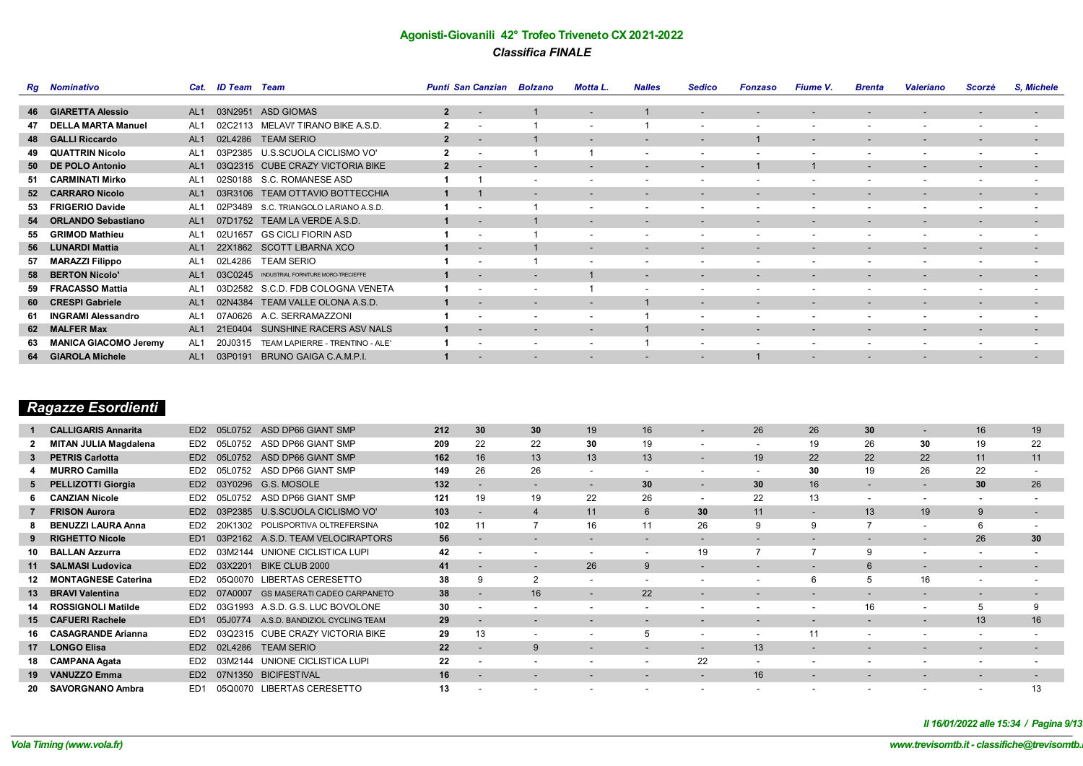|     | <b>Rg</b> Nominativo         | Cat.            | <b>ID Team</b> Team |                                     |                         | Punti San Canzian Bolzano |                          | Motta L.                 | <b>Nalles</b>            | <b>Sedico</b>            | <b>Fonzaso</b>           | <b>Fiume V.</b>          | <b>Brenta</b>            | <b>Valeriano</b>         | Scorzè                   | S. Michele               |
|-----|------------------------------|-----------------|---------------------|-------------------------------------|-------------------------|---------------------------|--------------------------|--------------------------|--------------------------|--------------------------|--------------------------|--------------------------|--------------------------|--------------------------|--------------------------|--------------------------|
|     |                              |                 |                     |                                     |                         |                           |                          |                          |                          |                          |                          |                          |                          |                          |                          |                          |
|     | <b>46 GIARETTA Alessio</b>   | AL <sub>1</sub> | 03N2951             | <b>ASD GIOMAS</b>                   | $\overline{2}$          | $\overline{\phantom{a}}$  |                          | $\overline{\phantom{a}}$ |                          | $\overline{\phantom{a}}$ |                          | $\overline{\phantom{a}}$ |                          |                          | $\overline{\phantom{a}}$ | $\overline{\phantom{a}}$ |
| 47  | <b>DELLA MARTA Manuel</b>    | AL1             | 02C2113             | MELAVI' TIRANO BIKE A.S.D.          | $\overline{2}$          | $\overline{\phantom{a}}$  |                          | $\overline{\phantom{0}}$ |                          | $\overline{\phantom{a}}$ | $\overline{\phantom{a}}$ | $\overline{\phantom{a}}$ |                          | $\overline{\phantom{a}}$ | $\overline{\phantom{a}}$ | $\overline{\phantom{a}}$ |
|     | 48 GALLI Riccardo            | AL <sub>1</sub> | 02L4286             | <b>TEAM SERIO</b>                   | $\overline{2}$          | $\overline{\phantom{a}}$  |                          |                          | $\overline{\phantom{a}}$ | $\overline{\phantom{a}}$ |                          | $\overline{\phantom{a}}$ | $\overline{\phantom{0}}$ | $\overline{\phantom{a}}$ | $\overline{\phantom{a}}$ | $\overline{\phantom{a}}$ |
| 49  | <b>QUATTRIN Nicolo</b>       | AL <sub>1</sub> | 03P2385             | U.S.SCUOLA CICLISMO VO'             | $\overline{\mathbf{2}}$ |                           |                          |                          | $\overline{\phantom{a}}$ | $\overline{\phantom{a}}$ | $\overline{\phantom{a}}$ |                          | $\overline{\phantom{0}}$ | $\overline{\phantom{a}}$ | $\overline{\phantom{a}}$ | $\overline{\phantom{a}}$ |
|     | 50 DE POLO Antonio           | AL <sub>1</sub> | 03Q2315             | CUBE CRAZY VICTORIA BIKE            | $\overline{2}$          |                           |                          | $\overline{\phantom{a}}$ | $\overline{\phantom{a}}$ | $\overline{\phantom{a}}$ |                          |                          | $\overline{\phantom{0}}$ | $\overline{\phantom{a}}$ | $\overline{\phantom{a}}$ | $\overline{\phantom{a}}$ |
| -51 | <b>CARMINATI Mirko</b>       | AL <sub>1</sub> | 02S0188             | S.C. ROMANESE ASD                   |                         |                           | $\overline{\phantom{a}}$ |                          | $\overline{\phantom{a}}$ | $\overline{\phantom{a}}$ | $\overline{\phantom{a}}$ | $\overline{\phantom{a}}$ | $\overline{\phantom{0}}$ | $\overline{\phantom{0}}$ | $\overline{\phantom{a}}$ | $\overline{\phantom{a}}$ |
|     | 52 CARRARO Nicolo            | AL <sub>1</sub> | 03R3106             | TEAM OTTAVIO BOTTECCHIA             |                         |                           | $\overline{\phantom{a}}$ | $\overline{\phantom{0}}$ | $\overline{\phantom{a}}$ | $\overline{\phantom{a}}$ | $\overline{\phantom{a}}$ | $\overline{\phantom{0}}$ |                          |                          | $\overline{\phantom{a}}$ | $\overline{\phantom{a}}$ |
| -53 | <b>FRIGERIO Davide</b>       | AL <sub>1</sub> | 02P3489             | S.C. TRIANGOLO LARIANO A.S.D.       |                         |                           |                          | $\overline{\phantom{a}}$ | $\overline{\phantom{a}}$ | $\overline{\phantom{a}}$ | $\overline{\phantom{a}}$ | $\overline{\phantom{a}}$ | $\overline{\phantom{0}}$ | $\overline{\phantom{a}}$ | $\overline{\phantom{a}}$ | $\overline{\phantom{a}}$ |
|     | 54 ORLANDO Sebastiano        | AL <sub>1</sub> | 07D1752             | TEAM LA VERDE A.S.D.                |                         | $\overline{\phantom{a}}$  |                          | $\overline{\phantom{0}}$ | $\overline{\phantom{0}}$ | $\overline{\phantom{0}}$ | $\overline{\phantom{a}}$ | $\overline{\phantom{0}}$ | $\overline{\phantom{0}}$ | $\overline{\phantom{0}}$ | $\overline{\phantom{0}}$ | $\overline{\phantom{a}}$ |
| 55  | <b>GRIMOD Mathieu</b>        | AL <sub>1</sub> | 02U1657             | <b>GS CICLI FIORIN ASD</b>          |                         |                           |                          | $\overline{\phantom{0}}$ | $\overline{\phantom{a}}$ | $\overline{\phantom{a}}$ | $\overline{\phantom{a}}$ | $\overline{\phantom{a}}$ | $\overline{\phantom{0}}$ |                          |                          | $\overline{\phantom{a}}$ |
|     | 56 LUNARDI Mattia            | AL <sub>1</sub> | 22X1862             | <b>SCOTT LIBARNA XCO</b>            |                         |                           |                          | $\overline{\phantom{0}}$ | $\overline{\phantom{a}}$ | $\overline{\phantom{0}}$ |                          |                          |                          |                          | $\overline{\phantom{a}}$ | $\overline{\phantom{a}}$ |
| 57  | <b>MARAZZI Filippo</b>       | AL <sub>1</sub> | 02L4286             | <b>TEAM SERIO</b>                   |                         | $\overline{\phantom{a}}$  |                          | $\overline{\phantom{0}}$ | $\overline{\phantom{a}}$ | $\overline{\phantom{a}}$ | $\overline{\phantom{a}}$ | $\overline{\phantom{0}}$ | $\overline{\phantom{0}}$ | $\overline{\phantom{0}}$ | $\overline{\phantom{a}}$ | $\overline{\phantom{a}}$ |
| 58  | <b>BERTON Nicolo'</b>        | AL <sub>1</sub> | 03C0245             | INDUSTRIAL FORNITURE MORO-TRECIEFFE |                         |                           |                          |                          | $\overline{\phantom{a}}$ | $\overline{\phantom{0}}$ | -                        |                          |                          |                          | $\overline{\phantom{a}}$ | $\overline{\phantom{a}}$ |
| 59  | <b>FRACASSO Mattia</b>       | AL <sub>1</sub> | 03D2582             | S.C.D. FDB COLOGNA VENETA           |                         |                           |                          |                          | $\overline{\phantom{a}}$ | $\overline{\phantom{a}}$ | $\overline{\phantom{a}}$ | $\overline{\phantom{a}}$ |                          |                          |                          | $\overline{\phantom{a}}$ |
|     | 60 CRESPI Gabriele           | AL <sub>1</sub> | 02N4384             | TEAM VALLE OLONA A.S.D.             |                         |                           |                          |                          |                          | $\overline{\phantom{0}}$ | -                        | $\overline{\phantom{0}}$ |                          | $\overline{\phantom{0}}$ | $\overline{\phantom{a}}$ | $\overline{\phantom{a}}$ |
| 61  | <b>INGRAMI Alessandro</b>    | AL1             | 0626                | A.C. SERRAMAZZONI                   |                         | $\overline{\phantom{a}}$  | $\overline{\phantom{a}}$ | $\overline{\phantom{0}}$ |                          | $\overline{\phantom{a}}$ | $\overline{\phantom{a}}$ | $\overline{\phantom{a}}$ | $\overline{\phantom{0}}$ | $\overline{\phantom{0}}$ | $\overline{\phantom{a}}$ | $\overline{\phantom{a}}$ |
|     | 62 MALFER Max                | AL <sub>1</sub> | 21E0404             | SUNSHINE RACERS ASV NALS            |                         | $\overline{\phantom{a}}$  | $\overline{\phantom{0}}$ | $\overline{\phantom{0}}$ |                          | $\overline{\phantom{a}}$ | $\overline{\phantom{a}}$ | $\overline{\phantom{0}}$ |                          | $\overline{\phantom{a}}$ | $\overline{\phantom{a}}$ | $\overline{\phantom{a}}$ |
| 63  | <b>MANICA GIACOMO Jeremy</b> | AL <sub>1</sub> | 20J0315             | TEAM LAPIERRE - TRENTINO - ALE'     |                         |                           |                          | $\overline{\phantom{0}}$ |                          | $\overline{\phantom{a}}$ | $\overline{\phantom{a}}$ | $\overline{\phantom{a}}$ | $\overline{\phantom{0}}$ | $\overline{\phantom{a}}$ | $\overline{\phantom{a}}$ | $\overline{\phantom{a}}$ |
|     | 64 GIAROLA Michele           | AL <sub>1</sub> | 03P0191             | BRUNO GAIGA C.A.M.P.I.              |                         |                           |                          |                          |                          | $\overline{\phantom{a}}$ |                          |                          |                          |                          |                          | $\overline{\phantom{a}}$ |

# *Ragazze Esordienti*

|    | <b>CALLIGARIS Annarita</b>   | ED <sub>2</sub> | 05L0752      | ASD DP66 GIANT SMP                 | 212 | 30                       | 30 <sup>°</sup>          | 19                       | 16                       | $\overline{\phantom{a}}$ | 26                       | 26                       | 30                       | $\overline{\phantom{a}}$ | 16                       | 19                       |
|----|------------------------------|-----------------|--------------|------------------------------------|-----|--------------------------|--------------------------|--------------------------|--------------------------|--------------------------|--------------------------|--------------------------|--------------------------|--------------------------|--------------------------|--------------------------|
|    | <b>MITAN JULIA Magdalena</b> | ED2             | 05L0752      | ASD DP66 GIANT SMP                 | 209 | 22                       | 22                       | 30                       | 19                       | $\overline{\phantom{a}}$ | $\overline{\phantom{a}}$ | 19                       | 26                       | 30                       | 19                       | 22                       |
|    | <b>PETRIS Carlotta</b>       | ED <sub>2</sub> | 05L0752      | ASD DP66 GIANT SMP                 | 162 | 16                       | 13                       | 13                       | 13                       | -                        | 19                       | 22                       | 22                       | 22                       | 11                       | 11                       |
|    | <b>MURRO Camilla</b>         | ED <sub>2</sub> | 05L0752      | ASD DP66 GIANT SMP                 | 149 | 26                       | 26                       | $\overline{\phantom{0}}$ | $\overline{\phantom{a}}$ | $\overline{\phantom{a}}$ | $\overline{\phantom{0}}$ | 30                       | 19                       | 26                       | 22                       |                          |
| 5  | <b>PELLIZOTTI Giorgia</b>    | ED <sub>2</sub> | 0296<br>0.3Y | G.S. MOSOLE                        | 132 | $\overline{\phantom{a}}$ | $\overline{\phantom{a}}$ | $\overline{\phantom{a}}$ | 30                       | $\overline{\phantom{a}}$ | 30                       | 16                       | $\overline{\phantom{a}}$ |                          | 30                       | 26                       |
|    | <b>CANZIAN Nicole</b>        | ED <sub>2</sub> | 05L0752      | ASD DP66 GIANT SMP                 | 121 | 19                       | 19                       | 22                       | 26                       | $\overline{\phantom{a}}$ | 22                       | 13                       | ۰                        | $\overline{\phantom{a}}$ | $\overline{\phantom{a}}$ |                          |
|    | <b>FRISON Aurora</b>         | ED <sub>2</sub> | 03P2385      | U.S.SCUOLA CICLISMO VO'            | 103 |                          |                          | 11                       | 6                        | 30 <sup>°</sup>          | 11                       | $\overline{\phantom{a}}$ | 13                       | 19                       | 9                        | $\overline{\phantom{a}}$ |
|    | <b>BENUZZI LAURA Anna</b>    | ED <sub>2</sub> | 20K1302      | POLISPORTIVA OLTREFERSINA          | 102 |                          |                          | 16                       |                          | 26                       | 9                        | 9                        |                          | $\sim$                   |                          |                          |
|    | <b>RIGHETTO Nicole</b>       | ED <sub>1</sub> | 03P2162      | A.S.D. TEAM VELOCIRAPTORS          | 56  |                          |                          | $\overline{\phantom{0}}$ |                          | $\overline{\phantom{0}}$ | $\overline{\phantom{0}}$ |                          | $\overline{\phantom{a}}$ | $\overline{\phantom{0}}$ | 26                       | 30                       |
| 10 | <b>BALLAN Azzurra</b>        | ED <sub>2</sub> | 03M2144      | UNIONE CICLISTICA LUPI             | 42  | $\overline{\phantom{a}}$ | $\overline{\phantom{a}}$ | $\overline{\phantom{0}}$ | $\overline{\phantom{a}}$ | 19                       |                          |                          | 9                        |                          | $\sim$                   | -                        |
|    | 11 SALMASI Ludovica          | ED <sub>2</sub> | 03X2201      | BIKE CLUB 2000                     | 41  |                          |                          | 26                       | 9                        | $\overline{\phantom{a}}$ |                          |                          |                          | $\overline{\phantom{0}}$ |                          |                          |
| 12 | <b>MONTAGNESE Caterina</b>   | ED <sub>2</sub> |              | 05Q0070 LIBERTAS CERESETTO         | 38  | 9                        | $\overline{2}$           | $\sim$                   |                          |                          |                          |                          |                          | 16                       |                          |                          |
|    | 13 BRAVI Valentina           | ED <sub>2</sub> | 07A0007      | <b>GS MASERATI CADEO CARPANETO</b> | 38  |                          | 16                       | $\overline{\phantom{a}}$ | 22                       | $\overline{\phantom{a}}$ | $\overline{\phantom{0}}$ |                          | $\overline{\phantom{a}}$ | $\overline{\phantom{0}}$ |                          |                          |
|    | 14 ROSSIGNOLI Matilde        | ED <sub>2</sub> | 03G1993      | A.S.D. G.S. LUC BOVOLONE           | 30  |                          |                          |                          | $\overline{\phantom{a}}$ |                          | $\overline{\phantom{0}}$ |                          | 16                       |                          |                          |                          |
|    | 15 CAFUERI Rachele           | ED <sub>1</sub> | 05.10774     | A.S.D. BANDIZIOL CYCLING TEAM      | 29  |                          |                          |                          |                          |                          |                          |                          | $\overline{\phantom{a}}$ | $\overline{\phantom{0}}$ | 13                       | 16                       |
| 16 | <b>CASAGRANDE Arianna</b>    | ED <sub>2</sub> | 0302315      | <b>CUBE CRAZY VICTORIA BIKE</b>    | 29  | 13                       | $\overline{\phantom{a}}$ |                          | 5                        | $\overline{\phantom{a}}$ | $\overline{\phantom{a}}$ |                          | $\sim$                   |                          | -                        |                          |
| 17 | <b>LONGO Elisa</b>           | ED <sub>2</sub> | 02L4286      | <b>TEAM SERIO</b>                  | 22  |                          | 9                        | $\overline{\phantom{0}}$ |                          | $\overline{\phantom{0}}$ | 13                       | $\overline{\phantom{0}}$ | $\overline{\phantom{a}}$ | $\overline{\phantom{0}}$ |                          |                          |
|    | 18 CAMPANA Agata             | ED <sub>2</sub> | 03M2144      | UNIONE CICLISTICA LUPI             | 22  |                          |                          |                          | $\overline{\phantom{a}}$ | 22                       | $\overline{\phantom{0}}$ | $\overline{\phantom{a}}$ |                          |                          |                          |                          |
| 19 | <b>VANUZZO Emma</b>          | ED <sub>2</sub> | 1350         | <b>BICIFESTIVAL</b>                | 16  |                          |                          |                          |                          | $\overline{\phantom{a}}$ | 16                       | $\overline{\phantom{a}}$ | $\overline{\phantom{a}}$ | $\overline{\phantom{0}}$ |                          |                          |
| 20 | <b>SAVORGNANO Ambra</b>      | ED <sub>1</sub> |              | 05Q0070 LIBERTAS CERESETTO         | 13  |                          |                          |                          |                          |                          |                          |                          |                          |                          |                          | 13                       |

*Il 16/01/2022 alle 15:34 / Pagina 9/13*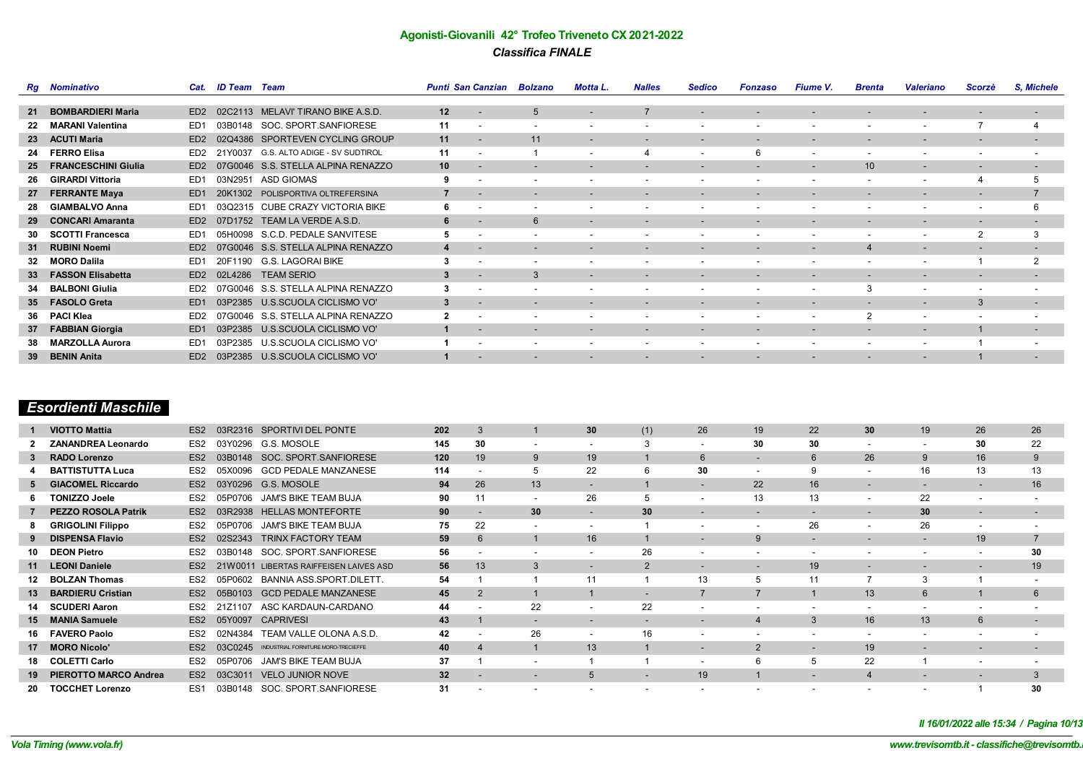|                 | <b>Rg</b> Nominativo       | Cat.            | <b>ID Team</b> Team |                                    |    | Punti San Canzian Bolzano |                          | Motta L.                 | <b>Nalles</b>            | <b>Sedico</b>            | <b>Fonzaso</b>           | <b>Fiume V.</b>          | <b>Brenta</b>            | <b>Valeriano</b>         | Scorzè                   | S. Michele               |
|-----------------|----------------------------|-----------------|---------------------|------------------------------------|----|---------------------------|--------------------------|--------------------------|--------------------------|--------------------------|--------------------------|--------------------------|--------------------------|--------------------------|--------------------------|--------------------------|
|                 |                            |                 |                     |                                    |    |                           |                          |                          |                          |                          |                          |                          |                          |                          |                          |                          |
| 21              | <b>BOMBARDIERI Maria</b>   | ED <sub>2</sub> | 02C2113             | MELAVI' TIRANO BIKE A.S.D.         | 12 |                           | 5                        |                          |                          | $\overline{\phantom{a}}$ |                          | -                        |                          |                          | $\overline{\phantom{a}}$ | $\overline{\phantom{a}}$ |
| 22              | <b>MARANI Valentina</b>    | ED <sub>1</sub> | 03B0148             | SOC. SPORT.SANFIORESE              | 11 | $\overline{\phantom{a}}$  |                          |                          | $\overline{\phantom{a}}$ | $\overline{\phantom{a}}$ | $\overline{\phantom{a}}$ | $\overline{\phantom{a}}$ |                          | $\overline{\phantom{0}}$ |                          |                          |
| 23              | <b>ACUTI Maria</b>         | ED <sub>2</sub> | 02Q4386             | SPORTEVEN CYCLING GROUP            | 11 |                           | 11                       | $\overline{\phantom{0}}$ | $\overline{\phantom{a}}$ | $\overline{\phantom{a}}$ | $\overline{\phantom{a}}$ | $\overline{\phantom{a}}$ | $\overline{\phantom{0}}$ | $\overline{\phantom{0}}$ | $\overline{\phantom{a}}$ | $\overline{\phantom{a}}$ |
| 24              | <b>FERRO Elisa</b>         | ED <sub>2</sub> | 21Y0037             | G.S. ALTO ADIGE - SV SUDTIROL      | 11 |                           |                          | $\overline{\phantom{0}}$ | $\overline{4}$           | $\overline{\phantom{a}}$ | 6                        | $\overline{\phantom{0}}$ | $\overline{\phantom{0}}$ | $\overline{\phantom{0}}$ | $\overline{\phantom{a}}$ | $\overline{\phantom{a}}$ |
| -25             | <b>FRANCESCHINI Giulia</b> | ED <sub>2</sub> |                     | 07G0046 S.S. STELLA ALPINA RENAZZO | 10 |                           |                          | $\overline{\phantom{a}}$ | $\overline{\phantom{a}}$ | $\overline{\phantom{a}}$ | $\overline{\phantom{a}}$ | $\overline{\phantom{a}}$ | 10                       | $\sim$                   | $\overline{\phantom{a}}$ | $\overline{\phantom{a}}$ |
| -26             | <b>GIRARDI Vittoria</b>    | ED <sub>1</sub> | 03N2951             | <b>ASD GIOMAS</b>                  | 9  |                           |                          |                          | $\overline{\phantom{a}}$ | $\overline{\phantom{a}}$ | $\overline{\phantom{a}}$ | $\sim$                   | $\overline{\phantom{0}}$ | $\overline{\phantom{0}}$ | $\overline{4}$           | 5                        |
| 27              | <b>FERRANTE Maya</b>       | ED <sub>1</sub> |                     | 20K1302 POLISPORTIVA OLTREFERSINA  |    | $\overline{\phantom{a}}$  | $\overline{\phantom{a}}$ | $\overline{\phantom{0}}$ | $\overline{\phantom{a}}$ | $\overline{\phantom{a}}$ | $\overline{\phantom{a}}$ | $\overline{\phantom{0}}$ | $\overline{\phantom{0}}$ | $\overline{\phantom{0}}$ | $\overline{\phantom{a}}$ |                          |
| -28             | <b>GIAMBALVO Anna</b>      | ED <sub>1</sub> |                     | 03Q2315 CUBE CRAZY VICTORIA BIKE   | 6  |                           |                          |                          | $\overline{\phantom{a}}$ | $\overline{\phantom{a}}$ | $\overline{\phantom{a}}$ | $\overline{\phantom{0}}$ | $\overline{\phantom{0}}$ | $\overline{\phantom{a}}$ | $\overline{\phantom{a}}$ | 6                        |
| 29              | <b>CONCARI Amaranta</b>    | ED <sub>2</sub> |                     | 07D1752 TEAM LA VERDE A.S.D.       | 6  | $\overline{\phantom{a}}$  | 6                        | $\overline{\phantom{0}}$ | $\overline{\phantom{0}}$ | $\overline{\phantom{0}}$ | $\overline{\phantom{0}}$ | $\overline{\phantom{0}}$ | $\overline{\phantom{0}}$ | $\overline{\phantom{0}}$ | $\overline{\phantom{0}}$ | $\overline{\phantom{0}}$ |
| 30              | <b>SCOTTI Francesca</b>    | ED <sub>1</sub> | 05H0098             | S.C.D. PEDALE SANVITESE            | 5  |                           |                          | $\overline{\phantom{0}}$ | $\overline{\phantom{a}}$ | $\overline{\phantom{a}}$ | $\overline{\phantom{a}}$ | $\overline{\phantom{a}}$ | $\overline{\phantom{0}}$ | $\overline{\phantom{a}}$ | 2                        | 3                        |
|                 | 31 RUBINI Noemi            | ED <sub>2</sub> |                     | 07G0046 S.S. STELLA ALPINA RENAZZO | 4  |                           |                          |                          | $\overline{\phantom{a}}$ | $\overline{\phantom{0}}$ | $\overline{\phantom{a}}$ | $\overline{\phantom{a}}$ | $\overline{4}$           | $\overline{\phantom{0}}$ | $\overline{\phantom{a}}$ | $\overline{\phantom{a}}$ |
| -32             | <b>MORO Dalila</b>         | ED <sub>1</sub> | 20F1190             | G.S. LAGORAI BIKE                  | 3  | $\overline{\phantom{a}}$  |                          | $\overline{\phantom{0}}$ | $\overline{\phantom{a}}$ | $\overline{\phantom{a}}$ | $\overline{\phantom{a}}$ | $\overline{\phantom{0}}$ | $\overline{\phantom{0}}$ | $\overline{\phantom{a}}$ |                          | $\overline{2}$           |
|                 | 33 FASSON Elisabetta       | ED <sub>2</sub> | 02L4286             | <b>TEAM SERIO</b>                  | 3  |                           | $\mathcal{B}$            |                          |                          | $\overline{\phantom{0}}$ | -                        | $\overline{\phantom{0}}$ |                          |                          |                          | $\overline{\phantom{0}}$ |
| 34              | <b>BALBONI Giulia</b>      | ED <sub>2</sub> |                     | 07G0046 S.S. STELLA ALPINA RENAZZO | 3  |                           |                          |                          | $\overline{\phantom{a}}$ | $\overline{\phantom{a}}$ | $\overline{\phantom{a}}$ | $\overline{\phantom{a}}$ |                          | $\overline{\phantom{a}}$ |                          |                          |
|                 | 35 FASOLO Greta            | ED <sub>1</sub> | 03P2385             | U.S.SCUOLA CICLISMO VO'            | 3  |                           |                          |                          | $\overline{\phantom{a}}$ | $\overline{\phantom{0}}$ | -                        | $\overline{\phantom{0}}$ |                          | $\overline{\phantom{0}}$ | 3                        | $\overline{\phantom{a}}$ |
|                 | 36 PACI Klea               | ED <sub>2</sub> | 07G0046             | S.S. STELLA ALPINA RENAZZO         | 2  | $\overline{\phantom{a}}$  | $\overline{\phantom{a}}$ | $\overline{\phantom{0}}$ | $\overline{\phantom{a}}$ | $\overline{\phantom{a}}$ | $\overline{\phantom{a}}$ | $\overline{\phantom{0}}$ | $\overline{2}$           | $\overline{\phantom{0}}$ | $\overline{\phantom{a}}$ | $\overline{\phantom{a}}$ |
| 37              | <b>FABBIAN Giorgia</b>     | ED <sub>1</sub> | 03P2385             | U.S.SCUOLA CICLISMO VO'            |    | $\overline{\phantom{a}}$  | $\overline{\phantom{a}}$ | $\overline{\phantom{0}}$ | $\overline{\phantom{a}}$ | $\overline{\phantom{a}}$ | $\overline{\phantom{0}}$ |                          | $\overline{\phantom{0}}$ | $\overline{\phantom{0}}$ |                          | $\sim$                   |
| 38              | <b>MARZOLLA Aurora</b>     | ED <sub>1</sub> | 03P2385             | U.S.SCUOLA CICLISMO VO'            |    |                           |                          | $\overline{\phantom{0}}$ | $\overline{\phantom{a}}$ | $\overline{\phantom{a}}$ | $\overline{\phantom{a}}$ | $\overline{\phantom{a}}$ | $\overline{\phantom{0}}$ | $\overline{\phantom{a}}$ |                          | $\overline{\phantom{a}}$ |
| 39 <sup>°</sup> | <b>BENIN Anita</b>         | ED <sub>2</sub> |                     | 03P2385 U.S.SCUOLA CICLISMO VO'    |    |                           |                          |                          |                          | $\overline{\phantom{a}}$ | $\overline{\phantom{a}}$ |                          |                          |                          |                          |                          |

# *Esordienti Maschile*

| <b>VIOTTO Mattia</b>         | ES <sub>2</sub> |         | SPORTIVI DEL PONTE                  | 202                                                  | 3  |                          | 30                       | (1)                      | 26                       | 19                       | 22                       | 30                       | 19                       | 26                       | 26 |
|------------------------------|-----------------|---------|-------------------------------------|------------------------------------------------------|----|--------------------------|--------------------------|--------------------------|--------------------------|--------------------------|--------------------------|--------------------------|--------------------------|--------------------------|----|
| <b>ZANANDREA Leonardo</b>    | ES <sub>2</sub> |         | G.S. MOSOLE                         | 145                                                  | 30 | ۰.                       | ۰.                       |                          | ۰.                       | 30                       | 30                       | ۰.                       | ۰.                       | 30                       | 22 |
| <b>RADO Lorenzo</b>          | ES <sub>2</sub> | 03B0148 | SOC. SPORT. SANFIORESE              | 120                                                  | 19 | 9                        | 19                       |                          | 6                        | $\overline{\phantom{a}}$ | 6                        | 26                       | 9                        | 16                       | 9  |
| <b>BATTISTUTTA Luca</b>      | ES <sub>2</sub> | 05X0096 | <b>GCD PEDALE MANZANESE</b>         | 114                                                  |    |                          | 22                       |                          | 30                       | $\overline{\phantom{a}}$ |                          |                          | 16                       | 13                       | 13 |
| <b>ACOMEL Riccardo</b><br>GI | ES <sub>2</sub> |         |                                     | 94                                                   | 26 | 13                       | $\overline{\phantom{a}}$ |                          |                          | 22                       | 16                       | -                        |                          |                          | 16 |
| <b>TONIZZO Joele</b>         | ES <sub>2</sub> | 05P0706 | JAM'S BIKE TEAM BUJA                | 90                                                   |    | ۰                        | 26                       |                          | ۰.                       | 13                       | 13                       | ۰.                       | 22                       |                          |    |
| <b>PEZZO ROSOLA Patrik</b>   | ES <sub>2</sub> | 03R2938 | <b>HELLAS MONTEFORTE</b>            | 90                                                   |    | 30                       |                          | 30                       | -                        | $\overline{\phantom{0}}$ | -                        | $\overline{\phantom{0}}$ | 30                       |                          |    |
| <b>GRIGOLINI Filippo</b>     | ES <sub>2</sub> | 05P0706 | <b>JAM'S BIKE TEAM BUJA</b>         | 75                                                   | 22 | $\overline{\phantom{a}}$ | $\overline{\phantom{0}}$ |                          | $\overline{\phantom{a}}$ | $\overline{\phantom{a}}$ | 26                       | $\overline{\phantom{a}}$ | 26                       | ۰                        |    |
| <b>DISPENSA Flavio</b>       | ES <sub>2</sub> | 02S2343 | TRINX FACTORY TEAM                  | 59                                                   | 6  |                          | 16                       |                          | -                        | 9                        | $\overline{\phantom{0}}$ | -                        | $\overline{\phantom{a}}$ | 19                       |    |
| <b>DEON Pietro</b>           | ES <sub>2</sub> | 03B0148 | SOC. SPORT.SANFIORESE               | 56                                                   |    |                          |                          | 26                       | ۰                        | ۰.                       | ٠                        |                          |                          |                          | 30 |
| 11 LEONI Daniele             | ES <sub>2</sub> |         | LIBERTAS RAIFFEISEN LAIVES ASD      | 56                                                   | 13 | 3                        |                          | $\overline{2}$           | $\overline{\phantom{a}}$ |                          | 19                       | $\overline{\phantom{a}}$ |                          |                          | 19 |
| 12 BOLZAN Thomas             | ES <sub>2</sub> | 05P0602 | <b>BANNIA ASS.SPORT.DILETT</b>      | 54                                                   |    |                          | 11                       |                          | 13                       |                          | 11                       |                          |                          |                          |    |
| <b>BARDIERU Cristian</b>     | ES <sub>2</sub> | 05B0103 | <b>GCD PEDALE MANZANESE</b>         | 45                                                   |    |                          |                          |                          |                          |                          |                          | 13                       | 6                        |                          | 6  |
| 14 SCUDERI Aaron             | ES <sub>2</sub> |         | ASC KARDAUN-CARDANO                 | 44                                                   |    | 22                       |                          | 22                       |                          |                          |                          |                          |                          |                          |    |
| 15 MANIA Samuele             | ES <sub>2</sub> | 05Y0097 | <b>CAPRIVESI</b>                    | 43                                                   |    |                          | $\overline{\phantom{0}}$ | $\overline{\phantom{0}}$ | -                        |                          | 3                        | 16                       | 13                       | 6                        |    |
| <b>FAVERO Paolo</b>          | ES <sub>2</sub> | 02N4384 | TEAM VALLE OLONA A.S.D.             | 42                                                   |    | 26                       | $\overline{\phantom{0}}$ | 16                       | ۰                        | $\overline{\phantom{a}}$ | ٠                        |                          | $\overline{\phantom{a}}$ | ٠                        |    |
| <b>MORO Nicolo'</b><br>17    | ES <sub>2</sub> | 03C0245 | INDUSTRIAL FORNITURE MORO-TRECIEFFE | 40                                                   |    |                          | 13                       |                          | $\overline{\phantom{a}}$ | 2                        |                          | 19                       | $\overline{\phantom{0}}$ | $\overline{\phantom{a}}$ | -  |
| LETTI Carlo<br>18 COL        | ES <sub>2</sub> | 05P0706 | <b>JAM'S BIKE TEAM BUJA</b>         | 37                                                   |    |                          |                          |                          | -                        |                          | 5                        | 22                       |                          |                          |    |
| <b>PIEROTTO MARCO Andrea</b> | ES <sub>2</sub> | 03C3011 | <b>VELO JUNIOR NOVE</b>             | 32                                                   |    |                          |                          |                          | 19                       |                          |                          |                          |                          |                          |    |
| <b>TOCCHET Lorenzo</b>       | ES <sub>1</sub> | 03B0148 | SOC. SPORT.SANFIORESE               | 31                                                   |    |                          |                          |                          |                          |                          |                          |                          |                          |                          | 30 |
|                              |                 |         |                                     | 03R2316<br>03Y0296<br>03Y0296 G.S. MOSOLE<br>21W0011 |    |                          |                          |                          |                          |                          |                          |                          |                          |                          |    |

*Il 16/01/2022 alle 15:34 / Pagina 10/13*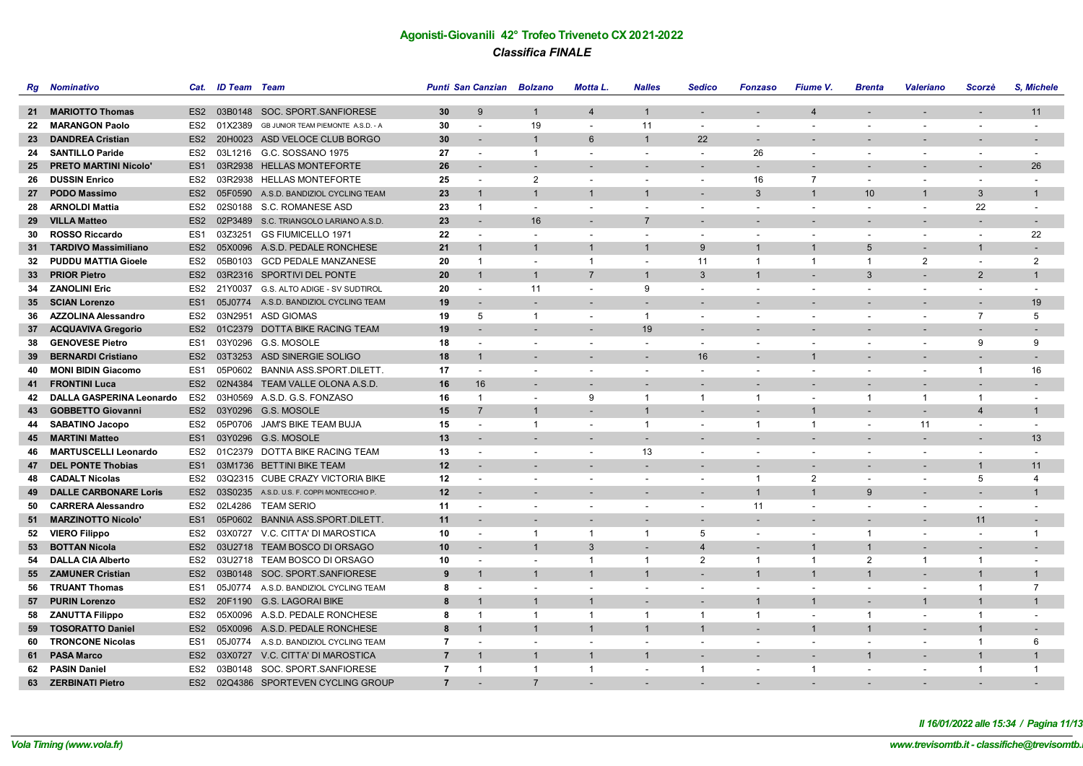| Rg | <b>Nominativo</b>            | Cat.            | <b>ID Team</b> Team |                                            |                | Punti San Canzian Bolzano |                          | Motta L.                 | <b>Nalles</b>            | <b>Sedico</b>            | <b>Fonzaso</b>           | Fiume V.                 | <b>Brenta</b>            | <b>Valeriano</b>         | Scorzè                   | S. Michele               |
|----|------------------------------|-----------------|---------------------|--------------------------------------------|----------------|---------------------------|--------------------------|--------------------------|--------------------------|--------------------------|--------------------------|--------------------------|--------------------------|--------------------------|--------------------------|--------------------------|
|    |                              |                 |                     |                                            |                |                           |                          |                          |                          |                          |                          |                          |                          |                          |                          |                          |
| 21 | <b>MARIOTTO Thomas</b>       |                 |                     | ES2 03B0148 SOC. SPORT. SANFIORESE         | 30             | $\mathbf{Q}$              | $\mathbf{1}$             | $\overline{4}$           | $\mathbf{1}$             | $\overline{a}$           | $\overline{\phantom{a}}$ | $\overline{4}$           |                          | $\overline{a}$           | $\overline{\phantom{a}}$ | 11                       |
| 22 | <b>MARANGON Paolo</b>        | ES <sub>2</sub> | 01X2389             | GB JUNIOR TEAM PIEMONTE A.S.D. - A         | 30             | $\overline{\phantom{a}}$  | 19                       | $\blacksquare$           | 11                       | $\sim$                   | $\blacksquare$           |                          |                          | $\sim$                   |                          |                          |
| 23 | <b>DANDREA Cristian</b>      | ES <sub>2</sub> |                     | 20H0023 ASD VELOCE CLUB BORGO              | 30             |                           | $\mathbf{1}$             | 6                        | $\mathbf{1}$             | 22                       |                          |                          |                          |                          |                          |                          |
|    | 24 SANTILLO Paride           | ES <sub>2</sub> |                     | 03L1216 G.C. SOSSANO 1975                  | 27             | $\sim$                    | $\mathbf{1}$             | $\sim$                   | $\overline{\phantom{a}}$ | $\sim$                   | 26                       | $\overline{\phantom{a}}$ | $\sim$                   | $\sim$                   | $\overline{\phantom{a}}$ | $\overline{\phantom{a}}$ |
| 25 | <b>PRETO MARTINI Nicolo'</b> | ES <sub>1</sub> |                     | 03R2938 HELLAS MONTEFORTE                  | 26             |                           |                          |                          |                          |                          |                          |                          |                          |                          |                          | 26                       |
| 26 | <b>DUSSIN Enrico</b>         | ES <sub>2</sub> |                     | 03R2938 HELLAS MONTEFORTE                  | 25             | $\overline{\phantom{a}}$  | $\overline{2}$           | $\overline{\phantom{a}}$ | $\overline{\phantom{a}}$ | $\overline{\phantom{a}}$ | 16                       | $\overline{7}$           | $\overline{\phantom{a}}$ | $\overline{\phantom{a}}$ | $\blacksquare$           | $\overline{\phantom{m}}$ |
| 27 | <b>PODO Massimo</b>          | ES <sub>2</sub> |                     | 05F0590 A.S.D. BANDIZIOL CYCLING TEAM      | 23             | $\overline{1}$            | $\overline{1}$           | $\mathbf{1}$             | $\overline{1}$           | $\overline{\phantom{a}}$ | 3                        | $\overline{1}$           | 10                       | $\mathbf{1}$             | 3                        | $\mathbf{1}$             |
| 28 | <b>ARNOLDI Mattia</b>        | ES <sub>2</sub> |                     | 02S0188 S.C. ROMANESE ASD                  | 23             | $\mathbf{1}$              | $\sim$                   | $\overline{\phantom{a}}$ |                          | $\overline{\phantom{a}}$ | $\blacksquare$           |                          | $\overline{\phantom{a}}$ | $\overline{\phantom{a}}$ | 22                       |                          |
| 29 | <b>VILLA Matteo</b>          | ES <sub>2</sub> |                     | 02P3489 S.C. TRIANGOLO LARIANO A.S.D.      | 23             |                           | 16                       |                          | $\overline{7}$           |                          |                          |                          |                          |                          |                          |                          |
| 30 | <b>ROSSO Riccardo</b>        | ES <sub>1</sub> |                     | 03Z3251 GS FIUMICELLO 1971                 | 22             | $\overline{\phantom{a}}$  | $\overline{\phantom{a}}$ | $\overline{\phantom{a}}$ | $\blacksquare$           | $\blacksquare$           | $\blacksquare$           | $\overline{\phantom{a}}$ | $\overline{\phantom{a}}$ | $\overline{\phantom{a}}$ | $\blacksquare$           | 22                       |
| 31 | <b>TARDIVO Massimiliano</b>  | ES <sub>2</sub> |                     | 05X0096 A.S.D. PEDALE RONCHESE             | 21             | $\overline{1}$            | $\mathbf{1}$             | $\mathbf{1}$             | $\mathbf{1}$             | 9                        | $\mathbf{1}$             | $\mathbf{1}$             | 5                        |                          | $\mathbf{1}$             |                          |
| 32 | <b>PUDDU MATTIA Gioele</b>   | ES2             |                     | 05B0103 GCD PEDALE MANZANESE               | 20             | $\overline{1}$            | $\overline{\phantom{a}}$ | $\overline{1}$           | $\overline{\phantom{a}}$ | 11                       | $\overline{1}$           | $\overline{1}$           | $\overline{1}$           | $\overline{2}$           | $\overline{\phantom{a}}$ | 2                        |
| 33 | <b>PRIOR Pietro</b>          | ES <sub>2</sub> |                     | 03R2316 SPORTIVI DEL PONTE                 | 20             | $\overline{1}$            | $\overline{1}$           | $\overline{7}$           | $\overline{1}$           | $\mathbf{3}$             | $\overline{1}$           | $\overline{a}$           | 3                        | $\overline{a}$           | $\overline{2}$           | $\mathbf{1}$             |
|    | 34 ZANOLINI Eric             | ES2             | 21Y0037             | G.S. ALTO ADIGE - SV SUDTIROL              | 20             | $\overline{a}$            | 11                       | $\blacksquare$           | 9                        | $\overline{\phantom{a}}$ | $\overline{\phantom{a}}$ | $\overline{\phantom{a}}$ | $\overline{\phantom{a}}$ | $\sim$                   | $\overline{\phantom{a}}$ |                          |
|    | 35 SCIAN Lorenzo             | ES <sub>1</sub> |                     | 05J0774 A.S.D. BANDIZIOL CYCLING TEAM      | 19             |                           |                          | $\blacksquare$           |                          |                          |                          |                          |                          |                          |                          | 19                       |
| 36 | <b>AZZOLINA Alessandro</b>   | ES2             |                     | 03N2951 ASD GIOMAS                         | 19             | 5                         | $\mathbf{1}$             | $\blacksquare$           | $\overline{1}$           | $\overline{\phantom{a}}$ | $\overline{\phantom{a}}$ | $\overline{\phantom{a}}$ | $\overline{\phantom{a}}$ | $\overline{\phantom{a}}$ | 7                        | 5                        |
|    | 37 ACQUAVIVA Gregorio        | ES <sub>2</sub> |                     | 01C2379 DOTTA BIKE RACING TEAM             | 19             |                           |                          | $\overline{\phantom{a}}$ | 19                       | $\overline{\phantom{a}}$ |                          |                          |                          |                          |                          |                          |
| 38 | <b>GENOVESE Pietro</b>       | ES <sub>1</sub> |                     | 03Y0296 G.S. MOSOLE                        | 18             |                           | $\overline{\phantom{a}}$ | $\blacksquare$           | $\blacksquare$           | $\blacksquare$           | $\blacksquare$           |                          |                          | $\blacksquare$           | 9                        | 9                        |
| 39 | <b>BERNARDI Cristiano</b>    | ES <sub>2</sub> |                     | 03T3253 ASD SINERGIE SOLIGO                | 18             | $\overline{1}$            | $\overline{\phantom{a}}$ | $\overline{a}$           | $\overline{a}$           | 16                       | $\overline{a}$           | $\overline{1}$           |                          | $\overline{\phantom{a}}$ | $\overline{a}$           | $\overline{\phantom{a}}$ |
| 40 | <b>MONI BIDIN Giacomo</b>    | ES <sub>1</sub> |                     | 05P0602 BANNIA ASS.SPORT.DILETT.           | 17             | $\overline{\phantom{a}}$  | $\overline{\phantom{a}}$ | $\blacksquare$           | $\blacksquare$           | $\blacksquare$           | $\sim$                   |                          | $\overline{\phantom{a}}$ | $\overline{\phantom{a}}$ | $\mathbf{1}$             | 16                       |
| 41 | <b>FRONTINI Luca</b>         | ES <sub>2</sub> |                     | 02N4384 TEAM VALLE OLONA A.S.D.            | 16             | 16                        |                          | $\blacksquare$           |                          |                          |                          |                          |                          |                          |                          |                          |
| 42 | DALLA GASPERINA Leonardo     | ES <sub>2</sub> |                     | 03H0569 A.S.D. G.S. FONZASO                | 16             | $\mathbf{1}$              | $\overline{\phantom{a}}$ | 9                        | $\mathbf{1}$             | $\overline{1}$           | -1                       | $\sim$                   | $\mathbf 1$              | $\overline{1}$           | $\mathbf{1}$             | $\overline{\phantom{a}}$ |
| 43 | <b>GOBBETTO Giovanni</b>     |                 |                     | ES2 03Y0296 G.S. MOSOLE                    | 15             | $\overline{7}$            | $\mathbf{1}$             | $\blacksquare$           | $\mathbf{1}$             | $\overline{\phantom{a}}$ | $\blacksquare$           | $\overline{1}$           |                          | $\overline{a}$           | $\overline{4}$           | $\mathbf{1}$             |
| 44 | <b>SABATINO Jacopo</b>       | ES <sub>2</sub> |                     | 05P0706 JAM'S BIKE TEAM BUJA               | 15             |                           | $\mathbf{1}$             | $\blacksquare$           | $\mathbf{1}$             | $\blacksquare$           | $\overline{1}$           | $\overline{1}$           | $\overline{\phantom{a}}$ | 11                       | $\blacksquare$           | $\overline{\phantom{m}}$ |
| 45 | <b>MARTINI Matteo</b>        | ES <sub>1</sub> |                     | 03Y0296 G.S. MOSOLE                        | 13             |                           |                          |                          | $\overline{\phantom{a}}$ |                          |                          |                          |                          |                          |                          | 13                       |
| 46 | <b>MARTUSCELLI Leonardo</b>  | ES <sub>2</sub> |                     | 01C2379 DOTTA BIKE RACING TEAM             | 13             | $\overline{\phantom{a}}$  | $\overline{\phantom{a}}$ | $\blacksquare$           | 13                       | $\blacksquare$           | $\overline{\phantom{a}}$ | $\overline{\phantom{a}}$ | $\overline{\phantom{a}}$ | $\overline{\phantom{a}}$ |                          |                          |
| 47 | <b>DEL PONTE Thobias</b>     | ES <sub>1</sub> |                     | 03M1736 BETTINI BIKE TEAM                  | 12             |                           |                          | $\overline{\phantom{a}}$ | $\overline{\phantom{a}}$ | $\overline{\phantom{a}}$ |                          |                          |                          |                          | $\mathbf{1}$             | 11                       |
| 48 | <b>CADALT Nicolas</b>        | ES <sub>2</sub> |                     | 03Q2315 CUBE CRAZY VICTORIA BIKE           | 12             | $\overline{\phantom{a}}$  | $\overline{\phantom{a}}$ | $\blacksquare$           | $\overline{\phantom{a}}$ | $\blacksquare$           | $\overline{1}$           | 2                        | $\overline{\phantom{a}}$ | $\overline{\phantom{a}}$ | 5                        | $\overline{4}$           |
| 49 | <b>DALLE CARBONARE Loris</b> | ES <sub>2</sub> |                     | 03S0235 A.S.D. U.S. F. COPPI MONTECCHIO P. | 12             |                           |                          |                          | $\overline{\phantom{a}}$ | $\overline{\phantom{a}}$ | $\mathbf{1}$             | $\overline{1}$           | 9                        |                          |                          | $\mathbf{1}$             |
| 50 | <b>CARRERA Alessandro</b>    | ES <sub>2</sub> |                     | 02L4286 TEAM SERIO                         | 11             |                           | $\overline{\phantom{a}}$ | $\blacksquare$           | $\blacksquare$           | $\blacksquare$           | 11                       |                          | $\overline{\phantom{a}}$ | $\blacksquare$           | $\blacksquare$           | L,                       |
| 51 | <b>MARZINOTTO Nicolo'</b>    | ES <sub>1</sub> |                     | 05P0602 BANNIA ASS.SPORT.DILETT.           | 11             |                           |                          |                          |                          |                          |                          |                          |                          |                          | 11                       | $\overline{\phantom{a}}$ |
|    | 52 VIERO Filippo             | ES <sub>2</sub> |                     | 03X0727 V.C. CITTA' DI MAROSTICA           | 10             | $\overline{\phantom{a}}$  | $\mathbf{1}$             | $\overline{1}$           | $\mathbf{1}$             | 5                        | $\sim$                   |                          | $\mathbf{1}$             | $\overline{\phantom{a}}$ |                          | $\overline{1}$           |
| 53 | <b>BOTTAN Nicola</b>         | ES <sub>2</sub> |                     | 03U2718 TEAM BOSCO DI ORSAGO               | 10             | $\overline{\phantom{a}}$  | $\mathbf{1}$             | 3                        | $\blacksquare$           | $\overline{\mathbf{4}}$  | $\overline{a}$           | $\mathbf{1}$             |                          |                          |                          | $\overline{\phantom{a}}$ |
| 54 | <b>DALLA CIA Alberto</b>     | ES <sub>2</sub> |                     | 03U2718 TEAM BOSCO DI ORSAGO               | 10             | $\overline{\phantom{a}}$  | $\overline{\phantom{a}}$ | $\overline{1}$           | $\overline{1}$           | 2                        | $\overline{1}$           | $\mathbf{1}$             | $\overline{2}$           | $\mathbf{1}$             | $\mathbf{1}$             | $\blacksquare$           |
|    | 55 ZAMUNER Cristian          | ES <sub>2</sub> |                     | 03B0148 SOC. SPORT. SANFIORESE             | 9              | $\overline{1}$            | $\mathbf{1}$             | $\mathbf{1}$             | $\mathbf{1}$             | $\overline{a}$           | $\mathbf{1}$             | $\overline{1}$           | $\mathbf{1}$             |                          | $\mathbf{1}$             | $\mathbf{1}$             |
| 56 | <b>TRUANT Thomas</b>         | ES <sub>1</sub> |                     | 05J0774 A.S.D. BANDIZIOL CYCLING TEAM      | 8              |                           |                          | $\blacksquare$           | $\overline{\phantom{a}}$ | $\frac{1}{2}$            | $\overline{\phantom{a}}$ |                          | $\sim$                   | $\sim$                   | $\mathbf{1}$             | $\overline{7}$           |
|    | 57 PURIN Lorenzo             | ES <sub>2</sub> |                     | 20F1190 G.S. LAGORAI BIKE                  | 8              | $\overline{1}$            | $\mathbf{1}$             | $\overline{1}$           | $\overline{a}$           | $\overline{a}$           | $\mathbf{1}$             | $\overline{1}$           |                          | $\mathbf{1}$             | $\mathbf{1}$             | $\mathbf{1}$             |
|    | 58 ZANUTTA Filippo           | ES <sub>2</sub> |                     | 05X0096 A.S.D. PEDALE RONCHESE             | 8              | $\overline{1}$            | $\overline{1}$           | $\mathbf{1}$             | $\overline{1}$           | $\overline{1}$           | $\overline{1}$           | $\overline{\phantom{a}}$ | $\overline{1}$           | $\sim$                   | $\mathbf{1}$             |                          |
| 59 | <b>TOSORATTO Daniel</b>      | ES <sub>2</sub> |                     | 05X0096 A.S.D. PEDALE RONCHESE             | 8              | $\mathbf{1}$              | $\mathbf{1}$             | $\mathbf{1}$             | $\mathbf{1}$             | $\mathbf 1$              | $\blacksquare$           | $\mathbf{1}$             | -1                       | $\overline{\phantom{a}}$ | $\mathbf{1}$             | $\overline{\phantom{a}}$ |
| 60 | <b>TRONCONE Nicolas</b>      | ES <sub>1</sub> |                     | 05J0774 A.S.D. BANDIZIOL CYCLING TEAM      | 7              |                           | $\overline{\phantom{a}}$ | $\overline{\phantom{a}}$ | $\blacksquare$           | $\overline{\phantom{a}}$ | $\overline{\phantom{a}}$ | $\overline{\phantom{a}}$ | $\overline{\phantom{a}}$ | $\overline{\phantom{a}}$ | $\mathbf{1}$             | 6                        |
| 61 | <b>PASA Marco</b>            | ES <sub>2</sub> | 03X0727             | V.C. CITTA' DI MAROSTICA                   | $\overline{7}$ | $\overline{1}$            | $\mathbf{1}$             | $\mathbf{1}$             | $\overline{1}$           | $\overline{\phantom{a}}$ |                          |                          | $\mathbf 1$              |                          | $\mathbf{1}$             | $\mathbf 1$              |
| 62 | <b>PASIN Daniel</b>          | ES <sub>2</sub> |                     | 03B0148 SOC. SPORT. SANFIORESE             | $\overline{7}$ | $\overline{1}$            | $\mathbf{1}$             | $\overline{1}$           | $\blacksquare$           | $\overline{1}$           | $\blacksquare$           | $\overline{1}$           | $\sim$                   | $\overline{\phantom{a}}$ | $\mathbf{1}$             | $\overline{1}$           |
|    | 63 ZERBINATI Pietro          | ES <sub>2</sub> |                     | 02Q4386 SPORTEVEN CYCLING GROUP            | $\overline{7}$ |                           | $\overline{7}$           |                          |                          |                          |                          |                          |                          |                          |                          |                          |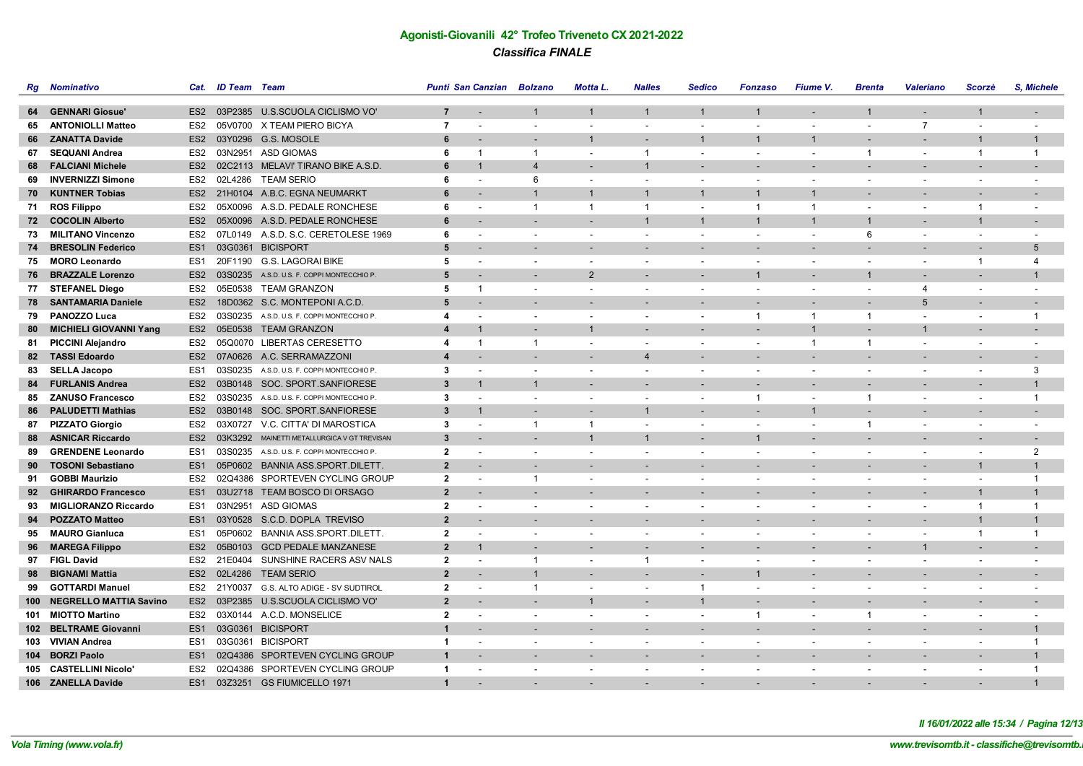| Rg    | <b>Nominativo</b>             | Cat.            | <b>ID Team</b> Team |                                             |                         | Punti San Canzian Bolzano |                          | Motta L.                 | <b>Nalles</b>            | <b>Sedico</b>            | <b>Fonzaso</b>           | Fiume V.                 | <b>Brenta</b>            | <b>Valeriano</b>         | Scorzè                   | S, Michele               |
|-------|-------------------------------|-----------------|---------------------|---------------------------------------------|-------------------------|---------------------------|--------------------------|--------------------------|--------------------------|--------------------------|--------------------------|--------------------------|--------------------------|--------------------------|--------------------------|--------------------------|
|       |                               |                 |                     |                                             |                         |                           |                          |                          |                          |                          |                          |                          |                          |                          |                          |                          |
|       | 64 GENNARI Giosue'            |                 |                     | ES2 03P2385 U.S.SCUOLA CICLISMO VO'         | $\overline{7}$          | $\sim$                    | $\mathbf{1}$             | $\mathbf{1}$             | $\mathbf{1}$             | $\mathbf{1}$             | $\mathbf{1}$             | $\sim$                   |                          | $\sim$                   | $\mathbf{1}$             | $\overline{\phantom{a}}$ |
| 65    | <b>ANTONIOLLI Matteo</b>      | ES <sub>2</sub> |                     | 05V0700 X TEAM PIERO BICYA                  | $\overline{7}$          | $\blacksquare$            | $\overline{\phantom{a}}$ | $\overline{\phantom{a}}$ | $\blacksquare$           | $\overline{a}$           | $\blacksquare$           | $\blacksquare$           |                          | $\overline{7}$           | $\overline{\phantom{a}}$ | $\blacksquare$           |
|       | 66 ZANATTA Davide             |                 |                     | ES2 03Y0296 G.S. MOSOLE                     | 6                       |                           |                          | $\mathbf{1}$             | $\overline{\phantom{a}}$ | $\mathbf 1$              | 1                        | $\mathbf{1}$             |                          |                          | $\mathbf{1}$             | $\mathbf 1$              |
|       | 67 SEQUANI Andrea             | ES2             |                     | 03N2951 ASD GIOMAS                          | 6                       | $\overline{1}$            | -1                       | $\overline{\phantom{a}}$ | $\overline{1}$           | $\blacksquare$           | $\blacksquare$           | $\overline{\phantom{a}}$ | -1                       | $\overline{\phantom{a}}$ | $\mathbf{1}$             | -1                       |
| 68.   | <b>FALCIANI Michele</b>       |                 |                     | ES2 02C2113 MELAVI' TIRANO BIKE A.S.D.      | 6                       | $\overline{1}$            | $\overline{4}$           |                          | $\overline{1}$           |                          |                          |                          |                          |                          |                          |                          |
| 69    | <b>INVERNIZZI Simone</b>      | ES2             |                     | 02L4286 TEAM SERIO                          | 6                       | $\overline{\phantom{a}}$  | 6                        | $\overline{\phantom{a}}$ | $\blacksquare$           | $\blacksquare$           | $\blacksquare$           |                          |                          | $\overline{\phantom{a}}$ | $\overline{\phantom{a}}$ | $\blacksquare$           |
| 70    | <b>KUNTNER Tobias</b>         |                 |                     | ES2 21H0104 A.B.C. EGNA NEUMARKT            | 6                       | $\overline{\phantom{a}}$  | $\overline{1}$           | $\mathbf{1}$             | $\overline{1}$           | $\mathbf{1}$             | $\mathbf 1$              | $\mathbf{1}$             |                          | $\overline{\phantom{a}}$ | $\overline{\phantom{a}}$ | $\overline{\phantom{a}}$ |
| 71    | <b>ROS Filippo</b>            | ES2             |                     | 05X0096 A.S.D. PEDALE RONCHESE              | 6                       | $\blacksquare$            | $\overline{1}$           | $\mathbf{1}$             | $\overline{1}$           | $\tilde{\phantom{a}}$    | $\overline{1}$           | $\overline{1}$           | $\overline{\phantom{a}}$ | $\overline{\phantom{a}}$ | $\mathbf{1}$             | $\overline{\phantom{a}}$ |
|       | 72 COCOLIN Alberto            | ES <sub>2</sub> |                     | 05X0096 A.S.D. PEDALE RONCHESE              | 6                       |                           |                          | $\overline{\phantom{a}}$ | $\overline{1}$           | $\mathbf{1}$             | $\mathbf{1}$             | $\overline{1}$           |                          |                          | $\mathbf{1}$             |                          |
| 73    | <b>MILITANO Vincenzo</b>      | ES2             |                     | 07L0149 A.S.D. S.C. CERETOLESE 1969         | 6                       | $\overline{\phantom{a}}$  |                          | $\overline{\phantom{a}}$ | $\sim$                   | $\blacksquare$           | $\overline{\phantom{a}}$ | $\overline{\phantom{a}}$ | 6                        | $\overline{\phantom{a}}$ | $\overline{\phantom{a}}$ | $\overline{\phantom{0}}$ |
|       | 74 BRESOLIN Federico          | ES <sub>1</sub> |                     | 03G0361 BICISPORT                           | 5                       |                           |                          |                          |                          |                          |                          |                          |                          |                          |                          | 5                        |
|       | 75 MORO Leonardo              | ES1             |                     | 20F1190 G.S. LAGORAI BIKE                   | 5                       | $\overline{\phantom{a}}$  | $\overline{\phantom{a}}$ | $\overline{\phantom{a}}$ | $\blacksquare$           | $\blacksquare$           | $\blacksquare$           | $\overline{\phantom{a}}$ | $\overline{\phantom{0}}$ | $\overline{\phantom{a}}$ | $\overline{1}$           | $\overline{4}$           |
| 76    | <b>BRAZZALE Lorenzo</b>       | ES <sub>2</sub> |                     | 03S0235 A.S.D. U.S. F. COPPI MONTECCHIO P.  | 5                       | $\overline{\phantom{a}}$  |                          | $\overline{2}$           | $\overline{\phantom{a}}$ | $\overline{a}$           | $\mathbf 1$              | $\overline{\phantom{a}}$ |                          | $\overline{\phantom{a}}$ | $\blacksquare$           | $\mathbf{1}$             |
|       | 77 STEFANEL Diego             | ES2             |                     | 05E0538 TEAM GRANZON                        | 5                       | $\overline{1}$            |                          |                          | $\overline{\phantom{a}}$ |                          |                          |                          |                          | 4                        |                          |                          |
| 78    | <b>SANTAMARIA Daniele</b>     | ES <sub>2</sub> |                     | 18D0362 S.C. MONTEPONI A.C.D.               | 5                       |                           |                          |                          |                          |                          |                          |                          |                          | 5                        |                          |                          |
| 79    | <b>PANOZZO Luca</b>           | ES2             |                     | 03S0235 A.S.D. U.S. F. COPPI MONTECCHIO P.  | 4                       | $\overline{\phantom{a}}$  | $\overline{\phantom{a}}$ | $\sim$                   | $\overline{\phantom{a}}$ | $\overline{\phantom{a}}$ | $\overline{1}$           | -1                       | -1                       | $\sim$                   | $\overline{\phantom{a}}$ | $\overline{1}$           |
| 80    | <b>MICHIELI GIOVANNI Yang</b> |                 |                     | ES2 05E0538 TEAM GRANZON                    | $\overline{\mathbf{4}}$ | 1                         |                          | $\mathbf{1}$             |                          |                          |                          | $\overline{1}$           |                          | $\mathbf{1}$             |                          |                          |
| 81    | <b>PICCINI Alejandro</b>      | ES2             |                     | 05Q0070 LIBERTAS CERESETTO                  | 4                       | $\overline{1}$            | $\overline{1}$           | $\overline{\phantom{a}}$ | $\blacksquare$           | $\overline{\phantom{a}}$ | $\blacksquare$           | $\overline{1}$           | -1                       | $\overline{\phantom{a}}$ | $\overline{\phantom{a}}$ | $\blacksquare$           |
|       | 82 TASSI Edoardo              |                 |                     | ES2 07A0626 A.C. SERRAMAZZONI               | $\boldsymbol{4}$        |                           |                          | $\overline{\phantom{a}}$ | $\overline{4}$           | $\overline{\phantom{a}}$ | $\overline{a}$           |                          |                          | $\overline{a}$           | $\overline{\phantom{a}}$ | $\blacksquare$           |
| 83    | <b>SELLA Jacopo</b>           | ES <sub>1</sub> |                     | 03S0235 A.S.D. U.S. F. COPPI MONTECCHIO P.  | 3                       | $\overline{\phantom{a}}$  |                          | $\overline{\phantom{a}}$ | $\overline{\phantom{a}}$ |                          |                          |                          |                          | $\overline{\phantom{a}}$ |                          | 3                        |
| 84    | <b>FURLANIS Andrea</b>        | ES <sub>2</sub> |                     | 03B0148 SOC. SPORT.SANFIORESE               | 3                       | $\mathbf 1$               | $\overline{1}$           |                          |                          |                          |                          |                          |                          |                          |                          | $\mathbf 1$              |
| 85    | <b>ZANUSO Francesco</b>       | ES <sub>2</sub> |                     | 03S0235 A.S.D. U.S. F. COPPI MONTECCHIO P.  | 3                       | $\overline{\phantom{a}}$  | $\overline{\phantom{a}}$ | $\overline{\phantom{a}}$ | $\sim$                   | $\blacksquare$           | $\overline{1}$           | $\overline{\phantom{a}}$ | -1                       | $\overline{\phantom{a}}$ | $\overline{\phantom{a}}$ | $\overline{1}$           |
| 86    | <b>PALUDETTI Mathias</b>      |                 |                     | ES2 03B0148 SOC. SPORT.SANFIORESE           | 3                       | 1                         |                          |                          | $\mathbf{1}$             |                          |                          | $\mathbf{1}$             |                          |                          |                          |                          |
|       | 87 PIZZATO Giorgio            | ES2             |                     | 03X0727 V.C. CITTA' DI MAROSTICA            | 3                       | $\overline{\phantom{a}}$  | $\mathbf{1}$             | $\mathbf{1}$             | $\overline{\phantom{a}}$ | $\overline{\phantom{a}}$ | $\overline{\phantom{a}}$ | $\overline{\phantom{a}}$ | $\mathbf{1}$             | $\overline{\phantom{a}}$ | $\overline{\phantom{a}}$ | $\overline{\phantom{a}}$ |
| 88    | <b>ASNICAR Riccardo</b>       | ES <sub>2</sub> |                     | 03K3292 MAINETTI METALLURGICA V GT TREVISAN | 3                       |                           |                          | $\overline{1}$           | $\overline{1}$           | ÷                        | $\mathbf 1$              |                          |                          |                          | $\overline{\phantom{a}}$ | $\overline{\phantom{a}}$ |
| 89    | <b>GRENDENE Leonardo</b>      | ES1             |                     | 03S0235 A.S.D. U.S. F. COPPI MONTECCHIO P.  | $\overline{2}$          | $\overline{\phantom{a}}$  | $\overline{\phantom{a}}$ | $\overline{\phantom{a}}$ | $\overline{\phantom{a}}$ | $\overline{a}$           | $\overline{a}$           | $\overline{\phantom{a}}$ | $\sim$                   | $\overline{\phantom{a}}$ | $\overline{\phantom{a}}$ | $\overline{2}$           |
| 90    | <b>TOSONI Sebastiano</b>      | ES <sub>1</sub> |                     | 05P0602 BANNIA ASS.SPORT.DILETT.            | $\overline{2}$          |                           |                          |                          |                          |                          | $\overline{\phantom{0}}$ |                          |                          |                          | $\mathbf{1}$             | $\mathbf 1$              |
| 91    | <b>GOBBI Maurizio</b>         | ES <sub>2</sub> |                     | 02Q4386 SPORTEVEN CYCLING GROUP             | $\overline{2}$          | $\overline{\phantom{a}}$  | $\overline{1}$           | $\overline{\phantom{a}}$ | $\overline{\phantom{a}}$ | $\blacksquare$           | $\overline{\phantom{a}}$ | $\overline{\phantom{a}}$ | $\overline{\phantom{0}}$ | $\overline{\phantom{a}}$ | $\overline{\phantom{a}}$ | $\overline{1}$           |
| 92    | <b>GHIRARDO Francesco</b>     | ES <sub>1</sub> |                     | 03U2718 TEAM BOSCO DI ORSAGO                | $\overline{2}$          |                           |                          |                          |                          |                          |                          |                          |                          |                          | $\mathbf{1}$             | $\mathbf{1}$             |
| 93    | <b>MIGLIORANZO Riccardo</b>   | ES1             |                     | 03N2951 ASD GIOMAS                          | $\overline{2}$          | $\overline{\phantom{a}}$  | $\overline{\phantom{a}}$ | $\overline{\phantom{a}}$ | $\overline{\phantom{a}}$ | $\overline{\phantom{a}}$ | $\overline{\phantom{a}}$ |                          |                          | $\overline{\phantom{a}}$ | $\mathbf{1}$             | $\overline{1}$           |
| 94    | <b>POZZATO Matteo</b>         | ES <sub>1</sub> |                     | 03Y0528 S.C.D. DOPLA TREVISO                | $\overline{2}$          |                           |                          |                          |                          |                          |                          |                          |                          |                          | $\overline{1}$           | $\mathbf 1$              |
| 95    | <b>MAURO Gianluca</b>         | ES1             |                     | 05P0602 BANNIA ASS.SPORT.DILETT.            | $\mathbf{2}$            | $\overline{\phantom{a}}$  |                          |                          | $\overline{\phantom{a}}$ | $\blacksquare$           | $\overline{\phantom{a}}$ |                          |                          | $\overline{\phantom{a}}$ | $\overline{1}$           | $\mathbf{1}$             |
| 96.   | <b>MAREGA Filippo</b>         | ES <sub>2</sub> |                     | 05B0103 GCD PEDALE MANZANESE                | $\mathbf{2}$            | $\mathbf 1$               |                          |                          |                          |                          |                          |                          |                          | 1                        |                          |                          |
| 97    | <b>FIGL David</b>             |                 |                     | ES2 21E0404 SUNSHINE RACERS ASV NALS        | $\overline{2}$          | $\overline{a}$            | $\overline{1}$           | $\overline{\phantom{a}}$ | $\overline{1}$           | $\overline{\phantom{a}}$ | $\overline{\phantom{a}}$ | $\overline{\phantom{a}}$ | $\overline{\phantom{a}}$ | $\sim$                   | $\overline{\phantom{a}}$ | $\overline{\phantom{a}}$ |
| 98    | <b>BIGNAMI Mattia</b>         |                 | ES2 02L4286         | <b>TEAM SERIO</b>                           | $\overline{2}$          |                           | $\overline{1}$           |                          | $\overline{\phantom{a}}$ | $\overline{\phantom{a}}$ | 1                        |                          |                          |                          |                          |                          |
| 99    | <b>GOTTARDI Manuel</b>        |                 |                     | ES2 21Y0037 G.S. ALTO ADIGE - SV SUDTIROL   | $\overline{2}$          | $\overline{\phantom{a}}$  | $\mathbf{1}$             | $\overline{\phantom{a}}$ | $\blacksquare$           | $\mathbf{1}$             | $\blacksquare$           | $\overline{\phantom{a}}$ | $\overline{\phantom{a}}$ | $\overline{\phantom{a}}$ | $\blacksquare$           | $\blacksquare$           |
| 100 - | <b>NEGRELLO MATTIA Savino</b> | ES <sub>2</sub> |                     | 03P2385 U.S.SCUOLA CICLISMO VO'             | $\overline{2}$          | $\overline{\phantom{a}}$  |                          | $\overline{1}$           |                          | $\mathbf 1$              |                          |                          |                          |                          |                          | $\overline{\phantom{a}}$ |
|       | 101 MIOTTO Martino            | ES2             |                     | 03X0144 A.C.D. MONSELICE                    | $\overline{2}$          | $\overline{\phantom{a}}$  |                          |                          | $\blacksquare$           | $\blacksquare$           | $\overline{1}$           | $\blacksquare$           | -1                       |                          |                          |                          |
|       | 102 BELTRAME Giovanni         | ES <sub>1</sub> |                     | 03G0361 BICISPORT                           | $\mathbf 1$             |                           |                          |                          | $\blacksquare$           | $\overline{\phantom{a}}$ |                          |                          |                          |                          |                          | 1                        |
|       | 103 VIVIAN Andrea             | ES1             |                     | 03G0361 BICISPORT                           | $\overline{1}$          | $\sim$                    | $\overline{\phantom{a}}$ | $\overline{\phantom{a}}$ | $\overline{\phantom{a}}$ | $\sim$                   | $\sim$                   | $\overline{a}$           | $\overline{\phantom{0}}$ | $\sim$                   | $\overline{a}$           | -1                       |
|       | 104 BORZI Paolo               | ES <sub>1</sub> |                     | 02Q4386 SPORTEVEN CYCLING GROUP             | $\mathbf{1}$            |                           |                          |                          | $\overline{\phantom{a}}$ | $\overline{\phantom{a}}$ | $\overline{\phantom{0}}$ |                          |                          |                          |                          | $\mathbf{1}$             |
|       | 105 CASTELLINI Nicolo'        | ES <sub>2</sub> |                     | 02Q4386 SPORTEVEN CYCLING GROUP             | $\mathbf 1$             |                           |                          | $\overline{\phantom{a}}$ | $\blacksquare$           | $\overline{\phantom{a}}$ | $\overline{\phantom{a}}$ | $\overline{\phantom{a}}$ | $\overline{\phantom{a}}$ | $\overline{\phantom{a}}$ | $\blacksquare$           | $\overline{1}$           |
|       | 106 ZANELLA Davide            | ES <sub>1</sub> |                     | 03Z3251 GS FIUMICELLO 1971                  | $\mathbf{1}$            |                           |                          |                          |                          |                          |                          |                          |                          |                          |                          | $\mathbf{1}$             |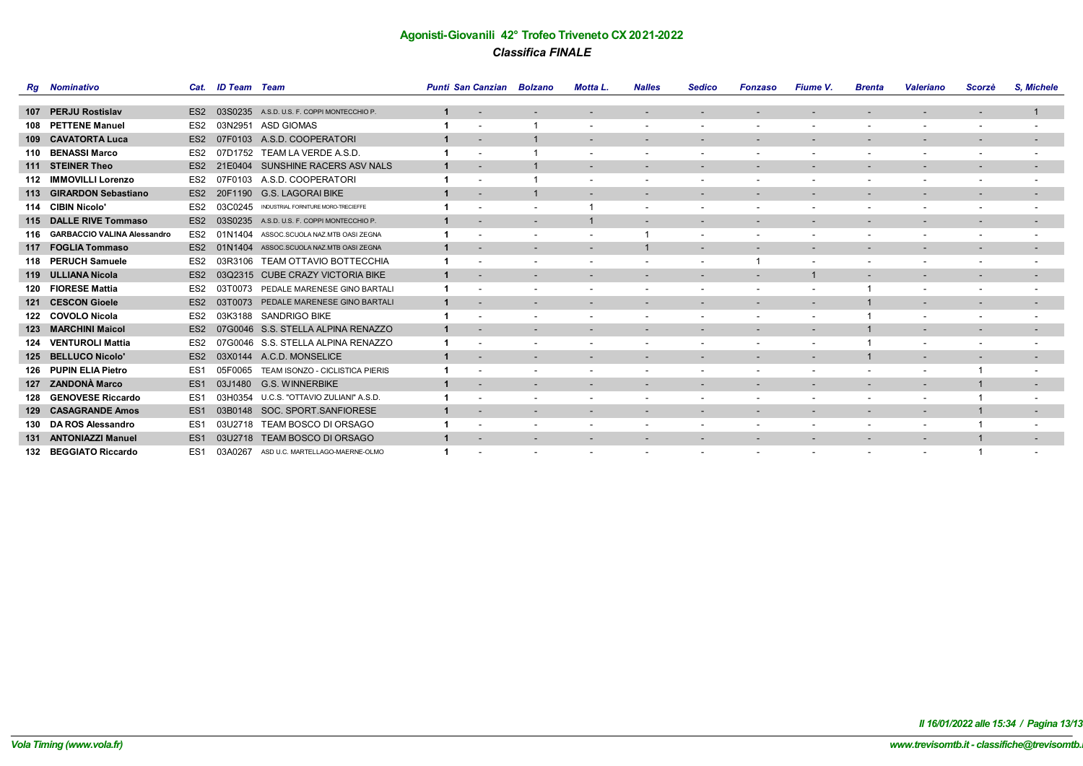|     | <b>Rg</b> Nominativo               | Cat.            | <b>ID Team</b> Team |                                     | <b>Punti San Canzian</b> |                          | Bolzano                  | Motta L.                 | <b>Nalles</b>            | <b>Sedico</b>            | <b>Fonzaso</b>           | <b>Fiume V.</b>          | <b>Brenta</b>            | <b>Valeriano</b>         | Scorzè                   | S. Michele               |
|-----|------------------------------------|-----------------|---------------------|-------------------------------------|--------------------------|--------------------------|--------------------------|--------------------------|--------------------------|--------------------------|--------------------------|--------------------------|--------------------------|--------------------------|--------------------------|--------------------------|
|     |                                    |                 |                     |                                     |                          |                          |                          |                          |                          |                          |                          |                          |                          |                          |                          |                          |
| 107 | <b>PERJU Rostislav</b>             | ES <sub>2</sub> | 03S0235             | A.S.D. U.S. F. COPPI MONTECCHIO P.  | 1                        | $\overline{\phantom{a}}$ | $\overline{\phantom{a}}$ |                          |                          |                          | $\overline{\phantom{0}}$ | $\overline{\phantom{a}}$ |                          | $\overline{\phantom{0}}$ | $\overline{\phantom{a}}$ |                          |
| 108 | <b>PETTENE Manuel</b>              | ES <sub>2</sub> | 03N2951             | <b>ASD GIOMAS</b>                   |                          |                          |                          |                          |                          |                          |                          |                          |                          |                          |                          | $\overline{\phantom{a}}$ |
|     | 109 CAVATORTA Luca                 | ES <sub>2</sub> | 07F0103             | A.S.D. COOPERATORI                  |                          | $\overline{\phantom{a}}$ |                          |                          | $\overline{\phantom{a}}$ | $\overline{\phantom{a}}$ | $\overline{\phantom{a}}$ | $\overline{\phantom{a}}$ | $\overline{\phantom{a}}$ | $\overline{\phantom{a}}$ | $\overline{\phantom{a}}$ | $\overline{\phantom{a}}$ |
|     | 110 BENASSI Marco                  | ES <sub>2</sub> | 07D1752             | TEAM LA VERDE A.S.D.                |                          |                          |                          |                          | $\overline{\phantom{a}}$ | $\overline{\phantom{a}}$ | $\overline{\phantom{a}}$ | $\overline{\phantom{a}}$ | $\overline{\phantom{a}}$ | $\overline{\phantom{a}}$ | $\overline{\phantom{a}}$ | $\overline{\phantom{a}}$ |
| 111 | <b>STEINER Theo</b>                | ES <sub>2</sub> | 21E0404             | SUNSHINE RACERS ASV NALS            |                          |                          |                          |                          |                          |                          |                          |                          |                          |                          |                          | $\overline{\phantom{a}}$ |
|     | 112 IMMOVILLI Lorenzo              | ES2             | 103                 | A.S.D. COOPERATORI                  |                          |                          |                          |                          |                          |                          | $\overline{\phantom{a}}$ |                          |                          |                          |                          | $\overline{\phantom{a}}$ |
|     | 113 GIRARDON Sebastiano            | ES <sub>2</sub> | 20F1190             | <b>G.S. LAGORAI BIKE</b>            | $\mathbf 1$              | $\overline{\phantom{a}}$ |                          | $\sim$                   | $\sim$                   | $\overline{\phantom{a}}$ | $\overline{\phantom{a}}$ | $\sim$                   | $\sim$                   | $\sim$                   | $\sim$                   | $\sim$                   |
|     | 114 CIBIN Nicolo                   | ES <sub>2</sub> | 03C0245             | INDUSTRIAL FORNITURE MORO-TRECIEFFE |                          |                          |                          |                          |                          |                          |                          |                          |                          |                          |                          | $\overline{\phantom{a}}$ |
|     | 115 DALLE RIVE Tommaso             | ES <sub>2</sub> | 03S0235             | A.S.D. U.S. F. COPPI MONTECCHIO P.  |                          |                          |                          |                          | $\overline{\phantom{a}}$ | $\overline{\phantom{a}}$ | $\overline{\phantom{a}}$ | $\overline{\phantom{a}}$ |                          |                          |                          | $\overline{\phantom{a}}$ |
| 116 | <b>GARBACCIO VALINA Alessandro</b> | ES <sub>2</sub> | 01N1404             | ASSOC.SCUOLA NAZ.MTB OASI ZEGNA     | 1                        |                          | $\overline{\phantom{a}}$ |                          |                          | $\overline{\phantom{a}}$ | $\overline{\phantom{a}}$ | $\overline{\phantom{a}}$ | $\sim$                   | $\overline{\phantom{a}}$ | $\overline{\phantom{a}}$ | $\overline{\phantom{a}}$ |
| 117 | <b>FOGLIA Tommaso</b>              | ES <sub>2</sub> | 01N1404             | ASSOC.SCUOLA NAZ.MTB OASI ZEGNA     |                          |                          |                          |                          |                          |                          |                          |                          |                          |                          | $\overline{\phantom{a}}$ | $\overline{\phantom{a}}$ |
| 118 | <b>PERUCH Samuele</b>              | ES <sub>2</sub> | 03R3106             | <b>TEAM OTTAVIO BOTTECCHIA</b>      | 1                        |                          |                          |                          | $\overline{\phantom{a}}$ | $\overline{\phantom{a}}$ |                          | $\overline{\phantom{a}}$ |                          |                          |                          | $\overline{\phantom{a}}$ |
|     | 119 ULLIANA Nicola                 | ES <sub>2</sub> | 03Q2315             | <b>CUBE CRAZY VICTORIA BIKE</b>     | $\mathbf{1}$             | $\overline{\phantom{a}}$ | $\sim$                   | $\sim$                   | $\sim$                   | $\overline{\phantom{a}}$ | ٠                        | $\mathbf{1}$             | $\sim$                   | $\overline{\phantom{a}}$ | ٠                        | $\sim$                   |
| 120 | <b>FIORESE Mattia</b>              | ES2             | 03T0073             | PEDALE MARENESE GINO BARTALI        | 1                        |                          |                          |                          |                          |                          |                          |                          |                          | $\overline{\phantom{a}}$ |                          | $\overline{\phantom{a}}$ |
| 121 | <b>CESCON Gioele</b>               | ES <sub>2</sub> | 031                 | PEDALE MARENESE GINO BARTALI        | 1                        |                          |                          |                          |                          | $\overline{\phantom{a}}$ | $\overline{\phantom{a}}$ | $\overline{\phantom{a}}$ |                          | $\overline{\phantom{a}}$ | $\overline{\phantom{a}}$ | ٠                        |
| 122 | <b>COVOLO Nicola</b>               | ES <sub>2</sub> | 03K3188             | <b>SANDRIGO BIKE</b>                | 1                        |                          |                          |                          | $\overline{\phantom{a}}$ | $\overline{\phantom{a}}$ | $\overline{\phantom{a}}$ | $\overline{\phantom{a}}$ |                          | $\overline{\phantom{a}}$ | $\overline{\phantom{a}}$ | $\overline{\phantom{a}}$ |
| 123 | <b>MARCHINI Maicol</b>             | ES <sub>2</sub> | 07G0046             | S.S. STELLA ALPINA RENAZZO          |                          |                          |                          |                          |                          |                          |                          |                          |                          |                          |                          | $\overline{\phantom{a}}$ |
| 124 | <b>VENTUROLI Mattia</b>            | ES <sub>2</sub> | 07G0046             | S.S. STELLA ALPINA RENAZZO          | 1                        |                          |                          |                          | $\overline{\phantom{a}}$ | $\overline{\phantom{a}}$ | $\overline{\phantom{a}}$ | $\overline{\phantom{a}}$ |                          | $\overline{\phantom{a}}$ |                          | $\overline{\phantom{a}}$ |
| 125 | <b>BELLUCO Nicolo'</b>             | ES <sub>2</sub> | 03X0144             | A.C.D. MONSELICE                    | $\mathbf 1$              | $\overline{\phantom{a}}$ | $\overline{\phantom{a}}$ | $\sim$                   | $\overline{\phantom{a}}$ | $\overline{\phantom{a}}$ | $\overline{\phantom{a}}$ | $\sim$                   |                          | $\overline{\phantom{a}}$ | $\overline{\phantom{a}}$ | $\sim$                   |
|     | 126 PUPIN ELIA Pietro              | ES <sub>1</sub> | 05F0065             | TEAM ISONZO - CICLISTICA PIERIS     |                          |                          |                          |                          |                          |                          |                          |                          |                          |                          |                          | $\overline{\phantom{a}}$ |
| 127 | <b>ZANDONÀ Marco</b>               | ES <sub>1</sub> | 03J1480             | <b>G.S. WINNERBIKE</b>              | 1                        |                          |                          |                          |                          |                          | $\overline{\phantom{a}}$ |                          |                          |                          |                          | $\sim$                   |
| 128 | <b>GENOVESE Riccardo</b>           | ES <sub>1</sub> | 03H0354             | U.C.S. "OTTAVIO ZULIANI" A.S.D.     |                          |                          |                          |                          | $\overline{\phantom{a}}$ | $\overline{\phantom{a}}$ | $\overline{\phantom{a}}$ | $\sim$                   |                          | $\overline{\phantom{a}}$ |                          | $\overline{\phantom{a}}$ |
|     | 129 CASAGRANDE Amos                | ES <sub>1</sub> | 03B0148             | SOC. SPORT.SANFIORESE               |                          |                          |                          |                          |                          |                          | $\overline{\phantom{a}}$ | $\overline{\phantom{a}}$ |                          | $\overline{\phantom{0}}$ |                          | $\overline{\phantom{a}}$ |
| 130 | <b>DA ROS Alessandro</b>           | ES <sub>1</sub> | 03U2718             | TEAM BOSCO DI ORSAGO                | 1                        |                          |                          |                          | $\overline{\phantom{a}}$ | $\overline{\phantom{a}}$ | $\overline{\phantom{a}}$ | $\overline{\phantom{a}}$ |                          |                          |                          | $\overline{\phantom{a}}$ |
| 131 | <b>ANTONIAZZI Manuel</b>           | ES <sub>1</sub> | 03U2718             | <b>TEAM BOSCO DI ORSAGO</b>         | $\mathbf{1}$             | $\overline{\phantom{a}}$ | $\overline{\phantom{a}}$ | $\overline{\phantom{0}}$ | $\overline{\phantom{a}}$ | $\overline{\phantom{a}}$ | $\overline{\phantom{a}}$ | $\overline{\phantom{a}}$ | $\overline{\phantom{a}}$ | $\overline{\phantom{a}}$ |                          | $\sim$                   |
|     | 132 BEGGIATO Riccardo              | ES <sub>1</sub> | 03A0267             | ASD U.C. MARTELLAGO-MAERNE-OLMO     |                          |                          |                          |                          |                          |                          |                          |                          |                          |                          |                          | $\overline{\phantom{a}}$ |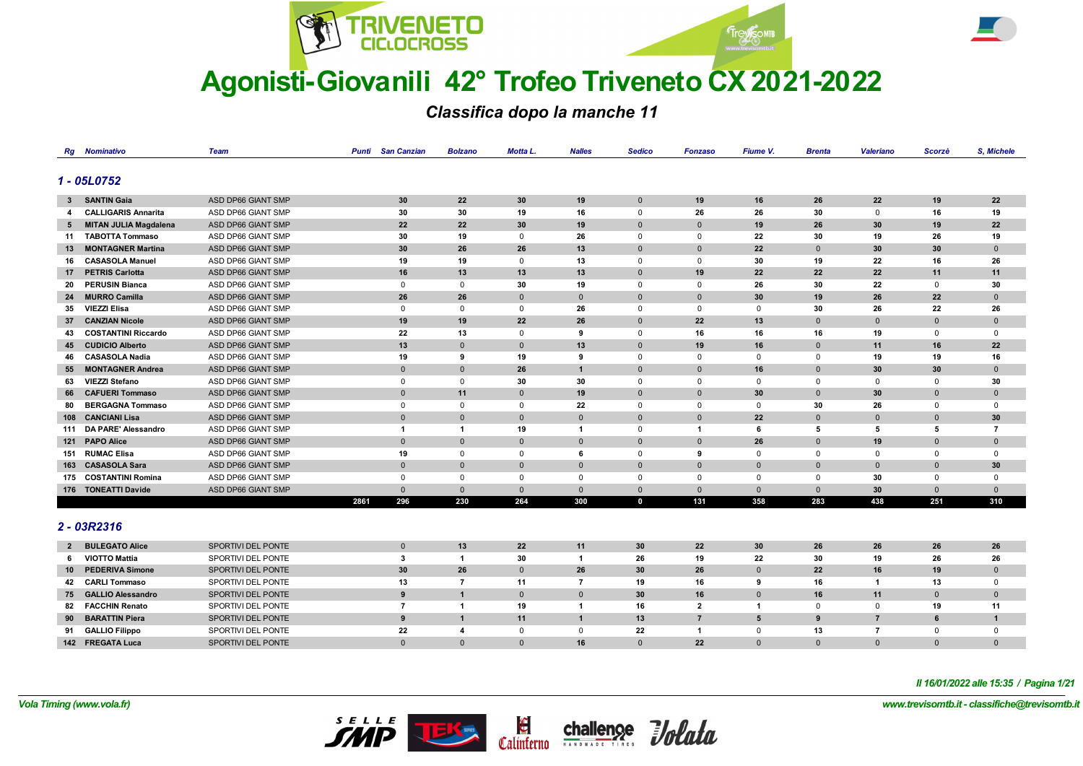



*Classifica dopo la manche 11*

|    | <b>Rg</b> Nominativo                            | <b>Team</b>                              | Punti | <b>San Canzian</b> | <b>Bolzano</b> | Motta L.       | <b>Nalles</b> | <b>Sedico</b>   | Fonzaso                 | Fiume V.     | <b>Brenta</b> | <b>Valeriano</b> | Scorzè       | S, Michele     |
|----|-------------------------------------------------|------------------------------------------|-------|--------------------|----------------|----------------|---------------|-----------------|-------------------------|--------------|---------------|------------------|--------------|----------------|
|    |                                                 |                                          |       |                    |                |                |               |                 |                         |              |               |                  |              |                |
|    | 1 - 05L0752                                     |                                          |       |                    |                |                |               |                 |                         |              |               |                  |              |                |
|    | 3 SANTIN Gaia                                   | ASD DP66 GIANT SMP                       |       | 30                 | 22             | 30             | 19            | $\overline{0}$  | 19                      | 16           | 26            | 22               | 19           | 22             |
| 4  | <b>CALLIGARIS Annarita</b>                      | ASD DP66 GIANT SMP                       |       | 30                 | 30             | 19             | 16            | $^{\circ}$      | 26                      | 26           | 30            | $^{\circ}$       | 16           | 19             |
|    |                                                 |                                          |       |                    | 22             |                |               |                 |                         |              |               | 30               |              |                |
| 5  | MITAN JULIA Magdalena<br><b>TABOTTA Tommaso</b> | ASD DP66 GIANT SMP<br>ASD DP66 GIANT SMP |       | 22                 | 19             | 30<br>$\Omega$ | 19            | $\mathbf 0$     | $\mathbf 0$<br>$\Omega$ | 19           | 26            | 19               | 19<br>26     | 22             |
| 11 | <b>MONTAGNER Martina</b>                        | ASD DP66 GIANT SMP                       |       | 30                 |                |                | 26            | $^{\circ}$      |                         | 22           | 30            |                  |              | 19             |
| 13 |                                                 |                                          |       | 30                 | 26             | 26             | 13            | $\mathbf{0}$    | $\mathbf{0}$            | 22           | $\mathbf{0}$  | 30               | 30           | $\mathbf 0$    |
| 16 | <b>CASASOLA Manuel</b>                          | ASD DP66 GIANT SMP                       |       | 19                 | 19             | $\mathbf 0$    | 13            | $^{\circ}$      | $\mathbf 0$             | 30           | 19            | 22               | 16           | 26             |
| 17 | <b>PETRIS Carlotta</b>                          | ASD DP66 GIANT SMP                       |       | 16                 | 13             | 13             | 13            | $\mathbf{0}$    | 19                      | 22           | 22            | 22               | 11           | 11             |
| 20 | <b>PERUSIN Bianca</b>                           | ASD DP66 GIANT SMP                       |       | $\mathbf 0$        | $\mathsf 0$    | 30             | 19            | $\mathbf 0$     | $\mathbf 0$             | 26           | 30            | 22               | $\mathbf 0$  | 30             |
| 24 | <b>MURRO Camilla</b>                            | ASD DP66 GIANT SMP                       |       | 26                 | 26             | $\Omega$       | $\mathbf 0$   | $\mathbf{0}$    | $\Omega$                | 30           | 19            | 26               | 22           | $\mathbf 0$    |
| 35 | VIEZZI Elisa                                    | ASD DP66 GIANT SMP                       |       | $\mathbf 0$        | $\mathbf 0$    | $\mathbf 0$    | 26            | $\Omega$        | $\Omega$                | $\Omega$     | 30            | 26               | 22           | 26             |
| 37 | <b>CANZIAN Nicole</b>                           | ASD DP66 GIANT SMP                       |       | 19                 | 19             | 22             | 26            | $\mathbf{0}$    | 22                      | 13           | $\mathbf 0$   | $\mathbf{0}$     | $\mathbf{0}$ | $\mathbf 0$    |
| 43 | <b>COSTANTINI Riccardo</b>                      | ASD DP66 GIANT SMP                       |       | 22                 | 13             | $\Omega$       | 9             | $\Omega$        | 16                      | 16           | 16            | 19               | $\mathbf 0$  | 0              |
| 45 | <b>CUDICIO Alberto</b>                          | ASD DP66 GIANT SMP                       |       | 13                 | $\mathbf{0}$   | $\mathbf 0$    | 13            | $\mathbf{0}$    | 19                      | 16           | $\mathbf{0}$  | 11               | 16           | 22             |
| 46 | <b>CASASOLA Nadia</b>                           | ASD DP66 GIANT SMP                       |       | 19                 | 9              | 19             | 9             | $^{\circ}$      | $\mathbf 0$             | $\mathbf 0$  | $\mathbf 0$   | 19               | 19           | 16             |
|    | 55 MONTAGNER Andrea                             | ASD DP66 GIANT SMP                       |       | $\mathbf 0$        | $\mathbf 0$    | 26             | $\mathbf{1}$  | $\mathbf{0}$    | $\mathbf{0}$            | 16           | $\mathbf 0$   | 30               | 30           | $\mathbf 0$    |
| 63 | <b>VIEZZI Stefano</b>                           | ASD DP66 GIANT SMP                       |       | $\mathbf 0$        | $\mathbf{0}$   | 30             | 30            | $\Omega$        | $\Omega$                | $\Omega$     | $\mathbf 0$   | $^{\circ}$       | $\mathbf 0$  | 30             |
|    | 66 CAFUERI Tommaso                              | ASD DP66 GIANT SMP                       |       | $\mathbf 0$        | 11             | $\overline{0}$ | 19            | $\mathbf{0}$    | $\mathbf{0}$            | 30           | $\mathbf 0$   | 30               | $\Omega$     | $\mathbf 0$    |
| 80 | <b>BERGAGNA Tommaso</b>                         | ASD DP66 GIANT SMP                       |       | 0                  | $\Omega$       | 0              | 22            | $\Omega$        | $\Omega$                | $\Omega$     | 30            | 26               | $\Omega$     | 0              |
|    | 108 CANCIANI Lisa                               | ASD DP66 GIANT SMP                       |       | $\mathbf 0$        | $\mathbf 0$    | $\mathbf{0}$   | $\mathbf 0$   | $\mathbf{0}$    | $\mathbf{0}$            | 22           | $\mathbf 0$   | $\mathbf 0$      | $\mathbf{0}$ | 30             |
|    | 111 DA PARE' Alessandro                         | ASD DP66 GIANT SMP                       |       | $\mathbf{1}$       | $\mathbf{1}$   | 19             | $\mathbf{1}$  | $^{\circ}$      | -1                      | 6            | 5             | 5                | 5            | $\overline{7}$ |
|    | 121 PAPO Alice                                  | ASD DP66 GIANT SMP                       |       | $\mathbf 0$        | $\mathbf{0}$   | $\overline{0}$ | $\mathbf 0$   | $\mathbf{0}$    | $\mathbf 0$             | 26           | $\mathbf{0}$  | 19               | $\mathbf{0}$ | $\mathbf 0$    |
|    | 151 RUMAC Elisa                                 | ASD DP66 GIANT SMP                       |       | 19                 | $\mathbf 0$    | $\mathbf 0$    | 6             | $^{\circ}$      | 9                       | 0            | $\mathbf 0$   | $^{\circ}$       | $\mathbf 0$  | $^{\circ}$     |
|    | 163 CASASOLA Sara                               | ASD DP66 GIANT SMP                       |       | $\mathbf 0$        | $\mathbf 0$    | $\Omega$       | $\mathbf 0$   | $\mathbf{0}$    | $\mathbf 0$             | $\mathbf 0$  | $\mathbf{0}$  | $\mathbf{0}$     | $\mathbf{0}$ | 30             |
|    | 175 COSTANTINI Romina                           | ASD DP66 GIANT SMP                       |       | $\mathbf 0$        | $\mathbf{0}$   | $\Omega$       | $\mathbf 0$   | $\Omega$        | $\Omega$                | $\Omega$     | $\mathbf 0$   | 30               | $\mathbf 0$  | $\mathbf 0$    |
|    | 176 TONEATTI Davide                             | ASD DP66 GIANT SMP                       |       | $\mathbf{0}$       | $\mathbf{0}$   | $\mathbf 0$    | $\mathbf 0$   | $\mathbf{0}$    | $\Omega$                | $\mathbf{0}$ | $\mathbf{0}$  | 30               | $\mathbf{0}$ | $\mathbf{0}$   |
|    |                                                 |                                          | 2861  | 296                | 230            | 264            | 300           | $\mathbf 0$     | 131                     | 358          | 283           | 438              | 251          | 310            |
|    |                                                 |                                          |       |                    |                |                |               |                 |                         |              |               |                  |              |                |
|    | 2 - 03R2316                                     |                                          |       |                    |                |                |               |                 |                         |              |               |                  |              |                |
|    |                                                 |                                          |       |                    |                |                |               |                 |                         |              |               |                  |              |                |
|    | 2 BULEGATO Alice                                | SPORTIVI DEL PONTE                       |       | $\mathbf 0$        | 13             | 22             | 11            | 30              | 22                      | 30           | 26            | 26               | 26           | 26             |
| 6  | <b>VIOTTO Mattia</b>                            | SPORTIVI DEL PONTE                       |       | 3                  | $\mathbf{1}$   | 30             | $\mathbf 1$   | 26              | 19                      | 22           | 30            | 19               | 26           | 26             |
|    | 10 DEDEDIVA Simono                              | SDOPTIVI DEL PONTE                       |       | 20                 | 2C             | $\Omega$       | 26            | 20 <sub>1</sub> | 2C                      | $\Omega$     | 22            | 1C               | 10           | $\Omega$       |

|                 |                        |                    |    |    | $-$ |    | -- | . . | . | -- | . . | -- | -- |
|-----------------|------------------------|--------------------|----|----|-----|----|----|-----|---|----|-----|----|----|
| 10 <sup>1</sup> | <b>PEDERIVA Simone</b> | SPORTIVI DEL PONTE | 30 | 26 |     | 26 | 30 | 26  |   | 22 |     | 19 |    |
|                 | 42 CARLI Tommaso       | SPORTIVI DEL PONTE |    |    |     |    | 19 | 16  |   | 16 |     | 13 |    |
|                 | 75 GALLIO Alessandro   | SPORTIVI DEL PONTE |    |    |     |    | 30 | 16  |   | 16 | 11  |    |    |
|                 | 82 FACCHIN Renato      | SPORTIVI DEL PONTE |    |    | 19  |    | 16 |     |   |    |     | 19 |    |
|                 | 90 BARATTIN Piera      | SPORTIVI DEL PONTE |    |    |     |    | 13 |     |   |    |     |    |    |
|                 | 91 GALLIO Filippo      | SPORTIVI DEL PONTE | 22 |    |     |    | 22 |     |   |    |     |    |    |
|                 | 142 FREGATA Luca       | SPORTIVI DEL PONTE |    |    |     |    |    | 22  |   |    |     |    |    |

*Il 16/01/2022 alle 15:35 / Pagina 1/21*

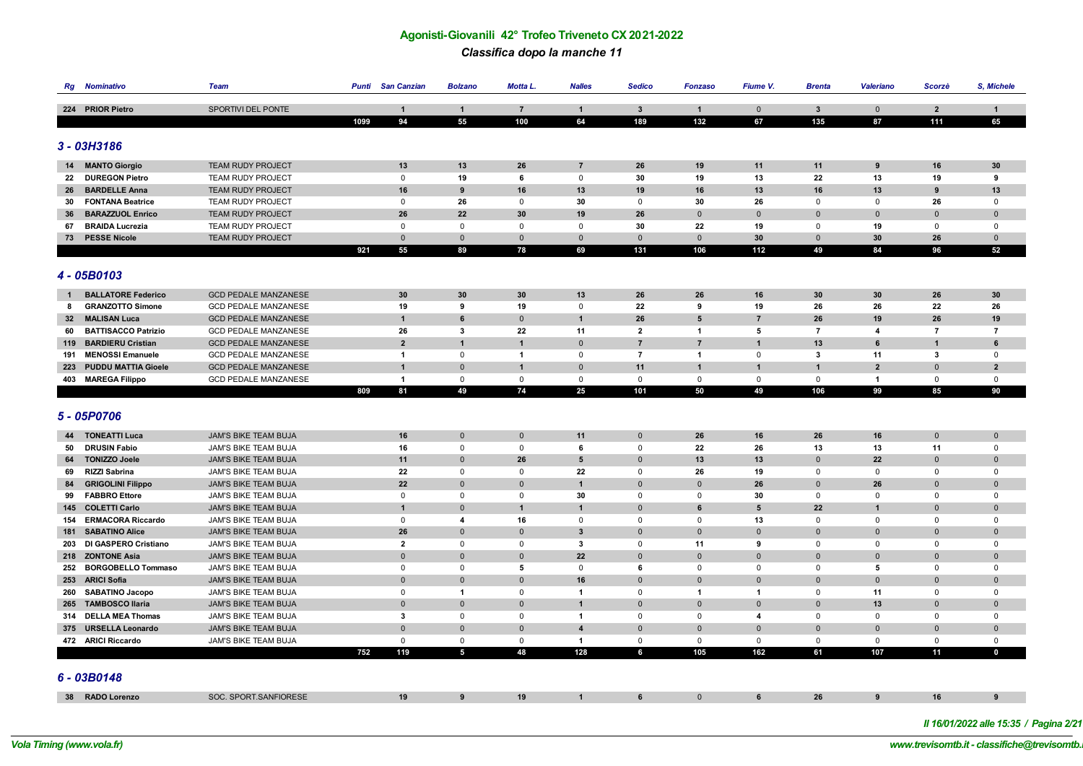*Classifica dopo la manche 11*

| Rg              | <b>Nominativo</b>          | <b>Team</b>                 | Punti | <b>San Canzian</b>      | <b>Bolzano</b>          | Motta L.       | <b>Nalles</b>           | <b>Sedico</b>  | <b>Fonzaso</b> | Fiume V.        | <b>Brenta</b>  | <b>Valeriano</b>        | Scorzè         | S, Michele     |
|-----------------|----------------------------|-----------------------------|-------|-------------------------|-------------------------|----------------|-------------------------|----------------|----------------|-----------------|----------------|-------------------------|----------------|----------------|
|                 |                            |                             |       |                         |                         |                |                         |                |                |                 |                |                         |                |                |
|                 | 224 PRIOR Pietro           | <b>SPORTIVI DEL PONTE</b>   |       | $\mathbf{1}$            | $\mathbf{1}$            | $\overline{7}$ | $\mathbf{1}$            | $\mathbf{3}$   | $\overline{1}$ | $\mathbf 0$     | $\mathbf{3}$   | $\mathbf 0$             | $\overline{2}$ | 1              |
|                 |                            |                             | 1099  | 94                      | 55                      | 100            | 64                      | 189            | 132            | 67              | 135            | 87                      | 111            | 65             |
|                 |                            |                             |       |                         |                         |                |                         |                |                |                 |                |                         |                |                |
|                 | $3 - 03H3186$              |                             |       |                         |                         |                |                         |                |                |                 |                |                         |                |                |
| 14              | <b>MANTO Giorgio</b>       | <b>TEAM RUDY PROJECT</b>    |       | 13                      | 13                      | 26             | $\overline{7}$          | 26             | 19             | 11              | 11             | 9                       | 16             | 30             |
| 22              | <b>DUREGON Pietro</b>      | <b>TEAM RUDY PROJECT</b>    |       | $\mathsf 0$             | 19                      | 6              | $\mathsf 0$             | 30             | 19             | 13              | 22             | 13                      | 19             | 9              |
|                 | 26 BARDELLE Anna           | <b>TEAM RUDY PROJECT</b>    |       | 16                      | 9                       | 16             | 13                      | 19             | 16             | 13              | 16             | 13                      | 9              | 13             |
|                 | 30 FONTANA Beatrice        | TEAM RUDY PROJECT           |       | 0                       | 26                      | $\Omega$       | 30                      | 0              | 30             | 26              | 0              | 0                       | 26             | 0              |
| 36              | <b>BARAZZUOL Enrico</b>    | TEAM RUDY PROJECT           |       | 26                      | 22                      | 30             | 19                      | 26             | $\overline{0}$ | $\mathbf{0}$    | $\mathbf 0$    | $\mathbf{0}$            | $\mathbf 0$    | $\mathbf{0}$   |
| 67              | <b>BRAIDA Lucrezia</b>     | <b>TEAM RUDY PROJECT</b>    |       | 0                       | $\mathbf 0$             | $\mathbf 0$    | 0                       | 30             | 22             | 19              | 0              | 19                      | $\mathbf 0$    | 0              |
|                 | 73 PESSE Nicole            | <b>TEAM RUDY PROJECT</b>    |       | $\Omega$                | $\mathbf 0$             | $\Omega$       | $\mathbf{0}$            | $\mathbf{0}$   | $\Omega$       | 30              | $\mathbf{0}$   | 30                      | 26             | $\Omega$       |
|                 |                            |                             | 921   | 55                      | 89                      | 78             | 69                      | 131            | 106            | 112             | 49             | 84                      | 96             | 52             |
|                 |                            |                             |       |                         |                         |                |                         |                |                |                 |                |                         |                |                |
|                 | 4 - 05B0103                |                             |       |                         |                         |                |                         |                |                |                 |                |                         |                |                |
|                 |                            |                             |       |                         |                         |                |                         |                |                |                 |                |                         |                |                |
| $\mathbf{1}$    | <b>BALLATORE Federico</b>  | <b>GCD PEDALE MANZANESE</b> |       | 30                      | 30                      | 30             | 13                      | 26             | 26             | 16              | 30             | 30                      | 26             | 30             |
| 8               | <b>GRANZOTTO Simone</b>    | <b>GCD PEDALE MANZANESE</b> |       | 19                      | 9                       | 19             | 0                       | 22             | 9              | 19              | 26             | 26                      | 22             | 26             |
| 32 <sub>2</sub> | <b>MALISAN Luca</b>        | <b>GCD PEDALE MANZANESE</b> |       | $\mathbf{1}$            | 6                       | $\mathbf 0$    | $\mathbf{1}$            | 26             | 5              | $\overline{7}$  | 26             | 19                      | 26             | 19             |
| 60              | <b>BATTISACCO Patrizio</b> | <b>GCD PEDALE MANZANESE</b> |       | 26                      | $\overline{\mathbf{3}}$ | 22             | 11                      | $\overline{2}$ | $\overline{1}$ | 5               | $\overline{7}$ | $\overline{\mathbf{4}}$ | $\overline{7}$ | $\overline{7}$ |
| 119             | <b>BARDIERU Cristian</b>   | <b>GCD PEDALE MANZANESE</b> |       | $\overline{2}$          | $\mathbf{1}$            | $\overline{1}$ | $\mathbf 0$             | $\overline{7}$ | $\overline{7}$ | $\mathbf{1}$    | 13             | 6                       | $\overline{1}$ | 6              |
| 191             | <b>MENOSSI Emanuele</b>    | <b>GCD PEDALE MANZANESE</b> |       | $\mathbf{1}$            | $\Omega$                | $\mathbf 1$    | $\mathbf 0$             | $\overline{7}$ | $\overline{1}$ | $\mathbf{0}$    | 3              | 11                      | 3              | $\mathbf{0}$   |
|                 | 223 PUDDU MATTIA Gioele    | <b>GCD PEDALE MANZANESE</b> |       | $\mathbf{1}$            | $\mathbf 0$             | $\overline{1}$ | $\mathbf 0$             | 11             | $\mathbf{1}$   | 1               | $\mathbf{1}$   | $\overline{2}$          | $\overline{0}$ | $\overline{2}$ |
|                 | 403 MAREGA Filippo         | <b>GCD PEDALE MANZANESE</b> |       | $\mathbf{1}$            | $\mathsf 0$             | 0              | $\mathbf 0$             | $\mathbf 0$    | $\mathsf 0$    | 0               | $\mathbf 0$    | $\mathbf{1}$            | $\mathsf 0$    | $\mathbf 0$    |
|                 |                            |                             | 809   | 81                      | 49                      | 74             | 25                      | 101            | 50             | 49              | 106            | 99                      | 85             | 90             |
|                 |                            |                             |       |                         |                         |                |                         |                |                |                 |                |                         |                |                |
|                 | 5 - 05P0706                |                             |       |                         |                         |                |                         |                |                |                 |                |                         |                |                |
|                 | <b>44 TONEATTI Luca</b>    | JAM'S BIKE TEAM BUJA        |       | 16                      | $\mathbf 0$             | $\mathbf 0$    | 11                      | $\mathbf 0$    | 26             | 16              | 26             | 16                      | $\mathbf 0$    | $\mathbf{0}$   |
| 50              | <b>DRUSIN Fabio</b>        | JAM'S BIKE TEAM BUJA        |       | 16                      | $\mathsf 0$             | 0              | 6                       | $\mathbf 0$    | 22             | 26              | 13             | 13                      | 11             | $\mathbf 0$    |
| 64              | <b>TONIZZO Joele</b>       | <b>JAM'S BIKE TEAM BUJA</b> |       | 11                      | $\overline{0}$          | 26             | 5                       | $\Omega$       | 13             | 13              | $\mathbf 0$    | 22                      | $\overline{0}$ | $\mathbf{0}$   |
| 69              | <b>RIZZI Sabrina</b>       | JAM'S BIKE TEAM BUJA        |       | 22                      | $\mathbf 0$             | $\Omega$       | 22                      | 0              | 26             | 19              | 0              | 0                       | $\mathbf 0$    | $\Omega$       |
| 84              | <b>GRIGOLINI Filippo</b>   | JAM'S BIKE TEAM BUJA        |       | 22                      | $\mathbf{0}$            | $\mathbf 0$    | $\mathbf{1}$            | $\mathbf{0}$   | $\overline{0}$ | 26              | $\mathbf 0$    | 26                      | $\mathbf 0$    | $\mathbf 0$    |
| 99              | <b>FABBRO Ettore</b>       | JAM'S BIKE TEAM BUJA        |       | 0                       | $\mathbf 0$             | $\mathbf 0$    | 30                      | $\mathbf 0$    | $\mathbf 0$    | 30              | 0              | $\mathbf 0$             | $\mathsf 0$    | $\mathbf 0$    |
|                 | 145 COLETTI Carlo          | JAM'S BIKE TEAM BUJA        |       | $\mathbf{1}$            | $\Omega$                | $\overline{1}$ | $\mathbf{1}$            | $\mathbf{0}$   | 6              | $5\phantom{.0}$ | 22             | $\mathbf{1}$            | $\mathbf{0}$   | $\mathbf{0}$   |
|                 | 154 ERMACORA Riccardo      | JAM'S BIKE TEAM BUJA        |       | 0                       | $\overline{\mathbf{4}}$ | 16             | 0                       | 0              | $\Omega$       | 13              | 0              | 0                       | $\Omega$       | $\Omega$       |
|                 | 181 SABATINO Alice         | JAM'S BIKE TEAM BUJA        |       | 26                      | $\overline{0}$          | $\overline{0}$ | $\mathbf{3}$            | $\mathbf{0}$   | $\mathbf{0}$   | $\mathbf{0}$    | $\mathbf 0$    | $\Omega$                | $\mathbf 0$    | $\mathbf{0}$   |
|                 | 203 DI GASPERO Cristiano   | JAM'S BIKE TEAM BUJA        |       | $\overline{\mathbf{2}}$ | $\mathbf 0$             | 0              | 3                       | $\mathbf 0$    | 11             | 9               | 0              | $\mathbf 0$             | $\mathbf 0$    | 0              |
|                 | 218 ZONTONE Asia           | <b>JAM'S BIKE TEAM BUJA</b> |       | $\mathbf 0$             | $\mathbf{0}$            | $\mathbf 0$    | 22                      | $\mathbf{0}$   | $\mathbf 0$    | $\mathbf{0}$    | $\mathbf 0$    | $\Omega$                | $\mathbf{0}$   | $\mathbf{0}$   |
| 252             | <b>BORGOBELLO Tommaso</b>  | JAM'S BIKE TEAM BUJA        |       | $\mathbf 0$             | $\mathbf 0$             | 5              | $\mathbf 0$             | 6              | $\Omega$       | $\mathbf{0}$    | $\mathbf 0$    | 5                       | $\mathbf 0$    | $\mathbf 0$    |
|                 | 253 ARICI Sofia            | JAM'S BIKE TEAM BUJA        |       | $\mathbf 0$             | $\overline{0}$          | $\overline{0}$ | 16                      | $\mathbf 0$    | $\mathbf{0}$   | $\mathbf{0}$    | $\mathbf 0$    | $\Omega$                | $\overline{0}$ | $\mathbf{0}$   |
|                 | 260 SABATINO Jacopo        | JAM'S BIKE TEAM BUJA        |       | $\mathbf 0$             | $\mathbf{1}$            | $\Omega$       | $\mathbf{1}$            | $\mathbf 0$    | $\mathbf{1}$   | $\mathbf{1}$    | $\mathbf 0$    | 11                      | $\mathbf{0}$   | $\mathbf 0$    |
|                 | 265 TAMBOSCO Ilaria        | <b>JAM'S BIKE TEAM BUJA</b> |       | $\mathbf 0$             | $\mathbf{0}$            | $\mathbf 0$    | $\mathbf{1}$            | $\Omega$       | $\Omega$       | $\mathbf{0}$    | $\mathbf 0$    | 13                      | $\overline{0}$ | $\mathbf{0}$   |
|                 | 314 DELLA MEA Thomas       | JAM'S BIKE TEAM BUJA        |       | $\mathbf{3}$            | $\mathsf 0$             | $\mathbf 0$    | $\mathbf{1}$            | $\mathbf 0$    | $\mathbf 0$    | 4               | 0              | $\mathbf 0$             | $\mathsf 0$    | $\mathbf 0$    |
|                 | 375 URSELLA Leonardo       | JAM'S BIKE TEAM BUJA        |       | $\overline{0}$          | $\mathbf 0$             | $\mathbf 0$    | $\overline{\mathbf{4}}$ | $\overline{0}$ | $\overline{0}$ | $\mathbf 0$     | $\mathbf{0}$   | $\overline{0}$          | $\mathbf 0$    | $\pmb{0}$      |
|                 | 472 ARICI Riccardo         | JAM'S BIKE TEAM BUJA        |       | $\mathsf 0$             | $\mathsf 0$             | $\mathbf 0$    | $\mathbf{1}$            | 0              | $\mathbf 0$    | 0               | $\mathsf 0$    | 0                       | $\mathbf 0$    | 0              |
|                 |                            |                             | 752   | 119                     | $5\phantom{.0}$         | 48             | 128                     | 6              | 105            | 162             | 61             | 107                     | 11             | $\mathbf{0}$   |
|                 |                            |                             |       |                         |                         |                |                         |                |                |                 |                |                         |                |                |
|                 | 6 - 03B0148                |                             |       |                         |                         |                |                         |                |                |                 |                |                         |                |                |
|                 |                            |                             |       |                         |                         |                |                         |                |                |                 |                |                         |                |                |
|                 | 38 RADO Lorenzo            | SOC. SPORT.SANFIORESE       |       | 19                      | 9                       | 19             | $\blacktriangleleft$    | 6              | $\Omega$       | 6               | 26             | 9                       | 16             | 9              |
|                 |                            |                             |       |                         |                         |                |                         |                |                |                 |                |                         |                |                |

*Il 16/01/2022 alle 15:35 / Pagina 2/21*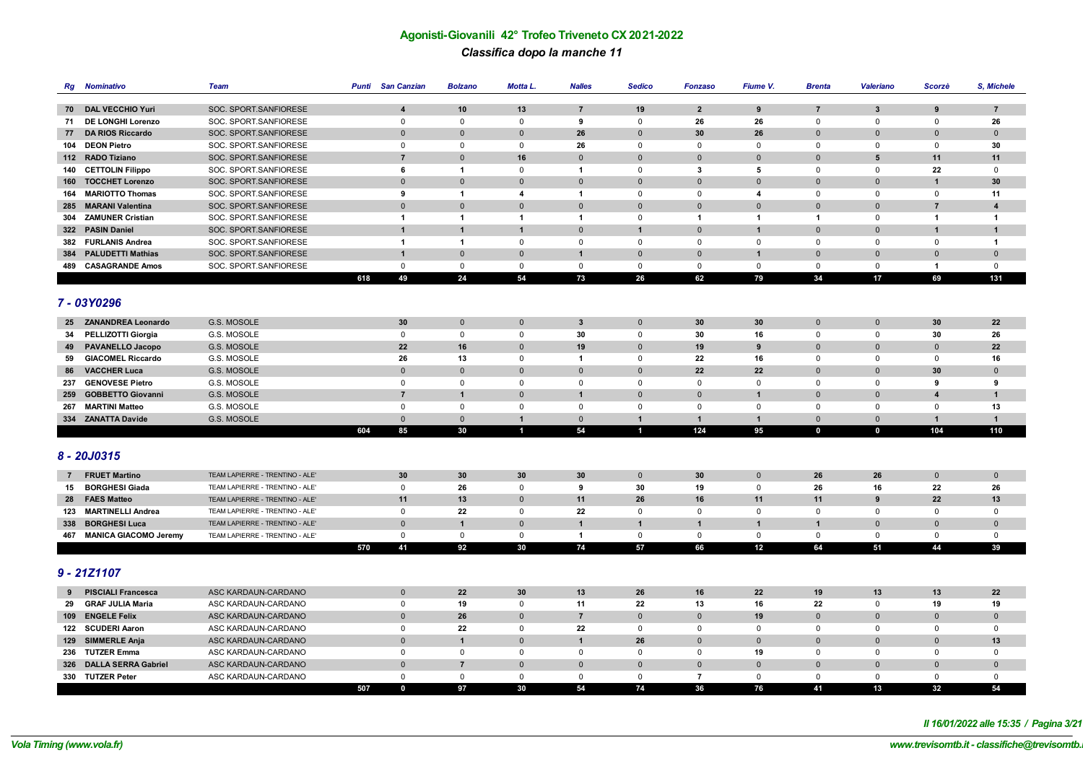# **Agonisti-Giovanili 42° Trofeo Triveneto CX 2021-2022** *Classifica dopo la manche 11*

| Rg             | <b>Nominativo</b>         | <b>Team</b>                     |     | <b>Punti</b> San Canzian | <b>Bolzano</b> | Motta L.                | <b>Nalles</b>  | Sedico         | <b>Fonzaso</b>          | Fiume V.                | <b>Brenta</b>                 | Valeriano    | Scorzè           | S, Michele              |
|----------------|---------------------------|---------------------------------|-----|--------------------------|----------------|-------------------------|----------------|----------------|-------------------------|-------------------------|-------------------------------|--------------|------------------|-------------------------|
|                | 70 DAL VECCHIO Yuri       | SOC. SPORT.SANFIORESE           |     | $\overline{\mathbf{4}}$  | 10             | 13                      | $\overline{7}$ | 19             | $\overline{2}$          |                         |                               | $\mathbf{3}$ | $\boldsymbol{9}$ |                         |
|                | DE LONGHI Lorenzo         | SOC. SPORT.SANFIORESE           |     | $\mathsf 0$              | $\mathsf 0$    | $\mathbf 0$             | 9              | $\mathsf 0$    | 26                      | 9<br>26                 | $\overline{7}$<br>$\mathsf 0$ | $\mathsf 0$  | $\mathsf 0$      | $\overline{7}$<br>26    |
| 71             | <b>DA RIOS Riccardo</b>   | SOC. SPORT.SANFIORESE           |     | $\mathbf 0$              | $\Omega$       | $\mathbf 0$             | 26             | $\Omega$       | 30                      | 26                      | $\mathbf 0$                   | $\Omega$     | $\Omega$         | $\mathbf 0$             |
| 77             | 104 DEON Pietro           | SOC. SPORT.SANFIORESE           |     | $\mathbf 0$              | $\mathbf 0$    | 0                       | 26             | $\mathbf 0$    | $\mathbf 0$             | $\mathsf{O}$            | $\mathbf 0$                   | 0            | 0                | 30                      |
|                | 112 RADO Tiziano          | SOC. SPORT.SANFIORESE           |     | $\overline{7}$           | $\Omega$       | 16                      | $\mathbf{0}$   | $\Omega$       | $\Omega$                | $\Omega$                | $\mathbf 0$                   | 5            | 11               | 11                      |
|                | 140 CETTOLIN Filippo      | SOC. SPORT.SANFIORESE           |     | 6                        | $\overline{1}$ | $\mathbf 0$             | $\mathbf{1}$   | $\mathsf 0$    | 3                       | 5                       | $\mathbf 0$                   | $\Omega$     | 22               | $\mathbf 0$             |
|                | 160 TOCCHET Lorenzo       | SOC. SPORT.SANFIORESE           |     | $\mathbf 0$              | $\Omega$       | $\Omega$                | $\Omega$       | $\Omega$       | $\overline{0}$          | $\Omega$                | $\mathbf 0$                   | $\Omega$     | $\overline{1}$   | 30                      |
|                | 164 MARIOTTO Thomas       | SOC. SPORT.SANFIORESE           |     | 9                        | $\overline{1}$ | $\overline{\mathbf{4}}$ | $\mathbf{1}$   | $\mathbf 0$    | $\mathbf 0$             | $\overline{\mathbf{4}}$ | $\mathbf 0$                   | $\Omega$     | $\mathbf 0$      | 11                      |
|                | 285 MARANI Valentina      | SOC. SPORT.SANFIORESE           |     | $\mathbf{0}$             | $\Omega$       | $\mathbf{0}$            | $\Omega$       | $\Omega$       | $\Omega$                | $\Omega$                | $\mathbf{0}$                  | $\Omega$     | $\overline{7}$   | $\overline{\mathbf{4}}$ |
|                | 304 ZAMUNER Cristian      | SOC. SPORT.SANFIORESE           |     | $\overline{1}$           | $\overline{1}$ | $\mathbf{1}$            | $\mathbf{1}$   | $\mathsf 0$    | $\overline{\mathbf{1}}$ | $\mathbf{1}$            | $\mathbf{1}$                  | $\mathbf 0$  | $\mathbf{1}$     | $\blacktriangleleft$    |
|                | 322 PASIN Daniel          | SOC. SPORT.SANFIORESE           |     | $\mathbf{1}$             | $\overline{1}$ | $\overline{1}$          | $\Omega$       | $\overline{1}$ | $\Omega$                | $\mathbf{1}$            | $\mathbf 0$                   | $\Omega$     | $\overline{1}$   | $\mathbf{1}$            |
|                | 382 FURLANIS Andrea       | SOC. SPORT.SANFIORESE           |     | $\overline{1}$           | $\overline{1}$ | $\mathbf 0$             | $\mathbf 0$    | $\mathbf 0$    | $\mathbf 0$             | $\mathbf{0}$            | $\mathbf 0$                   | $\mathbf{0}$ | $\mathbf 0$      | $\overline{1}$          |
|                | 384 PALUDETTI Mathias     | SOC. SPORT.SANFIORESE           |     | $\mathbf{1}$             | $\mathbf 0$    | $\mathbf 0$             | $\mathbf{1}$   | $\mathbf 0$    | $\mathbf{0}$            | $\mathbf{1}$            | $\mathbf 0$                   | $\mathbf{0}$ | $\mathbf{0}$     | $\mathbf 0$             |
|                | 489 CASAGRANDE Amos       | SOC. SPORT.SANFIORESE           |     | $\mathsf 0$              | $\mathbf 0$    | 0                       | $\mathsf 0$    | $\mathbf 0$    | $\mathsf{O}$            | $\mathbf 0$             | $\mathsf 0$                   | $\mathbf 0$  | $\mathbf{1}$     | $\mathsf 0$             |
|                |                           |                                 | 618 | 49                       | 24             | 54                      | 73             | 26             | 62                      | 79                      | 34                            | 17           | 69               | 131                     |
|                |                           |                                 |     |                          |                |                         |                |                |                         |                         |                               |              |                  |                         |
|                | 7 - 03Y0296               |                                 |     |                          |                |                         |                |                |                         |                         |                               |              |                  |                         |
|                | 25 ZANANDREA Leonardo     | G.S. MOSOLE                     |     | 30                       | $\mathbf{0}$   | $\mathbf{0}$            | $\mathbf{3}$   | $\mathbf 0$    | 30                      | 30                      | $\mathbf 0$                   | $\mathbf{0}$ | 30               | 22                      |
|                | 34 PELLIZOTTI Giorgia     | G.S. MOSOLE                     |     | $\mathbf 0$              | $\mathbf 0$    | 0                       | 30             | $\mathbf 0$    | 30                      | 16                      | $\mathbf 0$                   | 0            | 30               | 26                      |
|                | 49 PAVANELLO Jacopo       | G.S. MOSOLE                     |     | 22                       | 16             | $\mathbf{0}$            | 19             | $\mathbf 0$    | 19                      | 9                       | $\overline{0}$                | $\mathbf 0$  | $\Omega$         | 22                      |
| 59             | <b>GIACOMEL Riccardo</b>  | G.S. MOSOLE                     |     | 26                       | 13             | $\Omega$                | $\mathbf{1}$   | $\Omega$       | 22                      | 16                      | 0                             | $\Omega$     | $\mathbf 0$      | 16                      |
| 86             | <b>VACCHER Luca</b>       | G.S. MOSOLE                     |     | $\mathbf 0$              | $\Omega$       | $\Omega$                | $\mathbf 0$    | $\Omega$       | 22                      | 22                      | $\overline{0}$                | $\Omega$     | 30               | $\mathbf 0$             |
|                | 237 GENOVESE Pietro       | G.S. MOSOLE                     |     | $\mathbf 0$              | $\mathbf 0$    | $\mathbf 0$             | $\mathbf 0$    | $\mathbf 0$    | $\mathbf 0$             | $\mathsf{O}$            | $\mathbf 0$                   | $\mathbf 0$  | 9                | 9                       |
| 259            | <b>GOBBETTO Giovanni</b>  | G.S. MOSOLE                     |     | $\overline{7}$           | 1              | $\Omega$                | $\mathbf{1}$   | $\Omega$       | $\mathbf{0}$            | $\mathbf 1$             | $\mathbf 0$                   | $\Omega$     | $\boldsymbol{4}$ | $\mathbf{1}$            |
| 267            | <b>MARTINI Matteo</b>     | G.S. MOSOLE                     |     | $\mathsf 0$              | $\mathsf 0$    | 0                       | 0              | $\mathbf 0$    | $\mathsf{O}$            | $\mathbf 0$             | $\mathbf 0$                   | $\Omega$     | 0                | 13                      |
|                | 334 ZANATTA Davide        | G.S. MOSOLE                     |     | $\mathbf 0$              | $\mathbf 0$    | $\mathbf{1}$            | $\mathbf 0$    | $\mathbf{1}$   | $\mathbf{1}$            | $\mathbf{1}$            | $\mathbf 0$                   | $\mathbf 0$  | $\mathbf{1}$     | $\mathbf{1}$            |
|                |                           |                                 | 604 | 85                       | 30             | $\blacksquare$          | 54             | $\mathbf{1}$   | 124                     | 95                      | $\mathbf 0$                   | $\mathbf 0$  | 104              | 110                     |
|                |                           |                                 |     |                          |                |                         |                |                |                         |                         |                               |              |                  |                         |
|                | 8 - 20J0315               |                                 |     |                          |                |                         |                |                |                         |                         |                               |              |                  |                         |
| $\overline{7}$ | <b>FRUET Martino</b>      | TEAM LAPIERRE - TRENTINO - ALE' |     | 30                       | 30             | 30                      | 30             | $\mathbf 0$    | 30                      | $\Omega$                | 26                            | 26           | $\mathbf 0$      | $\mathbf 0$             |
|                | 15 BORGHESI Giada         | TEAM LAPIERRE - TRENTINO - ALE' |     | $\mathbf 0$              | 26             | $\mathbf 0$             | 9              | 30             | 19                      | $\mathbf 0$             | 26                            | 16           | 22               | 26                      |
|                | 28 FAES Matteo            | TEAM LAPIERRE - TRENTINO - ALE' |     | 11                       | 13             | $\mathbf{0}$            | 11             | 26             | 16                      | 11                      | 11                            | 9            | 22               | 13                      |
|                | 123 MARTINELLI Andrea     | TEAM LAPIERRE - TRENTINO - ALE' |     | $\mathsf 0$              | 22             | $\Omega$                | 22             | $\mathbf 0$    | $\mathbf 0$             | $\mathbf 0$             | $\mathbf 0$                   | $\Omega$     | $\mathbf 0$      | $\mathbf 0$             |
|                | 338 BORGHESI Luca         | TEAM LAPIERRE - TRENTINO - ALE' |     | $\mathbf{0}$             | $\overline{1}$ | $\Omega$                | $\mathbf{1}$   | $\mathbf{1}$   | $\overline{1}$          | $\mathbf{1}$            | $\overline{1}$                | $\Omega$     | $\Omega$         | $\mathbf{0}$            |
|                | 467 MANICA GIACOMO Jeremy | TEAM LAPIERRE - TRENTINO - ALE' |     | $\mathbf 0$              | $\mathbf 0$    | 0                       | $\mathbf{1}$   | $\mathbf 0$    | $\mathsf{O}$            | $\mathsf{O}$            | $\mathsf 0$                   | $\mathbf 0$  | 0                | $\mathbf 0$             |
|                |                           |                                 | 570 | 41                       | 92             | 30                      | 74             | 57             | 66                      | 12                      | 64                            | 51           | 44               | 39                      |
|                |                           |                                 |     |                          |                |                         |                |                |                         |                         |                               |              |                  |                         |
|                | $9 - 21Z1107$             |                                 |     |                          |                |                         |                |                |                         |                         |                               |              |                  |                         |
| 9              | <b>PISCIALI Francesca</b> | ASC KARDAUN-CARDANO             |     | $\mathbf 0$              | 22             | 30                      | 13             | 26             | 16                      | 22                      | 19                            | 13           | 13               | 22                      |
|                | 29 GRAF JULIA Maria       | ASC KARDAUN-CARDANO             |     | $\mathbf 0$              | 19             | 0                       | 11             | 22             | 13                      | 16                      | 22                            | 0            | 19               | 19                      |
|                | 109 ENGELE Felix          | ASC KARDAUN-CARDANO             |     | $\mathbf{0}$             | 26             | $\Omega$                | $\overline{7}$ | $\Omega$       | $\Omega$                | 19                      | $\mathbf{0}$                  | $\Omega$     | $\Omega$         | $\mathbf{0}$            |
|                | 122 SCUDERI Aaron         | ASC KARDAUN-CARDANO             |     | $\mathbf 0$              | 22             | $\mathbf 0$             | 22             | $\mathbf 0$    | $\mathbf 0$             | $\mathsf{O}$            | $\mathbf 0$                   | 0            | 0                | $\mathbf 0$             |
|                | 129 SIMMERLE Anja         | ASC KARDAUN-CARDANO             |     | $\mathbf 0$              | $\overline{1}$ | $\Omega$                | $\mathbf{1}$   | 26             | $\Omega$                | $\mathbf{0}$            | $\mathbf 0$                   | $\mathbf{0}$ | $\Omega$         | 13                      |
|                | 236 TUTZER Emma           | ASC KARDAUN-CARDANO             |     | $\mathbf 0$              | $\mathbf 0$    | $\Omega$                | $\mathbf 0$    | $\Omega$       | $\Omega$                | 19                      | 0                             | $\Omega$     | $\Omega$         | $^{\circ}$              |
|                | 326 DALLA SERRA Gabriel   | ASC KARDAUN-CARDANO             |     | $\overline{0}$           | $\overline{7}$ | $\mathbf 0$             | $\overline{0}$ | $\mathbf 0$    | $\overline{0}$          | $\mathbf{0}$            | $\overline{0}$                | $\mathbf 0$  | $\Omega$         | $\mathbf 0$             |
|                | 330 TUTZER Peter          | ASC KARDAUN-CARDANO             |     | $\mathbf{0}$             | $\mathbf{0}$   | $\Omega$                | $\mathbf 0$    | $\Omega$       | $\overline{7}$          | $\mathbf 0$             | $\mathbf{0}$                  | $\Omega$     | $\Omega$         | $\mathbf 0$             |
|                |                           |                                 | 507 | $\mathbf 0$              | 97             | 30                      | 54             | 74             | 36                      | 76                      | 41                            | 13           | 32               | 54                      |

*Il 16/01/2022 alle 15:35 / Pagina 3/21*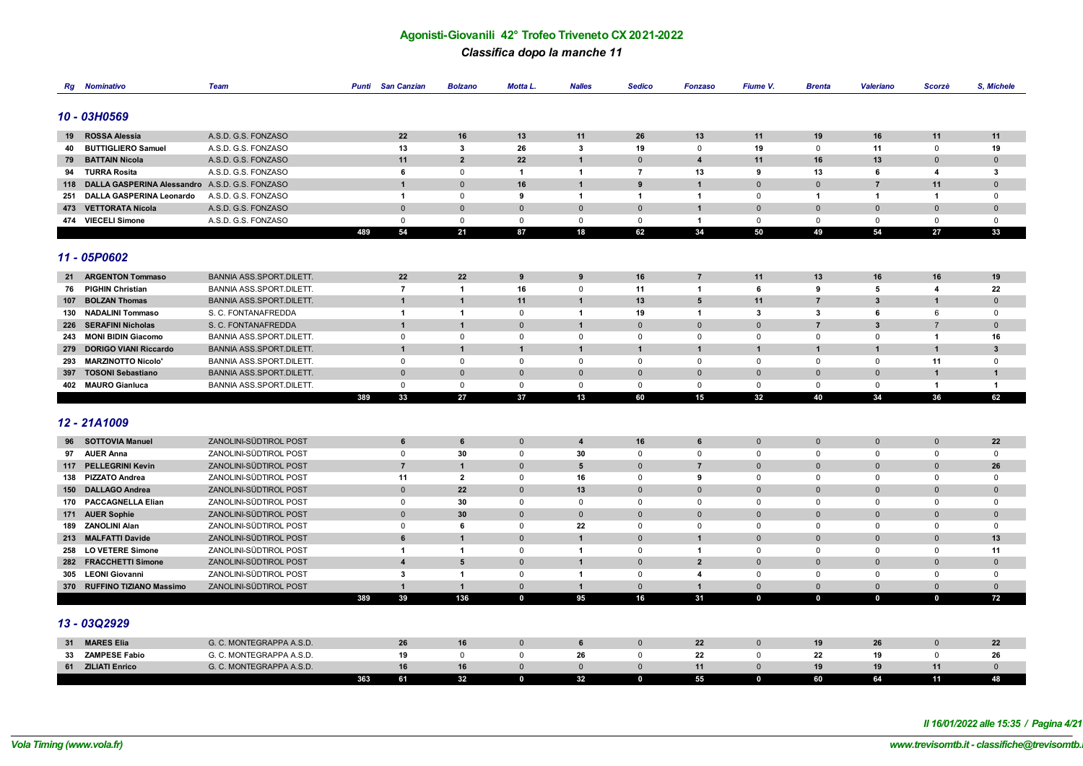#### *Classifica dopo la manche 11*

| Rg  | <b>Nominativo</b>                                  | Team                                                 | Punti | <b>San Canzian</b>             | <b>Bolzano</b>                 | Motta L.       | <b>Nalles</b>               | <b>Sedico</b>  | <b>Fonzaso</b>          | Fiume V.     | <b>Brenta</b>           | Valeriano      | Scorzè              | S, Michele           |
|-----|----------------------------------------------------|------------------------------------------------------|-------|--------------------------------|--------------------------------|----------------|-----------------------------|----------------|-------------------------|--------------|-------------------------|----------------|---------------------|----------------------|
|     |                                                    |                                                      |       |                                |                                |                |                             |                |                         |              |                         |                |                     |                      |
|     | 10 - 03H0569                                       |                                                      |       |                                |                                |                |                             |                |                         |              |                         |                |                     |                      |
|     |                                                    |                                                      |       |                                |                                |                |                             |                |                         |              |                         |                |                     |                      |
| 19  | <b>ROSSA Alessia</b>                               | A.S.D. G.S. FONZASO                                  |       | 22                             | 16                             | 13             | 11                          | 26             | 13                      | 11           | 19                      | 16             | 11                  | 11                   |
| 40  | <b>BUTTIGLIERO Samuel</b>                          | A.S.D. G.S. FONZASO                                  |       | 13                             | $\mathbf{3}$                   | 26             | $\mathbf{3}$                | 19             | 0                       | 19           | $\mathbf 0$             | 11             | 0                   | 19                   |
|     | 79 BATTAIN Nicola                                  | A.S.D. G.S. FONZASO                                  |       | 11                             | $\overline{2}$                 | 22             | $\mathbf{1}$                | $\mathbf{0}$   | $\overline{\mathbf{4}}$ | 11           | 16                      | 13             | $\Omega$            | $\mathbf{0}$         |
|     | 94 TURRA Rosita                                    | A.S.D. G.S. FONZASO                                  |       | 6                              | $\mathbf 0$                    | $\overline{1}$ | $\mathbf{1}$                | $\overline{7}$ | 13                      | 9            | 13                      | 6              | 4                   | 3                    |
|     | 118 DALLA GASPERINA Alessandro A.S.D. G.S. FONZASO |                                                      |       | $\overline{1}$                 | $\overline{0}$                 | 16             | $\mathbf{1}$                | 9              | $\overline{1}$          | $\mathbf 0$  | $\mathbf 0$             | $\overline{7}$ | 11                  | $\mathbf 0$          |
|     | 251 DALLA GASPERINA Leonardo                       | A.S.D. G.S. FONZASO                                  |       | $\mathbf{1}$                   | $\mathbf 0$                    | 9              | $\blacktriangleleft$        | $\mathbf{1}$   | $\overline{1}$          | 0            | $\mathbf{1}$            | $\mathbf{1}$   | $\mathbf{1}$        | $\mathbf 0$          |
|     | 473 VETTORATA Nicola                               | A.S.D. G.S. FONZASO                                  |       | $\mathbf{0}$                   | $\mathbf{0}$                   | $\Omega$       | $\mathbf{0}$                | $\mathbf{0}$   | $\overline{1}$          | $\mathbf{0}$ | $\mathbf 0$             | $\Omega$       | $\Omega$            | $\mathbf{0}$         |
|     | 474 VIECELI Simone                                 | A.S.D. G.S. FONZASO                                  |       | $\mathbf 0$                    | $\mathbf 0$                    | $\mathbf 0$    | $\mathbf 0$                 | $\mathbf{0}$   | $\overline{1}$          | $\mathbf 0$  | $\mathbf 0$             | $\mathbf 0$    | $\mathbf 0$         | $\mathbf 0$          |
|     |                                                    |                                                      | 489   | 54                             | 21                             | 87             | 18                          | 62             | 34                      | 50           | 49                      | 54             | 27                  | 33                   |
|     |                                                    |                                                      |       |                                |                                |                |                             |                |                         |              |                         |                |                     |                      |
|     | 11 - 05P0602                                       |                                                      |       |                                |                                |                |                             |                |                         |              |                         |                |                     |                      |
|     |                                                    |                                                      |       |                                |                                |                |                             |                |                         |              |                         |                |                     |                      |
| 21  | <b>ARGENTON Tommaso</b>                            | <b>BANNIA ASS.SPORT.DILETT.</b>                      |       | 22                             | 22                             | 9              | 9                           | 16             | $\overline{7}$          | 11           | 13                      | 16             | 16                  | 19                   |
|     | 76 PIGHIN Christian<br>107 BOLZAN Thomas           | BANNIA ASS.SPORT.DILETT.<br>BANNIA ASS.SPORT.DILETT. |       | $\overline{7}$                 | $\mathbf{1}$<br>$\overline{1}$ | 16<br>11       | $\mathbf 0$<br>$\mathbf{1}$ | 11<br>13       | 1<br>5                  | 6<br>11      | 9<br>$\overline{7}$     | 5<br>3         | $\overline{4}$<br>1 | 22<br>$\mathbf 0$    |
|     | 130 NADALINI Tommaso                               | S. C. FONTANAFREDDA                                  |       | $\mathbf{1}$<br>$\overline{1}$ | $\overline{1}$                 | $\mathbf 0$    | $\overline{1}$              | 19             | $\overline{\mathbf{1}}$ | $\mathbf{3}$ | $\overline{\mathbf{3}}$ | 6              | 6                   | $\mathbf 0$          |
|     | 226 SERAFINI Nicholas                              | S. C. FONTANAFREDDA                                  |       | $\mathbf{1}$                   | 1                              | $\Omega$       | $\mathbf{1}$                | $\Omega$       | $\mathbf{0}$            | $\Omega$     | $\overline{7}$          | 3              | $\overline{7}$      | $\mathbf{0}$         |
|     | 243 MONI BIDIN Giacomo                             | BANNIA ASS.SPORT.DILETT.                             |       | $\mathsf 0$                    | 0                              | 0              | $\mathsf 0$                 | $\mathbf 0$    | $\mathbf 0$             | $\mathsf 0$  | $\mathbf 0$             | $\mathbf 0$    | $\mathbf{1}$        | 16                   |
| 279 | <b>DORIGO VIANI Riccardo</b>                       | <b>BANNIA ASS.SPORT.DILETT.</b>                      |       | $\mathbf{1}$                   | $\overline{1}$                 | $\mathbf{1}$   | $\mathbf{1}$                | $\mathbf{1}$   | 1                       | $\mathbf{1}$ | $\overline{1}$          | $\overline{1}$ | $\overline{1}$      | $\mathbf{3}$         |
| 293 | <b>MARZINOTTO Nicolo'</b>                          | BANNIA ASS.SPORT.DILETT.                             |       | $\mathbf 0$                    | $\mathbf 0$                    | $\mathbf 0$    | $\mathbf 0$                 | $\mathbf{0}$   | $\mathbf 0$             | $\mathbf 0$  | $\mathbf 0$             | $\mathbf 0$    | 11                  | $\mathbf 0$          |
| 397 | <b>TOSONI Sebastiano</b>                           | BANNIA ASS.SPORT.DILETT.                             |       | $\mathbf 0$                    | $\mathbf{0}$                   | $\Omega$       | $\pmb{0}$                   | $\mathbf 0$    | $\mathbf{0}$            | $\mathbf{0}$ | $\mathbf 0$             | $\mathbf{0}$   | 1                   | $\mathbf{1}$         |
|     | 402 MAURO Gianluca                                 | BANNIA ASS.SPORT.DILETT.                             |       | $\mathsf 0$                    | $\mathbf 0$                    | $\mathsf 0$    | $\mathsf 0$                 | $\mathbf 0$    | $\mathbf 0$             | $\mathsf 0$  | $\mathsf 0$             | $\mathbf 0$    | $\overline{1}$      | $\blacktriangleleft$ |
|     |                                                    |                                                      | 389   | 33                             | 27                             | 37             | 13                          | 60             | 15                      | 32           | 40                      | 34             | 36                  | 62                   |
|     |                                                    |                                                      |       |                                |                                |                |                             |                |                         |              |                         |                |                     |                      |
|     | 12 - 21A1009                                       |                                                      |       |                                |                                |                |                             |                |                         |              |                         |                |                     |                      |
|     |                                                    |                                                      |       |                                |                                |                |                             |                |                         |              |                         |                |                     |                      |
|     | 96 SOTTOVIA Manuel                                 | ZANOLINI-SÜDTIROL POST                               |       | 6                              | 6                              | $\mathbf 0$    | $\overline{4}$              | 16             | 6                       | $\mathbf 0$  | $\mathbf 0$             | $\mathbf{0}$   | $\mathbf 0$         | 22                   |
|     | 97 AUER Anna                                       | ZANOLINI-SÜDTIROL POST                               |       | $\mathsf 0$                    | 30                             | 0              | 30                          | $\mathsf 0$    | $\mathsf{O}$            | $\mathbf 0$  | $\mathsf 0$             | $\mathsf 0$    | 0                   | $\mathbf 0$          |
|     | 117 PELLEGRINI Kevin                               | ZANOLINI-SÜDTIROL POST                               |       | $\overline{7}$                 | $\mathbf{1}$                   | $\Omega$       | $5\phantom{1}$              | $\Omega$       | $\overline{7}$          | $\Omega$     | $\mathbf 0$             | $\Omega$       | $\Omega$            | 26                   |
|     | 138 PIZZATO Andrea                                 | ZANOLINI-SÜDTIROL POST                               |       | 11                             | $\overline{2}$                 | 0              | 16                          | $\mathbf 0$    | 9                       | $\mathbf 0$  | $\mathbf 0$             | $\Omega$       | $\mathbf 0$         | $\mathbf 0$          |
|     | 150 DALLAGO Andrea                                 | ZANOLINI-SÜDTIROL POST                               |       | $\mathbf 0$                    | 22                             | $\Omega$       | 13                          | $\Omega$       | $\mathbf{0}$            | $\Omega$     | $\mathbf 0$             | $\Omega$       | $\Omega$            | $\mathbf{0}$         |
|     | 170 PACCAGNELLA Elian                              | ZANOLINI-SÜDTIROL POST                               |       | $\mathsf 0$                    | 30                             | $\mathbf 0$    | $\mathbf 0$                 | $\mathbf 0$    | $\mathbf 0$             | $\Omega$     | $\mathbf 0$             | $\Omega$       | $\mathbf 0$         | $\mathbf 0$          |
|     | 171 AUER Sophie                                    | ZANOLINI-SÜDTIROL POST                               |       | $\mathbf{0}$                   | 30                             | $\Omega$       | $\mathbf{0}$                | $\Omega$       | $\Omega$                | $\Omega$     | $\mathbf{0}$            | $\Omega$       | $\Omega$            | $\mathbf{0}$         |
|     | 189 ZANOLINI Alan                                  | ZANOLINI-SÜDTIROL POST                               |       | $\mathsf 0$                    | 6                              | 0              | 22                          | $\mathbf 0$    | $\mathbf 0$             | 0            | $\mathbf 0$             | $\Omega$       | 0                   | $\mathbf 0$          |
|     | 213 MALFATTI Davide                                | ZANOLINI-SÜDTIROL POST                               |       | $6\phantom{1}$                 | $\overline{1}$                 | $\Omega$       | $\mathbf{1}$                | $\mathbf{0}$   | $\overline{1}$          | $\Omega$     | $\mathbf 0$             | $\Omega$       | $\Omega$            | 13                   |
|     | 258 LO VETERE Simone                               | ZANOLINI-SÜDTIROL POST                               |       | $\mathbf{1}$                   | $\overline{1}$                 | $\mathbf 0$    | $\overline{1}$              | $\mathbf 0$    | $\overline{1}$          | $\mathbf 0$  | $\mathsf 0$             | 0              | $\mathbf 0$         | 11                   |
|     | 282 FRACCHETTI Simone                              | ZANOLINI-SÜDTIROL POST                               |       | $\overline{4}$                 | 5                              | $\Omega$       | $\mathbf{1}$                | $\mathbf{0}$   | $\overline{2}$          | $\mathbf{0}$ | $\mathbf 0$             | $\Omega$       | $\Omega$            | $\mathbf{0}$         |
|     | 305 LEONI Giovanni                                 | ZANOLINI-SÜDTIROL POST                               |       | 3                              | $\mathbf{1}$                   | 0              | $\blacktriangleleft$        | $\mathbf 0$    | $\overline{4}$          | $\mathbf 0$  | $\mathbf 0$             | 0              | 0                   | $\mathsf 0$          |
|     | 370 RUFFINO TIZIANO Massimo                        | ZANOLINI-SÜDTIROL POST                               |       | $\mathbf{1}$                   | $\overline{1}$                 | $\mathbf 0$    | $\mathbf{1}$                | $\mathbf 0$    | $\overline{1}$          | $\mathbf 0$  | $\mathbf 0$             | $\mathbf{0}$   | $\mathbf{0}$        | $\mathbf 0$          |
|     |                                                    |                                                      | 389   | 39                             | 136                            | $\mathbf 0$    | 95                          | 16             | 31                      | $\mathbf 0$  | $\mathbf 0$             | $\mathbf 0$    | $\mathbf 0$         | 72                   |
|     |                                                    |                                                      |       |                                |                                |                |                             |                |                         |              |                         |                |                     |                      |
|     | 13 - 03Q2929                                       |                                                      |       |                                |                                |                |                             |                |                         |              |                         |                |                     |                      |
|     | <b>MARES Elia</b>                                  | G. C. MONTEGRAPPA A.S.D.                             |       | 26                             | 16                             | $\mathbf 0$    | 6                           | $\mathbf 0$    | 22                      | $\mathbf 0$  | 19                      | 26             | $\mathbf{0}$        | 22                   |
| 31  | 33 ZAMPESE Fabio                                   | G. C. MONTEGRAPPA A.S.D.                             |       | 19                             | 0                              | $\mathbf 0$    | 26                          | $\mathbf 0$    | 22                      | $\mathbf{0}$ | 22                      | 19             | $\Omega$            | 26                   |
|     | 61 ZILIATI Enrico                                  | G. C. MONTEGRAPPA A.S.D.                             |       | 16                             | 16                             | $\mathbf{0}$   | $\mathbf{0}$                | $\Omega$       | 11                      | $\mathbf{0}$ | 19                      | 19             | 11                  | $\mathbf{0}$         |
|     |                                                    |                                                      | 363   | 61                             | 32                             | $\mathbf 0$    | 32                          | 0              | 55                      | $\mathbf 0$  | 60                      | 64             | 11                  | 48                   |
|     |                                                    |                                                      |       |                                |                                |                |                             |                |                         |              |                         |                |                     |                      |

*Il 16/01/2022 alle 15:35 / Pagina 4/21*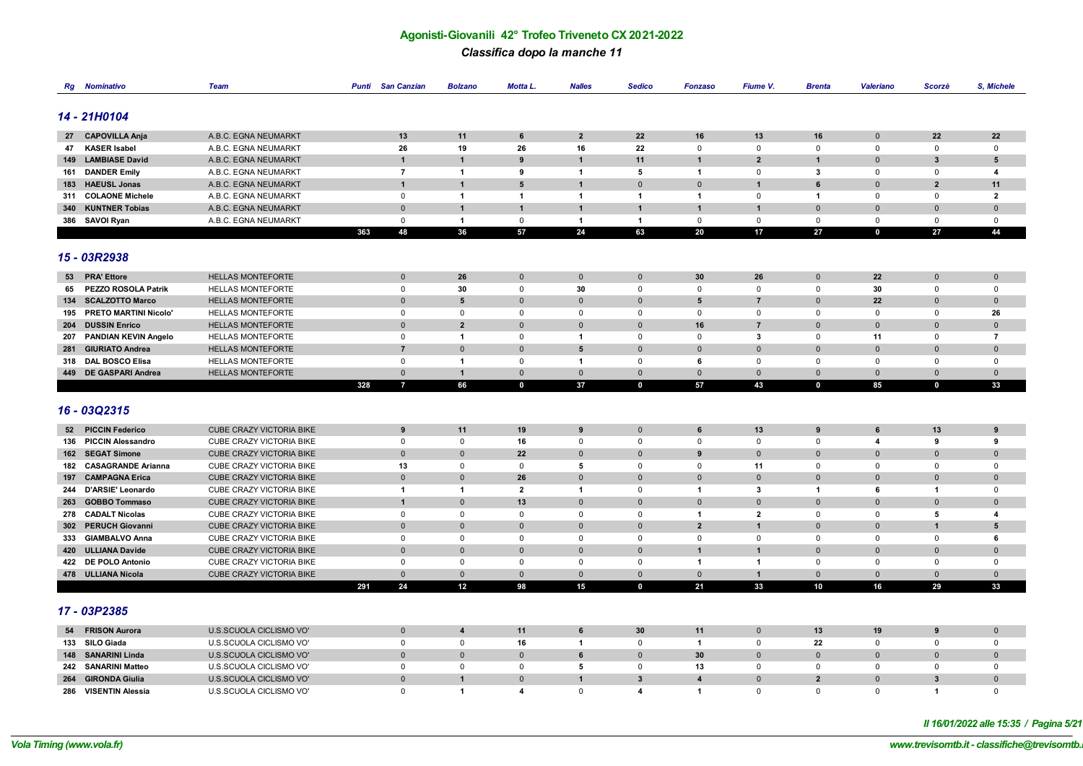#### *Classifica dopo la manche 11*

| Rg  | <b>Nominativo</b>         | <b>Team</b>                     | <b>Punti</b> | <b>San Canzian</b> | <b>Bolzano</b>          | Motta L.                | <b>Nalles</b>  | <b>Sedico</b>           | Fonzaso        | Fiume V.       | <b>Brenta</b>        | <b>Valeriano</b> | Scorzè         | S, Michele              |
|-----|---------------------------|---------------------------------|--------------|--------------------|-------------------------|-------------------------|----------------|-------------------------|----------------|----------------|----------------------|------------------|----------------|-------------------------|
|     |                           |                                 |              |                    |                         |                         |                |                         |                |                |                      |                  |                |                         |
|     | 14 - 21H0104              |                                 |              |                    |                         |                         |                |                         |                |                |                      |                  |                |                         |
|     |                           |                                 |              |                    |                         |                         |                |                         |                |                |                      |                  |                |                         |
|     | 27 CAPOVILLA Anja         | A.B.C. EGNA NEUMARKT            |              | 13                 | 11                      | 6                       | $\overline{2}$ | 22                      | 16             | 13             | 16                   | $\mathbf 0$      | 22             | 22                      |
|     | 47 KASER Isabel           | A.B.C. EGNA NEUMARKT            |              | 26                 | 19                      | 26                      | 16             | 22                      | $\mathbf 0$    | $\mathbf 0$    | $\mathbf 0$          | $\mathbf 0$      | $\mathbf 0$    | $\mathbf 0$             |
|     | 149 LAMBIASE David        | A.B.C. EGNA NEUMARKT            |              | $\mathbf{1}$       | 1                       | 9                       | $\mathbf{1}$   | 11                      | $\overline{1}$ | $\overline{2}$ | $\overline{1}$       | $\Omega$         | 3              | 5                       |
|     | 161 DANDER Emily          | A.B.C. EGNA NEUMARKT            |              | $\overline{7}$     | $\overline{1}$          | 9                       | $\mathbf{1}$   | 5                       | $\overline{1}$ | $\mathbf 0$    | $\mathbf{3}$         | $\Omega$         | $\mathbf 0$    | 4                       |
|     | 183 HAEUSL Jonas          | A.B.C. EGNA NEUMARKT            |              | $\mathbf{1}$       | 1                       | 5                       | $\mathbf{1}$   | $\mathbf{0}$            | $\mathbf{0}$   | $\mathbf{1}$   | 6                    | $\mathbf{0}$     | $\overline{2}$ | 11                      |
| 311 | <b>COLAONE Michele</b>    | A.B.C. EGNA NEUMARKT            |              | $\mathsf 0$        | $\overline{1}$          | $\overline{\mathbf{1}}$ | $\mathbf{1}$   | $\mathbf{1}$            | $\overline{1}$ | $\mathbf 0$    | $\blacktriangleleft$ | $\mathbf 0$      | 0              | $\overline{\mathbf{2}}$ |
|     | 340 KUNTNER Tobias        | A.B.C. EGNA NEUMARKT            |              | $\mathbf 0$        | $\overline{1}$          | $\overline{1}$          | $\mathbf{1}$   | $\mathbf{1}$            | $\overline{1}$ | $\overline{1}$ | $\mathbf 0$          | $\mathbf{0}$     | $\mathbf{0}$   | $\mathbf 0$             |
|     | 386 SAVOI Ryan            | A.B.C. EGNA NEUMARKT            |              | $\mathbf 0$        | $\blacktriangleleft$    | $\mathbf 0$             | $\mathbf{1}$   | $\overline{1}$          | $\Omega$       | $\mathbf 0$    | $\mathsf 0$          | $\mathsf 0$      | $\mathsf 0$    | $\mathbf 0$             |
|     |                           |                                 | 363          | 48                 | 36                      | 57                      | 24             | 63                      | 20             | 17             | 27                   | $\mathbf 0$      | 27             | 44                      |
|     |                           |                                 |              |                    |                         |                         |                |                         |                |                |                      |                  |                |                         |
|     | 15 - 03R2938              |                                 |              |                    |                         |                         |                |                         |                |                |                      |                  |                |                         |
|     | 53 PRA' Ettore            | <b>HELLAS MONTEFORTE</b>        |              | $\mathbf{0}$       | 26                      | $\mathbf{0}$            | $\mathbf 0$    | $\mathbf{0}$            | 30             | 26             | $\mathbf 0$          | 22               | $\mathbf 0$    | $\mathbf 0$             |
|     | 65 PEZZO ROSOLA Patrik    | <b>HELLAS MONTEFORTE</b>        |              | $\mathbf{0}$       | 30                      | $\mathbf 0$             | 30             | $\Omega$                | $\Omega$       | $\mathbf 0$    | $\mathbf 0$          | 30               | $\mathbf 0$    | $\mathbf 0$             |
|     | 134 SCALZOTTO Marco       | <b>HELLAS MONTEFORTE</b>        |              | $\mathbf{0}$       | 5                       | $\mathbf{0}$            | $\mathbf{0}$   | $\overline{0}$          | 5              | $\overline{7}$ | $\overline{0}$       | 22               | $\Omega$       | $\mathbf 0$             |
|     | 195 PRETO MARTINI Nicolo' | <b>HELLAS MONTEFORTE</b>        |              | 0                  | $\mathbf 0$             | $\mathbf 0$             | 0              | $\mathbf 0$             | $\mathbf 0$    | $\mathbf 0$    | $\mathbf 0$          | $\mathbf 0$      | $\mathbf 0$    | 26                      |
|     | 204 DUSSIN Enrico         | <b>HELLAS MONTEFORTE</b>        |              | $\mathbf 0$        | $\overline{2}$          | $\mathbf{0}$            | $\mathbf 0$    | $\overline{0}$          | 16             | $\overline{7}$ | $\mathbf 0$          | $\mathbf{0}$     | $\mathbf{0}$   | $\mathbf 0$             |
|     | 207 PANDIAN KEVIN Angelo  | <b>HELLAS MONTEFORTE</b>        |              | $\mathbf 0$        | $\overline{1}$          | $\mathsf 0$             | $\mathbf{1}$   | $\mathbf 0$             | $\Omega$       | $\mathbf{3}$   | $\mathbf{0}$         | 11               | $\mathbf 0$    | $\overline{7}$          |
|     | 281 GIURIATO Andrea       | <b>HELLAS MONTEFORTE</b>        |              | $\overline{7}$     | $\Omega$                | $\Omega$                | 5              | $\Omega$                | $\Omega$       | $\Omega$       | $\mathbf{0}$         | $\Omega$         | $\Omega$       | $\mathbf{0}$            |
| 318 | <b>DAL BOSCO Elisa</b>    | <b>HELLAS MONTEFORTE</b>        |              | $\mathbf 0$        | $\overline{1}$          | $\Omega$                | $\mathbf{1}$   | $\mathbf 0$             | 6              | $\mathbf 0$    | $\mathbf 0$          | $\mathbf 0$      | $\mathbf 0$    | $\mathbf 0$             |
|     | 449 DE GASPARI Andrea     | <b>HELLAS MONTEFORTE</b>        |              | $\mathbf 0$        | $\mathbf{1}$            | $\mathbf{0}$            | $\mathbf{0}$   | $\mathbf 0$             | $\mathbf{0}$   | $\mathbf{0}$   | $\mathbf 0$          | $\mathbf{0}$     | $\mathbf{0}$   | $\mathbf{0}$            |
|     |                           |                                 | 328          | $\overline{7}$     | 66                      | $\mathbf 0$             | 37             | $\mathbf{0}$            | 57             | 43             | $\mathbf 0$          | 85               | $\mathbf 0$    | 33                      |
|     |                           |                                 |              |                    |                         |                         |                |                         |                |                |                      |                  |                |                         |
|     | 16 - 03Q2315              |                                 |              |                    |                         |                         |                |                         |                |                |                      |                  |                |                         |
|     |                           |                                 |              |                    |                         |                         |                |                         |                |                |                      |                  |                |                         |
|     | 52 PICCIN Federico        | <b>CUBE CRAZY VICTORIA BIKE</b> |              | 9                  | 11                      | 19                      | 9              | $\overline{0}$          | 6              | 13             | 9                    | 6                | 13             | 9                       |
|     | 136 PICCIN Alessandro     | CUBE CRAZY VICTORIA BIKE        |              | $\mathsf 0$        | $\mathsf 0$             | 16                      | $\mathbf 0$    | $\mathbf 0$             | $\mathbf 0$    | $\mathbf 0$    | $\mathbf 0$          | 4                | 9              | 9                       |
|     | 162 SEGAT Simone          | CUBE CRAZY VICTORIA BIKE        |              | $\mathbf 0$        | $\mathbf 0$             | 22                      | $\mathbf 0$    | $\Omega$                | 9              | $\Omega$       | $\mathbf 0$          | $\Omega$         | $\Omega$       | $\mathbf{0}$            |
|     | 182 CASAGRANDE Arianna    | CUBE CRAZY VICTORIA BIKE        |              | 13                 | $\mathbf 0$             | $\mathbf 0$             | 5              | $\mathbf 0$             | $\mathbf 0$    | 11             | $\mathsf 0$          | $\mathsf 0$      | $\mathbf 0$    | $\mathsf 0$             |
|     | 197 CAMPAGNA Erica        | CUBE CRAZY VICTORIA BIKE        |              | $\mathbf 0$        | $\overline{0}$          | 26                      | $\mathbf{0}$   | $\Omega$                | $\Omega$       | $\Omega$       | $\mathbf 0$          | $\Omega$         | $\mathbf{0}$   | $\mathbf 0$             |
|     | 244 D'ARSIE' Leonardo     | <b>CUBE CRAZY VICTORIA BIKE</b> |              | $\overline{1}$     | $\overline{1}$          | $\overline{2}$          | $\mathbf{1}$   | $\mathbf 0$             | $\overline{1}$ | 3              | $\mathbf{1}$         | 6                | $\mathbf{1}$   | $\mathbf 0$             |
|     | 263 GOBBO Tommaso         | <b>CUBE CRAZY VICTORIA BIKE</b> |              | $\mathbf{1}$       | $\Omega$                | 13                      | $\Omega$       | $\Omega$                | $\Omega$       | $\Omega$       | $\mathbf 0$          | $\Omega$         | $\Omega$       | $\mathbf 0$             |
|     | 278 CADALT Nicolas        | <b>CUBE CRAZY VICTORIA BIKE</b> |              | $\mathsf 0$        | $\mathbf{0}$            | $\mathbf{0}$            | $^{\circ}$     | $\mathbf{0}$            | $\overline{1}$ | $\overline{2}$ | $\mathbf 0$          | $\mathbf 0$      | 5              | 4                       |
|     | 302 PERUCH Giovanni       | <b>CUBE CRAZY VICTORIA BIKE</b> |              | $\mathbf 0$        | $\mathbf{0}$            | $\Omega$                | $\mathbf{0}$   | $\Omega$                | $\overline{2}$ | $\mathbf{1}$   | $\mathbf 0$          | $\Omega$         | $\overline{1}$ | $5\phantom{1}$          |
|     | 333 GIAMBALVO Anna        | <b>CUBE CRAZY VICTORIA BIKE</b> |              | 0                  | $\mathbf 0$             | $\mathbf 0$             | 0              | $\mathbf 0$             | $\mathbf 0$    | $\mathbf 0$    | $\mathbf 0$          | $\mathbf 0$      | 0              | 6                       |
|     | 420 ULLIANA Davide        | <b>CUBE CRAZY VICTORIA BIKE</b> |              | $\mathbf{0}$       | $\mathbf{0}$            | $\mathbf{0}$            | $\mathbf{0}$   | $\overline{0}$          | $\mathbf{1}$   | $\mathbf 1$    | $\overline{0}$       | $\mathbf 0$      | $\mathbf{0}$   | $\mathbf 0$             |
|     | 422 DE POLO Antonio       | CUBE CRAZY VICTORIA BIKE        |              | $\mathbf 0$        | $\mathbf{0}$            | $\Omega$                | $\Omega$       | $\Omega$                | $\overline{1}$ | $\mathbf{1}$   | $\mathbf{0}$         | $\Omega$         | $\Omega$       | $\mathbf 0$             |
|     | 478 ULLIANA Nicola        | <b>CUBE CRAZY VICTORIA BIKE</b> |              | $\Omega$           | $\mathbf 0$             | $\mathbf 0$             | $\mathbf 0$    | $\mathbf 0$             | $\Omega$       | $\mathbf{1}$   | $\mathbf 0$          | $\mathbf 0$      | $\mathbf{0}$   | $\mathbf{0}$            |
|     |                           |                                 | 291          | 24                 | 12                      | 98                      | 15             | $\mathbf 0$             | 21             | 33             | 10                   | 16               | 29             | 33                      |
|     |                           |                                 |              |                    |                         |                         |                |                         |                |                |                      |                  |                |                         |
|     | 17 - 03P2385              |                                 |              |                    |                         |                         |                |                         |                |                |                      |                  |                |                         |
|     | 54 FRISON Aurora          | <b>U.S.SCUOLA CICLISMO VO'</b>  |              | $\mathbf 0$        | $\overline{\mathbf{4}}$ | 11                      | 6              | 30                      | 11             | $\Omega$       | 13                   | 19               | 9              | $\mathbf{0}$            |
|     | 133 SILO Giada            | U.S.SCUOLA CICLISMO VO'         |              | $\mathbf{0}$       | $\mathsf 0$             | 16                      | $\mathbf{1}$   | $\mathbf 0$             | $\overline{1}$ | $\mathbf 0$    | 22                   | $\mathbf 0$      | $\mathbf 0$    | $\mathbf 0$             |
|     | 148 SANARINI Linda        | U.S.SCUOLA CICLISMO VO'         |              | $\mathbf 0$        | $\mathbf 0$             | $\mathbf{0}$            | 6              | $\Omega$                | 30             | $\mathbf 0$    | $\mathbf 0$          | $\Omega$         | $\Omega$       | $\mathbf 0$             |
|     | 242 SANARINI Matteo       | U.S.SCUOLA CICLISMO VO'         |              | 0                  | $\mathbf 0$             | $\mathbf 0$             | 5              | 0                       | 13             | $\mathbf 0$    | $\mathbf 0$          | 0                | $\Omega$       | $\mathbf 0$             |
|     | 264 GIRONDA Giulia        | U.S.SCUOLA CICLISMO VO'         |              | $\mathbf{0}$       | 1                       | $\mathbf{0}$            | -1             | $\overline{\mathbf{3}}$ | $\overline{4}$ | $\Omega$       | $\overline{2}$       | $\Omega$         | 3              | $\mathbf{0}$            |
|     | 286 VISENTIN Alessia      | U.S.SCUOLA CICLISMO VO'         |              | $\Omega$           | $\mathbf{1}$            | $\overline{\mathbf{A}}$ | $\mathbf 0$    | $\overline{\mathbf{4}}$ | 1              | $\Omega$       | $\mathbf{0}$         | $\Omega$         | 1              | $\mathbf 0$             |
|     |                           |                                 |              |                    |                         |                         |                |                         |                |                |                      |                  |                |                         |

*Il 16/01/2022 alle 15:35 / Pagina 5/21*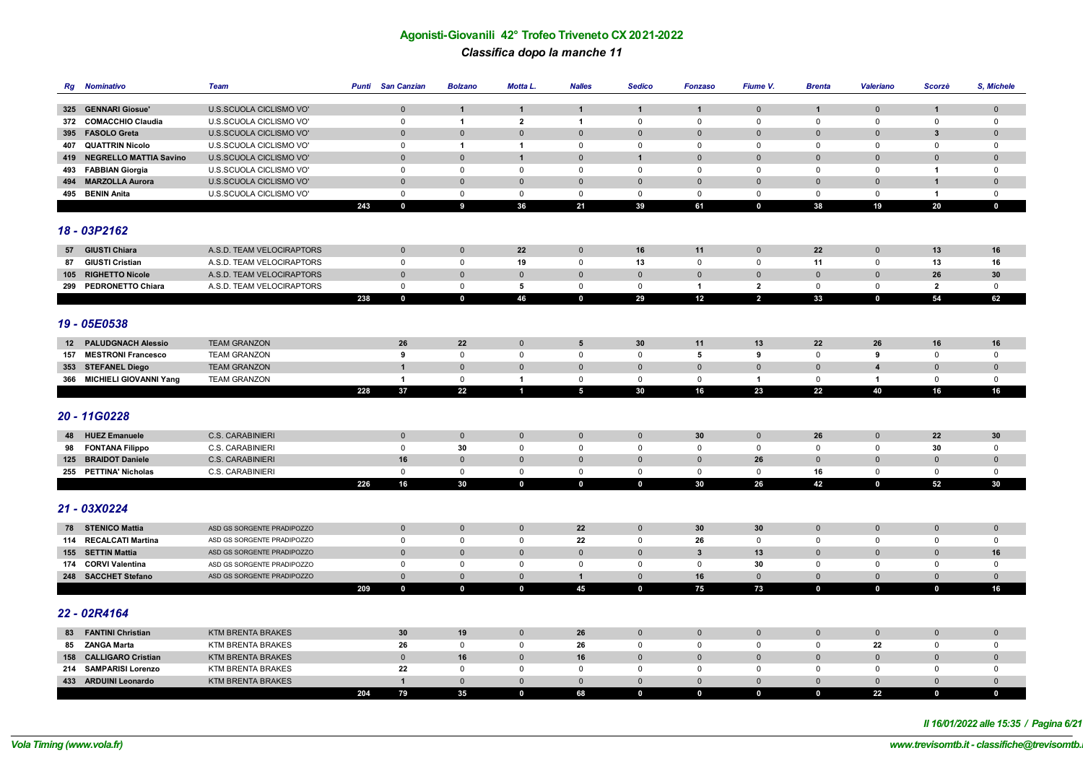# **Agonisti-Giovanili 42° Trofeo Triveneto CX 2021-2022** *Classifica dopo la manche 11*

| Rg  | <b>Nominativo</b>          | <b>Team</b>                | Punti | <b>San Canzian</b> | <b>Bolzano</b> | Motta L.                | <b>Nalles</b>   | <b>Sedico</b>  | <b>Fonzaso</b>          | Fiume V.                | <b>Brenta</b> | <b>Valeriano</b> | Scorzè                  | S, Michele   |
|-----|----------------------------|----------------------------|-------|--------------------|----------------|-------------------------|-----------------|----------------|-------------------------|-------------------------|---------------|------------------|-------------------------|--------------|
|     |                            |                            |       |                    |                |                         |                 |                |                         |                         |               |                  |                         |              |
|     | 325 GENNARI Giosue'        | U.S.SCUOLA CICLISMO VO'    |       | $\mathbf 0$        | $\mathbf{1}$   | $\mathbf{1}$            | $\mathbf{1}$    | $\mathbf{1}$   | $\mathbf{1}$            | $\mathbf{0}$            | $\mathbf{1}$  | $\mathbf 0$      | $\mathbf{1}$            | $\mathbf 0$  |
|     | 372 COMACCHIO Claudia      | U.S.SCUOLA CICLISMO VO'    |       | $\mathbf 0$        | $\overline{1}$ | $\overline{\mathbf{2}}$ | $\mathbf{1}$    | $\mathbf 0$    | 0                       | $\mathbf 0$             | $\mathbf{0}$  | $\Omega$         | $\mathbf 0$             | $\mathbf 0$  |
|     | 395 FASOLO Greta           | U.S.SCUOLA CICLISMO VO'    |       | $\mathbf 0$        | $\mathbf 0$    | $\mathbf 0$             | $\mathbf 0$     | $\mathbf{0}$   | $\mathbf{0}$            | $\mathbf{0}$            | $\mathbf 0$   | $\mathbf{0}$     | 3                       | $\mathbf 0$  |
|     | 407 QUATTRIN Nicolo        | U.S.SCUOLA CICLISMO VO'    |       | $\mathbf 0$        | $\overline{1}$ | $\overline{\mathbf{1}}$ | $\mathbf 0$     | 0              | $\mathbf 0$             | $\mathbf 0$             | $\mathbf 0$   | $\mathbf 0$      | 0                       | $\mathbf 0$  |
|     | 419 NEGRELLO MATTIA Savino | U.S.SCUOLA CICLISMO VO'    |       | $\mathbf{0}$       | $\Omega$       | $\overline{1}$          | $\Omega$        | $\overline{1}$ | $\Omega$                | $\Omega$                | $\mathbf{0}$  | $\Omega$         | $\Omega$                | $\mathbf{0}$ |
|     | 493 FABBIAN Giorgia        | U.S.SCUOLA CICLISMO VO'    |       | $\mathbf 0$        | $\mathbf{0}$   | 0                       | $^{\circ}$      | $\mathsf 0$    | $\Omega$                | $\mathbf 0$             | $\mathsf 0$   | $\Omega$         | $\mathbf{1}$            | $\mathbf 0$  |
|     | 494 MARZOLLA Aurora        | U.S.SCUOLA CICLISMO VO'    |       | $\mathbf 0$        | $\overline{0}$ | $\mathbf{0}$            | $\mathbf{0}$    | $\mathbf{0}$   | $\mathbf{0}$            | $\mathbf 0$             | $\mathbf 0$   | $\mathbf{0}$     | $\overline{1}$          | $\mathbf 0$  |
|     | 495 BENIN Anita            | U.S.SCUOLA CICLISMO VO'    |       | $\mathbf 0$        | $\mathsf 0$    | $\mathsf{O}$            | $\mathsf 0$     | $\mathbf 0$    | $\mathbf 0$             | $\mathsf 0$             | $\mathsf 0$   | $\mathbf 0$      | $\overline{1}$          | $\mathbf 0$  |
|     |                            |                            | 243   | $\mathbf 0$        | $\overline{9}$ | 36                      | 21              | 39             | 61                      | $\mathbf 0$             | 38            | 19               | 20                      | $\mathbf 0$  |
|     |                            |                            |       |                    |                |                         |                 |                |                         |                         |               |                  |                         |              |
|     | 18 - 03P2162               |                            |       |                    |                |                         |                 |                |                         |                         |               |                  |                         |              |
|     | 57 GIUSTI Chiara           | A.S.D. TEAM VELOCIRAPTORS  |       | $\mathbf 0$        | $\pmb{0}$      | 22                      | $\mathbf 0$     | 16             | 11                      | $\mathbf 0$             | 22            | $\mathbf 0$      | 13                      | 16           |
| 87  | <b>GIUSTI Cristian</b>     | A.S.D. TEAM VELOCIRAPTORS  |       | $\mathsf 0$        | $\mathsf 0$    | 19                      | $\mathbf 0$     | 13             | 0                       | $\mathbf 0$             | 11            | 0                | 13                      | 16           |
|     | 105 RIGHETTO Nicole        | A.S.D. TEAM VELOCIRAPTORS  |       | $\mathbf{0}$       | $\mathbf 0$    | $\mathbf{0}$            | $\mathbf 0$     | $\mathbf{0}$   | $\mathbf{0}$            | $\mathbf{0}$            | $\mathbf 0$   | $\mathbf{0}$     | 26                      | 30           |
|     | 299 PEDRONETTO Chiara      | A.S.D. TEAM VELOCIRAPTORS  |       | $\mathsf 0$        | $\mathbf 0$    | 5                       | $\mathsf 0$     | $\mathbf 0$    | $\overline{1}$          | $\overline{\mathbf{2}}$ | $\mathsf 0$   | $\mathbf 0$      | $\overline{\mathbf{2}}$ | $\mathsf 0$  |
|     |                            |                            | 238   | $\mathbf 0$        | $\mathbf 0$    | 46                      | $\mathbf 0$     | 29             | 12                      | $\overline{2}$          | 33            | $\mathbf 0$      | 54                      | 62           |
|     |                            |                            |       |                    |                |                         |                 |                |                         |                         |               |                  |                         |              |
|     | 19 - 05E0538               |                            |       |                    |                |                         |                 |                |                         |                         |               |                  |                         |              |
|     |                            |                            |       |                    |                |                         |                 |                |                         |                         |               |                  |                         |              |
|     | 12 PALUDGNACH Alessio      | <b>TEAM GRANZON</b>        |       | 26                 | 22             | $\mathbf 0$             | 5               | 30             | 11                      | 13                      | 22            | 26               | 16                      | 16           |
| 157 | <b>MESTRONI Francesco</b>  | <b>TEAM GRANZON</b>        |       | 9                  | $\mathsf 0$    | $\mathsf{O}$            | $\mathsf 0$     | $\mathbf 0$    | $\sqrt{5}$              | 9                       | $\mathsf 0$   | 9                | $\mathsf 0$             | $\mathbf 0$  |
|     | 353 STEFANEL Diego         | <b>TEAM GRANZON</b>        |       | $\mathbf{1}$       | $\mathbf 0$    | $\mathbf{0}$            | $\mathbf{0}$    | $\mathbf{0}$   | $\mathbf 0$             | $\mathbf 0$             | $\mathbf 0$   | $\overline{4}$   | $\mathbf{0}$            | $\mathbf 0$  |
|     | 366 MICHIELI GIOVANNI Yang | <b>TEAM GRANZON</b>        |       | $\mathbf{1}$       | $\mathbf 0$    | -1                      | $\mathsf 0$     | $\mathsf 0$    | $\mathbf 0$             | 1                       | $\mathsf 0$   | $\overline{1}$   | $\mathbf 0$             | $\mathbf 0$  |
|     |                            |                            | 228   | 37                 | 22             | $\blacksquare$          | $5\phantom{.0}$ | 30             | 16                      | 23                      | 22            | 40               | 16                      | 16           |
|     |                            |                            |       |                    |                |                         |                 |                |                         |                         |               |                  |                         |              |
|     | 20 - 11G0228               |                            |       |                    |                |                         |                 |                |                         |                         |               |                  |                         |              |
| 48  | <b>HUEZ Emanuele</b>       | <b>C.S. CARABINIERI</b>    |       | $\mathbf 0$        | $\mathbf 0$    | $\mathbf 0$             | $\mathbf 0$     | $\mathbf 0$    | 30                      | $\mathbf 0$             | 26            | $\mathbf 0$      | 22                      | 30           |
| 98  | <b>FONTANA Filippo</b>     | C.S. CARABINIERI           |       | $\mathsf 0$        | 30             | $\mathsf{O}$            | $\mathsf 0$     | $\mathsf 0$    | 0                       | $\mathbf 0$             | $\mathsf 0$   | $\mathsf 0$      | 30                      | $\mathsf 0$  |
|     | 125 BRAIDOT Daniele        | <b>C.S. CARABINIERI</b>    |       | 16                 | $\mathbf 0$    | $\mathbf{0}$            | $\mathbf 0$     | $\mathbf{0}$   | $\mathbf{0}$            | 26                      | $\mathbf 0$   | $\mathbf 0$      | $\mathbf{0}$            | $\mathbf 0$  |
|     | 255 PETTINA' Nicholas      | C.S. CARABINIERI           |       | $\mathsf 0$        | $\mathsf 0$    | $\mathsf{O}$            | $\mathsf 0$     | $\mathsf 0$    | $\mathbf 0$             | $\mathsf 0$             | 16            | $\mathsf 0$      | 0                       | $\mathsf 0$  |
|     |                            |                            | 226   | 16                 | 30             | $\mathbf 0$             | $\mathbf{0}$    | $\mathbf 0$    | 30                      | 26                      | 42            | $\mathbf 0$      | 52                      | 30           |
|     |                            |                            |       |                    |                |                         |                 |                |                         |                         |               |                  |                         |              |
|     | 21 - 03X0224               |                            |       |                    |                |                         |                 |                |                         |                         |               |                  |                         |              |
|     |                            |                            |       |                    |                |                         |                 |                |                         |                         |               |                  |                         |              |
|     | 78 STENICO Mattia          | ASD GS SORGENTE PRADIPOZZO |       | $\mathbf 0$        | $\mathbf 0$    | $\mathbf{0}$            | 22              | $\mathbf{0}$   | 30                      | 30                      | $\mathbf 0$   | $\mathbf 0$      | $\mathbf 0$             | $\mathbf 0$  |
|     | 114 RECALCATI Martina      | ASD GS SORGENTE PRADIPOZZO |       | $\mathbf{0}$       | $\mathbf 0$    | 0                       | 22              | $\mathbf{0}$   | 26                      | $\mathbf 0$             | $\mathbf{0}$  | $\mathbf 0$      | $\mathbf 0$             | $\mathbf 0$  |
|     | 155 SETTIN Mattia          | ASD GS SORGENTE PRADIPOZZO |       | $\mathbf 0$        | $\mathbf 0$    | $\mathbf 0$             | $\mathbf 0$     | $\mathbf{0}$   | $\overline{\mathbf{3}}$ | 13                      | $\mathbf 0$   | $\mathbf 0$      | $\mathbf 0$             | 16           |
|     | 174 CORVI Valentina        | ASD GS SORGENTE PRADIPOZZO |       | 0                  | $\mathbf 0$    | 0                       | $\mathbf 0$     | 0              | 0                       | 30                      | $\mathbf 0$   | 0                | $\Omega$                | $\mathbf 0$  |
|     | 248 SACCHET Stefano        | ASD GS SORGENTE PRADIPOZZO |       | $\mathbf 0$        | $\mathbf 0$    | $\mathbf{0}$            | $\mathbf{1}$    | $\overline{0}$ | 16                      | $\Omega$                | $\mathbf 0$   | $\mathbf{0}$     | $\Omega$                | $\mathbf 0$  |
|     |                            |                            | 209   | $\mathbf 0$        | $\mathbf 0$    | $\mathbf 0$             | 45              | $\mathbf 0$    | 75                      | 73                      | $\mathbf 0$   | $\mathbf 0$      | $\mathbf 0$             | 16           |
|     |                            |                            |       |                    |                |                         |                 |                |                         |                         |               |                  |                         |              |
|     | 22 - 02R4164               |                            |       |                    |                |                         |                 |                |                         |                         |               |                  |                         |              |
|     | 83 FANTINI Christian       | <b>KTM BRENTA BRAKES</b>   |       | 30                 | 19             | $\mathbf 0$             | 26              | $\mathbf{0}$   | $\mathbf{0}$            | $\mathbf 0$             | $\mathbf 0$   | $\mathbf 0$      | $\mathbf 0$             | $\mathbf 0$  |
|     | 85 ZANGA Marta             | <b>KTM BRENTA BRAKES</b>   |       | 26                 | $\mathbf 0$    | $\mathbf 0$             | 26              | $\mathbf 0$    | 0                       | $\mathbf 0$             | $\mathbf 0$   | 22               | 0                       | $\mathbf 0$  |
|     | 158 CALLIGARO Cristian     | <b>KTM BRENTA BRAKES</b>   |       | $\mathbf 0$        | 16             | $\mathbf{0}$            | 16              | $\Omega$       | $\Omega$                | $\mathbf{0}$            | $\mathbf 0$   | $\mathbf{0}$     | $\mathbf 0$             | $\mathbf{0}$ |
|     | 214 SAMPARISI Lorenzo      | <b>KTM BRENTA BRAKES</b>   |       | 22                 | $\mathbf 0$    | $\mathbf 0$             | $\mathbf 0$     | 0              | $\Omega$                | $\mathbf 0$             | $\mathbf 0$   | $\mathbf 0$      | $\mathbf 0$             | $\mathbf 0$  |
|     | 433 ARDUINI Leonardo       | <b>KTM BRENTA BRAKES</b>   |       | $\mathbf{1}$       | $\mathbf{0}$   | $\Omega$                | $\mathbf{0}$    | $\mathbf{0}$   | $\Omega$                | $\mathbf{0}$            | $\mathbf{0}$  | $\mathbf{0}$     | $\Omega$                | $\mathbf{0}$ |
|     |                            |                            | 204   | 79                 | 35             | $\mathbf 0$             | 68              | $\mathbf{0}$   | $\mathbf 0$             | $\mathbf{0}$            | $\mathbf 0$   | 22               | $\mathbf 0$             | $\mathbf 0$  |

*Il 16/01/2022 alle 15:35 / Pagina 6/21*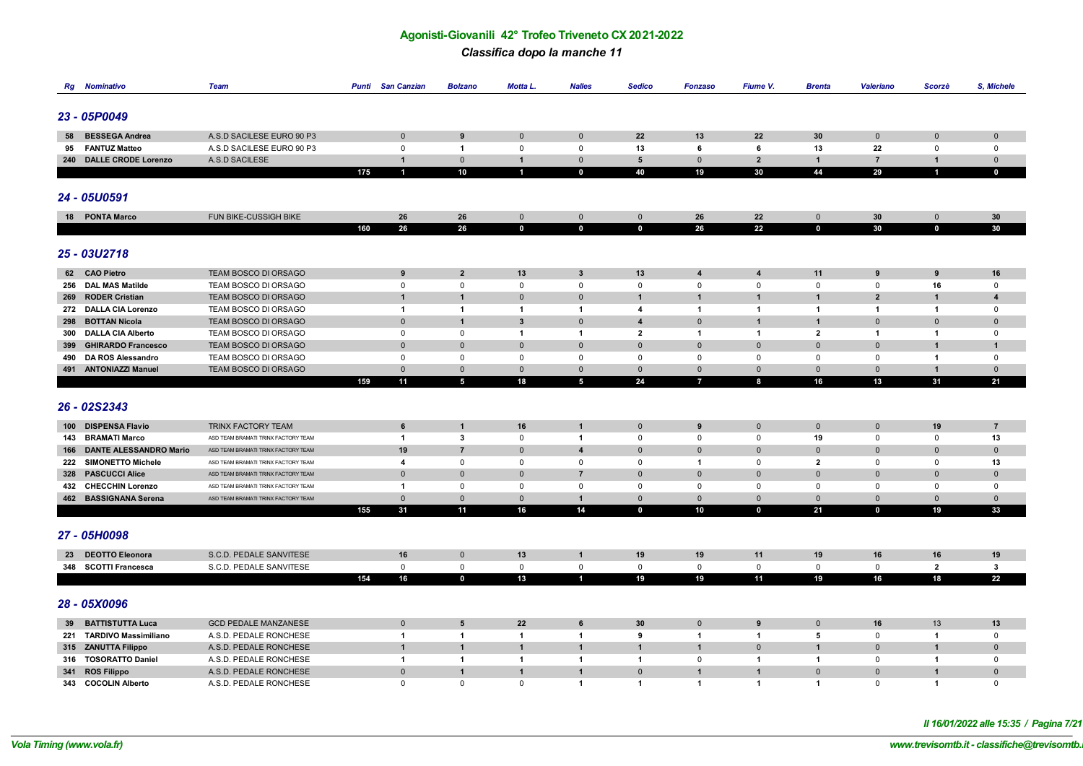#### *Classifica dopo la manche 11*

| Rg  | Nominativo                                      | <b>Team</b>                                                                | <b>Punti</b> San Canzian | <b>Bolzano</b>           | Motta L.                     | <b>Nalles</b>                             | <b>Sedico</b>               | <b>Fonzaso</b>             | Fiume V.                    | <b>Brenta</b>               | <b>Valeriano</b>            | Scorzè                      | <b>S, Michele</b>       |
|-----|-------------------------------------------------|----------------------------------------------------------------------------|--------------------------|--------------------------|------------------------------|-------------------------------------------|-----------------------------|----------------------------|-----------------------------|-----------------------------|-----------------------------|-----------------------------|-------------------------|
|     |                                                 |                                                                            |                          |                          |                              |                                           |                             |                            |                             |                             |                             |                             |                         |
|     | 23 - 05P0049                                    |                                                                            |                          |                          |                              |                                           |                             |                            |                             |                             |                             |                             |                         |
|     |                                                 |                                                                            |                          |                          |                              |                                           |                             |                            |                             |                             |                             |                             |                         |
| 58  | <b>BESSEGA Andrea</b>                           | A.S.D SACILESE EURO 90 P3                                                  | $\mathbf 0$              | 9                        | $\mathbf{0}$                 | $\mathbf 0$                               | 22                          | 13                         | 22                          | 30                          | $\mathbf 0$                 | $\Omega$                    | $\mathbf 0$             |
| 95  | <b>FANTUZ Matteo</b>                            | A.S.D SACILESE EURO 90 P3                                                  | $\mathbf 0$              | $\mathbf{1}$             | $\Omega$                     | $^{\circ}$                                | 13                          | 6                          | 6                           | 13                          | 22                          | $\mathbf 0$                 | $\mathbf 0$             |
|     | 240 DALLE CRODE Lorenzo                         | A.S.D SACILESE                                                             | $\mathbf{1}$             | $\mathbf 0$              | $\overline{1}$               | $\mathbf 0$                               | $5\phantom{.0}$             | $\Omega$                   | $\overline{2}$              | $\overline{1}$              | $\overline{7}$              | -1                          | $\mathbf 0$             |
|     |                                                 |                                                                            | 175<br>$\blacksquare$    | 10                       | $\blacksquare$               | $\mathbf 0$                               | 40                          | 19                         | 30                          | 44                          | 29                          |                             | $\mathbf 0$             |
|     |                                                 |                                                                            |                          |                          |                              |                                           |                             |                            |                             |                             |                             |                             |                         |
|     | 24 - 05U0591                                    |                                                                            |                          |                          |                              |                                           |                             |                            |                             |                             |                             |                             |                         |
|     |                                                 |                                                                            |                          |                          |                              |                                           |                             |                            |                             |                             |                             |                             |                         |
|     | 18 PONTA Marco                                  | FUN BIKE-CUSSIGH BIKE                                                      | 26<br>160<br>26          | 26<br>26                 | $\mathbf{0}$<br>$\mathbf{0}$ | $\mathbf 0$<br>$\mathbf{0}$               | $\mathbf 0$<br>$\mathbf 0$  | 26<br>26                   | 22<br>22                    | $\mathbf{0}$<br>$\mathbf 0$ | 30<br>30                    | $\mathbf{0}$<br>$\mathbf 0$ | 30<br>30                |
|     |                                                 |                                                                            |                          |                          |                              |                                           |                             |                            |                             |                             |                             |                             |                         |
|     |                                                 |                                                                            |                          |                          |                              |                                           |                             |                            |                             |                             |                             |                             |                         |
|     | 25 - 03U2718                                    |                                                                            |                          |                          |                              |                                           |                             |                            |                             |                             |                             |                             |                         |
|     | 62 CAO Pietro                                   | TEAM BOSCO DI ORSAGO                                                       | 9                        | $\overline{2}$           | 13                           | $\mathbf{3}$                              | 13                          | $\overline{\mathbf{4}}$    | $\overline{\mathbf{4}}$     | 11                          | 9                           | 9                           | 16                      |
|     | 256 DAL MAS Matilde                             | TEAM BOSCO DI ORSAGO                                                       | $\mathsf 0$              | $\mathsf 0$              | $\mathsf 0$                  | $\mathbf 0$                               | $\mathsf 0$                 | $\mathbf 0$                | $\mathsf 0$                 | $\mathsf 0$                 | $\mathbf 0$                 | 16                          | $\mathbf 0$             |
|     | 269 RODER Cristian                              | TEAM BOSCO DI ORSAGO                                                       | $\mathbf{1}$             | $\mathbf{1}$             | $\mathbf{0}$                 | $\mathbf 0$                               | $\mathbf{1}$                | $\mathbf{1}$               | $\mathbf{1}$                | $\mathbf{1}$                | $\overline{2}$              | $\mathbf{1}$                | $\overline{\mathbf{4}}$ |
|     | 272 DALLA CIA Lorenzo                           | TEAM BOSCO DI ORSAGO                                                       | $\overline{1}$           | $\mathbf{1}$             | $\mathbf{1}$                 | $\overline{1}$                            | 4                           | $\mathbf{1}$               | $\overline{1}$              | $\overline{1}$              | $\overline{1}$              | $\mathbf{1}$                | $\mathbf 0$             |
|     | 298 BOTTAN Nicola                               | TEAM BOSCO DI ORSAGO                                                       | $\mathbf 0$              | $\mathbf{1}$             | $\mathbf{3}$                 | $\mathbf 0$                               | $\overline{\mathbf{4}}$     | $\mathbf 0$                | $\mathbf{1}$                | $\overline{1}$              | $\mathbf{0}$                | $\mathbf 0$                 | $\pmb{0}$               |
| 300 | <b>DALLA CIA Alberto</b>                        | TEAM BOSCO DI ORSAGO                                                       | $\mathsf 0$              | $\mathbf 0$              | $\mathbf{1}$                 | $\overline{1}$                            | $\mathbf{2}$                | $\mathbf{1}$               | $\overline{1}$              | $\overline{2}$              | $\overline{1}$              | $\mathbf{1}$                | $\mathbf 0$             |
| 399 | <b>GHIRARDO Francesco</b>                       | TEAM BOSCO DI ORSAGO                                                       | $\mathbf 0$              | $\Omega$                 | $\mathbf{0}$                 | $\mathbf 0$                               | $\mathbf{0}$                | $\mathbf 0$                | $\mathbf{0}$                | $\overline{0}$              | $\Omega$                    | $\mathbf 1$                 | $\mathbf{1}$            |
| 490 | DA ROS Alessandro                               | TEAM BOSCO DI ORSAGO                                                       | 0                        | $\mathbf{0}$             | $\mathbf 0$                  | $\mathbf 0$                               | $\mathbf 0$                 | $\mathbf 0$                | $\mathbf{0}$                | $\mathbf 0$                 | $\Omega$                    | -1                          | $\mathbf 0$             |
|     | 491 ANTONIAZZI Manuel                           | TEAM BOSCO DI ORSAGO                                                       | $\mathbf 0$              | $\Omega$                 | $\mathbf 0$                  | $\mathbf 0$                               | $\mathbf 0$                 | $\mathbf 0$                | $\mathbf 0$                 | $\mathbf 0$                 | $\mathbf 0$                 | $\mathbf{1}$                | $\mathbf 0$             |
|     |                                                 |                                                                            | 159<br>11                | $\overline{\phantom{a}}$ | 18                           | $5\phantom{.0}$                           | 24                          | $\overline{1}$             | 8                           | 16                          | 13                          | 31                          | 21                      |
|     |                                                 |                                                                            |                          |                          |                              |                                           |                             |                            |                             |                             |                             |                             |                         |
|     | 26 - 02S2343                                    |                                                                            |                          |                          |                              |                                           |                             |                            |                             |                             |                             |                             |                         |
|     |                                                 |                                                                            |                          |                          |                              |                                           |                             |                            |                             |                             |                             |                             |                         |
|     | 100 DISPENSA Flavio                             | TRINX FACTORY TEAM<br>ASD TEAM BRAMATI TRINX FACTORY TEAM                  | 6                        | $\mathbf{1}$             | 16                           | $\mathbf{1}$                              | $\mathbf 0$                 | 9                          | $\mathbf 0$                 | $\mathbf 0$                 | $\mathbf 0$                 | 19                          | $\overline{7}$          |
|     | 143 BRAMATI Marco<br>166 DANTE ALESSANDRO Mario |                                                                            | $\overline{1}$<br>19     | 3<br>$\overline{7}$      | $\mathbf{0}$<br>$\mathbf{0}$ | $\overline{1}$<br>$\overline{\mathbf{4}}$ | $\mathbf 0$<br>$\mathbf 0$  | $\mathbf 0$<br>$\mathbf 0$ | $\mathbf{0}$<br>$\mathbf 0$ | 19<br>$\mathbf 0$           | $\mathbf 0$<br>$\mathbf{0}$ | $\mathbf 0$<br>$\mathbf{0}$ | 13<br>$\mathbf 0$       |
|     | 222 SIMONETTO Michele                           | ASD TEAM BRAMATI TRINX FACTORY TEAM<br>ASD TEAM BRAMATI TRINX FACTORY TEAM | $\overline{4}$           | $\mathsf 0$              | $\mathbf 0$                  | $\mathbf 0$                               | 0                           | $\mathbf{1}$               | $\mathbf 0$                 | $\overline{2}$              | 0                           | $\mathbf 0$                 | 13                      |
|     | 328 PASCUCCI Alice                              | ASD TEAM BRAMATI TRINX FACTORY TEAM                                        | $\mathbf 0$              | $\Omega$                 | $\Omega$                     | $\overline{7}$                            | $\mathbf 0$                 | $\mathbf 0$                | $\mathbf 0$                 | $\mathbf 0$                 | $\Omega$                    | $\Omega$                    | $\mathbf 0$             |
|     | 432 CHECCHIN Lorenzo                            | ASD TEAM BRAMATI TRINX FACTORY TEAM                                        | $\overline{1}$           | $\mathbf 0$              | $\mathbf 0$                  | $\mathbf 0$                               | $\mathbf 0$                 | $\mathbf 0$                | $\mathbf 0$                 | $\mathbf 0$                 | $\mathbf{0}$                | $^{\circ}$                  | $\mathbf 0$             |
|     | 462 BASSIGNANA Serena                           | ASD TEAM BRAMATI TRINX FACTORY TEAM                                        | $\mathbf{0}$             | $\mathbf{0}$             | $\Omega$                     | $\overline{1}$                            | $\mathbf{0}$                | $\mathbf{0}$               | $\mathbf{0}$                | $\mathbf{0}$                | $\Omega$                    | $\mathbf{0}$                | $\mathbf{0}$            |
|     |                                                 |                                                                            | 155<br>31                | 11                       | 16                           | 14                                        | $\mathbf 0$                 | 10                         | $\mathbf 0$                 | 21                          | $\mathbf 0$                 | 19                          | 33                      |
|     |                                                 |                                                                            |                          |                          |                              |                                           |                             |                            |                             |                             |                             |                             |                         |
|     | 27 - 05H0098                                    |                                                                            |                          |                          |                              |                                           |                             |                            |                             |                             |                             |                             |                         |
|     |                                                 |                                                                            |                          |                          |                              |                                           |                             |                            |                             |                             |                             |                             |                         |
|     | 23 DEOTTO Eleonora                              | S.C.D. PEDALE SANVITESE                                                    | 16                       | $\mathbf{0}$             | 13                           | 1                                         | 19                          | 19                         | 11                          | 19                          | 16                          | 16                          | 19                      |
| 348 | <b>SCOTTI Francesca</b>                         | S.C.D. PEDALE SANVITESE                                                    | $\mathbf{0}$             | $\mathsf 0$              | $\mathbf{0}$                 | $\mathbf 0$                               | $\mathbf 0$                 | $\mathbf 0$                | $\mathbf 0$                 | $\mathbf 0$                 | $\mathbf 0$                 | $\overline{2}$              | $\mathbf{3}$            |
|     |                                                 |                                                                            | 16<br>154                | $\mathbf 0$              | 13                           | 1                                         | 19                          | 19                         | 11                          | 19                          | 16                          | 18                          | 22                      |
|     |                                                 |                                                                            |                          |                          |                              |                                           |                             |                            |                             |                             |                             |                             |                         |
|     | 28 - 05X0096                                    |                                                                            |                          |                          |                              |                                           |                             |                            |                             |                             |                             |                             |                         |
|     |                                                 |                                                                            |                          |                          |                              |                                           |                             |                            |                             |                             |                             |                             |                         |
|     | 39 BATTISTUTTA Luca                             | <b>GCD PEDALE MANZANESE</b>                                                | $\mathbf 0$              | 5                        | 22                           | 6                                         | 30                          | $\mathbf 0$                | 9                           | $\mathbf 0$                 | 16                          | 13                          | 13                      |
|     | 221 TARDIVO Massimiliano                        | A.S.D. PEDALE RONCHESE                                                     | 1                        | $\mathbf{1}$             | -1                           | $\overline{1}$                            | 9                           | $\overline{1}$             | -1                          | 5                           | 0                           | -1                          | $\mathbf 0$             |
|     | 315 ZANUTTA Filippo                             | A.S.D. PEDALE RONCHESE                                                     | $\overline{1}$           | $\mathbf{1}$             | $\mathbf{1}$                 | $\overline{1}$                            | $\mathbf{1}$                | $\mathbf{1}$               | $\mathbf 0$                 | $\overline{\mathbf{1}}$     | $\Omega$                    | $\mathbf{1}$                | $\mathbf 0$             |
|     | 316 TOSORATTO Daniel                            | A.S.D. PEDALE RONCHESE                                                     | 1                        | 1                        | $\overline{\mathbf{1}}$      | $\overline{1}$                            | $\mathbf{1}$                | $\mathbf 0$                | $\mathbf{1}$                | $\overline{1}$              | $\mathbf 0$                 | -1                          | $\mathbf 0$             |
|     | 341 ROS Filippo                                 | A.S.D. PEDALE RONCHESE                                                     | $\mathbf{0}$             | $\mathbf 1$              | $\mathbf{1}$                 | $\mathbf{1}$                              | $\mathbf 0$<br>$\mathbf{1}$ | $\mathbf{1}$               | $\overline{1}$              | $\overline{0}$              | $\mathbf{0}$                | -1                          | $\mathbf 0$             |
|     | 343 COCOLIN Alberto                             | A.S.D. PEDALE RONCHESE                                                     | $\mathbf 0$              | $\mathbf{0}$             | $\mathbf{0}$                 | $\overline{1}$                            |                             | $\mathbf{1}$               | $\mathbf{1}$                | $\overline{1}$              | $\mathbf 0$                 | $\mathbf{1}$                | $\mathbf 0$             |

*Il 16/01/2022 alle 15:35 / Pagina 7/21*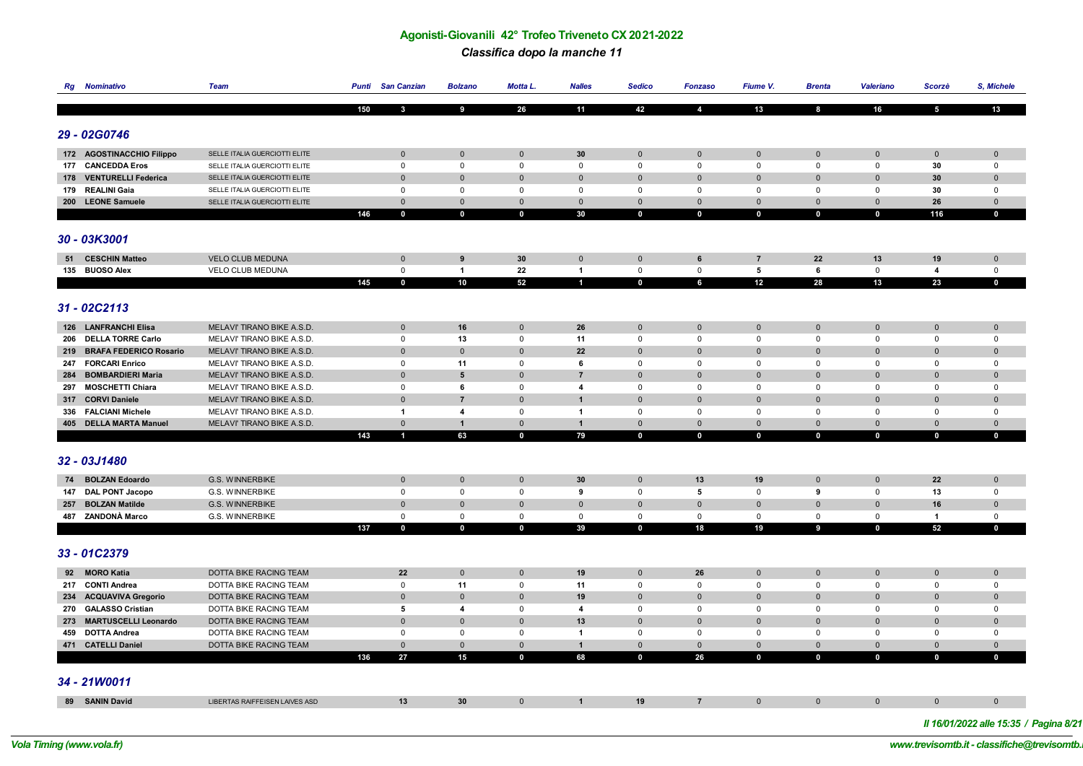# *Classifica dopo la manche 11*

|     | <b>Rg</b> Nominativo                    | <b>Team</b>                                 | <b>Punti</b> San Canzian       | <b>Bolzano</b>      | Motta L.     | <b>Nalles</b>               | <b>Sedico</b>              | <b>Fonzaso</b>           | Fiume V.       | <b>Brenta</b> | <b>Valeriano</b>  | Scorzè                        | S, Michele                 |
|-----|-----------------------------------------|---------------------------------------------|--------------------------------|---------------------|--------------|-----------------------------|----------------------------|--------------------------|----------------|---------------|-------------------|-------------------------------|----------------------------|
|     |                                         |                                             |                                |                     |              |                             |                            |                          |                |               |                   |                               |                            |
|     |                                         |                                             | 150<br>$\overline{\mathbf{3}}$ | 9                   | 26           | 11                          | 42                         | $\overline{4}$           | 13             | 8             | 16                | $\overline{\mathbf{5}}$       | 13                         |
|     |                                         |                                             |                                |                     |              |                             |                            |                          |                |               |                   |                               |                            |
|     | 29 - 02G0746                            |                                             |                                |                     |              |                             |                            |                          |                |               |                   |                               |                            |
|     | 172 AGOSTINACCHIO Filippo               | SELLE ITALIA GUERCIOTTI ELITE               | $\mathbf 0$                    | $\mathbf 0$         | $\Omega$     | 30                          | $\mathbf{0}$               | $\mathbf{0}$             | $\mathbf{0}$   | $\mathbf 0$   | $\mathbf 0$       | $\mathbf{0}$                  | $\Omega$                   |
|     | 177 CANCEDDA Eros                       | SELLE ITALIA GUERCIOTTI ELITE               | $\mathsf 0$                    | 0                   | $\mathsf 0$  | $\mathsf 0$                 | $\mathsf 0$                | 0                        | $\mathsf 0$    | $\mathsf 0$   | $\mathsf 0$       | 30                            | $\mathsf 0$                |
|     | 178 VENTURELLI Federica                 | SELLE ITALIA GUERCIOTTI ELITE               | $\mathbf 0$                    | $\Omega$            | $\Omega$     | $\mathbf{0}$                | $\Omega$                   | $\Omega$                 | $\mathbf{0}$   | $\mathbf{0}$  | $\Omega$          | 30                            | $\mathbf 0$                |
|     | 179 REALINI Gaia                        | SELLE ITALIA GUERCIOTTI ELITE               | $\mathbf 0$                    | 0                   | $\mathbf 0$  | $\mathsf 0$                 | $\mathbf 0$                | 0                        | $\mathbf 0$    | $\mathsf 0$   | $\Omega$          | 30                            | $\mathbf 0$                |
|     | 200 LEONE Samuele                       | SELLE ITALIA GUERCIOTTI ELITE               | $\mathbf 0$                    | $\mathbf{0}$        | $\mathbf 0$  | $\mathbf 0$                 | $\mathbf 0$                | $\mathbf{0}$             | $\mathsf 0$    | $\mathbf 0$   | $\overline{0}$    | 26                            | $\mathbf 0$                |
|     |                                         |                                             | 146<br>$\bf{0}$                | $\mathbf 0$         | $\mathbf 0$  | 30                          | $\mathbf 0$                | $\mathbf 0$              | $\mathbf 0$    | $\mathbf 0$   | $\mathbf 0$       | 116                           | $\mathbf{0}$               |
|     |                                         |                                             |                                |                     |              |                             |                            |                          |                |               |                   |                               |                            |
|     | 30 - 03K3001                            |                                             |                                |                     |              |                             |                            |                          |                |               |                   |                               |                            |
|     |                                         |                                             |                                |                     |              |                             |                            |                          | $\overline{7}$ |               |                   |                               |                            |
| 51  | <b>CESCHIN Matteo</b><br>135 BUOSO Alex | <b>VELO CLUB MEDUNA</b><br>VELO CLUB MEDUNA | $\mathbf 0$<br>$\mathsf 0$     | 9<br>$\overline{1}$ | 30<br>22     | $\mathbf 0$<br>$\mathbf{1}$ | $\mathbf 0$<br>$\mathsf 0$ | 6<br>$\mathsf{O}\xspace$ | ${\bf 5}$      | 22<br>$\,$ 6  | 13<br>$\mathbf 0$ | 19<br>$\overline{\mathbf{4}}$ | $\mathbf 0$<br>$\mathsf 0$ |
|     |                                         |                                             | 145<br>$\mathbf 0$             | 10                  | 52           | $\mathbf{1}$                | $\mathbf{0}$               | 6                        | 12             | 28            | 13                | 23                            | $\mathbf{0}$               |
|     |                                         |                                             |                                |                     |              |                             |                            |                          |                |               |                   |                               |                            |
|     | 31 - 02C2113                            |                                             |                                |                     |              |                             |                            |                          |                |               |                   |                               |                            |
|     |                                         |                                             |                                |                     |              |                             |                            |                          |                |               |                   |                               |                            |
|     | 126 LANFRANCHI Elisa                    | MELAVI' TIRANO BIKE A.S.D.                  | $\mathbf 0$                    | 16                  | $\mathbf 0$  | 26                          | $\pmb{0}$                  | $\mathbf{0}$             | $\mathbf 0$    | $\mathbf 0$   | $\mathbf 0$       | $\mathbf{0}$                  | $\mathbf 0$                |
|     | 206 DELLA TORRE Carlo                   | MELAVI' TIRANO BIKE A.S.D.                  | $\mathbf 0$                    | 13                  | $\mathbf 0$  | 11                          | $\mathbf 0$                | 0                        | $\mathbf 0$    | $\mathbf 0$   | $\mathbf{0}$      | $\Omega$                      | $\mathbf 0$                |
|     | 219 BRAFA FEDERICO Rosario              | MELAVI' TIRANO BIKE A.S.D.                  | $\mathbf 0$                    | $\Omega$            | $\mathbf{0}$ | 22                          | $\Omega$                   | $\Omega$                 | $\mathbf{0}$   | $\mathbf{0}$  | $\Omega$          | $\Omega$                      | $\mathbf{0}$               |
|     | 247 FORCARI Enrico                      | MELAVI' TIRANO BIKE A.S.D.                  | $\mathsf 0$                    | 11                  | $\mathbf 0$  | 6                           | $\mathbf 0$                | $\mathbf 0$              | $\mathbf 0$    | 0             | $\mathbf 0$       | $\mathbf 0$                   | $\mathbf 0$                |
| 284 | <b>BOMBARDIERI Maria</b>                | MELAVI' TIRANO BIKE A.S.D.                  | $\overline{0}$                 | 5                   | $\mathbf{0}$ | $\overline{7}$              | $\mathbf{0}$               | $\mathbf 0$              | $\mathbf 0$    | $\mathbf{0}$  | $\mathbf{0}$      | $\mathbf 0$                   | $\mathbf{0}$               |
|     | 297 MOSCHETTI Chiara                    | MELAVI' TIRANO BIKE A.S.D.                  | $\mathsf 0$                    | 6                   | $\mathsf 0$  | $\boldsymbol{4}$            | $\mathsf 0$                | $\mathbf 0$              | $\mathsf 0$    | $\mathbf 0$   | $\mathbf 0$       | $\mathsf 0$                   | $\mathbf 0$                |
|     | 317 CORVI Daniele                       | MELAVI' TIRANO BIKE A.S.D.                  | $\mathbf 0$                    | $\overline{7}$      | $\Omega$     | $\mathbf{1}$                | $\mathbf{0}$               | $\mathbf{0}$             | $\mathbf 0$    | $\mathbf 0$   | $\Omega$          | $\mathbf{0}$                  | $\mathbf 0$                |
|     | 336 FALCIANI Michele                    | MELAVI' TIRANO BIKE A.S.D.                  | $\overline{1}$                 | 4                   | $\mathbf 0$  | $\blacktriangleleft$        | $\mathbf 0$                | 0                        | $\mathbf 0$    | $\mathbf 0$   | $\mathbf{0}$      | $\mathbf 0$                   | $\mathbf 0$                |
|     | 405 DELLA MARTA Manuel                  | MELAVI' TIRANO BIKE A.S.D.                  | $\mathbf 0$                    | $\mathbf{1}$        | $\mathbf 0$  | $\mathbf{1}$                | $\mathbf 0$                | $\Omega$                 | $\mathbf 0$    | $\mathbf 0$   | $\mathbf 0$       | $\Omega$                      | $\mathsf{O}\xspace$        |
|     |                                         |                                             | 143<br>1                       | 63                  | $\mathbf 0$  | 79                          | $\mathbf 0$                | $\mathbf 0$              | $\mathbf 0$    | $\mathbf 0$   | $\mathbf 0$       | $\mathbf 0$                   | $\mathbf 0$                |
|     |                                         |                                             |                                |                     |              |                             |                            |                          |                |               |                   |                               |                            |
|     | 32 - 03J1480                            |                                             |                                |                     |              |                             |                            |                          |                |               |                   |                               |                            |
| 74  | <b>BOLZAN Edoardo</b>                   | G.S. WINNERBIKE                             | $\mathbf 0$                    | $\pmb{0}$           | $\mathbf 0$  | 30                          | $\mathbf{0}$               | 13                       | 19             | $\mathbf 0$   | $\mathbf 0$       | 22                            | $\mathbf 0$                |
|     | 147 DAL PONT Jacopo                     | <b>G.S. WINNERBIKE</b>                      | $\mathsf 0$                    | $\mathbf 0$         | $\mathbf 0$  | 9                           | $\mathbf 0$                | $\overline{\mathbf{5}}$  | $\mathbf 0$    | 9             | $\mathsf 0$       | 13                            | $\mathbf 0$                |
|     | 257 BOLZAN Matilde                      | G.S. WINNERBIKE                             | $\mathbf 0$                    | $\Omega$            | $\Omega$     | $\mathbf 0$                 | $\mathbf 0$                | $\Omega$                 | $\mathbf 0$    | $\mathbf 0$   | $\Omega$          | 16                            | $\mathbf 0$                |
|     | 487 ZANDONÀ Marco                       | G.S. WINNERBIKE                             | $\mathsf 0$                    | 0                   | $\mathbf 0$  | $\mathbf 0$                 | $\mathsf 0$                | $\mathbf 0$              | $\mathbf 0$    | $\mathbf 0$   | $\mathbf 0$       | $\overline{\mathbf{1}}$       | $\mathbf 0$                |
|     |                                         |                                             | 137<br>$\mathbf{0}$            | $\mathbf 0$         | $\mathbf 0$  | 39                          | $\mathbf{0}$               | 18                       | 19             | 9             | $\mathbf{0}$      | 52                            | $\mathbf{0}$               |
|     |                                         |                                             |                                |                     |              |                             |                            |                          |                |               |                   |                               |                            |
|     | 33 - 01C2379                            |                                             |                                |                     |              |                             |                            |                          |                |               |                   |                               |                            |
|     | 92 MORO Katia                           | <b>DOTTA BIKE RACING TEAM</b>               | 22                             | $\mathbf 0$         | $\mathbf 0$  | 19                          | $\mathbf 0$                | 26                       | $\mathbf 0$    | $\mathbf 0$   | $\mathbf 0$       | $\mathbf{0}$                  | $\mathbf 0$                |
|     | 217 CONTI Andrea                        | <b>DOTTA BIKE RACING TEAM</b>               | $\mathsf 0$                    | 11                  | $\mathbf 0$  | 11                          | $\mathsf 0$                | 0                        | $\mathbf 0$    | $\mathbf 0$   | $\mathbf 0$       | $\Omega$                      | $\mathbf 0$                |
|     | 234 ACQUAVIVA Gregorio                  | <b>DOTTA BIKE RACING TEAM</b>               | $\mathbf 0$                    | $\mathbf{0}$        | $\mathbf{0}$ | 19                          | $\mathbf{0}$               | $\mathbf{0}$             | $\mathbf{0}$   | $\mathbf{0}$  | $\mathbf{0}$      | $\mathbf{0}$                  | $\mathbf 0$                |
|     | 270 GALASSO Cristian                    | DOTTA BIKE RACING TEAM                      | 5                              | 4                   | $\mathsf 0$  | 4                           | $\mathsf 0$                | 0                        | $\mathbf 0$    | $\mathsf 0$   | $\mathbf 0$       | $\mathsf 0$                   | 0                          |
|     | 273 MARTUSCELLI Leonardo                | DOTTA BIKE RACING TEAM                      | $\overline{0}$                 | $\Omega$            | $\Omega$     | 13                          | $\Omega$                   | $\Omega$                 | $\mathbf{0}$   | $\mathbf{0}$  | $\Omega$          | $\Omega$                      | $\mathbf 0$                |
|     | 459 DOTTA Andrea                        | DOTTA BIKE RACING TEAM                      | $\mathsf 0$                    | $\mathbf 0$         | $\mathbf 0$  | $\blacktriangleleft$        | $\mathsf 0$                | 0                        | $\mathsf 0$    | 0             | $\mathbf 0$       | $\mathbf 0$                   | 0                          |
|     | 471 CATELLI Daniel                      | DOTTA BIKE RACING TEAM                      | $\mathbf 0$                    | $\mathbf{0}$        | $\mathbf{0}$ | $\mathbf{1}$                | $\mathbf{0}$               | $\Omega$                 | $\mathbf{0}$   | $\mathbf{0}$  | $\overline{0}$    | $\mathbf{0}$                  | $\mathbf 0$                |
|     |                                         |                                             | 136<br>27                      | 15                  | $\mathbf 0$  | 68                          | $\mathbf 0$                | 26                       | $\mathbf 0$    | $\mathbf 0$   | $\mathbf 0$       | $\mathbf 0$                   | $\mathbf 0$                |
|     |                                         |                                             |                                |                     |              |                             |                            |                          |                |               |                   |                               |                            |
|     | 34 - 21W0011                            |                                             |                                |                     |              |                             |                            |                          |                |               |                   |                               |                            |
|     |                                         |                                             |                                |                     |              |                             |                            |                          |                |               |                   |                               |                            |
|     | 89 SANIN David                          | LIBERTAS RAIFFEISEN LAIVES ASD              | 13                             | 30                  | $\mathbf{0}$ | $\mathbf{1}$                | 19                         | $\overline{7}$           | $\mathbf{0}$   | $\mathbf{0}$  | $\Omega$          | $\mathbf{0}$                  | $\mathbf{0}$               |
|     |                                         |                                             |                                |                     |              |                             |                            |                          |                |               |                   |                               |                            |

*Il 16/01/2022 alle 15:35 / Pagina 8/21*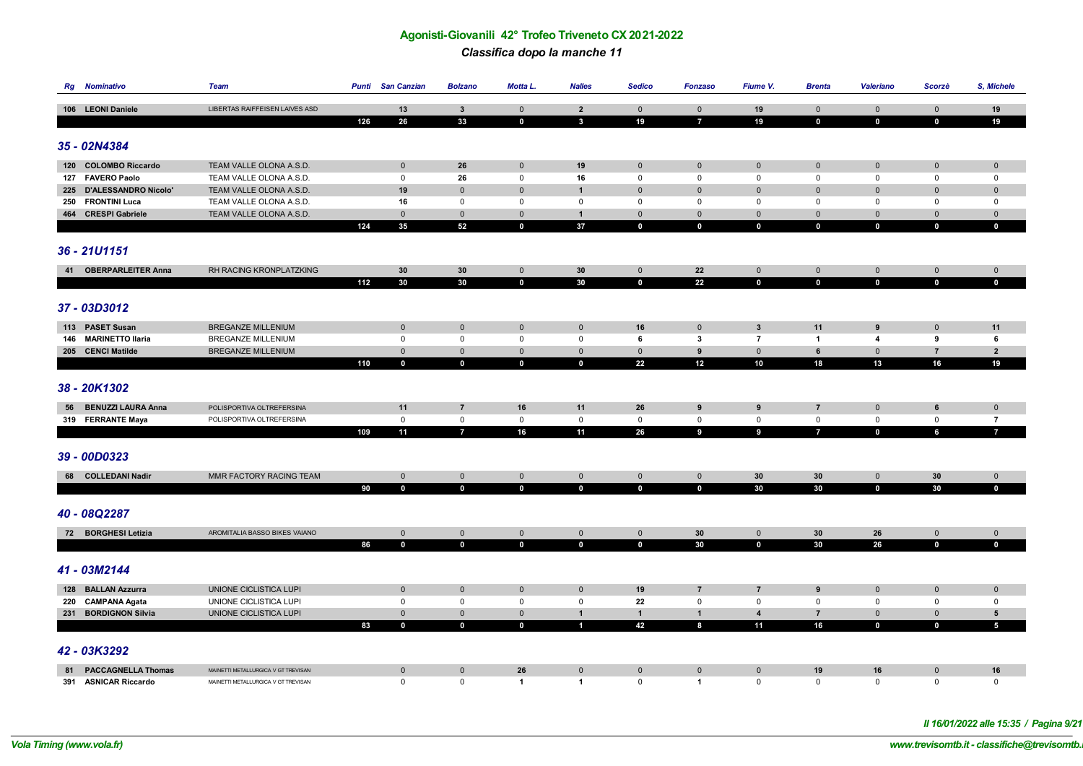*Classifica dopo la manche 11*

|    | <b>Rg</b> Nominativo      | Team                                  | Punti | San Canzian    | <b>Bolzano</b>                | Motta L.          | <b>Nalles</b>  | Sedico       | <b>Fonzaso</b>      | Fiume V.                   | <b>Brenta</b>  | Valeriano                  | Scorzè           | S, Michele                    |
|----|---------------------------|---------------------------------------|-------|----------------|-------------------------------|-------------------|----------------|--------------|---------------------|----------------------------|----------------|----------------------------|------------------|-------------------------------|
|    |                           |                                       |       |                |                               |                   |                |              |                     |                            |                |                            |                  |                               |
|    | 106 LEONI Daniele         | <b>LIBERTAS RAIFFEISEN LAIVES ASD</b> |       | 13             | $\mathbf{3}$                  | $\mathbf 0$       | $\overline{2}$ | $\mathbf 0$  | $\mathsf{O}\xspace$ | 19                         | $\mathbf 0$    | $\mathbf 0$                | $\mathbf 0$      | 19                            |
|    |                           |                                       | 126   | 26             | 33                            | $\mathbf 0$       | $\mathbf{3}$   | 19           | $\overline{7}$      | 19                         | $\mathbf 0$    | $\mathbf 0$                | $\mathbf 0$      | 19                            |
|    |                           |                                       |       |                |                               |                   |                |              |                     |                            |                |                            |                  |                               |
|    | 35 - 02N4384              |                                       |       |                |                               |                   |                |              |                     |                            |                |                            |                  |                               |
|    | 120 COLOMBO Riccardo      | TEAM VALLE OLONA A.S.D.               |       | $\mathbf 0$    | 26                            | $\mathbf 0$       | 19             | $\mathbf 0$  | $\mathbf 0$         | $\mathbf 0$                | $\mathbf 0$    | $\mathbf 0$                | $\mathbf 0$      | $\mathbf 0$                   |
|    | 127 FAVERO Paolo          | TEAM VALLE OLONA A.S.D.               |       | $\mathsf 0$    | 26                            | $\mathsf 0$       | 16             | $\mathsf 0$  | $\mathsf 0$         | $\mathsf{O}$               | $\mathbf 0$    | $\mathsf 0$                | $\mathbf 0$      | 0                             |
|    | 225 D'ALESSANDRO Nicolo'  | TEAM VALLE OLONA A.S.D.               |       | 19             | $\mathbf 0$                   | $\mathbf 0$       | $\mathbf{1}$   | $\mathbf 0$  | $\mathbf 0$         | $\mathbf 0$                | $\mathbf 0$    | $\mathbf 0$                | $\mathbf 0$      | $\mathbf 0$                   |
|    | 250 FRONTINI Luca         | TEAM VALLE OLONA A.S.D.               |       | 16             | $\mathbf{0}$                  | $\mathbf 0$       | $\mathbf{0}$   | $\mathbf 0$  | $\mathbf 0$         | $\mathbf 0$                | $\mathbf 0$    | $\mathbf{0}$               | $\mathbf 0$      | $\mathbf{0}$                  |
|    |                           |                                       |       |                |                               |                   |                | $\mathbf 0$  | $\mathbf 0$         |                            | $\mathbf 0$    |                            |                  |                               |
|    | 464 CRESPI Gabriele       | TEAM VALLE OLONA A.S.D.               |       | $\mathbf 0$    | $\mathbf{0}$<br>52            | $\mathbf 0$       | $\mathbf{1}$   |              | $\mathbf 0$         | $\mathbf 0$<br>$\mathbf 0$ |                | $\mathbf 0$                | $\mathbf 0$      | $\mathbf 0$                   |
|    |                           |                                       | 124   | 35             |                               | $\mathbf 0$       | 37             | $\mathbf 0$  |                     |                            | $\mathbf 0$    | $\mathbf 0$                | $\mathbf 0$      | $\mathbf 0$                   |
|    |                           |                                       |       |                |                               |                   |                |              |                     |                            |                |                            |                  |                               |
|    | 36 - 21U1151              |                                       |       |                |                               |                   |                |              |                     |                            |                |                            |                  |                               |
|    | 41 OBERPARLEITER Anna     | RH RACING KRONPLATZKING               |       | 30             | 30                            | $\mathbf 0$       | 30             | $\mathbf 0$  | 22                  | $\mathbf 0$                | $\mathbf{0}$   | $\mathbf 0$                | $\mathbf 0$      | $\mathbf{0}$                  |
|    |                           |                                       | 112   | 30             | 30                            | $\mathbf 0$       | 30             | $\mathbf 0$  | 22                  | $\mathbf 0$                | $\mathbf 0$    | $\mathbf 0$                | $\mathbf 0$      | $\mathbf 0$                   |
|    |                           |                                       |       |                |                               |                   |                |              |                     |                            |                |                            |                  |                               |
|    | 37 - 03D3012              |                                       |       |                |                               |                   |                |              |                     |                            |                |                            |                  |                               |
|    |                           |                                       |       |                |                               |                   |                |              |                     |                            |                |                            |                  |                               |
|    | 113 PASET Susan           | BREGANZE MILLENIUM                    |       | $\mathbf 0$    | $\mathsf 0$                   | $\mathbf 0$       | $\mathbf 0$    | 16           | $\mathbf 0$         | $\mathbf{3}$               | 11             | $\boldsymbol{9}$           | $\mathbf 0$      | 11                            |
|    | 146 MARINETTO Ilaria      | <b>BREGANZE MILLENIUM</b>             |       | $\mathsf 0$    | $\mathbf 0$                   | $\mathsf 0$       | $\mathsf 0$    | 6            | $\mathbf{3}$        | $\overline{7}$             | $\overline{1}$ | $\overline{\mathbf{4}}$    | 9                | 6                             |
|    | 205 CENCI Matilde         | BREGANZE MILLENIUM                    |       | $\mathbf 0$    | $\mathbf 0$                   | $\mathbf 0$       | $\mathbf 0$    | $\mathbf 0$  | 9                   | $\mathsf{O}\xspace$        | $6\phantom{1}$ | $\mathbf 0$                | $\overline{7}$   | $\overline{2}$                |
|    |                           |                                       | 110   | $\mathbf 0$    | $\mathbf 0$                   | $\mathbf 0$       | $\mathbf 0$    | 22           | 12                  | 10                         | 18             | 13                         | 16               | 19                            |
|    |                           |                                       |       |                |                               |                   |                |              |                     |                            |                |                            |                  |                               |
|    | 38 - 20K1302              |                                       |       |                |                               |                   |                |              |                     |                            |                |                            |                  |                               |
|    | 56 BENUZZI LAURA Anna     |                                       |       | 11             |                               |                   | 11             | 26           | 9                   |                            | $\overline{7}$ |                            |                  |                               |
|    | 319 FERRANTE Maya         | POLISPORTIVA OLTREFERSINA             |       | $\mathsf 0$    | $\overline{7}$<br>$\mathsf 0$ | 16<br>$\mathsf 0$ | $\mathsf 0$    | $\mathsf 0$  | $\mathsf 0$         | 9<br>$\mathsf 0$           | $\mathsf 0$    | $\mathbf 0$<br>$\mathsf 0$ | 6<br>$\mathsf 0$ | $\mathbf 0$<br>$\overline{7}$ |
|    |                           | POLISPORTIVA OLTREFERSINA             |       | 11             | $\overline{7}$                | 16                | 11             | 26           | $\overline{9}$      | $\overline{9}$             | $\overline{7}$ | $\mathbf 0$                | $6\phantom{a}$   | $\mathbf{7}$                  |
|    |                           |                                       | 109   |                |                               |                   |                |              |                     |                            |                |                            |                  |                               |
|    |                           |                                       |       |                |                               |                   |                |              |                     |                            |                |                            |                  |                               |
|    | 39 - 00D0323              |                                       |       |                |                               |                   |                |              |                     |                            |                |                            |                  |                               |
|    | 68 COLLEDANI Nadir        | MMR FACTORY RACING TEAM               |       | $\mathbf 0$    | $\mathbf{0}$                  | $\mathbf 0$       | $\mathbf 0$    | $\mathbf 0$  | $\mathsf 0$         | 30                         | 30             | $\mathbf 0$                | 30               | $\mathbf 0$                   |
|    |                           |                                       | 90    | $\mathbf 0$    | $\mathbf 0$                   | $\mathbf 0$       | $\mathbf 0$    | $\mathbf 0$  | $\mathbf 0$         | 30                         | 30             | $\mathbf 0$                | 30               | $\mathbf 0$                   |
|    |                           |                                       |       |                |                               |                   |                |              |                     |                            |                |                            |                  |                               |
|    | 40 - 08Q2287              |                                       |       |                |                               |                   |                |              |                     |                            |                |                            |                  |                               |
|    |                           |                                       |       |                |                               |                   |                |              |                     |                            |                |                            |                  |                               |
|    | 72 BORGHESI Letizia       | AROMITALIA BASSO BIKES VAIANO         |       | $\mathbf 0$    | $\mathsf 0$                   | $\mathbf 0$       | $\mathbf 0$    | $\mathbf 0$  | 30                  | $\mathbf 0$                | 30             | 26                         | $\mathbf{0}$     | $\mathbf 0$                   |
|    |                           |                                       | 86    | $\mathbf 0$    | $\mathbf 0$                   | $\mathbf 0$       | $\mathbf 0$    | $\mathbf 0$  | 30                  | $\mathbf 0$                | 30             | 26                         | $\mathbf 0$      | $\mathbf 0$                   |
|    |                           |                                       |       |                |                               |                   |                |              |                     |                            |                |                            |                  |                               |
|    | 41 - 03M2144              |                                       |       |                |                               |                   |                |              |                     |                            |                |                            |                  |                               |
|    | 128 BALLAN Azzurra        | UNIONE CICLISTICA LUPI                |       | $\mathbf 0$    | $\mathbf 0$                   | $\mathbf 0$       | $\mathbf 0$    | 19           | $\overline{7}$      | $\overline{7}$             | 9              | $\mathbf 0$                | $\mathbf 0$      | $\mathbf 0$                   |
|    | 220 CAMPANA Agata         | UNIONE CICLISTICA LUPI                |       | $\mathsf 0$    | $\mathbf 0$                   | $\mathsf 0$       | $\mathsf 0$    | 22           | $\mathsf 0$         | $\mathsf{O}$               | $\mathsf 0$    | $\mathsf 0$                | $\mathbf 0$      | $\mathbf 0$                   |
|    | 231 BORDIGNON Silvia      | UNIONE CICLISTICA LUPI                |       | $\mathbf 0$    | $\mathbf 0$                   | $\mathbf 0$       | $\mathbf{1}$   | $\mathbf{1}$ | $\mathbf{1}$        | $\overline{\mathbf{4}}$    | $\overline{7}$ | $\mathbf 0$                | $\mathbf 0$      | $5\phantom{.0}$               |
|    |                           |                                       | 83    | $\mathbf 0$    | $\mathbf 0$                   | $\mathbf 0$       | $\mathbf{1}$   | 42           | 8                   | 11                         | 16             | $\mathbf 0$                | $\mathbf 0$      | $5\phantom{.0}$               |
|    |                           |                                       |       |                |                               |                   |                |              |                     |                            |                |                            |                  |                               |
|    | 42 - 03K3292              |                                       |       |                |                               |                   |                |              |                     |                            |                |                            |                  |                               |
|    |                           |                                       |       |                |                               |                   |                |              |                     |                            |                |                            |                  |                               |
| 81 | <b>PACCAGNELLA Thomas</b> | MAINETTI METALLURGICA V GT TREVISAN   |       | $\overline{0}$ | $\mathbf 0$                   | 26                | $\mathbf 0$    | $\mathbf{0}$ | $\mathbf{0}$        | $\mathbf 0$                | 19             | 16                         | $\overline{0}$   | 16                            |
|    | 391 ASNICAR Riccardo      | MAINETTI METALLURGICA V GT TREVISAN   |       | $\mathbf 0$    | $\mathbf 0$                   | $\overline{1}$    | $\mathbf{1}$   | $\mathbf 0$  | $\overline{1}$      | 0                          | $\mathbf 0$    | $\mathbf 0$                | $\mathbf{0}$     | $\mathbf{0}$                  |
|    |                           |                                       |       |                |                               |                   |                |              |                     |                            |                |                            |                  |                               |

*Il 16/01/2022 alle 15:35 / Pagina 9/21*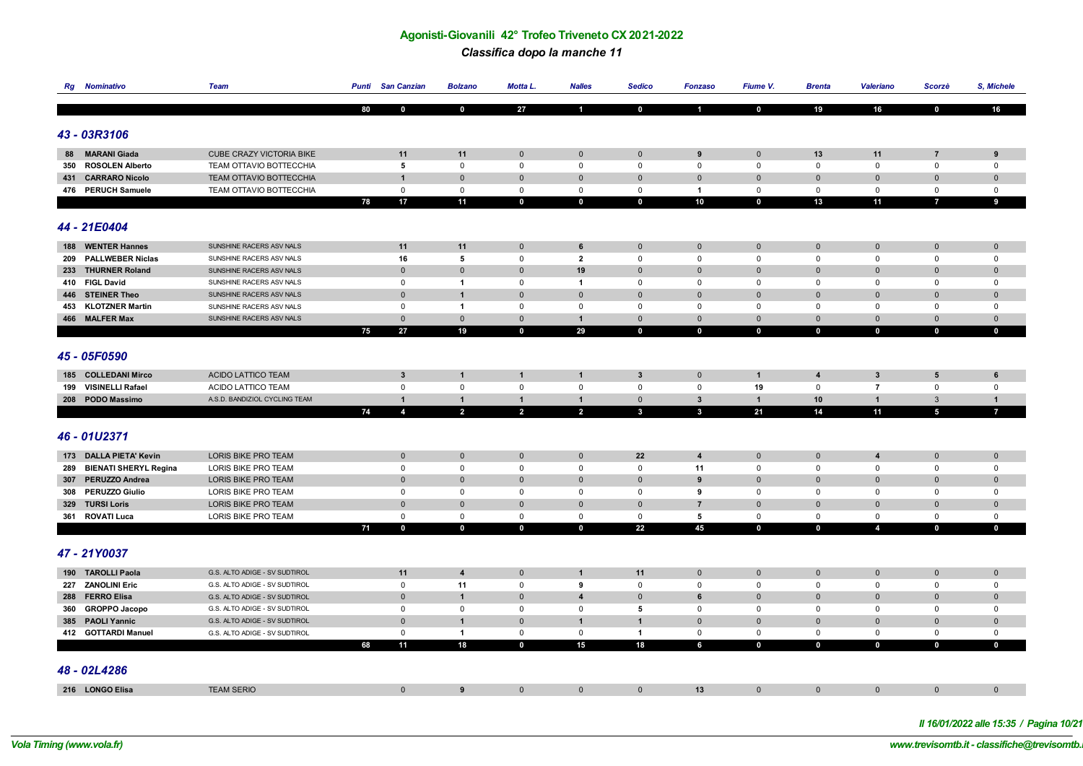#### *Classifica dopo la manche 11*

|    | <b>Rg</b> Nominativo                    | <b>Team</b>                                          |    | <b>Punti</b> San Canzian   | <b>Bolzano</b>                 | Motta L.                    | <b>Nalles</b>               | <b>Sedico</b>               | <b>Fonzaso</b>             | Fiume V.                   | <b>Brenta</b>                | Valeriano                | Scorzè                     | S, Michele                 |
|----|-----------------------------------------|------------------------------------------------------|----|----------------------------|--------------------------------|-----------------------------|-----------------------------|-----------------------------|----------------------------|----------------------------|------------------------------|--------------------------|----------------------------|----------------------------|
|    |                                         |                                                      |    |                            |                                |                             |                             |                             |                            |                            |                              |                          |                            |                            |
|    |                                         |                                                      | 80 | $\Omega$                   | $\mathbf 0$                    | 27                          | $\blacksquare$              | $\mathbf 0$                 | $\mathbf{1}$               | $\mathbf 0$                | 19                           | 16                       | $\mathbf 0$                | 16                         |
|    |                                         |                                                      |    |                            |                                |                             |                             |                             |                            |                            |                              |                          |                            |                            |
|    | 43 - 03R3106                            |                                                      |    |                            |                                |                             |                             |                             |                            |                            |                              |                          |                            |                            |
| 88 | <b>MARANI Giada</b>                     | <b>CUBE CRAZY VICTORIA BIKE</b>                      |    | 11                         | 11                             | $\mathbf{0}$                | $\mathbf 0$                 | $\mathbf{0}$                | $\boldsymbol{9}$           | $\mathbf 0$                | 13                           | 11                       | $\overline{7}$             | 9                          |
|    | 350 ROSOLEN Alberto                     | TEAM OTTAVIO BOTTECCHIA                              |    | $5\phantom{.0}$            | $\mathbf 0$                    | $\mathbf 0$                 | $\mathsf 0$                 | 0                           | $\mathsf 0$                | $\mathsf 0$                | $\mathsf 0$                  | $\mathbf 0$              | $\mathbf 0$                | $\mathbf 0$                |
|    | 431 CARRARO Nicolo                      | TEAM OTTAVIO BOTTECCHIA                              |    | $\overline{1}$             | $\mathbf 0$                    | $\mathbf{0}$                | $\mathbf 0$                 | $\mathbf 0$                 | $\mathbf{0}$               | $\mathbf{0}$               | $\overline{0}$               | $\mathbf{0}$             | $\Omega$                   | $\pmb{0}$                  |
|    | 476 PERUCH Samuele                      | TEAM OTTAVIO BOTTECCHIA                              |    | $\mathsf 0$                | $\mathbf 0$                    | $\mathbf 0$                 | $\mathsf 0$                 | 0                           | $\mathbf{1}$               | 0                          | $\mathsf 0$                  | $\mathbf 0$              | $\mathbf 0$                | $\mathbf 0$                |
|    |                                         |                                                      | 78 | 17                         | 11                             | $\mathbf 0$                 | $\mathbf 0$                 | $\mathbf 0$                 | 10                         | $\mathbf 0$                | 13                           | 11                       | $\overline{I}$             | 9                          |
|    |                                         |                                                      |    |                            |                                |                             |                             |                             |                            |                            |                              |                          |                            |                            |
|    | 44 - 21E0404                            |                                                      |    |                            |                                |                             |                             |                             |                            |                            |                              |                          |                            |                            |
|    |                                         |                                                      |    |                            |                                |                             |                             |                             |                            |                            |                              |                          |                            |                            |
|    | 188 WENTER Hannes                       | SUNSHINE RACERS ASV NALS                             |    | 11                         | 11                             | $\mathbf 0$                 | 6                           | $\overline{0}$              | $\mathbf 0$                | $\mathbf 0$                | $\mathbf{0}$                 | $\mathbf 0$              | $\mathbf 0$                | $\mathbf 0$                |
|    | 209 PALLWEBER Niclas                    | SUNSHINE RACERS ASV NALS                             |    | 16                         | 5                              | $\mathsf 0$                 | $\overline{2}$              | 0                           | $\mathsf 0$                | $\mathsf 0$                | $\mathbf 0$                  | $\mathbf 0$              | $\mathbf 0$                | $\mathbf 0$                |
|    | 233 THURNER Roland                      | SUNSHINE RACERS ASV NALS                             |    | $\mathbf 0$                | $\mathbf 0$                    | $\mathbf 0$                 | 19                          | $\pmb{0}$                   | $\mathbf 0$                | $\mathbf 0$                | $\overline{0}$               | $\pmb{0}$<br>$\Omega$    | $\mathbf 0$                | $\mathbf 0$                |
|    | 410 FIGL David                          | SUNSHINE RACERS ASV NALS                             |    | $\mathsf 0$                | $\overline{1}$                 | $\mathbf 0$                 | $\overline{1}$              | 0                           | $\mathsf 0$                | $\mathbf 0$                | $\mathbf 0$                  |                          | $\mathbf 0$                | $\mathsf 0$                |
|    | 446 STEINER Theo<br>453 KLOTZNER Martin | SUNSHINE RACERS ASV NALS<br>SUNSHINE RACERS ASV NALS |    | $\mathbf 0$<br>$\mathsf 0$ | $\mathbf{1}$<br>$\overline{1}$ | $\mathbf 0$<br>$\mathbf{0}$ | $\mathbf{0}$<br>$\mathsf 0$ | $\mathbf{0}$<br>$\mathbf 0$ | $\mathbf 0$<br>$\mathbf 0$ | $\mathbf 0$<br>$\mathbf 0$ | $\mathbf{0}$<br>$\mathbf{0}$ | $\mathbf{0}$<br>$\Omega$ | $\mathbf 0$<br>$\mathbf 0$ | $\mathbf 0$<br>$\mathbf 0$ |
|    | 466 MALFER Max                          | SUNSHINE RACERS ASV NALS                             |    | $\mathbf 0$                | $\mathbf 0$                    | $\mathbf 0$                 | $\mathbf{1}$                | $\mathbf{0}$                | $\mathbf 0$                | $\mathbf 0$                | $\overline{0}$               | $\mathbf{0}$             | $\mathbf{0}$               | $\mathbf 0$                |
|    |                                         |                                                      | 75 | 27                         | 19                             | $\mathbf{0}$                | 29                          | $\mathbf 0$                 | $\mathbf 0$                | $\mathbf 0$                | $\mathbf 0$                  | $\mathbf 0$              | $\mathbf 0$                | $\mathbf 0$                |
|    |                                         |                                                      |    |                            |                                |                             |                             |                             |                            |                            |                              |                          |                            |                            |
|    | 45 - 05F0590                            |                                                      |    |                            |                                |                             |                             |                             |                            |                            |                              |                          |                            |                            |
|    |                                         |                                                      |    |                            |                                |                             |                             |                             |                            |                            |                              |                          |                            |                            |
|    | 185 COLLEDANI Mirco                     | <b>ACIDO LATTICO TEAM</b>                            |    | $\mathbf{3}$               | $\mathbf{1}$                   | -1                          | $\mathbf{1}$                | $\overline{\mathbf{3}}$     | $\mathbf 0$                | $\mathbf{1}$               | $\overline{4}$               | 3                        | 5                          | 6                          |
|    | 199 VISINELLI Rafael                    | ACIDO LATTICO TEAM                                   |    | $\mathsf 0$                | 0                              | $\mathbf 0$                 | $\mathsf 0$                 | 0                           | $\mathsf 0$                | 19                         | $\mathsf 0$                  | $\overline{7}$           | $\mathbf 0$                | $\mathbf 0$                |
|    | 208 PODO Massimo                        | A.S.D. BANDIZIOL CYCLING TEAM                        |    | $\overline{1}$             | $\mathbf{1}$                   | $\mathbf 1$                 | $\mathbf{1}$                | $\mathbf 0$                 | $\mathbf{3}$               | $\mathbf{1}$               | 10                           | $\mathbf{1}$             | 3                          | $\mathbf{1}$               |
|    |                                         |                                                      | 74 | $\overline{\mathbf{A}}$    | $\overline{2}$                 | $\overline{2}$              | $\overline{2}$              | $\mathbf{3}$                | $\mathbf{3}$               | 21                         | 14                           | 11                       | $\overline{\phantom{a}}$   | $\overline{7}$             |
|    |                                         |                                                      |    |                            |                                |                             |                             |                             |                            |                            |                              |                          |                            |                            |
|    | 46 - 01U2371                            |                                                      |    |                            |                                |                             |                             |                             |                            |                            |                              |                          |                            |                            |
|    | 173 DALLA PIETA' Kevin                  | LORIS BIKE PRO TEAM                                  |    | $\mathbf{0}$               | $\mathbf 0$                    | $\mathbf 0$                 | $\mathbf{0}$                | 22                          | $\overline{\mathbf{4}}$    | $\mathbf 0$                | $\mathbf{0}$                 | $\overline{\mathbf{4}}$  | $\mathbf 0$                | $\mathbf 0$                |
|    | 289 BIENATI SHERYL Regina               | LORIS BIKE PRO TEAM                                  |    | $\mathbf 0$                | $\mathbf 0$                    | $\mathbf 0$                 | $\mathbf 0$                 | $\mathbf 0$                 | 11                         | $\mathbf 0$                | $\mathbf 0$                  | $\mathbf 0$              | $\mathbf 0$                | $\mathbf 0$                |
|    | 307 PERUZZO Andrea                      | LORIS BIKE PRO TEAM                                  |    | $\mathbf 0$                | $\mathbf{0}$                   | $\Omega$                    | $\mathbf 0$                 | $\mathbf{0}$                | $\boldsymbol{9}$           | $\mathbf{0}$               | $\mathbf 0$                  | $\Omega$                 | $\mathbf{0}$               | $\mathbf 0$                |
|    | 308 PERUZZO Giulio                      | LORIS BIKE PRO TEAM                                  |    | $\mathbf 0$                | $\mathbf 0$                    | $\mathbf 0$                 | $\mathbf 0$                 | $\mathbf 0$                 | 9                          | $\mathbf 0$                | $\mathbf 0$                  | $\mathbf 0$              | $\mathbf 0$                | $\mathbf 0$                |
|    | 329 TURSI Loris                         | LORIS BIKE PRO TEAM                                  |    | $\mathbf 0$                | $\mathbf{0}$                   | $\Omega$                    | $\mathbf{0}$                | $\mathbf{0}$                | $\overline{7}$             | $\mathbf{0}$               | $\mathbf 0$                  | $\Omega$                 | $\Omega$                   | $\mathbf 0$                |
|    | 361 ROVATI Luca                         | LORIS BIKE PRO TEAM                                  |    | $\mathsf 0$                | $\mathbf 0$                    | $\mathsf 0$                 | $\mathsf 0$                 | $\mathbf 0$                 | 5                          | $\mathbf 0$                | $\mathbf 0$                  | $\mathbf 0$              | $\mathbf 0$                | $\mathbf 0$                |
|    |                                         |                                                      | 71 | $\mathbf 0$                | $\mathbf{0}$                   | $\mathbf{0}$                | $\mathbf 0$                 | 22                          | 45                         | $\mathbf{0}$               | $\mathbf 0$                  | $\overline{4}$           | $\mathbf{0}$               | $\mathbf{0}$               |
|    |                                         |                                                      |    |                            |                                |                             |                             |                             |                            |                            |                              |                          |                            |                            |
|    | 47 - 21Y0037                            |                                                      |    |                            |                                |                             |                             |                             |                            |                            |                              |                          |                            |                            |
|    |                                         |                                                      |    |                            |                                |                             |                             |                             |                            |                            |                              |                          |                            |                            |
|    | 190 TAROLLI Paola                       | G.S. ALTO ADIGE - SV SUDTIROL                        |    | 11                         | $\overline{\mathbf{4}}$        | $\mathbf 0$                 | $\mathbf{1}$                | 11                          | $\mathbf 0$                | $\mathbf 0$                | $\overline{0}$               | $\mathbf{0}$             | $\mathbf 0$                | $\pmb{0}$                  |
|    | 227 ZANOLINI Eric                       | G.S. ALTO ADIGE - SV SUDTIROL                        |    | $\mathsf 0$                | 11                             | $\mathbf 0$                 | 9                           | 0                           | 0                          | $\mathbf 0$                | $\mathsf 0$                  | $\mathbf 0$              | $\mathbf 0$                | $\mathbf 0$                |
|    | 288 FERRO Elisa                         | G.S. ALTO ADIGE - SV SUDTIROL                        |    | $\mathbf 0$                | $\mathbf{1}$                   | $\mathbf{0}$                | $\overline{4}$              | $\mathbf{0}$                | 6                          | $\mathbf 0$                | $\overline{0}$               | $\mathbf{0}$             | $\Omega$                   | $\mathbf 0$                |
|    | 360 GROPPO Jacopo                       | G.S. ALTO ADIGE - SV SUDTIROL                        |    | $\mathsf 0$                | $\mathsf 0$                    | $\mathbf 0$                 | $\mathsf 0$                 | 5                           | $\mathsf 0$                | 0                          | $\mathbf 0$                  | $\mathbf 0$              | $\mathbf 0$                | $\mathbf 0$                |
|    | 385 PAOLI Yannic                        | G.S. ALTO ADIGE - SV SUDTIROL                        |    | $\mathbf 0$                | $\mathbf{1}$                   | $\mathbf 0$                 | $\mathbf{1}$                | $\mathbf{1}$                | $\mathbf 0$                | $\mathbf 0$                | $\overline{0}$               | $\mathbf{0}$             | $\mathbf 0$                | $\pmb{0}$                  |
|    | 412 GOTTARDI Manuel                     | G.S. ALTO ADIGE - SV SUDTIROL                        |    | $\mathbf 0$                | $\overline{1}$                 | $\mathsf 0$                 | $\mathbf 0$                 | $\overline{1}$              | $\mathsf 0$                | $\mathsf 0$                | $\mathsf 0$                  | $\mathbf 0$              | $\mathbf 0$                | $\mathbf 0$                |
|    |                                         |                                                      | 68 | 11                         | 18                             | $\mathbf 0$                 | 15                          | 18                          | 6                          | $\mathbf 0$                | $\mathbf 0$                  | $\mathbf 0$              | $\mathbf 0$                | $\mathbf 0$                |
|    |                                         |                                                      |    |                            |                                |                             |                             |                             |                            |                            |                              |                          |                            |                            |
|    | 48 - 02L4286                            |                                                      |    |                            |                                |                             |                             |                             |                            |                            |                              |                          |                            |                            |
|    | 216 LONGO Elisa                         | <b>TEAM SERIO</b>                                    |    | $\mathbf 0$                | 9                              | $\mathbf 0$                 | $\mathbf 0$                 | $\mathbf{0}$                | 13                         | $\mathbf 0$                | $\mathbf 0$                  | $\mathbf 0$              | $\mathbf 0$                | $\mathbf 0$                |
|    |                                         |                                                      |    |                            |                                |                             |                             |                             |                            |                            |                              |                          |                            |                            |

*Il 16/01/2022 alle 15:35 / Pagina 10/21*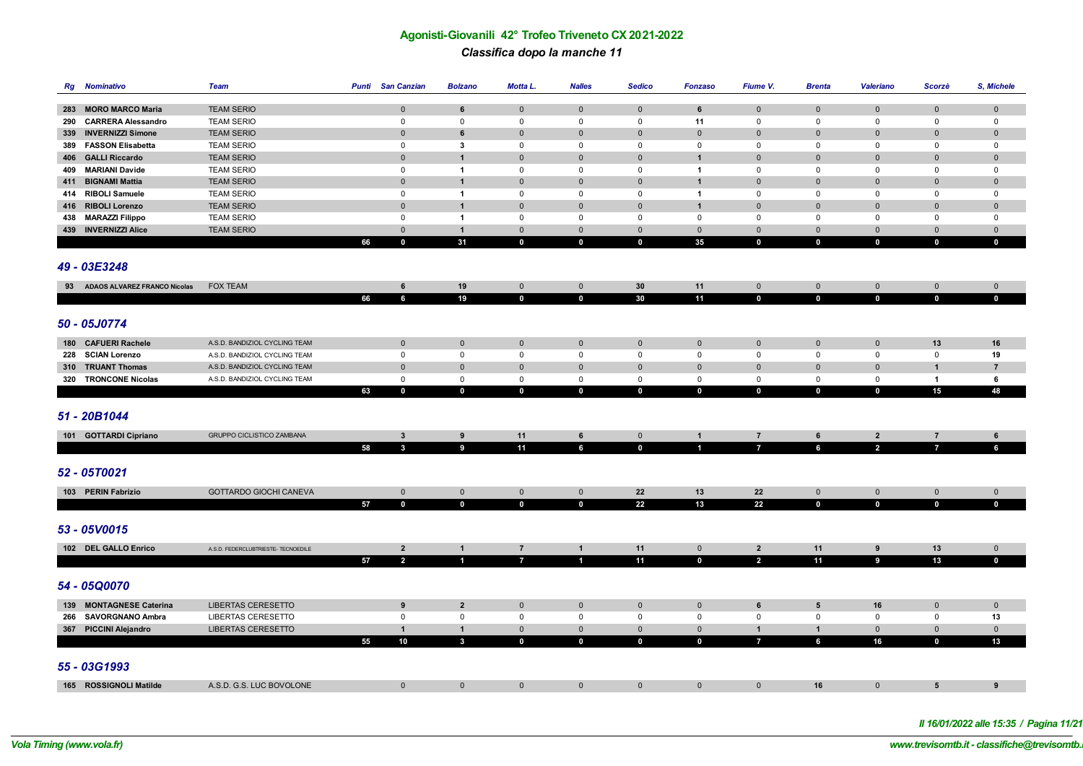# **Agonisti-Giovanili 42° Trofeo Triveneto CX 2021-2022** *Classifica dopo la manche 11*

|     | <b>Rg</b> Nominativo            | Team                                |    | <b>Punti</b> San Canzian | <b>Bolzano</b>   | Motta L.       | <b>Nalles</b>  | <b>Sedico</b>       | <b>Fonzaso</b> | Fiume V.       | <b>Brenta</b>   | <b>Valeriano</b>    | Scorzè         | S, Michele     |
|-----|---------------------------------|-------------------------------------|----|--------------------------|------------------|----------------|----------------|---------------------|----------------|----------------|-----------------|---------------------|----------------|----------------|
|     |                                 |                                     |    |                          |                  |                |                |                     |                |                |                 |                     |                |                |
|     | 283 MORO MARCO Maria            | <b>TEAM SERIO</b>                   |    | $\mathbf 0$              | 6                | $\mathbf 0$    | $\mathbf 0$    | $\mathsf{O}\xspace$ | 6              | $\mathbf 0$    | $\mathbf 0$     | $\mathsf{O}\xspace$ | $\mathbf 0$    | $\mathbf 0$    |
| 290 | <b>CARRERA Alessandro</b>       | <b>TEAM SERIO</b>                   |    | $\mathsf 0$              | $\mathbf 0$      | $\mathbf 0$    | $\mathsf 0$    | $\mathsf 0$         | 11             | $\mathbf 0$    | $\mathsf 0$     | $\mathsf 0$         | $\mathsf 0$    | $\mathsf 0$    |
|     | 339 INVERNIZZI Simone           | <b>TEAM SERIO</b>                   |    | $\mathbf{0}$             | 6                | $\mathbf 0$    | $\mathbf 0$    | $\Omega$            | $\pmb{0}$      | $\mathbf 0$    | $\mathbf 0$     | $\Omega$            | $\mathbf 0$    | $\pmb{0}$      |
|     | 389 FASSON Elisabetta           | <b>TEAM SERIO</b>                   |    | $\mathsf 0$              | $\mathbf{3}$     | $\mathsf 0$    | $\mathbf 0$    | $\mathsf 0$         | $\mathbf 0$    | $\mathbf 0$    | $\mathsf 0$     | $\mathsf 0$         | $\mathsf 0$    | $\mathsf 0$    |
|     | 406 GALLI Riccardo              | <b>TEAM SERIO</b>                   |    | $\mathbf 0$              | $\overline{1}$   | $\mathbf{0}$   | $\mathbf 0$    | $\mathbf{0}$        | $\overline{1}$ | $\mathbf 0$    | $\mathbf 0$     | $\mathbf{0}$        | $\mathbf 0$    | $\pmb{0}$      |
|     | 409 MARIANI Davide              | <b>TEAM SERIO</b>                   |    | $\mathsf 0$              | $\overline{1}$   | $\mathbf 0$    | $\mathbf 0$    | $\mathsf 0$         | $\overline{1}$ | $\mathbf 0$    | $\mathsf 0$     | $\mathbf 0$         | 0              | $\mathbf 0$    |
|     | 411 BIGNAMI Mattia              | <b>TEAM SERIO</b>                   |    | $\mathbf 0$              | $\overline{1}$   | $\mathbf{0}$   | $\mathbf{0}$   | $\mathbf{0}$        | $\overline{1}$ | $\mathbf 0$    | $\mathbf 0$     | $\mathbf{0}$        | $\mathbf 0$    | $\mathbf 0$    |
|     | 414 RIBOLI Samuele              | <b>TEAM SERIO</b>                   |    | $\mathsf 0$              | $\overline{1}$   | $\mathsf{O}$   | $\mathsf 0$    | $\mathsf 0$         | $\overline{1}$ | $\mathbf 0$    | $\mathsf 0$     | $\mathbf 0$         | 0              | $\mathbf 0$    |
|     | 416 RIBOLI Lorenzo              | <b>TEAM SERIO</b>                   |    | $\mathbf 0$              | $\overline{1}$   | $\mathbf 0$    | $\mathbf 0$    | $\mathbf 0$         | $\overline{1}$ | $\mathbf 0$    | $\mathbf 0$     | $\mathbf 0$         | $\mathbf 0$    | $\mathbf 0$    |
| 438 | <b>MARAZZI Filippo</b>          | <b>TEAM SERIO</b>                   |    | $\mathsf 0$              | $\overline{1}$   | $\mathsf{O}$   | $\mathsf 0$    | $\mathsf 0$         | 0              | $\mathbf 0$    | $\mathsf 0$     | $\mathbf 0$         | $\mathsf 0$    | $\mathsf 0$    |
|     | 439 INVERNIZZI Alice            | <b>TEAM SERIO</b>                   |    | $\mathbf 0$              | $\overline{1}$   | $\mathbf 0$    | $\mathbf 0$    | $\mathbf 0$         | $\mathbf{0}$   | $\mathbf 0$    | $\mathbf 0$     | $\mathbf 0$         | $\mathbf 0$    | $\mathbf 0$    |
|     |                                 |                                     | 66 | $\mathbf 0$              | 31               | $\mathbf 0$    | $\mathbf 0$    | $\mathbf 0$         | 35             | $\mathbf 0$    | $\mathbf 0$     | $\mathbf 0$         | $\mathbf 0$    | $\mathbf 0$    |
|     |                                 |                                     |    |                          |                  |                |                |                     |                |                |                 |                     |                |                |
|     | 49 - 03E3248                    |                                     |    |                          |                  |                |                |                     |                |                |                 |                     |                |                |
|     | 93 ADAOS ALVAREZ FRANCO Nicolas | <b>FOX TEAM</b>                     |    | 6                        | 19               | $\mathbf 0$    | $\mathbf 0$    | 30                  | 11             | $\mathbf 0$    | $\mathbf 0$     | $\mathbf 0$         | $\mathbf 0$    | $\mathbf 0$    |
|     |                                 |                                     | 66 | 6                        | 19               | $\mathbf 0$    | $\mathbf 0$    | 30                  | 11             | $\mathbf 0$    | $\mathbf 0$     | $\mathbf 0$         | $\mathbf 0$    | $\mathbf 0$    |
|     |                                 |                                     |    |                          |                  |                |                |                     |                |                |                 |                     |                |                |
|     | 50 - 05J0774                    |                                     |    |                          |                  |                |                |                     |                |                |                 |                     |                |                |
|     |                                 |                                     |    |                          |                  |                |                |                     |                |                |                 |                     |                |                |
|     | 180 CAFUERI Rachele             | A.S.D. BANDIZIOL CYCLING TEAM       |    | $\mathbf 0$              | $\mathbf 0$      | $\mathbf 0$    | $\mathbf 0$    | $\mathsf{O}\xspace$ | $\pmb{0}$      | $\mathbf 0$    | $\mathbf 0$     | $\mathsf{O}\xspace$ | 13             | 16             |
|     | 228 SCIAN Lorenzo               | A.S.D. BANDIZIOL CYCLING TEAM       |    | $\mathbf 0$              | $\mathsf 0$      | $\mathbf 0$    | $\mathbf 0$    | $\mathsf 0$         | 0              | $\mathbf 0$    | $\mathbf 0$     | $\mathsf 0$         | $\mathbf 0$    | 19             |
|     | 310 TRUANT Thomas               | A.S.D. BANDIZIOL CYCLING TEAM       |    | $\mathbf 0$              | $\overline{0}$   | $\mathbf{0}$   | $\mathbf{0}$   | $\mathbf{0}$        | $\mathbf 0$    | $\mathbf 0$    | $\mathbf 0$     | $\mathbf{0}$        | $\overline{1}$ | $\overline{7}$ |
|     | 320 TRONCONE Nicolas            | A.S.D. BANDIZIOL CYCLING TEAM       |    | $\mathbf 0$              | $\mathsf 0$      | $\mathbf 0$    | $\mathsf 0$    | $\mathsf 0$         | $\mathbf 0$    | $\mathbf 0$    | $\mathbf 0$     | $\mathbf 0$         | $\mathbf{1}$   | 6              |
|     |                                 |                                     | 63 | $\mathbf 0$              | $\mathbf{0}$     | $\mathbf 0$    | $\mathbf 0$    | $\mathbf 0$         | $\mathbf 0$    | $\mathbf{0}$   | $\mathbf 0$     | $\mathbf 0$         | 15             | 48             |
|     |                                 |                                     |    |                          |                  |                |                |                     |                |                |                 |                     |                |                |
|     | 51 - 20B1044                    |                                     |    |                          |                  |                |                |                     |                |                |                 |                     |                |                |
|     | 101 GOTTARDI Cipriano           | <b>GRUPPO CICLISTICO ZAMBANA</b>    |    | $\mathbf{3}$             | $\boldsymbol{9}$ | 11             | $6\phantom{1}$ | $\mathsf{O}\xspace$ | $\mathbf{1}$   | $\overline{7}$ | $6\phantom{1}6$ | $\overline{2}$      | $\overline{7}$ | 6              |
|     |                                 |                                     | 58 | $\mathbf{3}$             | $\overline{9}$   | 11             | $6\phantom{a}$ | $\mathbf 0$         | $\mathbf{1}$   | $\overline{7}$ | 6               | $\overline{2}$      | $\overline{7}$ | 6              |
|     |                                 |                                     |    |                          |                  |                |                |                     |                |                |                 |                     |                |                |
|     | 52 - 05T0021                    |                                     |    |                          |                  |                |                |                     |                |                |                 |                     |                |                |
|     |                                 |                                     |    |                          |                  |                |                |                     |                |                |                 |                     |                |                |
|     | 103 PERIN Fabrizio              | GOTTARDO GIOCHI CANEVA              |    | $\mathbf 0$              | $\overline{0}$   | $\mathbf 0$    | $\mathbf 0$    | 22                  | 13             | 22             | $\mathbf 0$     | $\overline{0}$      | $\mathbf 0$    | $\mathbf 0$    |
|     |                                 |                                     | 57 | $\mathbf 0$              | $\mathbf 0$      | $\mathbf 0$    | $\mathbf{0}$   | 22                  | 13             | 22             | $\mathbf 0$     | $\mathbf 0$         | $\mathbf 0$    | $\mathbf{0}$   |
|     |                                 |                                     |    |                          |                  |                |                |                     |                |                |                 |                     |                |                |
|     | 53 - 05V0015                    |                                     |    |                          |                  |                |                |                     |                |                |                 |                     |                |                |
|     |                                 |                                     |    |                          |                  |                |                |                     |                |                |                 |                     |                |                |
|     | 102 DEL GALLO Enrico            | A.S.D. FEDERCLUBTRIESTE- TECNOEDILE |    | $\overline{2}$           | $\mathbf{1}$     | $\overline{7}$ | $\mathbf{1}$   | 11                  | $\mathbf 0$    | $\overline{2}$ | 11              | $\pmb{9}$           | 13             | $\mathbf 0$    |
|     |                                 |                                     | 57 | $\overline{\mathbf{2}}$  | 4                | $\overline{7}$ | $\blacksquare$ | 11                  | $\mathbf 0$    | $\overline{2}$ | 11              | 9                   | 13             | $\mathbf 0$    |
|     |                                 |                                     |    |                          |                  |                |                |                     |                |                |                 |                     |                |                |
|     | 54 - 05Q0070                    |                                     |    |                          |                  |                |                |                     |                |                |                 |                     |                |                |
|     | 139 MONTAGNESE Caterina         | <b>LIBERTAS CERESETTO</b>           |    | 9                        | $\overline{2}$   | $\mathbf 0$    | $\mathbf{0}$   | $\mathbf{0}$        | $\pmb{0}$      | 6              | $5\phantom{1}$  | 16                  | $\mathbf 0$    | $\mathbf 0$    |
|     | 266 SAVORGNANO Ambra            | <b>LIBERTAS CERESETTO</b>           |    | $\mathsf 0$              | $\mathbf 0$      | $\mathsf{O}$   | $\mathsf 0$    | $\mathsf 0$         | 0              | $\mathsf 0$    | $\mathsf 0$     | $\mathbf 0$         | 0              | 13             |
|     | 367 PICCINI Alejandro           | <b>LIBERTAS CERESETTO</b>           |    | $\mathbf{1}$             | $\overline{1}$   | $\mathbf 0$    | $\mathbf 0$    | $\mathbf{0}$        | $\mathbf{0}$   | $\mathbf{1}$   | $\mathbf{1}$    | $\mathbf 0$         | $\mathbf 0$    | $\mathbf 0$    |
|     |                                 |                                     | 55 | 10                       | $\mathbf{3}$     | $\mathbf 0$    | $\mathbf 0$    | $\mathbf 0$         | $\mathbf 0$    | $\overline{7}$ | $6\phantom{a}$  | 16                  | $\mathbf 0$    | 13             |
|     |                                 |                                     |    |                          |                  |                |                |                     |                |                |                 |                     |                |                |
|     | 55 - 03G1993                    |                                     |    |                          |                  |                |                |                     |                |                |                 |                     |                |                |
|     |                                 |                                     |    |                          |                  |                |                |                     |                |                |                 |                     |                |                |
|     | 165 ROSSIGNOLI Matilde          | A.S.D. G.S. LUC BOVOLONE            |    | $\Omega$                 | $\mathbf 0$      | $\Omega$       | $\mathbf{0}$   | $\Omega$            | $\Omega$       | $\Omega$       | 16              | $\mathbf{0}$        | 5              | 9              |
|     |                                 |                                     |    |                          |                  |                |                |                     |                |                |                 |                     |                |                |

*Il 16/01/2022 alle 15:35 / Pagina 11/21*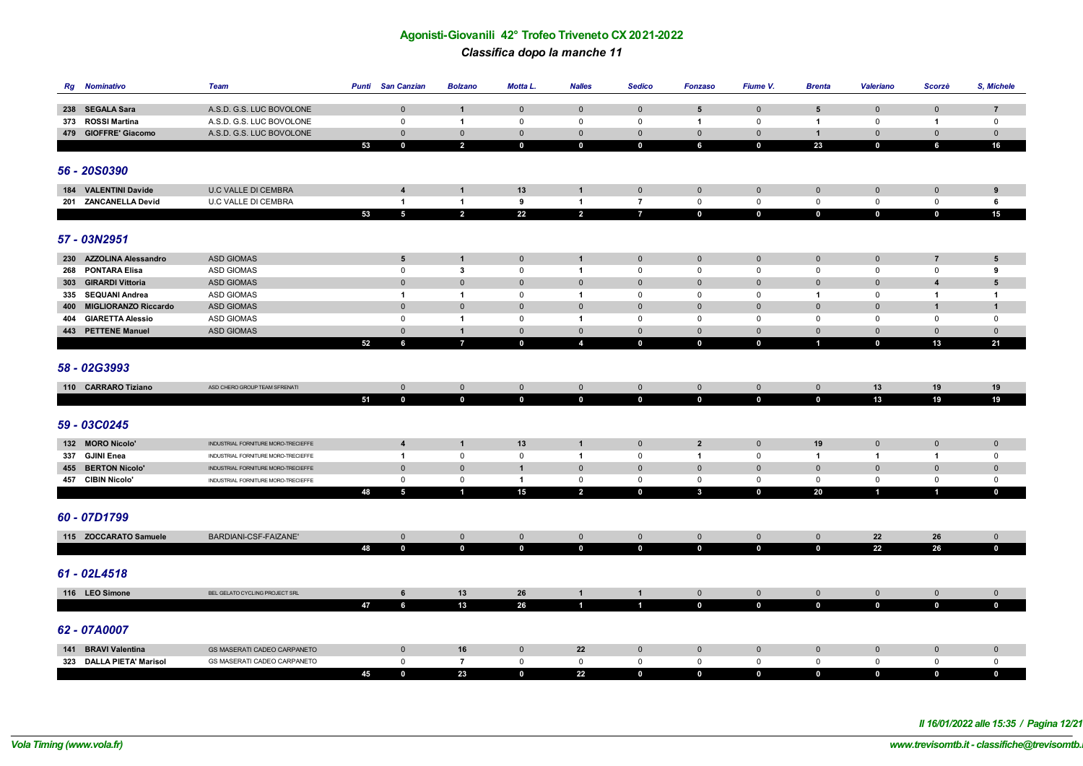# **Agonisti-Giovanili 42° Trofeo Triveneto CX 2021-2022** *Classifica dopo la manche 11*

| <b>Rg</b> Nominativo                 | <b>Team</b>                                          | Punti | <b>San Canzian</b>         | <b>Bolzano</b>                 | Motta L.                   | <b>Nalles</b>              | <b>Sedico</b>              | <b>Fonzaso</b>      | Fiume V.                   | <b>Brenta</b>                      | <b>Valeriano</b> | Scorzè                      | S, Michele                    |
|--------------------------------------|------------------------------------------------------|-------|----------------------------|--------------------------------|----------------------------|----------------------------|----------------------------|---------------------|----------------------------|------------------------------------|------------------|-----------------------------|-------------------------------|
|                                      |                                                      |       |                            |                                |                            |                            |                            |                     |                            |                                    |                  |                             |                               |
| 238 SEGALA Sara<br>373 ROSSI Martina | A.S.D. G.S. LUC BOVOLONE<br>A.S.D. G.S. LUC BOVOLONE |       | $\mathbf 0$<br>$\mathbf 0$ | $\mathbf{1}$<br>$\overline{1}$ | $\mathbf 0$<br>$\mathbf 0$ | $\mathbf 0$<br>$\mathbf 0$ | $\mathbf 0$<br>$\mathsf 0$ | 5<br>$\overline{1}$ | $\mathbf 0$<br>$\mathbf 0$ | $\sqrt{5}$<br>$\blacktriangleleft$ | $\mathbf 0$<br>0 | $\mathbf 0$<br>$\mathbf{1}$ | $\overline{7}$<br>$\mathbf 0$ |
| 479 GIOFFRE' Giacomo                 | A.S.D. G.S. LUC BOVOLONE                             |       | $\mathbf 0$                | $\mathbf 0$                    | $\mathbf{0}$               | $\mathbf 0$                | $\mathbf 0$                | $\mathbf{0}$        | $\mathbf 0$                | $\mathbf{1}$                       | $\mathbf 0$      | $\mathbf 0$                 | $\mathbf 0$                   |
|                                      |                                                      | 53    | $\mathbf 0$                | $\overline{2}$                 | $\mathbf 0$                | $\mathbf 0$                | $\mathbf 0$                | 6                   | $\mathbf 0$                | 23                                 | $\mathbf 0$      | 6                           | 16                            |
|                                      |                                                      |       |                            |                                |                            |                            |                            |                     |                            |                                    |                  |                             |                               |
| 56 - 20S0390                         |                                                      |       |                            |                                |                            |                            |                            |                     |                            |                                    |                  |                             |                               |
|                                      |                                                      |       |                            |                                |                            |                            |                            |                     |                            |                                    |                  |                             |                               |
| 184 VALENTINI Davide                 | <b>U.C VALLE DI CEMBRA</b>                           |       | 4                          | $\mathbf{1}$                   | 13                         | $\mathbf{1}$               | $\mathbf 0$                | $\mathbf{0}$        | $\mathbf 0$                | $\mathbf 0$                        | $\mathbf 0$      | $\mathbf 0$                 | 9                             |
| 201 ZANCANELLA Devid                 | U.C VALLE DI CEMBRA                                  |       | $\overline{1}$             | $\overline{1}$                 | 9                          | $\mathbf{1}$               | $\overline{7}$             | $\mathsf 0$         | $\mathbf 0$                | $\mathsf 0$                        | $\mathsf 0$      | $\mathbf 0$                 | 6                             |
|                                      |                                                      | 53    | $\overline{5}$             | $\overline{2}$                 | 22                         | $\overline{2}$             | $\overline{7}$             | $\mathbf 0$         | $\mathbf 0$                | $\mathbf 0$                        | $\mathbf 0$      | $\mathbf 0$                 | 15                            |
| 57 - 03N2951                         |                                                      |       |                            |                                |                            |                            |                            |                     |                            |                                    |                  |                             |                               |
| 230 AZZOLINA Alessandro              | <b>ASD GIOMAS</b>                                    |       | $5\phantom{.0}$            | $\mathbf{1}$                   | $\mathbf 0$                | $\mathbf{1}$               | $\mathbf 0$                | $\pmb{0}$           | $\mathbf 0$                | $\mathbf 0$                        | $\mathbf 0$      | $\overline{7}$              | 5                             |
| 268 PONTARA Elisa                    | ASD GIOMAS                                           |       | $\mathbf 0$                | $\mathbf{3}$                   | $\mathsf{O}$               | $\mathbf{1}$               | $\mathsf 0$                | 0                   | $\mathbf 0$                | $\mathsf 0$                        | $\mathsf 0$      | 0                           | 9                             |
| 303 GIRARDI Vittoria                 | <b>ASD GIOMAS</b>                                    |       | $\mathbf 0$                | $\mathbf 0$                    | $\mathbf 0$                | $\mathbf 0$                | $\mathbf{0}$               | $\pmb{0}$           | $\mathbf 0$                | $\mathbf 0$                        | $\mathbf{0}$     | 4                           | $5\phantom{1}$                |
| 335 SEQUANI Andrea                   | ASD GIOMAS                                           |       | $\overline{1}$             | $\overline{1}$                 | $\mathbf 0$                | $\mathbf{1}$               | 0                          | $\mathbf 0$         | $\mathbf 0$                | $\blacktriangleleft$               | $\mathbf 0$      | $\mathbf 1$                 | $\overline{1}$                |
| 400 MIGLIORANZO Riccardo             | <b>ASD GIOMAS</b>                                    |       | $\mathbb O$                | $\mathbf 0$                    | $\mathbf 0$                | $\mathbf 0$                | $\mathbf{0}$               | $\mathbf 0$         | $\mathbf 0$                | $\mathbf 0$                        | $\mathbf{0}$     | $\mathbf{1}$                | $\mathbf{1}$                  |
| 404 GIARETTA Alessio                 | ASD GIOMAS                                           |       | $\mathsf 0$                | $\overline{1}$                 | $\mathsf 0$                | $\mathbf{1}$               | $\mathsf 0$                | $\pmb{0}$           | $\mathsf 0$                | $\mathsf 0$                        | $\mathsf 0$      | 0                           | $\mathsf 0$                   |
| 443 PETTENE Manuel                   | <b>ASD GIOMAS</b>                                    |       | $\mathbf 0$                | $\overline{1}$                 | $\mathbf 0$                | $\mathbf 0$                | $\mathbf 0$                | $\mathbf{0}$        | $\mathbf 0$                | $\mathbf 0$                        | $\mathbf 0$      | $\mathbf 0$                 | $\mathbf 0$                   |
|                                      |                                                      | 52    | 6                          | $\overline{7}$                 | $\mathbf 0$                | $\overline{a}$             | $\bullet$                  | $\mathbf 0$         | $\mathbf 0$                | $\blacksquare$                     | $\mathbf 0$      | 13                          | 21                            |
|                                      |                                                      |       |                            |                                |                            |                            |                            |                     |                            |                                    |                  |                             |                               |
| 58 - 02G3993                         |                                                      |       |                            |                                |                            |                            |                            |                     |                            |                                    |                  |                             |                               |
| 110 CARRARO Tiziano                  | ASD CHERO GROUP TEAM SFRENATI                        |       | $\mathbf 0$                | $\mathbf{0}$                   | $\mathbf 0$                | $\mathbf 0$                | $\mathbf{0}$               | $\mathbf{0}$        | $\mathbf 0$                | $\mathbf 0$                        | 13               | 19                          | 19                            |
|                                      |                                                      | 51    | $\mathbf 0$                | $\mathbf{0}$                   | $\mathbf 0$                | $\mathbf 0$                | $\mathbf 0$                | $\mathbf{0}$        | $\mathbf 0$                | $\mathbf 0$                        | 13               | 19                          | 19                            |
|                                      |                                                      |       |                            |                                |                            |                            |                            |                     |                            |                                    |                  |                             |                               |
| 59 - 03C0245                         |                                                      |       |                            |                                |                            |                            |                            |                     |                            |                                    |                  |                             |                               |
| 132 MORO Nicolo'                     | INDUSTRIAL FORNITURE MORO-TRECIEFFE                  |       | $\overline{\mathbf{4}}$    | $\mathbf{1}$                   | 13                         | $\mathbf{1}$               | $\mathbf 0$                | $\overline{2}$      | $\mathbf 0$                | 19                                 | $\mathbf 0$      | $\mathbf 0$                 | $\mathbf 0$                   |
| 337 GJINI Enea                       | INDUSTRIAL FORNITURE MORO-TRECIEFFE                  |       | $\mathbf{1}$               | $\mathsf 0$                    | $\mathsf 0$                | $\mathbf{1}$               | $\mathsf 0$                | $\overline{1}$      | $\mathsf 0$                | $\mathbf{1}$                       | $\overline{1}$   | $\mathbf{1}$                | $\mathbf 0$                   |
| 455 BERTON Nicolo'                   | INDUSTRIAL FORNITURE MORO-TRECIEFFE                  |       | $\mathbf 0$                | $\mathbf 0$                    | $\overline{1}$             | $\mathbf 0$                | $\mathbf 0$                | $\mathbf 0$         | $\mathbf 0$                | $\mathbf 0$                        | $\mathbf 0$      | $\mathbf 0$                 | $\pmb{0}$                     |
| 457 CIBIN Nicolo'                    | INDUSTRIAL FORNITURE MORO-TRECIEFFE                  |       | $\mathsf 0$                | $\mathsf 0$                    | $\overline{1}$             | $\mathsf 0$                | $\mathsf 0$                | $\mathbf 0$         | $\mathbf 0$                | $\mathsf 0$                        | $\mathsf 0$      | 0                           | $\mathbf 0$                   |
|                                      |                                                      | 48    | $\overline{\mathbf{5}}$    | $\mathbf{1}$                   | 15                         | $\overline{2}$             | $\mathbf 0$                | $\mathbf{3}$        | $\mathbf{0}$               | 20                                 | $\mathbf{1}$     | $\mathbf{1}$                | $\mathbf 0$                   |
|                                      |                                                      |       |                            |                                |                            |                            |                            |                     |                            |                                    |                  |                             |                               |
| 60 - 07D1799                         |                                                      |       |                            |                                |                            |                            |                            |                     |                            |                                    |                  |                             |                               |
| 115 ZOCCARATO Samuele                | BARDIANI-CSF-FAIZANE'                                |       | $\mathbf{0}$               | $\mathbf 0$                    | $\mathbf 0$                | $\mathbf 0$                | $\overline{0}$             | $\mathbf 0$         | $\mathbf 0$                | $\mathbf 0$                        | 22               | 26                          | $\mathbf 0$                   |
|                                      |                                                      | 48    | $\mathbf 0$                | $\mathbf{0}$                   | $\mathbf 0$                | $\mathbf 0$                | $\mathbf 0$                | $\mathbf 0$         | $\mathbf 0$                | $\mathbf 0$                        | 22               | 26                          | $\mathbf 0$                   |
|                                      |                                                      |       |                            |                                |                            |                            |                            |                     |                            |                                    |                  |                             |                               |
| 61 - 02L4518                         |                                                      |       |                            |                                |                            |                            |                            |                     |                            |                                    |                  |                             |                               |
| 116 LEO Simone                       | BEL GELATO CYCLING PROJECT SRL                       |       | 6                          | 13                             | 26                         | $\mathbf{1}$               | $\mathbf{1}$               | $\mathbf 0$         | $\mathbf 0$                | $\mathbf 0$                        | $\mathbf{0}$     | $\mathbf 0$                 | $\mathbf 0$                   |
|                                      |                                                      | 47    | 6                          | 13                             | ${\bf 26}$                 | $\mathbf{1}$               | $\overline{1}$             | $\mathbf 0$         | $\mathbf 0$                | $\mathbf 0$                        | $\mathbf 0$      | $\mathbf 0$                 | $\mathbf 0$                   |
|                                      |                                                      |       |                            |                                |                            |                            |                            |                     |                            |                                    |                  |                             |                               |
| 62 - 07A0007                         |                                                      |       |                            |                                |                            |                            |                            |                     |                            |                                    |                  |                             |                               |
| 141 BRAVI Valentina                  | GS MASERATI CADEO CARPANETO                          |       | $\mathbf 0$                | 16                             | $\mathbf 0$                | 22                         | $\mathbf 0$                | $\pmb{0}$           | $\mathbf 0$                | $\mathbf 0$                        | $\mathbf 0$      | $\mathbf 0$                 | $\mathbf 0$                   |
| 323 DALLA PIETA' Marisol             | GS MASERATI CADEO CARPANETO                          |       | $\mathsf 0$                | $\overline{7}$                 | $\mathsf 0$                | $\mathsf 0$                | $\mathbf 0$                | 0                   | $\mathsf 0$                | $\mathsf 0$                        | $\mathsf 0$      | $\mathbf 0$                 | $\mathsf 0$                   |
|                                      |                                                      | 45    | $\mathbf 0$                | 23                             | $\mathbf 0$                | 22                         | $\mathbf{0}$               | $\mathbf 0$         | $\mathbf 0$                | $\mathbf 0$                        | $\mathbf 0$      | $\mathbf 0$                 | $\mathbf{0}$                  |

*Il 16/01/2022 alle 15:35 / Pagina 12/21*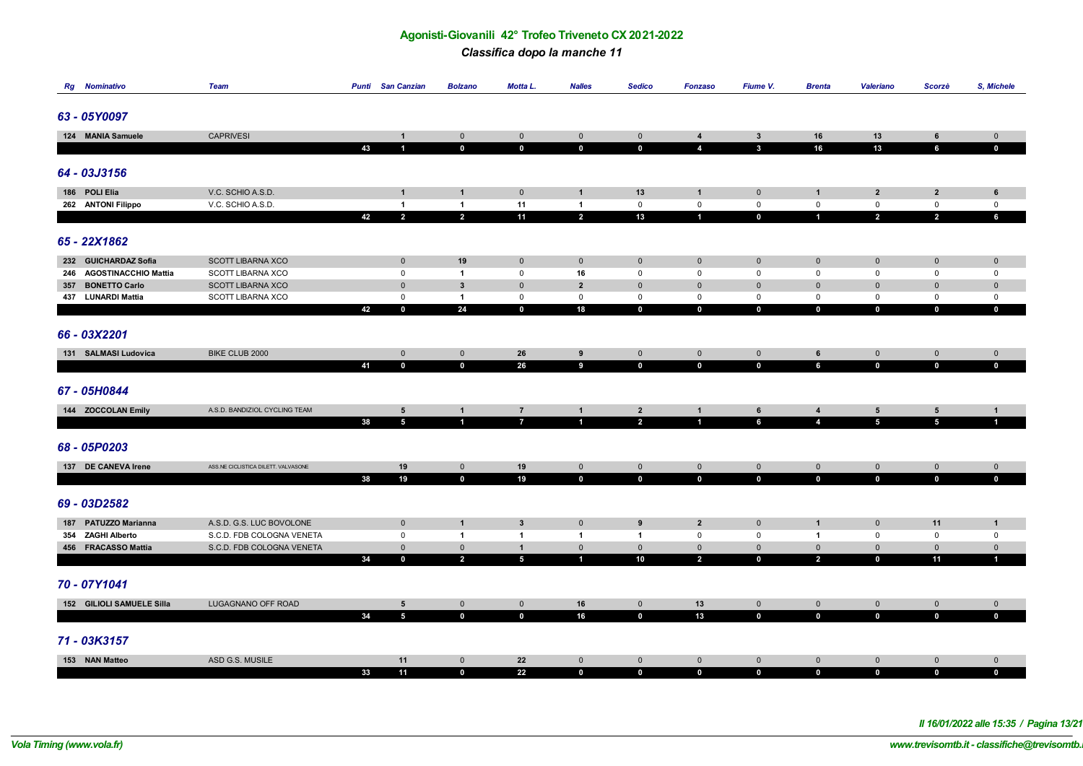*Classifica dopo la manche 11*

| <b>Rg</b> Nominativo      | <b>Team</b>                         |    | <b>Punti</b> San Canzian | <b>Bolzano</b>                 | Motta L.        | <b>Nalles</b>                        | <b>Sedico</b>                 | <b>Fonzaso</b>             | Fiume V.                               | <b>Brenta</b>              | <b>Valeriano</b>               | Scorzè                     | S, Michele                  |
|---------------------------|-------------------------------------|----|--------------------------|--------------------------------|-----------------|--------------------------------------|-------------------------------|----------------------------|----------------------------------------|----------------------------|--------------------------------|----------------------------|-----------------------------|
|                           |                                     |    |                          |                                |                 |                                      |                               |                            |                                        |                            |                                |                            |                             |
| 63 - 05Y0097              |                                     |    |                          |                                |                 |                                      |                               |                            |                                        |                            |                                |                            |                             |
|                           |                                     |    |                          |                                |                 |                                      |                               |                            |                                        |                            |                                |                            |                             |
| 124 MANIA Samuele         | <b>CAPRIVESI</b>                    |    | $\mathbf{1}$             | $\mathbf 0$                    | $\mathbf 0$     | $\pmb{0}$                            | $\mathbf 0$                   | $\overline{\mathbf{4}}$    | $\mathbf{3}$                           | 16                         | 13                             | 6                          | $\mathsf{O}\xspace$         |
|                           |                                     | 43 | $\blacktriangleleft$     | $\mathbf 0$                    | $\mathbf 0$     | $\mathbf 0$                          | $\mathbf{0}$                  | $\overline{4}$             | $\mathbf{3}$                           | 16                         | 13                             | 6                          | $\mathbf 0$                 |
|                           |                                     |    |                          |                                |                 |                                      |                               |                            |                                        |                            |                                |                            |                             |
| 64 - 03J3156              |                                     |    |                          |                                |                 |                                      |                               |                            |                                        |                            |                                |                            |                             |
|                           |                                     |    |                          |                                |                 |                                      |                               |                            |                                        |                            |                                |                            |                             |
| 186 POLI Elia             | V.C. SCHIO A.S.D.                   |    | $\mathbf{1}$             | $\mathbf{1}$                   | $\mathbf 0$     | $\mathbf{1}$                         | 13                            | $\mathbf{1}$               | $\mathbf 0$                            | $\mathbf{1}$               | $\overline{2}$                 | $\mathbf{2}$               | 6                           |
| 262 ANTONI Filippo        | V.C. SCHIO A.S.D.                   |    | $\mathbf{1}$             | $\overline{1}$                 | 11              | $\mathbf{1}$                         | $\mathbf 0$                   | $\mathbf 0$                | $\mathsf 0$<br>$\overline{\mathbf{0}}$ | $\mathsf 0$                | $\mathbf 0$                    | $\mathbf 0$                | $\mathbf 0$                 |
|                           |                                     | 42 | $\overline{2}$           | $\overline{2}$                 | 11              | $\overline{2}$                       | 13                            | $\mathbf{1}$               |                                        | $\blacksquare$             | $\overline{2}$                 | $\overline{2}$             | 6                           |
|                           |                                     |    |                          |                                |                 |                                      |                               |                            |                                        |                            |                                |                            |                             |
| 65 - 22X1862              |                                     |    |                          |                                |                 |                                      |                               |                            |                                        |                            |                                |                            |                             |
| 232 GUICHARDAZ Sofia      | <b>SCOTT LIBARNA XCO</b>            |    | $\mathbf 0$              | 19                             | $\mathbf 0$     | $\mathbf 0$                          | $\mathbf 0$                   | $\mathbf 0$                | $\mathbf 0$                            | $\mathbf 0$                | $\mathbf 0$                    | $\mathbf 0$                | $\mathbf 0$                 |
| 246 AGOSTINACCHIO Mattia  | SCOTT LIBARNA XCO                   |    | $\mathsf 0$              | $\overline{1}$                 | $\mathsf 0$     | 16                                   | $\mathsf 0$                   | $\mathsf 0$                | $\mathbf 0$                            | $\mathsf 0$                | $\mathsf 0$                    | 0                          | $\mathbf 0$                 |
| 357 BONETTO Carlo         | <b>SCOTT LIBARNA XCO</b>            |    | $\mathbf 0$              | $\mathbf{3}$                   | $\mathbf 0$     | $\overline{2}$                       | $\mathbf 0$                   | $\mathbf 0$                | $\mathbf 0$                            | $\mathbf 0$                | $\mathbf 0$                    | $\mathbf 0$                | $\mathbf 0$                 |
| 437 LUNARDI Mattia        | SCOTT LIBARNA XCO                   |    | $\mathbf 0$              | $\mathbf{1}$                   | $\mathsf 0$     | $\mathbf 0$                          | $\mathbf 0$                   | $\mathsf 0$                | $\mathsf 0$                            | $\mathsf 0$                | $\mathsf 0$                    | 0                          | $\mathsf 0$                 |
|                           |                                     | 42 | $\mathbf 0$              | 24                             | $\mathbf 0$     | 18                                   | $\mathbf 0$                   | $\pmb{0}$                  | $\mathbf 0$                            | $\mathbf 0$                | $\mathbf 0$                    | $\mathbf 0$                | $\mathbf 0$                 |
|                           |                                     |    |                          |                                |                 |                                      |                               |                            |                                        |                            |                                |                            |                             |
| 66 - 03X2201              |                                     |    |                          |                                |                 |                                      |                               |                            |                                        |                            |                                |                            |                             |
|                           |                                     |    |                          |                                |                 |                                      |                               |                            |                                        |                            |                                |                            |                             |
| 131 SALMASI Ludovica      | BIKE CLUB 2000                      |    | $\overline{0}$           | $\overline{0}$                 | 26              | $\boldsymbol{9}$<br>$\boldsymbol{9}$ | $\overline{0}$<br>$\mathbf 0$ | $\mathsf{O}\xspace$        | $\mathsf{O}\xspace$<br>$\mathbf{0}$    | $\,$ 6<br>$6\phantom{a}$   | $\mathsf 0$<br>$\mathbf 0$     | $\mathsf{O}\xspace$        | $\mathsf{O}\xspace$         |
|                           |                                     | 41 | $\mathbf{0}$             | $\mathbf{0}$                   | 26              |                                      |                               | $\mathbf 0$                |                                        |                            |                                | $\mathbf 0$                | $\mathbf{0}$                |
| 67 - 05H0844              |                                     |    |                          |                                |                 |                                      |                               |                            |                                        |                            |                                |                            |                             |
|                           |                                     |    |                          |                                |                 |                                      |                               |                            |                                        |                            |                                |                            |                             |
| 144 ZOCCOLAN Emily        | A.S.D. BANDIZIOL CYCLING TEAM       |    | $5\phantom{.0}$          | $\mathbf{1}$                   | $\overline{7}$  | $\mathbf{1}$                         | $\overline{2}$                | $\mathbf{1}$               | 6                                      | $\overline{4}$             | $5\phantom{.0}$                | $5\phantom{.0}$            | $\mathbf{1}$                |
|                           |                                     | 38 | $\overline{5}$           | $\mathbf{1}$                   | $\overline{7}$  | $\mathbf{1}$                         | $\overline{2}$                | $\mathbf{1}$               | 6                                      | $\overline{4}$             | $5\phantom{a}$                 | $\overline{5}$             | $\blacksquare$              |
|                           |                                     |    |                          |                                |                 |                                      |                               |                            |                                        |                            |                                |                            |                             |
| 68 - 05P0203              |                                     |    |                          |                                |                 |                                      |                               |                            |                                        |                            |                                |                            |                             |
|                           |                                     |    |                          |                                |                 |                                      |                               |                            |                                        |                            |                                |                            |                             |
| 137 DE CANEVA Irene       | ASS.NE CICLISTICA DILETT. VALVASONE | 38 | 19<br>19                 | $\overline{0}$<br>$\mathbf{0}$ | 19<br>19        | $\overline{0}$<br>$\mathbf{0}$       | $\overline{0}$<br>$\mathbf 0$ | $\mathbf 0$<br>$\mathbf 0$ | $\mathbf 0$<br>$\mathbf 0$             | $\mathbf 0$<br>$\mathbf 0$ | $\overline{0}$<br>$\mathbf{0}$ | $\mathbf 0$<br>$\mathbf 0$ | $\mathbf 0$<br>$\mathbf{0}$ |
|                           |                                     |    |                          |                                |                 |                                      |                               |                            |                                        |                            |                                |                            |                             |
| 69 - 03D2582              |                                     |    |                          |                                |                 |                                      |                               |                            |                                        |                            |                                |                            |                             |
|                           |                                     |    |                          |                                |                 |                                      |                               |                            |                                        |                            |                                |                            |                             |
| 187 PATUZZO Marianna      | A.S.D. G.S. LUC BOVOLONE            |    | $\mathbf 0$              | $\mathbf{1}$                   | $\mathbf{3}$    | $\pmb{0}$                            | 9                             | $\overline{\mathbf{2}}$    | $\mathbf 0$                            | $\mathbf{1}$               | $\mathbf 0$                    | 11                         | $\mathbf{1}$                |
| 354 ZAGHI Alberto         | S.C.D. FDB COLOGNA VENETA           |    | $\mathsf 0$              | $\overline{1}$                 | $\mathbf{1}$    | $\mathbf{1}$                         | $\overline{1}$                | $\mathsf 0$                | $\mathsf 0$                            | $\mathbf{1}$               | $\mathsf 0$                    | $\mathsf 0$                | $\mathbf 0$                 |
| 456 FRACASSO Mattia       | S.C.D. FDB COLOGNA VENETA           |    | $\mathbf 0$              | $\mathbf 0$                    | $\mathbf{1}$    | $\mathsf{O}\xspace$                  | $\mathbf 0$                   | $\mathbf 0$                | $\mathbf 0$                            | $\mathbf 0$                | $\mathbf 0$                    | $\mathbf 0$                | $\mathbf{0}$                |
|                           |                                     | 34 | $\bf{0}$                 | $\overline{2}$                 | $5\phantom{.0}$ | $\mathbf{1}$                         | 10                            | $\overline{2}$             | $\mathbf 0$                            | $\overline{2}$             | $\mathbf{0}$                   | 11                         | $\mathbf{1}$                |
|                           |                                     |    |                          |                                |                 |                                      |                               |                            |                                        |                            |                                |                            |                             |
| 70 - 07Y1041              |                                     |    |                          |                                |                 |                                      |                               |                            |                                        |                            |                                |                            |                             |
| 152 GILIOLI SAMUELE Silla | LUGAGNANO OFF ROAD                  |    | 5                        | $\overline{0}$                 | $\mathbf{0}$    | 16                                   | $\mathbf{0}$                  | 13                         | $\mathbf 0$                            | $\mathbf 0$                | $\mathbf{0}$                   | $\mathbf 0$                | $\mathbf{0}$                |
|                           |                                     | 34 | $5\overline{5}$          | $\mathbf{0}$                   | $\mathbf{0}$    | 16                                   | $\mathbf 0$                   | 13                         | $\mathbf{0}$                           | $\mathbf 0$                | $\mathbf 0$                    | $\mathbf 0$                | $\mathbf{0}$                |
|                           |                                     |    |                          |                                |                 |                                      |                               |                            |                                        |                            |                                |                            |                             |
| 71 - 03K3157              |                                     |    |                          |                                |                 |                                      |                               |                            |                                        |                            |                                |                            |                             |
|                           |                                     |    |                          |                                |                 |                                      |                               |                            |                                        |                            |                                |                            |                             |
| 153 NAN Matteo            | ASD G.S. MUSILE                     |    | 11                       | $\overline{0}$                 | 22              | $\mathbf 0$                          | $\mathbf 0$                   | $\mathbf 0$                | $\mathbf 0$                            | $\mathbf 0$                | $\mathbf{0}$                   | $\mathbf 0$                | $\mathbf 0$                 |
|                           |                                     | 33 | 11                       | $\mathbf 0$                    | 22              | $\mathbf 0$                          | $\mathbf 0$                   | $\mathbf 0$                | $\mathbf 0$                            | $\mathbf 0$                | $\mathbf 0$                    | $\mathbf{0}$               | $\mathbf 0$                 |

*Il 16/01/2022 alle 15:35 / Pagina 13/21*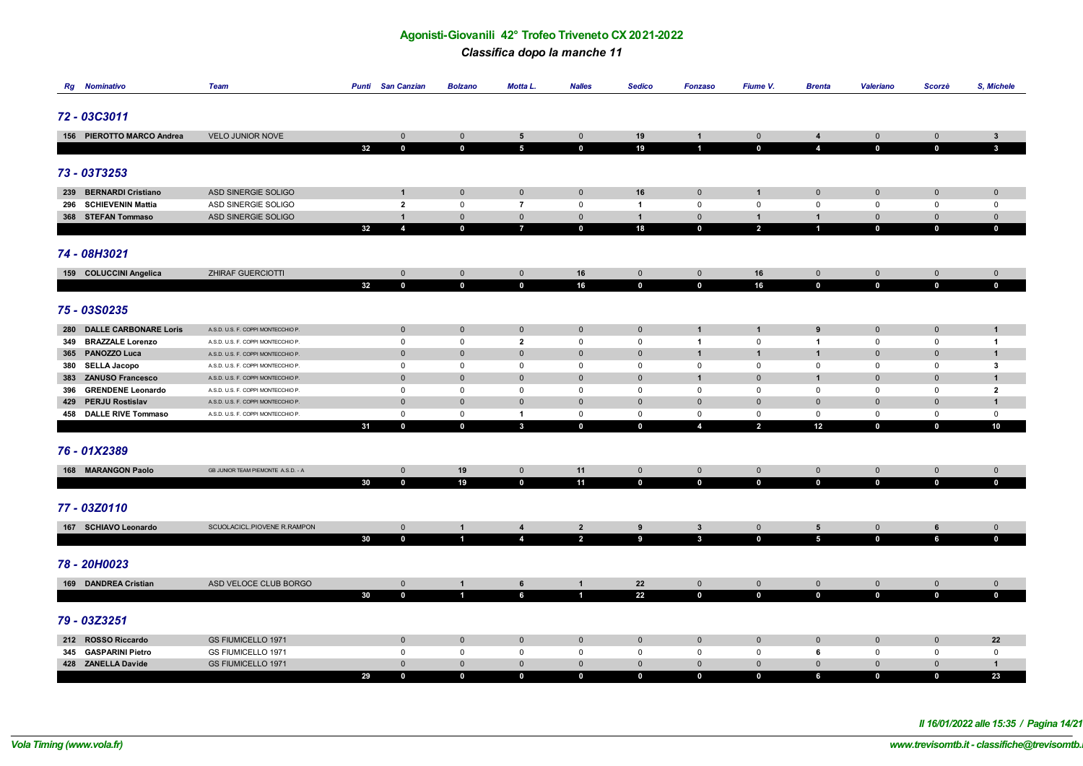*Classifica dopo la manche 11*

|     | <b>Rg</b> Nominativo      | <b>Team</b>                        |    | <b>Punti</b> San Canzian | <b>Bolzano</b>      | Motta L.                         | <b>Nalles</b>  | <b>Sedico</b>  | <b>Fonzaso</b>             | Fiume V.       | <b>Brenta</b>           | Valeriano    | Scorzè      | S, Michele     |
|-----|---------------------------|------------------------------------|----|--------------------------|---------------------|----------------------------------|----------------|----------------|----------------------------|----------------|-------------------------|--------------|-------------|----------------|
|     |                           |                                    |    |                          |                     |                                  |                |                |                            |                |                         |              |             |                |
|     | 72 - 03C3011              |                                    |    |                          |                     |                                  |                |                |                            |                |                         |              |             |                |
|     |                           |                                    |    |                          |                     |                                  |                |                |                            |                |                         |              |             |                |
|     | 156 PIEROTTO MARCO Andrea | <b>VELO JUNIOR NOVE</b>            |    | $\mathbf 0$              | $\mathbf 0$         | $5\phantom{.0}$                  | $\mathbf{0}$   | 19             | $\mathbf{1}$               | $\mathbf 0$    | $\overline{4}$          | $\mathbf 0$  | $\mathbf 0$ | $\mathbf{3}$   |
|     |                           |                                    | 32 | $\mathbf 0$              | $\mathbf 0$         | $5\phantom{.0}$                  | $\mathbf 0$    | 19             | $\blacksquare$             | $\mathbf 0$    | $\overline{4}$          | $\mathbf 0$  | $\mathbf 0$ | $\mathbf{3}$   |
|     |                           |                                    |    |                          |                     |                                  |                |                |                            |                |                         |              |             |                |
|     | 73 - 03T3253              |                                    |    |                          |                     |                                  |                |                |                            |                |                         |              |             |                |
|     |                           |                                    |    |                          |                     |                                  |                |                |                            |                |                         |              |             |                |
|     | 239 BERNARDI Cristiano    | ASD SINERGIE SOLIGO                |    | $\mathbf{1}$             | $\mathbf 0$         | $\mathbf 0$                      | $\mathbf{0}$   | 16             | $\mathbf 0$                | $\mathbf{1}$   | $\mathbf 0$             | $\mathbf{0}$ | $\mathbf 0$ | $\mathbf 0$    |
|     | 296 SCHIEVENIN Mattia     | ASD SINERGIE SOLIGO                |    | $\overline{2}$           | $\mathbf 0$         | $\overline{7}$                   | $\mathsf 0$    | $\overline{1}$ | $\mathbf 0$                | $\mathsf 0$    | $\mathsf 0$             | $\mathbf 0$  | $\mathbf 0$ | $\mathbf 0$    |
|     | 368 STEFAN Tommaso        | ASD SINERGIE SOLIGO                |    | $\mathbf{1}$             | $\mathbf 0$         | $\mathbf 0$                      | $\mathbf 0$    | $\mathbf{1}$   | $\mathbf 0$                | $\mathbf{1}$   | $\mathbf{1}$            | $\mathbf{0}$ | $\mathbf 0$ | $\mathbf 0$    |
|     |                           |                                    | 32 | 4                        | $\mathbf 0$         | $\overline{7}$                   | $\mathbf 0$    | 18             | $\mathbf 0$                | $\overline{2}$ | 4                       | $\mathbf 0$  | $\mathbf 0$ | $\mathbf 0$    |
|     |                           |                                    |    |                          |                     |                                  |                |                |                            |                |                         |              |             |                |
|     | 74 - 08H3021              |                                    |    |                          |                     |                                  |                |                |                            |                |                         |              |             |                |
|     |                           |                                    |    |                          |                     |                                  |                |                |                            |                |                         |              |             |                |
|     | 159 COLUCCINI Angelica    | ZHIRAF GUERCIOTTI                  |    | $\mathbf 0$              | $\mathbf 0$         | $\mathbf{0}$                     | 16             | $\pmb{0}$      | $\mathbf 0$<br>$\mathbf 0$ | 16             | $\mathbf 0$             | $\mathbf 0$  | $\mathbf 0$ | $\mathbf 0$    |
|     |                           |                                    | 32 | $\mathbf 0$              | $\mathbf 0$         | $\mathbf 0$                      | 16             | $\mathbf 0$    |                            | 16             | $\mathbf 0$             | $\mathbf 0$  | $\mathbf 0$ | $\mathbf 0$    |
|     |                           |                                    |    |                          |                     |                                  |                |                |                            |                |                         |              |             |                |
|     | 75 - 03S0235              |                                    |    |                          |                     |                                  |                |                |                            |                |                         |              |             |                |
|     | 280 DALLE CARBONARE Loris | A.S.D. U.S. F. COPPI MONTECCHIO P. |    | $\mathbf 0$              | $\mathsf{O}\xspace$ | $\mathbf 0$                      | $\mathbf 0$    | $\mathbf 0$    | $\overline{1}$             | $\mathbf{1}$   | 9                       | $\mathbf 0$  | $\mathbf 0$ | $\mathbf{1}$   |
|     | 349 BRAZZALE Lorenzo      | A.S.D. U.S. F. COPPI MONTECCHIO P. |    | $\mathsf{O}$             | $\mathsf 0$         | $\overline{2}$                   | $\mathsf 0$    | 0              | $\mathbf{1}$               | $\mathsf 0$    | $\overline{1}$          | $\mathbf 0$  | $\mathbf 0$ | $\overline{1}$ |
|     | 365 PANOZZO Luca          | A.S.D. U.S. F. COPPI MONTECCHIO P. |    | $\mathbf 0$              | $\mathbf 0$         | $\mathbf 0$                      | $\mathbf 0$    | $\pmb{0}$      | $\overline{1}$             | $\mathbf{1}$   | $\mathbf{1}$            | $\mathbf{0}$ | $\mathbf 0$ | $\mathbf{1}$   |
|     | 380 SELLA Jacopo          | A.S.D. U.S. F. COPPI MONTECCHIO P. |    | $\mathsf 0$              | $\mathsf 0$         | 0                                | $\mathsf 0$    | 0              | $\mathsf 0$                | $\mathsf 0$    | $\mathbf 0$             | 0            | $\mathsf 0$ | $\mathbf{3}$   |
|     | 383 ZANUSO Francesco      | A.S.D. U.S. F. COPPI MONTECCHIO P. |    | $\mathbf 0$              | $\mathsf{O}\xspace$ | $\mathbf 0$                      | $\mathbf 0$    | $\pmb{0}$      | $\overline{1}$             | $\mathbf 0$    | $\mathbf{1}$            | $\mathbf{0}$ | $\mathbf 0$ | $\mathbf{1}$   |
| 396 | <b>GRENDENE Leonardo</b>  | A.S.D. U.S. F. COPPI MONTECCHIO P. |    | $\mathbf 0$              | $\mathsf 0$         | 0                                | $\mathsf 0$    | 0              | $\mathsf 0$                | $\mathsf 0$    | $\mathsf 0$             | 0            | $\mathbf 0$ | $\overline{2}$ |
|     | 429 PERJU Rostislav       | A.S.D. U.S. F. COPPI MONTECCHIO P. |    | $\mathbf 0$              | $\mathsf{O}\xspace$ | $\mathbf 0$                      | $\mathbf 0$    | $\mathbf 0$    | $\mathsf{O}\xspace$        | $\mathbf 0$    | $\overline{0}$          | $\mathbf{0}$ | $\mathbf 0$ | $\mathbf{1}$   |
|     | 458 DALLE RIVE Tommaso    | A.S.D. U.S. F. COPPI MONTECCHIO P. |    | $\mathbf 0$              | $\mathsf 0$         | $\overline{1}$                   | $\mathsf 0$    | 0              | $\mathsf 0$                | $\mathsf 0$    | $\mathsf 0$             | $\mathbf 0$  | $\mathbf 0$ | $\mathbf 0$    |
|     |                           |                                    | 31 | $\mathbf 0$              | $\mathbf 0$         | $\mathbf{3}$                     | $\mathbf{0}$   | $\mathbf 0$    | $\overline{4}$             | $\overline{2}$ | 12                      | $\mathbf 0$  | $\mathbf 0$ | 10             |
|     |                           |                                    |    |                          |                     |                                  |                |                |                            |                |                         |              |             |                |
|     | 76 - 01X2389              |                                    |    |                          |                     |                                  |                |                |                            |                |                         |              |             |                |
|     |                           |                                    |    |                          |                     |                                  |                |                |                            |                |                         |              |             |                |
|     | 168 MARANGON Paolo        | GB JUNIOR TEAM PIEMONTE A.S.D. - A |    | $\mathbf 0$              | 19                  | $\mathbf 0$                      | 11             | $\mathbf 0$    | $\mathbf 0$                | $\mathbf 0$    | $\mathbf 0$             | $\mathbf 0$  | $\mathbf 0$ | $\mathbf 0$    |
|     |                           |                                    | 30 | $\mathbf 0$              | 19                  | $\mathbf{0}$                     | 11             | $\mathbf 0$    | $\mathbf 0$                | $\mathbf{0}$   | $\mathbf 0$             | $\mathbf{0}$ | $\mathbf 0$ | $\mathbf{0}$   |
|     |                           |                                    |    |                          |                     |                                  |                |                |                            |                |                         |              |             |                |
|     | 77 - 03Z0110              |                                    |    |                          |                     |                                  |                |                |                            |                |                         |              |             |                |
|     |                           |                                    |    |                          |                     |                                  |                |                |                            |                |                         |              |             |                |
|     | 167 SCHIAVO Leonardo      | SCUOLACICL.PIOVENE R.RAMPON        |    | $\mathbf{0}$             | $\mathbf{1}$        | $\overline{4}$<br>$\overline{4}$ | $\overline{2}$ | 9              | $\mathbf{3}$               | $\mathbf{0}$   | 5                       | $\mathbf 0$  | 6           | $\mathbf{0}$   |
|     |                           |                                    | 30 | $\mathbf 0$              | 4                   |                                  | $\overline{2}$ | 9              | $\mathbf{3}$               | $\mathbf 0$    | $\overline{\mathbf{5}}$ | $\mathbf 0$  | 6           | $\mathbf 0$    |
|     |                           |                                    |    |                          |                     |                                  |                |                |                            |                |                         |              |             |                |
|     | 78 - 20H0023              |                                    |    |                          |                     |                                  |                |                |                            |                |                         |              |             |                |
|     | 169 DANDREA Cristian      | ASD VELOCE CLUB BORGO              |    | $\mathbf 0$              | $\mathbf{1}$        | 6                                | $\mathbf{1}$   | 22             | $\mathbf 0$                | $\mathbf 0$    | $\overline{0}$          | $\mathbf 0$  | $\mathbf 0$ | $\mathbf 0$    |
|     |                           |                                    | 30 | $\mathbf 0$              | 4                   | 6                                | $\blacksquare$ | 22             | $\mathbf 0$                | $\mathbf 0$    | $\mathbf 0$             | $\mathbf 0$  | $\mathbf 0$ | $\mathbf 0$    |
|     |                           |                                    |    |                          |                     |                                  |                |                |                            |                |                         |              |             |                |
|     | 79 - 03Z3251              |                                    |    |                          |                     |                                  |                |                |                            |                |                         |              |             |                |
|     |                           |                                    |    |                          |                     |                                  |                |                |                            |                |                         |              |             |                |
|     | 212 ROSSO Riccardo        | <b>GS FIUMICELLO 1971</b>          |    | $\mathbf 0$              | $\mathbf 0$         | $\mathbf 0$                      | $\overline{0}$ | $\mathbf 0$    | $\mathbf 0$                | $\mathbf 0$    | $\mathbf 0$             | $\mathbf 0$  | $\mathbf 0$ | 22             |
|     | 345 GASPARINI Pietro      | <b>GS FIUMICELLO 1971</b>          |    | 0                        | $\mathsf 0$         | $\mathbf 0$                      | $\mathsf 0$    | 0              | $\mathsf 0$                | $\mathbf 0$    | 6                       | 0            | $\mathbf 0$ | $\mathbf 0$    |
|     | 428 ZANELLA Davide        | <b>GS FIUMICELLO 1971</b>          |    | $\mathbf{0}$             | $\mathbf 0$         | $\mathbf{0}$                     | $\mathbf 0$    | $\mathbf 0$    | $\mathbf{0}$               | $\mathbf 0$    | $\mathbf{0}$            | $\mathbf 0$  | $\mathbf 0$ | $\mathbf{1}$   |
|     |                           |                                    | 29 | $\mathbf 0$              | $\mathbf 0$         | $\mathbf 0$                      | $\mathbf 0$    | $\mathbf 0$    | $\mathbf 0$                | $\mathbf 0$    | 6                       | $\mathbf 0$  | $\mathbf 0$ | 23             |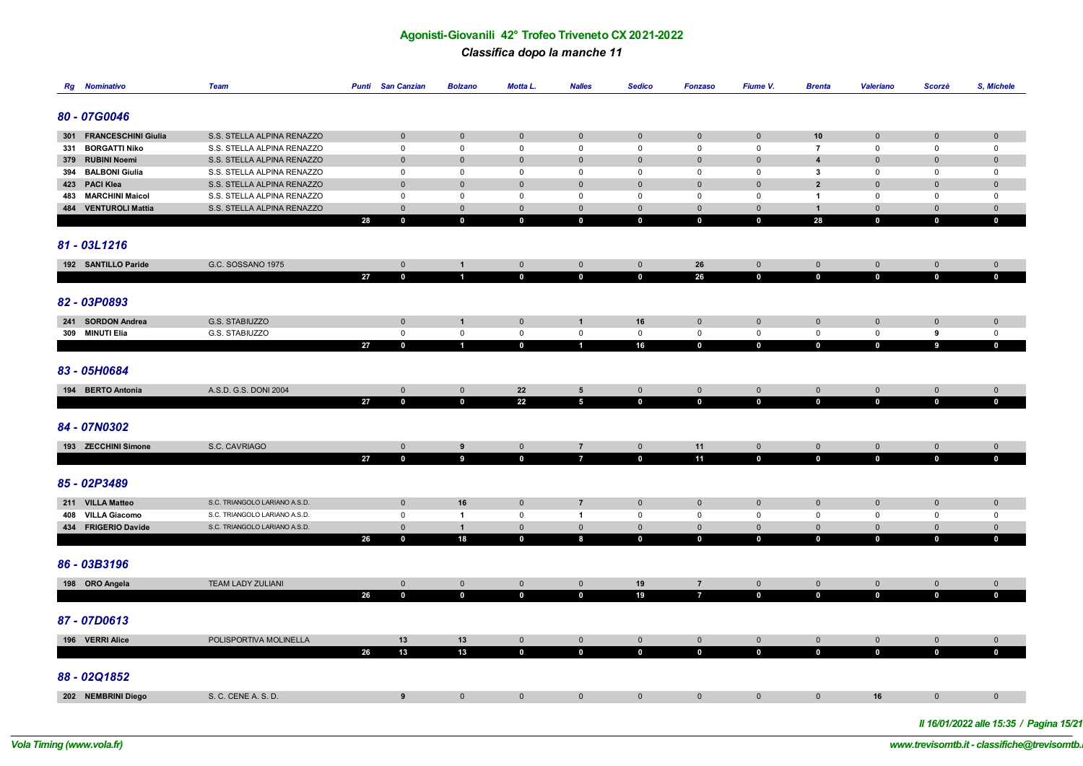#### *Classifica dopo la manche 11*

| <b>Rg</b> Nominativo                        | <b>Team</b>                                              |    | <b>Punti</b> San Canzian    | <b>Bolzano</b>              | <b>Motta L.</b>                    | <b>Nalles</b>                    | <b>Sedico</b>                      | <b>Fonzaso</b>                     | Fiume V.                            | <b>Brenta</b>                  | Valeriano                          | Scorzè                             | S, Michele                         |
|---------------------------------------------|----------------------------------------------------------|----|-----------------------------|-----------------------------|------------------------------------|----------------------------------|------------------------------------|------------------------------------|-------------------------------------|--------------------------------|------------------------------------|------------------------------------|------------------------------------|
| 80 - 07G0046                                |                                                          |    |                             |                             |                                    |                                  |                                    |                                    |                                     |                                |                                    |                                    |                                    |
| 301 FRANCESCHINI Giulia                     | S.S. STELLA ALPINA RENAZZO                               |    | $\mathbf 0$                 | $\mathbf 0$                 | $\mathbf 0$                        | $\mathbf 0$                      | $\pmb{0}$                          | $\mathbf 0$                        | $\mathbf 0$                         | 10                             | $\mathbf 0$                        | $\mathbf 0$                        | $\mathbf 0$                        |
| 331 BORGATTI Niko                           | S.S. STELLA ALPINA RENAZZO                               |    | $\mathsf 0$                 | $\mathbf 0$                 | $\mathsf 0$                        | $\mathbf 0$                      | $\mathbf 0$                        | $\mathsf 0$                        | $\mathsf 0$                         | $\overline{7}$                 | $\mathbf 0$                        | $\mathbf 0$                        | $\mathbf 0$                        |
| 379 RUBINI Noemi                            | S.S. STELLA ALPINA RENAZZO                               |    | $\mathbf 0$                 | $\mathbf 0$                 | $\mathbf 0$                        | $\mathbf 0$                      | $\mathbf{0}$                       | $\mathbf 0$                        | $\mathbf 0$                         | $\overline{\mathbf{4}}$        | $\mathbf{0}$                       | $\mathbf 0$                        | $\mathbf 0$                        |
| 394 BALBONI Giulia                          | S.S. STELLA ALPINA RENAZZO                               |    | $\mathbf 0$                 | 0                           | $\mathbf 0$                        | $\mathbf 0$                      | 0                                  | $\mathsf 0$                        | $\mathbf 0$                         | $\mathbf{3}$                   | $\mathbf 0$                        | $\mathbf 0$                        | $\mathbf 0$                        |
| 423 PACI Klea                               | S.S. STELLA ALPINA RENAZZO                               |    | $\mathbf 0$                 | $\mathbf 0$                 | $\mathbf 0$                        | $\mathbf 0$                      | $\mathbf{0}$                       | $\mathbf 0$                        | $\mathbf 0$                         | $\overline{2}$                 | $\mathbf 0$                        | $\mathbf 0$                        | $\pmb{0}$                          |
| 483 MARCHINI Maicol<br>484 VENTUROLI Mattia | S.S. STELLA ALPINA RENAZZO<br>S.S. STELLA ALPINA RENAZZO |    | $\mathsf 0$<br>$\mathbf 0$  | $\mathsf 0$<br>$\mathbf 0$  | $\mathbf 0$<br>$\mathbf 0$         | $\mathsf 0$<br>$\mathbf 0$       | $\mathbf 0$<br>$\mathbf 0$         | $\mathsf 0$<br>$\mathbf 0$         | $^{\circ}$<br>$\mathbf 0$           | $\overline{1}$<br>$\mathbf{1}$ | $\mathbf 0$<br>$\mathbf 0$         | $\mathbf 0$<br>$\mathbf 0$         | $\mathbf 0$<br>$\mathbf 0$         |
|                                             |                                                          | 28 | $\bf{0}$                    | $\mathbf 0$                 | $\mathbf 0$                        | $\bf{0}$                         | $\mathbf 0$                        | $\mathbf 0$                        | $\mathbf 0$                         | 28                             | $\mathbf 0$                        | $\mathbf 0$                        | $\mathbf 0$                        |
| 81 - 03L1216                                |                                                          |    |                             |                             |                                    |                                  |                                    |                                    |                                     |                                |                                    |                                    |                                    |
| 192 SANTILLO Paride                         | G.C. SOSSANO 1975                                        |    | $\overline{0}$              | $\mathbf{1}$                | $\mathbf 0$                        | $\mathsf{O}\xspace$              | $\mathbf{0}$                       | 26                                 | $\mathbf 0$                         | $\mathbf{0}$                   | $\mathbf 0$                        | $\mathbf 0$                        | $\mathbf 0$                        |
| 82 - 03P0893                                |                                                          | 27 | $\mathbf 0$                 | $\blacksquare$              | $\mathbf 0$                        | $\mathbf 0$                      | $\mathbf 0$                        | 26                                 | $\mathbf 0$                         | $\mathbf 0$                    | $\mathbf 0$                        | $\mathbf 0$                        | $\mathbf{0}$                       |
| 241 SORDON Andrea<br>309 MINUTI Elia        | G.S. STABIUZZO<br>G.S. STABIUZZO                         |    | $\mathbf 0$<br>$\mathbf 0$  | $\mathbf{1}$<br>$\mathbf 0$ | $\mathbf 0$<br>$\mathsf 0$         | $\mathbf{1}$<br>$\mathbb O$      | 16<br>$\mathsf 0$                  | $\mathbf 0$<br>$\mathsf 0$         | $\mathbf 0$<br>$\mathsf 0$          | $\mathbf 0$<br>$\mathsf 0$     | $\mathbf 0$<br>$\mathbf 0$         | $\mathbf 0$<br>9                   | $\mathbf 0$<br>$\mathbf 0$         |
|                                             |                                                          | 27 | $\mathbf{0}$                | $\mathbf{1}$                | $\mathbf 0$                        | $\overline{1}$                   | 16                                 | $\mathbf 0$                        | $\mathbf{0}$                        | $\mathbf 0$                    | $\mathbf 0$                        | $\overline{9}$                     | $\mathbf{0}$                       |
| 83 - 05H0684<br>194 BERTO Antonia           | A.S.D. G.S. DONI 2004                                    |    | $\mathbf{0}$                | $\mathbf 0$                 | 22                                 | $5\phantom{.0}$                  | $\mathbf{0}$                       | $\mathbf 0$                        | $\mathbf 0$                         | $\mathbf{0}$                   | $\overline{0}$                     | $\mathbf 0$                        | $\mathbf{0}$                       |
|                                             |                                                          | 27 | $\mathbf 0$                 | $\mathbf 0$                 | 22                                 | $\overline{5}$                   | $\mathbf 0$                        | $\mathbf 0$                        | $\mathbf 0$                         | $\mathbf 0$                    | $\mathbf 0$                        | $\mathbf 0$                        | $\mathbf 0$                        |
| 84 - 07N0302                                |                                                          |    |                             |                             |                                    |                                  |                                    |                                    |                                     |                                |                                    |                                    |                                    |
| 193 ZECCHINI Simone                         | S.C. CAVRIAGO                                            | 27 | $\mathsf 0$<br>$\mathbf{0}$ | $\pmb{9}$<br>$\overline{9}$ | $\mathsf{O}\xspace$<br>$\mathbf 0$ | $\overline{7}$<br>$\overline{7}$ | $\mathsf{O}\xspace$<br>$\mathbf 0$ | 11<br>11                           | $\mathsf{O}\xspace$<br>$\mathbf{0}$ | $\mathbf 0$<br>$\mathbf 0$     | $\mathsf{O}\xspace$<br>$\mathbf 0$ | $\mathsf{O}\xspace$<br>$\mathbf 0$ | $\mathsf{O}\xspace$<br>$\mathbf 0$ |
| 85 - 02P3489<br>211 VILLA Matteo            | S.C. TRIANGOLO LARIANO A.S.D.                            |    | $\mathbf 0$                 | 16                          | $\mathbf 0$                        | $\overline{7}$                   | $\mathbf{0}$                       | $\mathbf 0$                        | $\mathbf 0$                         | $\mathbf 0$                    | $\mathbf 0$                        | $\mathbf 0$                        | $\mathbf 0$                        |
| 408 VILLA Giacomo                           | S.C. TRIANGOLO LARIANO A.S.D.                            |    | $\mathsf 0$                 | $\overline{1}$              | $\mathsf 0$                        | $\overline{1}$                   | $\mathsf 0$                        | $\mathsf 0$                        | $\mathbf{0}$                        | $\mathbf 0$                    | $\mathbf 0$                        | $\mathbf 0$                        | $\mathbf 0$                        |
| 434 FRIGERIO Davide                         | S.C. TRIANGOLO LARIANO A.S.D.                            |    | $\mathbf 0$                 | $\mathbf{1}$                | $\mathbf 0$                        | $\mathbf 0$                      | $\mathsf{O}\xspace$                | $\mathsf{O}\xspace$                | $\mathbf{0}$                        | $\mathbf 0$                    | $\mathbf 0$                        | $\mathsf{O}\xspace$                | $\mathbf{0}$                       |
| 86 - 03B3196                                |                                                          | 26 | $\mathbf 0$                 | 18                          | $\mathbf 0$                        | $\bf{8}$                         | $\mathbf 0$                        | $\mathbf 0$                        | $\mathbf{0}$                        | $\mathbf 0$                    | $\mathbf 0$                        | $\mathbf 0$                        | $\mathbf 0$                        |
|                                             |                                                          |    |                             |                             |                                    |                                  |                                    |                                    |                                     |                                |                                    |                                    |                                    |
| 198 ORO Angela                              | <b>TEAM LADY ZULIANI</b>                                 |    | $\mathbf 0$                 | $\mathbf 0$                 | $\mathbf 0$                        | $\mathbf 0$                      | 19                                 | $\overline{7}$                     | $\mathbf 0$                         | $\mathbf 0$                    | $\mathbf 0$                        | $\mathbf 0$                        | $\mathbf 0$                        |
|                                             |                                                          | 26 | $\mathbf 0$                 | $\mathbf 0$                 | $\mathbf 0$                        | $\mathbf 0$                      | 19                                 | $\overline{7}$                     | $\mathbf 0$                         | $\mathbf 0$                    | $\mathbf 0$                        | $\mathbf 0$                        | $\mathbf 0$                        |
| 87 - 07D0613                                |                                                          |    |                             |                             |                                    |                                  |                                    |                                    |                                     |                                |                                    |                                    |                                    |
| 196 VERRI Alice                             | POLISPORTIVA MOLINELLA                                   | 26 | 13<br>13                    | 13<br>13                    | $\mathbf 0$<br>$\mathbf{0}$        | $\mathbf 0$<br>$\mathbf 0$       | $\mathsf{O}\xspace$<br>$\mathbf 0$ | $\mathsf{O}\xspace$<br>$\mathbf 0$ | $\mathbf 0$<br>$\mathbf{0}$         | $\overline{0}$<br>$\mathbf 0$  | $\mathsf{O}\xspace$<br>$\mathbf 0$ | $\mathbf 0$<br>$\mathbf{0}$        | $\mathbf 0$<br>$\mathbf 0$         |
| 88 - 02Q1852                                |                                                          |    |                             |                             |                                    |                                  |                                    |                                    |                                     |                                |                                    |                                    |                                    |
| 202 NEMBRINI Diego                          | S. C. CENE A. S. D.                                      |    | 9                           | $\mathbf 0$                 | $\mathbf 0$                        | $\mathbf{0}$                     | $\mathbf{0}$                       | $\mathbf{0}$                       | $\mathbf{0}$                        | $\mathbf 0$                    | 16                                 | $\mathbf 0$                        | $\mathbf{0}$                       |
|                                             |                                                          |    |                             |                             |                                    |                                  |                                    |                                    |                                     |                                |                                    |                                    |                                    |

*Il 16/01/2022 alle 15:35 / Pagina 15/21*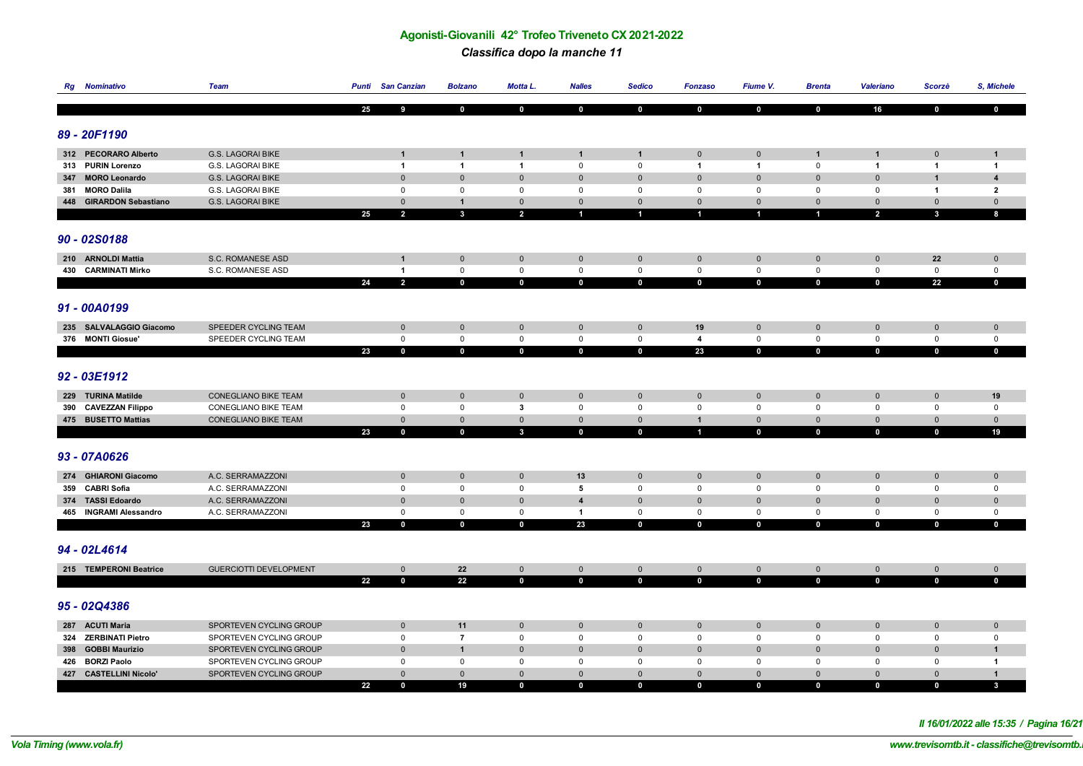#### *Classifica dopo la manche 11*

|     | <b>Rg</b> Nominativo    | Team                          |    | <b>Punti</b> San Canzian   | <b>Bolzano</b>          | Motta L.                   | <b>Nalles</b>                      | <b>Sedico</b>                      | <b>Fonzaso</b>                     | Fiume V.                   | <b>Brenta</b>              | <b>Valeriano</b>                   | Scorzè                     | S, Michele                 |
|-----|-------------------------|-------------------------------|----|----------------------------|-------------------------|----------------------------|------------------------------------|------------------------------------|------------------------------------|----------------------------|----------------------------|------------------------------------|----------------------------|----------------------------|
|     |                         |                               |    |                            |                         |                            |                                    |                                    |                                    |                            |                            |                                    |                            |                            |
|     |                         |                               | 25 | 9                          | $\mathbf 0$             | $\mathbf 0$                | $\bf{0}$                           | $\mathbf 0$                        | $\mathbf 0$                        | $\mathbf 0$                | $\mathbf 0$                | 16                                 | $\mathbf 0$                | $\mathbf{0}$               |
|     |                         |                               |    |                            |                         |                            |                                    |                                    |                                    |                            |                            |                                    |                            |                            |
|     | 89 - 20F1190            |                               |    |                            |                         |                            |                                    |                                    |                                    |                            |                            |                                    |                            |                            |
|     | 312 PECORARO Alberto    | <b>G.S. LAGORAI BIKE</b>      |    | -1                         | $\mathbf{1}$            | -1                         | $\mathbf{1}$                       | $\mathbf{1}$                       | $\mathbf 0$                        | $\mathbf 0$                | $\mathbf{1}$               | $\mathbf{1}$                       | $\mathbf 0$                | $\mathbf{1}$               |
|     | 313 PURIN Lorenzo       | <b>G.S. LAGORAI BIKE</b>      |    | $\blacktriangleleft$       | $\overline{1}$          | $\mathbf{1}$               | $\mathsf 0$                        | $\mathbf 0$                        | $\mathbf{1}$                       | $\mathbf{1}$               | $\mathbf 0$                | $\overline{1}$                     | $\overline{1}$             | $\overline{1}$             |
| 347 | <b>MORO Leonardo</b>    | G.S. LAGORAI BIKE             |    | $\mathbf 0$                | $\mathbf 0$             | $\mathbf 0$                | $\mathbf 0$                        | $\pmb{0}$                          | $\mathbf 0$                        | $\mathbf 0$                | $\mathbf 0$                | $\mathbf 0$                        | $\mathbf{1}$               | $\overline{\mathbf{4}}$    |
|     | 381 MORO Dalila         | G.S. LAGORAI BIKE             |    | $\mathsf 0$                | $\mathsf 0$             | $\mathsf 0$                | $\mathsf 0$                        | $\mathbf 0$                        | $\mathsf 0$                        | $\mathsf 0$                | $\mathbf 0$                | $\mathbf 0$                        | $\overline{1}$             | $\overline{2}$             |
|     | 448 GIRARDON Sebastiano | G.S. LAGORAI BIKE             |    | $\mathbf 0$                | $\mathbf{1}$            | $\mathbf 0$                | $\mathbf 0$                        | $\mathbf{0}$                       | $\mathsf 0$                        | $\mathbf 0$                | $\mathbf 0$                | $\mathbf 0$                        | $\mathbf 0$                | $\mathbf{0}$               |
|     |                         |                               | 25 | $\overline{2}$             | $\overline{\mathbf{3}}$ | $\overline{2}$             | $\blacksquare$                     | 1                                  | $\overline{1}$                     | $\overline{1}$             | $\blacktriangleleft$       | $\overline{2}$                     | $\mathbf{3}$               | 8                          |
|     |                         |                               |    |                            |                         |                            |                                    |                                    |                                    |                            |                            |                                    |                            |                            |
|     | 90 - 02S0188            |                               |    |                            |                         |                            |                                    |                                    |                                    |                            |                            |                                    |                            |                            |
|     |                         |                               |    |                            |                         |                            |                                    |                                    |                                    |                            |                            |                                    |                            |                            |
|     | 210 ARNOLDI Mattia      | S.C. ROMANESE ASD             |    | $\mathbf{1}$               | $\mathsf{O}\xspace$     | $\mathbf 0$                | $\mathbf 0$                        | $\mathbf 0$                        | $\mathbf 0$                        | $\mathbf 0$                | $\mathbf 0$                | $\mathsf{O}\xspace$                | 22                         | $\mathbf 0$                |
|     | 430 CARMINATI Mirko     | S.C. ROMANESE ASD             |    | $\mathbf{1}$               | $\mathbf 0$             | $\mathsf 0$                | $\mathbb O$                        | $\mathsf{O}\xspace$                | $\mathbf 0$                        | $\mathsf 0$                | $\mathbf 0$                | $\mathsf 0$                        | $\mathbf 0$                | $\mathsf 0$                |
|     |                         |                               | 24 | $\overline{2}$             | $\mathbf{0}$            | $\mathbf{0}$               | $\mathbf 0$                        | $\mathbf 0$                        | $\mathbf 0$                        | $\mathbf{0}$               | $\mathbf{0}$               | $\mathbf{0}$                       | 22                         | $\mathbf{0}$               |
|     |                         |                               |    |                            |                         |                            |                                    |                                    |                                    |                            |                            |                                    |                            |                            |
|     | 91 - 00A0199            |                               |    |                            |                         |                            |                                    |                                    |                                    |                            |                            |                                    |                            |                            |
|     | 235 SALVALAGGIO Giacomo | SPEEDER CYCLING TEAM          |    | $\mathbf 0$                | $\mathbf 0$             | $\mathbf 0$                | $\mathbf 0$                        | $\mathsf{O}\xspace$                | 19                                 | $\mathbf 0$                | $\mathbb O$                | $\mathbf 0$                        | $\mathbf 0$                | $\mathbf 0$                |
|     | 376 MONTI Giosue'       | SPEEDER CYCLING TEAM          |    | $\mathbf 0$                | $\mathbf 0$             | $\mathbf 0$                | $\mathsf{O}\xspace$                | $\mathsf{O}\xspace$                | $\overline{\mathbf{4}}$            | $\mathsf 0$                | $\mathbf 0$                | $\mathsf 0$                        | $\mathsf 0$                | $\mathbf 0$                |
|     |                         |                               | 23 | $\mathbf 0$                | $\mathbf{0}$            | $\mathbf 0$                | $\mathbf 0$                        | $\mathbf 0$                        | 23                                 | $\mathbf 0$                | $\mathbf 0$                | $\mathbf{0}$                       | $\mathbf 0$                | $\mathbf 0$                |
|     |                         |                               |    |                            |                         |                            |                                    |                                    |                                    |                            |                            |                                    |                            |                            |
|     | 92 - 03E1912            |                               |    |                            |                         |                            |                                    |                                    |                                    |                            |                            |                                    |                            |                            |
|     |                         |                               |    |                            |                         |                            |                                    |                                    |                                    |                            |                            |                                    |                            |                            |
|     | 229 TURINA Matilde      | <b>CONEGLIANO BIKE TEAM</b>   |    | $\mathbb O$                | $\mathbf 0$             | $\mathbf 0$                | $\mathbf 0$                        | $\mathbf 0$                        | $\mathbf 0$                        | $\mathbf 0$                | $\overline{0}$             | $\pmb{0}$                          | $\mathbf 0$                | 19                         |
|     | 390 CAVEZZAN Filippo    | <b>CONEGLIANO BIKE TEAM</b>   |    | $\mathsf 0$                | $\mathsf 0$             | $\overline{\mathbf{3}}$    | $\mathsf 0$                        | $\mathsf 0$                        | $\mathsf 0$                        | $\mathbf 0$                | $\mathbf 0$                | $\mathbf 0$                        | $\mathbf 0$                | $\mathbf 0$                |
|     | 475 BUSETTO Mattias     | <b>CONEGLIANO BIKE TEAM</b>   |    | $\mathbf 0$                | $\mathbf 0$             | $\mathbf 0$                | $\mathbf 0$                        | $\mathbf{0}$                       | $\mathbf{1}$                       | $\mathbf 0$                | $\mathbf 0$                | $\mathbf 0$                        | $\mathbf 0$                | $\mathbf{0}$               |
|     |                         |                               | 23 | $\mathbf 0$                | $\mathbf 0$             | $\mathbf{3}$               | $\mathbf 0$                        | $\mathbf 0$                        | 1                                  | $\mathbf 0$                | $\mathbf 0$                | $\mathbf 0$                        | $\mathbf 0$                | 19                         |
|     |                         |                               |    |                            |                         |                            |                                    |                                    |                                    |                            |                            |                                    |                            |                            |
|     | 93 - 07A0626            |                               |    |                            |                         |                            |                                    |                                    |                                    |                            |                            |                                    |                            |                            |
|     | 274 GHIARONI Giacomo    | A.C. SERRAMAZZONI             |    | $\mathbf 0$                | $\mathbf 0$             | $\mathbf{0}$               | 13                                 | $\mathbf{0}$                       | $\mathsf{O}\xspace$                | $\mathbf 0$                | $\mathbf 0$                | $\mathbf{0}$                       | $\mathbf 0$                | $\mathbf 0$                |
|     | 359 CABRI Sofia         | A.C. SERRAMAZZONI             |    | $\mathsf 0$                | $\mathbf 0$             | $\mathbf{0}$               | 5                                  | 0                                  | $\mathbf 0$                        | $\mathbf{0}$               | $\mathsf 0$                | $\mathbf 0$                        | $\mathbf 0$                | $\mathbf 0$                |
|     | 374 TASSI Edoardo       | A.C. SERRAMAZZONI             |    | $\mathbf 0$                | $\mathbf 0$             | $\mathbf 0$                | $\overline{4}$                     | $\mathbf 0$                        | $\mathbf 0$                        | $\mathbf 0$                | $\mathbf 0$                | $\mathbf 0$                        | $\Omega$                   | $\mathbf 0$                |
|     | 465 INGRAMI Alessandro  | A.C. SERRAMAZZONI             |    | $\mathsf 0$                | $\mathsf 0$             | $\mathsf 0$                | $\overline{1}$                     | $\mathbf 0$                        | $\mathbf 0$                        | $\mathsf 0$                | $\mathsf 0$                | $\mathsf 0$                        | $\mathbf 0$                | $\mathbf 0$                |
|     |                         |                               | 23 | $\mathbf 0$                | $\mathbf 0$             | $\mathbf 0$                | 23                                 | $\mathbf 0$                        | $\mathbf 0$                        | $\mathbf{0}$               | $\mathbf 0$                | $\mathbf 0$                        | $\mathbf 0$                | $\mathbf 0$                |
|     |                         |                               |    |                            |                         |                            |                                    |                                    |                                    |                            |                            |                                    |                            |                            |
|     | 94 - 02L4614            |                               |    |                            |                         |                            |                                    |                                    |                                    |                            |                            |                                    |                            |                            |
|     |                         |                               |    |                            |                         |                            |                                    |                                    |                                    |                            |                            |                                    |                            |                            |
|     | 215 TEMPERONI Beatrice  | <b>GUERCIOTTI DEVELOPMENT</b> | 22 | $\mathsf 0$<br>$\mathbf 0$ | 22<br>22                | $\mathbf 0$<br>$\mathbf 0$ | $\mathsf{O}\xspace$<br>$\mathbf 0$ | $\mathsf{O}\xspace$<br>$\mathbf 0$ | $\mathsf{O}\xspace$<br>$\mathbf 0$ | $\mathbf 0$<br>$\mathbf 0$ | $\mathbf 0$<br>$\mathbf 0$ | $\mathsf{O}\xspace$<br>$\mathbf 0$ | $\mathbf 0$<br>$\mathbf 0$ | $\mathbf 0$<br>$\mathbf 0$ |
|     |                         |                               |    |                            |                         |                            |                                    |                                    |                                    |                            |                            |                                    |                            |                            |
|     | 95 - 02Q4386            |                               |    |                            |                         |                            |                                    |                                    |                                    |                            |                            |                                    |                            |                            |
|     |                         |                               |    |                            |                         |                            |                                    |                                    |                                    |                            |                            |                                    |                            |                            |
|     | 287 ACUTI Maria         | SPORTEVEN CYCLING GROUP       |    | $\mathbf 0$                | 11                      | $\mathbf 0$                | $\mathbf 0$                        | $\mathbf{0}$                       | $\mathbf 0$                        | $\mathbf 0$                | $\mathbf 0$                | $\mathbf{0}$                       | $\mathbf 0$                | $\mathbf 0$                |
|     | 324 ZERBINATI Pietro    | SPORTEVEN CYCLING GROUP       |    | $\mathbf 0$                | $\overline{7}$          | $\mathbf 0$                | $\mathsf 0$                        | 0                                  | $\mathsf 0$                        | $\mathbf 0$                | $\mathbf 0$                | 0                                  | $\mathbf 0$                | $\mathbf 0$                |
|     | 398 GOBBI Maurizio      | SPORTEVEN CYCLING GROUP       |    | $\mathbf 0$                | $\mathbf{1}$            | $\mathbf 0$                | $\mathbf 0$                        | $\mathbf{0}$                       | $\mathbf 0$                        | $\mathbf 0$                | $\overline{0}$             | $\mathbf{0}$                       | $\mathbf 0$                | $\mathbf{1}$               |
|     | 426 BORZI Paolo         | SPORTEVEN CYCLING GROUP       |    | $\mathsf 0$                | $\mathbf 0$             | $\mathbf 0$                | $\mathsf 0$                        | 0                                  | $\mathsf 0$                        | $\mathbf 0$                | $\mathbf 0$                | $\mathbf 0$                        | $\mathbf 0$                | $\overline{1}$             |
|     | 427 CASTELLINI Nicolo'  | SPORTEVEN CYCLING GROUP       |    | $\mathbf 0$                | $\mathbf 0$             | $\mathbf{0}$               | $\mathbf 0$                        | $\mathbf{0}$                       | $\mathbf 0$                        | $\mathbf 0$                | $\mathbf{0}$               | $\mathbf{0}$                       | $\mathbf{0}$               | $\mathbf{1}$               |
|     |                         |                               | 22 | $\Omega$                   | 19                      | $\mathbf{0}$               | $\mathbf 0$                        | $\mathbf{0}$                       | $\mathbf 0$                        | $\mathbf 0$                | $\Omega$                   | $\mathbf 0$                        | $\mathbf{0}$               | $\mathbf{3}$               |

*Il 16/01/2022 alle 15:35 / Pagina 16/21*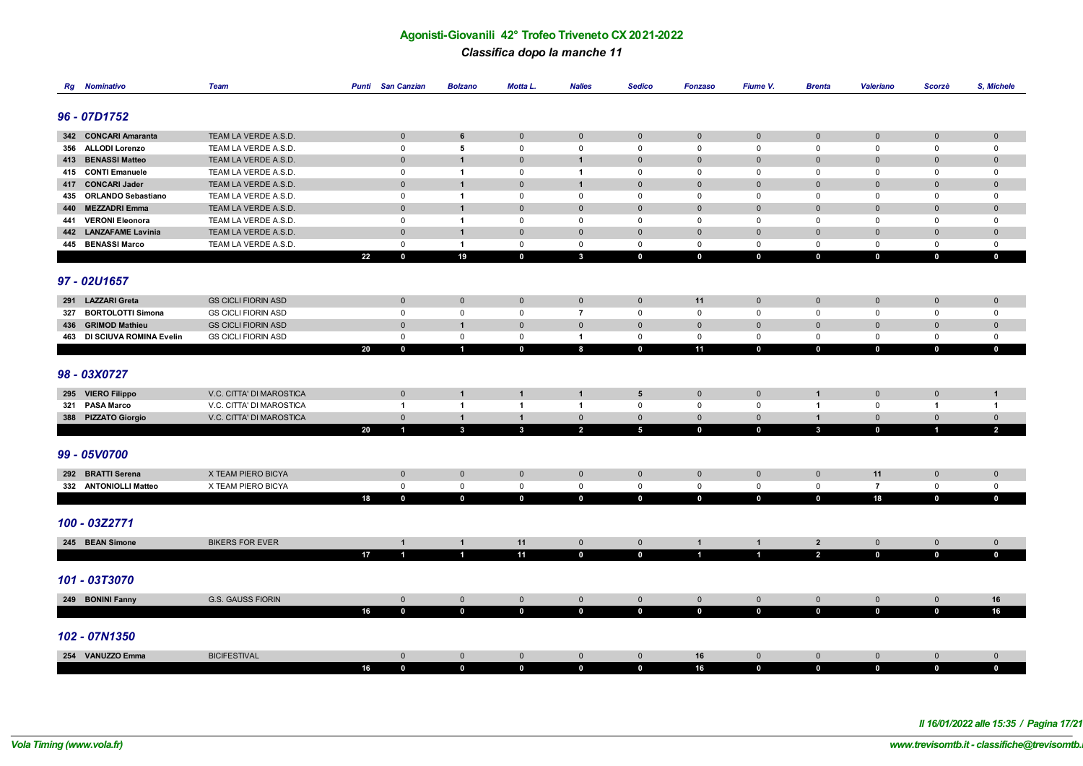#### *Classifica dopo la manche 11*

| Rg  | <b>Nominativo</b>                           | <b>Team</b>                                  | <b>Punti</b> | <b>San Canzian</b>         | <b>Bolzano</b>               | Motta L.                   | <b>Nalles</b>              | <b>Sedico</b>    | <b>Fonzaso</b>             | Fiume V.                   | <b>Brenta</b>              | <b>Valeriano</b>  | Scorzè                     | S, Michele                 |
|-----|---------------------------------------------|----------------------------------------------|--------------|----------------------------|------------------------------|----------------------------|----------------------------|------------------|----------------------------|----------------------------|----------------------------|-------------------|----------------------------|----------------------------|
|     |                                             |                                              |              |                            |                              |                            |                            |                  |                            |                            |                            |                   |                            |                            |
|     | 96 - 07D1752                                |                                              |              |                            |                              |                            |                            |                  |                            |                            |                            |                   |                            |                            |
|     |                                             |                                              |              |                            |                              |                            |                            |                  |                            |                            |                            |                   |                            |                            |
|     | 342 CONCARI Amaranta                        | TEAM LA VERDE A.S.D.                         |              | $\mathbf 0$                | 6                            | $\mathbf 0$                | $\mathbf{0}$               | $\mathbf 0$      | $\mathbf 0$                | $\mathbf 0$                | $\mathbf 0$                | $\mathbf 0$       | $\mathbf 0$                | $\mathbf 0$                |
|     | 356 ALLODI Lorenzo                          | TEAM LA VERDE A.S.D.                         |              | $\mathsf 0$                | 5                            | $\mathbf 0$                | $\mathsf 0$                | 0                | $\mathsf 0$                | $\mathsf 0$                | $\mathbf 0$                | 0                 | $\mathsf 0$                | $\mathbf 0$                |
|     | 413 BENASSI Matteo                          | TEAM LA VERDE A.S.D.                         |              | $\mathbf 0$                | $\mathbf{1}$                 | $\mathbf 0$                | $\mathbf{1}$               | $\pmb{0}$        | $\mathbf 0$                | $\pmb{0}$                  | $\overline{0}$             | $\mathbf{0}$      | $\mathbf 0$                | $\pmb{0}$                  |
|     | 415 CONTI Emanuele                          | TEAM LA VERDE A.S.D.                         |              | 0                          | $\mathbf{1}$                 | $\Omega$                   | $\overline{1}$             | $\Omega$         | $\mathsf 0$                | $\mathbf 0$                | $\mathbf 0$                | $\Omega$          | $\mathbf 0$                | $\mathbf 0$                |
|     | 417 CONCARI Jader                           | TEAM LA VERDE A.S.D.                         |              | $\mathbf{0}$               | $\mathbf{1}$                 | $\mathbf 0$                | $\overline{1}$             | $\mathbf{0}$     | $\mathbf 0$                | $\mathbf 0$                | $\mathbf 0$                | $\mathbf 0$       | $\mathbf 0$                | $\mathbf 0$                |
|     | 435 ORLANDO Sebastiano                      | TEAM LA VERDE A.S.D.                         |              | $\mathsf 0$                | $\mathbf{1}$                 | $\mathbf 0$                | $\mathsf 0$                | $\mathbf 0$      | $\mathsf 0$                | $\mathsf 0$                | $\mathbf 0$                | $\mathbf 0$       | $\mathsf 0$                | $\mathbf 0$                |
| 441 | 440 MEZZADRI Emma<br><b>VERONI Eleonora</b> | TEAM LA VERDE A.S.D.                         |              | $\mathbf 0$                | $\mathbf{1}$<br>$\mathbf{1}$ | $\mathbf 0$<br>$\mathbf 0$ | $\mathbf 0$<br>$\mathsf 0$ | $\mathbf 0$<br>0 | $\mathbf 0$<br>$\mathbf 0$ | $\mathbf 0$<br>$\mathbf 0$ | $\mathbf 0$<br>$\mathbf 0$ | $\mathbf{0}$<br>0 | $\mathbf 0$<br>$\mathbf 0$ | $\mathbf 0$<br>$\mathbf 0$ |
|     | 442 LANZAFAME Lavinia                       | TEAM LA VERDE A.S.D.<br>TEAM LA VERDE A.S.D. |              | $\mathbf 0$<br>$\mathbf 0$ | $\mathbf{1}$                 | $\mathbf 0$                | $\mathbf 0$                | $\mathbf 0$      | $\mathbf 0$                | $\mathbf 0$                | $\mathbf 0$                | $\mathbf{0}$      | $\mathbf 0$                | $\mathbf 0$                |
|     | 445 BENASSI Marco                           | TEAM LA VERDE A.S.D.                         |              | $\mathbf 0$                | $\overline{1}$               | $\mathsf 0$                | $\mathbf 0$                | $\mathbf 0$      | $\mathsf 0$                | $\mathbf 0$                | $\mathsf 0$                | 0                 | $\mathbf 0$                | $\mathbf 0$                |
|     |                                             |                                              | 22           | $\mathbf 0$                | 19                           | $\mathbf{0}$               | $\mathbf{3}$               | $\mathbf 0$      | $\mathbf 0$                | $\mathbf{0}$               | $\mathbf 0$                | $\mathbf 0$       | $\mathbf 0$                | $\mathbf{0}$               |
|     |                                             |                                              |              |                            |                              |                            |                            |                  |                            |                            |                            |                   |                            |                            |
|     | 97 - 02U1657                                |                                              |              |                            |                              |                            |                            |                  |                            |                            |                            |                   |                            |                            |
|     |                                             |                                              |              |                            |                              |                            |                            |                  |                            |                            |                            |                   |                            |                            |
|     | 291 LAZZARI Greta                           | <b>GS CICLI FIORIN ASD</b>                   |              | $\mathbf 0$                | $\mathbf 0$                  | $\mathbf{0}$               | $\mathbf 0$                | $\mathbf 0$      | 11                         | $\mathbf 0$                | $\mathbf 0$                | $\mathbf 0$       | $\mathbf{0}$               | $\mathbf 0$                |
| 327 | <b>BORTOLOTTI Simona</b>                    | <b>GS CICLI FIORIN ASD</b>                   |              | $\mathsf{O}$               | 0                            | $\mathbf 0$                | $\overline{7}$             | 0                | 0                          | $\mathbf 0$                | $\mathbf 0$                | $\mathbf 0$       | $\mathbf 0$                | $\mathbf 0$                |
|     | 436 GRIMOD Mathieu                          | <b>GS CICLI FIORIN ASD</b>                   |              | $\mathbf{0}$               | $\overline{1}$               | $\mathbf 0$                | $\mathbf{0}$               | $\mathbf{0}$     | $\mathbf 0$                | $\mathbf 0$                | $\mathbf 0$                | $\mathbf{0}$      | $\mathbf 0$                | $\mathbf 0$                |
|     | 463 DI SCIUVA ROMINA Evelin                 | <b>GS CICLI FIORIN ASD</b>                   |              | $\mathbf 0$                | $\mathbf 0$                  | $\mathsf 0$                | $\overline{1}$             | 0                | $\mathsf 0$                | $\mathsf 0$                | $\mathsf 0$                | $\mathbf 0$       | $\mathbf 0$                | $\mathbf 0$                |
|     |                                             |                                              | 20           | $\mathbf 0$                | $\overline{1}$               | $\mathbf{0}$               | 8                          | $\mathbf 0$      | 11                         | $\mathbf{0}$               | $\mathbf{0}$               | $\mathbf{0}$      | $\mathbf 0$                | $\mathbf{0}$               |
|     |                                             |                                              |              |                            |                              |                            |                            |                  |                            |                            |                            |                   |                            |                            |
|     | 98 - 03X0727                                |                                              |              |                            |                              |                            |                            |                  |                            |                            |                            |                   |                            |                            |
|     | 295 VIERO Filippo                           | V.C. CITTA' DI MAROSTICA                     |              | $\mathbf{0}$               | $\mathbf{1}$                 | $\mathbf{1}$               | $\mathbf{1}$               | 5                | $\mathbf 0$                | $\mathbf 0$                | $\mathbf{1}$               | $\mathbf 0$       | $\mathbf 0$                | $\mathbf{1}$               |
|     | 321 PASA Marco                              | V.C. CITTA' DI MAROSTICA                     |              | $\overline{1}$             | $\mathbf{1}$                 | $\overline{1}$             | $\overline{1}$             | 0                | $\mathbf 0$                | $\mathsf 0$                | $\overline{1}$             | 0                 | $\mathbf{1}$               | $\overline{1}$             |
|     | 388 PIZZATO Giorgio                         | V.C. CITTA' DI MAROSTICA                     |              | $\mathbf 0$                | $\mathbf{1}$                 | $\mathbf{1}$               | $\mathsf{O}\xspace$        | $\mathbf 0$      | $\mathbf 0$                | $\mathbf 0$                | $\mathbf{1}$               | $\pmb{0}$         | $\mathbf 0$                | $\mathbf 0$                |
|     |                                             |                                              | 20           | $\mathbf{1}$               | $\mathbf{3}$                 | $\mathbf{3}$               | $\overline{2}$             | $5\phantom{.0}$  | $\mathbf 0$                | $\mathbf 0$                | $\overline{\mathbf{3}}$    | $\mathbf 0$       | $\blacksquare$             | $\overline{2}$             |
|     |                                             |                                              |              |                            |                              |                            |                            |                  |                            |                            |                            |                   |                            |                            |
|     | 99 - 05V0700                                |                                              |              |                            |                              |                            |                            |                  |                            |                            |                            |                   |                            |                            |
|     | 292 BRATTI Serena                           | X TEAM PIERO BICYA                           |              |                            |                              |                            |                            |                  |                            |                            |                            | 11                | $\mathbf{0}$               |                            |
|     | 332 ANTONIOLLI Matteo                       | X TEAM PIERO BICYA                           |              | $\mathbf 0$<br>$\mathsf 0$ | $\mathbf 0$<br>$\mathsf 0$   | $\mathbf 0$<br>$\mathsf 0$ | $\mathbf 0$<br>$\mathbf 0$ | $\mathbf 0$<br>0 | $\mathbf 0$<br>$\mathsf 0$ | $\mathbf 0$<br>$\mathsf 0$ | $\mathbf 0$<br>$\mathbf 0$ | $\overline{7}$    | $\mathsf 0$                | $\mathbf 0$<br>$\mathbf 0$ |
|     |                                             |                                              | 18           | $\mathbf 0$                | $\mathbf 0$                  | $\mathbf 0$                | $\mathbf 0$                | $\mathbf 0$      | $\mathbf 0$                | $\mathbf 0$                | $\mathbf 0$                | 18                | $\mathbf 0$                | $\mathbf 0$                |
|     |                                             |                                              |              |                            |                              |                            |                            |                  |                            |                            |                            |                   |                            |                            |
|     | 100 - 03Z2771                               |                                              |              |                            |                              |                            |                            |                  |                            |                            |                            |                   |                            |                            |
|     |                                             |                                              |              |                            |                              |                            |                            |                  |                            |                            |                            |                   |                            |                            |
|     | 245 BEAN Simone                             | <b>BIKERS FOR EVER</b>                       |              | $\mathbf{1}$               | $\mathbf{1}$                 | 11                         | $\overline{0}$             | $\mathbf{0}$     | $\mathbf{1}$               | $\mathbf{1}$               | $\overline{2}$             | $\mathbf 0$       | $\mathbf 0$                | $\mathbf 0$                |
|     |                                             |                                              | 17           | 1                          | $\overline{1}$               | 11                         | $\mathbf{0}$               | $\mathbf 0$      | $\overline{1}$             | $\mathbf{1}$               | $\overline{2}$             | $\mathbf 0$       | $\mathbf 0$                | $\mathbf{0}$               |
|     |                                             |                                              |              |                            |                              |                            |                            |                  |                            |                            |                            |                   |                            |                            |
|     | 101 - 03T3070                               |                                              |              |                            |                              |                            |                            |                  |                            |                            |                            |                   |                            |                            |
|     | 249 BONINI Fanny                            | <b>G.S. GAUSS FIORIN</b>                     |              | $\mathbf{0}$               | $\mathbf 0$                  | $\mathbf 0$                | $\overline{0}$             | $\mathbf 0$      | $\mathbf 0$                | $\mathbf 0$                | $\overline{0}$             | $\mathbf 0$       | $\mathbf 0$                | 16                         |
|     |                                             |                                              | 16           | $\mathbf 0$                | $\mathbf 0$                  | $\mathbf 0$                | $\mathbf 0$                | $\mathbf 0$      | $\mathbf 0$                | $\mathbf 0$                | $\mathbf 0$                | $\mathbf 0$       | $\mathbf 0$                | 16                         |
|     |                                             |                                              |              |                            |                              |                            |                            |                  |                            |                            |                            |                   |                            |                            |
|     | 102 - 07N1350                               |                                              |              |                            |                              |                            |                            |                  |                            |                            |                            |                   |                            |                            |
|     |                                             |                                              |              |                            |                              |                            |                            |                  |                            |                            |                            |                   |                            |                            |
|     | 254 VANUZZO Emma                            | <b>BICIFESTIVAL</b>                          |              | $\mathbf 0$                | $\mathbf 0$                  | $\mathbf 0$                | $\mathbf{0}$               | $\mathbf 0$      | 16                         | $\mathbf 0$                | $\mathbf 0$                | $\mathbf 0$       | $\mathbf 0$                | $\mathbf 0$                |
|     |                                             |                                              | 16           | $\mathbf 0$                | $\mathbf 0$                  | $\mathbf 0$                | $\mathbf{0}$               | $\mathbf 0$      | 16                         | $\mathbf 0$                | $\mathbf 0$                | $\mathbf 0$       | $\mathbf 0$                | $\mathbf 0$                |

*Il 16/01/2022 alle 15:35 / Pagina 17/21*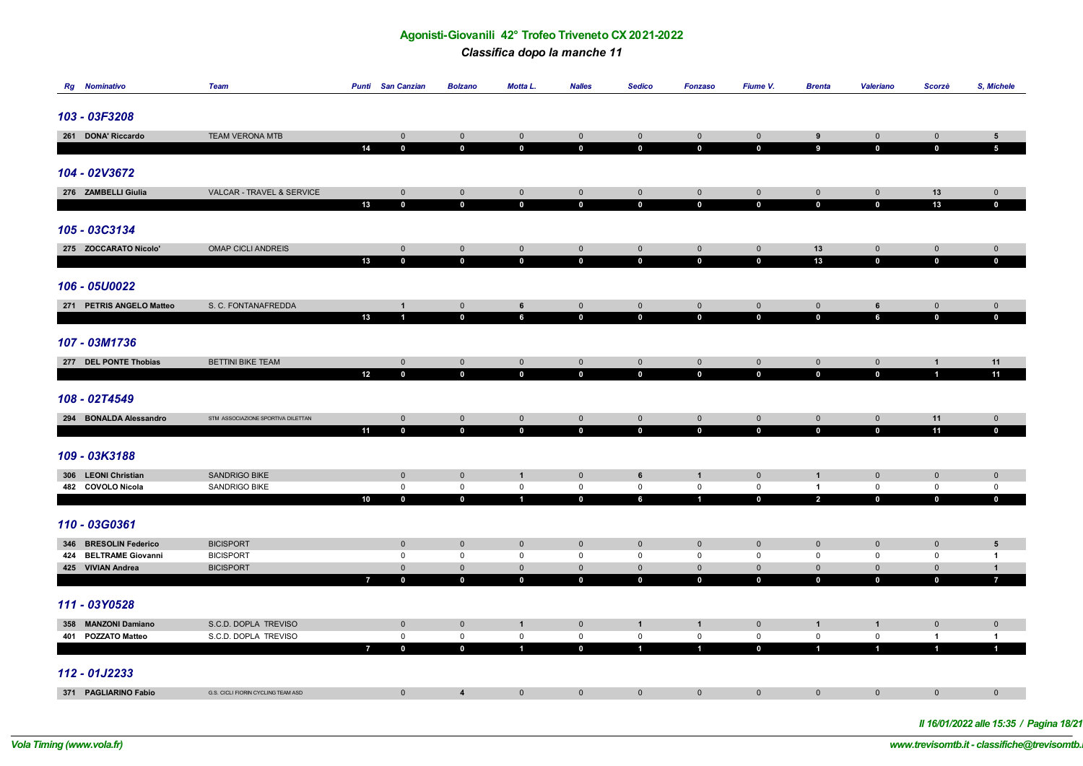*Classifica dopo la manche 11*

| <b>Rg</b> Nominativo                       | <b>Team</b>                          | <b>Punti</b> San Canzian |                                | <b>Bolzano</b>              | <b>Motta L.</b>            | <b>Nalles</b>              | <b>Sedico</b>               | <b>Fonzaso</b>             | Fiume V.                   | <b>Brenta</b>              | <b>Valeriano</b>           | Scorzè                     | S, Michele                          |
|--------------------------------------------|--------------------------------------|--------------------------|--------------------------------|-----------------------------|----------------------------|----------------------------|-----------------------------|----------------------------|----------------------------|----------------------------|----------------------------|----------------------------|-------------------------------------|
|                                            |                                      |                          |                                |                             |                            |                            |                             |                            |                            |                            |                            |                            |                                     |
| 103 - 03F3208                              |                                      |                          |                                |                             |                            |                            |                             |                            |                            |                            |                            |                            |                                     |
|                                            |                                      |                          |                                |                             |                            |                            |                             |                            |                            |                            |                            |                            |                                     |
| 261 DONA' Riccardo                         | <b>TEAM VERONA MTB</b>               |                          | $\mathbf 0$                    | $\mathbf 0$                 | $\mathbf 0$                | $\mathbf 0$                | $\mathbf 0$                 | $\mathbf 0$                | $\mathsf{O}\xspace$        | 9                          | $\mathbf 0$                | $\overline{0}$             | ${\bf 5}$                           |
|                                            |                                      | 14                       | $\mathbf 0$                    | $\mathbf 0$                 | $\mathbf 0$                | $\mathbf 0$                | $\mathbf 0$                 | $\mathbf 0$                | $\mathbf 0$                | $\overline{9}$             | $\mathbf 0$                | $\mathbf 0$                | $5\phantom{.0}$                     |
| 104 - 02V3672                              |                                      |                          |                                |                             |                            |                            |                             |                            |                            |                            |                            |                            |                                     |
|                                            |                                      |                          |                                |                             |                            |                            |                             |                            |                            |                            |                            |                            |                                     |
| 276 ZAMBELLI Giulia                        | VALCAR - TRAVEL & SERVICE            |                          | $\mathbf 0$                    | $\mathbf{0}$                | $\mathbf{0}$               | $\mathbf 0$                | $\mathbf{0}$                | $\mathbf 0$                | $\mathbf 0$                | $\mathbf 0$                | $\mathbf 0$                | 13                         | $\mathbf{0}$                        |
|                                            |                                      | 13                       | $\mathbf 0$                    | $\bf{0}$                    | $\mathbf 0$                | $\mathbf 0$                | $\mathbf 0$                 | $\mathbf 0$                | $\mathbf 0$                | $\mathbf 0$                | $\mathbf{0}$               | 13                         | $\mathbf{0}$                        |
|                                            |                                      |                          |                                |                             |                            |                            |                             |                            |                            |                            |                            |                            |                                     |
| 105 - 03C3134                              |                                      |                          |                                |                             |                            |                            |                             |                            |                            |                            |                            |                            |                                     |
| 275 ZOCCARATO Nicolo'                      | OMAP CICLI ANDREIS                   |                          | $\mathbf 0$                    | $\mathbf{0}$                | $\overline{0}$             | $\mathbf 0$                | $\mathbf 0$                 | $\mathbf{0}$               | $\mathbf 0$                | 13                         | $\mathbf 0$                | $\mathbf 0$                | $\mathbf 0$                         |
|                                            |                                      | 13                       | $\mathbf 0$                    | $\mathbf{0}$                | $\mathbf 0$                | $\mathbf 0$                | $\mathbf{0}$                | $\mathbf 0$                | $\mathbf 0$                | 13                         | $\mathbf{0}$               | $\mathbf 0$                | $\mathbf{0}$                        |
|                                            |                                      |                          |                                |                             |                            |                            |                             |                            |                            |                            |                            |                            |                                     |
| 106 - 05U0022                              |                                      |                          |                                |                             |                            |                            |                             |                            |                            |                            |                            |                            |                                     |
|                                            |                                      |                          |                                |                             |                            |                            |                             |                            |                            |                            |                            |                            |                                     |
| 271 PETRIS ANGELO Matteo                   | S. C. FONTANAFREDDA                  | 13                       | $\mathbf{1}$<br>$\overline{1}$ | $\mathbf 0$<br>$\mathbf{0}$ | 6<br>6                     | $\mathbf 0$<br>$\mathbf 0$ | $\mathbf 0$<br>$\mathbf{0}$ | $\mathbf 0$<br>$\mathbf 0$ | $\mathbf 0$<br>$\mathbf 0$ | $\mathbf 0$<br>$\mathbf 0$ | $\,$ 6<br>$6\phantom{a}$   | $\mathbf 0$<br>$\mathbf 0$ | $\mathsf{O}\xspace$<br>$\mathbf{0}$ |
|                                            |                                      |                          |                                |                             |                            |                            |                             |                            |                            |                            |                            |                            |                                     |
| 107 - 03M1736                              |                                      |                          |                                |                             |                            |                            |                             |                            |                            |                            |                            |                            |                                     |
|                                            |                                      |                          |                                |                             |                            |                            |                             |                            |                            |                            |                            |                            |                                     |
| 277 DEL PONTE Thobias                      | <b>BETTINI BIKE TEAM</b>             |                          | $\mathbf 0$                    | $\mathbf 0$                 | $\mathbf{0}$               | $\mathbf 0$                | $\mathbf 0$                 | $\mathbf{0}$               | $\mathbf 0$                | $\mathbf 0$                | $\mathbf{0}$               | $\mathbf{1}$               | 11                                  |
|                                            |                                      | 12                       | $\mathbf 0$                    | $\mathbf 0$                 | $\mathbf 0$                | $\mathbf 0$                | $\mathbf 0$                 | $\mathbf 0$                | $\mathbf 0$                | $\mathbf 0$                | $\mathbf 0$                | $\mathbf{1}$               | 11                                  |
|                                            |                                      |                          |                                |                             |                            |                            |                             |                            |                            |                            |                            |                            |                                     |
| 108 - 02T4549                              |                                      |                          |                                |                             |                            |                            |                             |                            |                            |                            |                            |                            |                                     |
| 294 BONALDA Alessandro                     | STM ASSOCIAZIONE SPORTIVA DILETTAN   |                          | $\mathbf 0$                    | $\mathbf 0$                 | $\mathsf{O}\xspace$        | $\mathsf{O}\xspace$        | $\mathsf{O}\xspace$         | $\mathbf 0$                | $\mathbf 0$                | $\mathbf 0$                | $\mathbf 0$                | 11                         | $\mathbf{0}$                        |
|                                            |                                      | 11                       | $\mathbf 0$                    | $\mathbf{0}$                | $\mathbf 0$                | $\mathbf 0$                | $\mathbf 0$                 | $\mathbf 0$                | $\mathbf 0$                | $\mathbf 0$                | $\mathbf 0$                | 11                         | $\mathbf{0}$                        |
|                                            |                                      |                          |                                |                             |                            |                            |                             |                            |                            |                            |                            |                            |                                     |
| 109 - 03K3188                              |                                      |                          |                                |                             |                            |                            |                             |                            |                            |                            |                            |                            |                                     |
| 306 LEONI Christian                        | <b>SANDRIGO BIKE</b>                 |                          | $\mathbf 0$                    | $\mathbb O$                 | $\mathbf{1}$               | $\mathbf 0$                | 6                           | $\mathbf{1}$               | $\mathbf 0$                | $\mathbf{1}$               | $\mathbf 0$                | $\mathbf 0$                | $\mathbf 0$                         |
| 482 COVOLO Nicola                          | SANDRIGO BIKE                        |                          | $\mathsf 0$                    | $\mathsf 0$                 | $\mathbf 0$                | $\mathsf{O}\xspace$        | $\mathsf 0$                 | $\mathsf 0$                | 0                          | $\overline{1}$             | $\mathsf 0$                | $\mathsf{O}$               | $\mathsf 0$                         |
|                                            |                                      | 10                       | $\mathbf 0$                    | $\mathbf{0}$                | $\mathbf{1}$               | $\mathbf{0}$               | $6\phantom{a}$              | $\overline{1}$             | $\overline{\mathbf{0}}$    | $\overline{2}$             | $\mathbf 0$                | $\mathbf 0$                | $\mathbf{0}$                        |
|                                            |                                      |                          |                                |                             |                            |                            |                             |                            |                            |                            |                            |                            |                                     |
| 110 - 03G0361                              |                                      |                          |                                |                             |                            |                            |                             |                            |                            |                            |                            |                            |                                     |
|                                            |                                      |                          |                                |                             |                            |                            |                             |                            |                            |                            |                            |                            |                                     |
| 346 BRESOLIN Federico                      | <b>BICISPORT</b>                     |                          | $\mathbf 0$<br>$\mathsf 0$     | $\mathbf 0$<br>$\mathbf 0$  | $\mathbf 0$                | $\mathbf 0$<br>$\mathsf 0$ | $\mathbf 0$<br>$\mathsf 0$  | $\mathbf 0$<br>$\mathbf 0$ | $\mathbf 0$<br>$\mathsf 0$ | $\mathbf 0$<br>$\mathsf 0$ | $\mathbf 0$<br>$\mathsf 0$ | $\mathbf 0$                | $5\phantom{.0}$                     |
| 424 BELTRAME Giovanni<br>425 VIVIAN Andrea | <b>BICISPORT</b><br><b>BICISPORT</b> |                          | $\mathbf 0$                    | $\mathbb O$                 | $\mathsf 0$<br>$\mathbf 0$ | $\mathsf{O}\xspace$        | $\mathsf{O}$                | $\mathbf 0$                | $\mathsf{O}\xspace$        | $\mathbf 0$                | $\mathbf 0$                | $\mathsf 0$<br>$\mathbf 0$ | $\mathbf{1}$<br>$\mathbf{1}$        |
|                                            |                                      |                          | $\mathbf 0$                    | $\mathbf 0$                 | $\mathbf{0}$               | $\mathbf 0$                | $\mathbf 0$                 | $\mathbf 0$                | $\mathbf 0$                | $\mathbf 0$                | $\mathbf 0$                | $\mathbf 0$                | $\overline{7}$                      |
|                                            |                                      |                          |                                |                             |                            |                            |                             |                            |                            |                            |                            |                            |                                     |
| 111 - 03Y0528                              |                                      |                          |                                |                             |                            |                            |                             |                            |                            |                            |                            |                            |                                     |
|                                            |                                      |                          |                                |                             |                            |                            |                             |                            |                            |                            |                            |                            |                                     |
| 358 MANZONI Damiano                        | S.C.D. DOPLA TREVISO                 |                          | $\mathbf 0$                    | $\mathbf 0$                 | $\mathbf{1}$               | $\mathbf 0$                | $\mathbf{1}$                | $\overline{1}$             | $\mathbf 0$                | $\mathbf{1}$               | $\mathbf{1}$               | $\mathbf 0$                | $\mathbf 0$                         |
| 401 POZZATO Matteo                         | S.C.D. DOPLA TREVISO                 |                          | $\mathbf 0$                    | $\mathbf 0$                 | $\mathbf 0$                | $\mathsf 0$                | $\mathsf 0$                 | $\mathsf 0$                | $\mathsf 0$                | $\mathbf 0$                | $\mathbf 0$                | $\overline{1}$             | $\overline{1}$                      |
|                                            |                                      |                          | $\mathbf 0$                    | $\mathbf{0}$                | $\mathbf{1}$               | $\mathbf 0$                | $\mathbf{1}$                | $\overline{1}$             | $\mathbf 0$                | 4                          | $\mathbf{1}$               | $\mathbf{1}$               | $\mathbf{1}$                        |
|                                            |                                      |                          |                                |                             |                            |                            |                             |                            |                            |                            |                            |                            |                                     |
| 112 - 01J2233                              |                                      |                          |                                |                             |                            |                            |                             |                            |                            |                            |                            |                            |                                     |
| 371 PAGLIARINO Fabio                       | G.S. CICLI FIORIN CYCLING TEAM ASD   |                          | $\mathbf 0$                    | $\overline{\mathbf{4}}$     | $\mathbf 0$                | $\mathbf 0$                | $\mathbf{0}$                | $\mathbf 0$                | $\mathbf 0$                | $\mathbf 0$                | $\mathbf 0$                | $\mathbf 0$                | $\mathbf 0$                         |

*Il 16/01/2022 alle 15:35 / Pagina 18/21*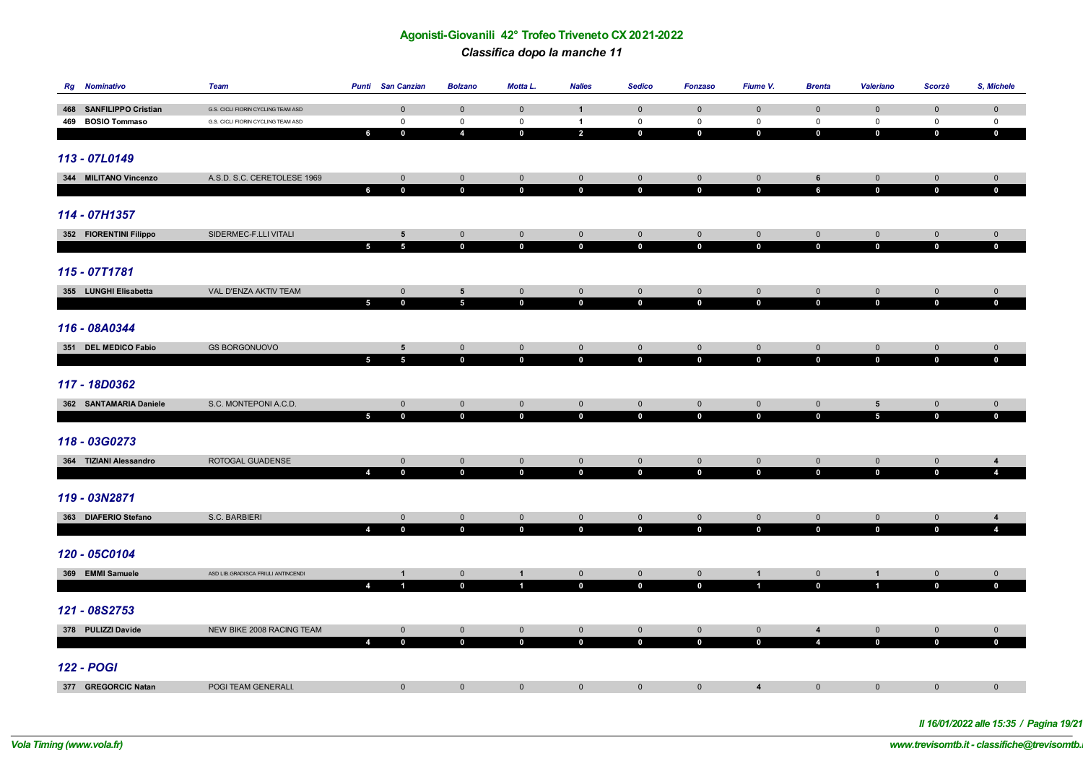*Classifica dopo la manche 11*

| <b>Rg</b> Nominativo    | Team                               | <b>Punti</b> San Canzian                      | <b>Bolzano</b>             | Motta L.                   | <b>Nalles</b>              | <b>Sedico</b>              | <b>Fonzaso</b>                | Fiume V.                   | <b>Brenta</b>              | <b>Valeriano</b>           | Scorzè                      | S, Michele                       |
|-------------------------|------------------------------------|-----------------------------------------------|----------------------------|----------------------------|----------------------------|----------------------------|-------------------------------|----------------------------|----------------------------|----------------------------|-----------------------------|----------------------------------|
| 468 SANFILIPPO Cristian | G.S. CICLI FIORIN CYCLING TEAM ASD | $\mathbf 0$                                   | $\mathbf 0$                | $\mathbf 0$                | $\overline{1}$             | $\mathbf 0$                | $\mathbf 0$                   | $\mathbf 0$                | $\mathbf 0$                | $\mathbf 0$                | $\mathbf 0$                 | $\pmb{0}$                        |
| 469 BOSIO Tommaso       | G.S. CICLI FIORIN CYCLING TEAM ASD | $\mathbf 0$                                   | $\mathsf 0$                | $\mathsf 0$                | $\mathbf{1}$               | $\mathsf{O}\xspace$        | $\mathsf{O}\xspace$           | $\mathsf 0$                | $\mathsf 0$                | $\mathsf 0$                | $\mathsf 0$                 | $\mathbf 0$                      |
|                         |                                    | 6<br>$\mathbf 0$                              | $\boldsymbol{4}$           | $\mathbf 0$                | $\overline{a}$             | $\mathbf 0$                | $\mathbf 0$                   | $\mathbf 0$                | $\mathbf 0$                | $\mathbf 0$                | $\mathbf 0$                 | $\mathbf 0$                      |
|                         |                                    |                                               |                            |                            |                            |                            |                               |                            |                            |                            |                             |                                  |
| 113 - 07L0149           |                                    |                                               |                            |                            |                            |                            |                               |                            |                            |                            |                             |                                  |
| 344 MILITANO Vincenzo   | A.S.D. S.C. CERETOLESE 1969        | $\mathsf 0$                                   | $\mathbf 0$                | $\mathsf{O}\xspace$        | $\mathbf 0$                | $\mathsf{O}\xspace$        | $\mathsf{O}\xspace$           | $\mathsf{O}$               | $\,$ 6                     | $\mathsf{O}\xspace$        | $\mathsf{O}$                | $\mathbf{0}$                     |
|                         |                                    | $\mathbf 0$<br>6                              | $\mathbf 0$                | $\mathbf 0$                | $\mathbf 0$                | $\mathbf 0$                | $\mathbf 0$                   | $\mathbf 0$                | $6\phantom{a}$             | $\mathbf 0$                | $\mathbf 0$                 | $\mathbf{0}$                     |
|                         |                                    |                                               |                            |                            |                            |                            |                               |                            |                            |                            |                             |                                  |
| 114 - 07H1357           |                                    |                                               |                            |                            |                            |                            |                               |                            |                            |                            |                             |                                  |
| 352 FIORENTINI Filippo  | SIDERMEC-F.LLI VITALI              | $5\phantom{.0}$                               | $\mathbf 0$                | $\mathbf 0$                | $\overline{0}$             | $\mathsf{O}$               | $\mathbf 0$                   | $\overline{0}$             | $\mathbf 0$                | $\mathbf 0$                | $\mathbf 0$                 | $\mathbf 0$                      |
|                         |                                    | $5\phantom{.0}$<br>$5\phantom{.0}$            | $\mathbf 0$                | $\mathbf 0$                | $\mathbf{0}$               | $\mathbf 0$                | $\mathbf 0$                   | $\mathbf 0$                | $\mathbf 0$                | $\mathbf 0$                | $\mathbf{0}$                | $\mathbf{0}$                     |
|                         |                                    |                                               |                            |                            |                            |                            |                               |                            |                            |                            |                             |                                  |
| 115 - 07T1781           |                                    |                                               |                            |                            |                            |                            |                               |                            |                            |                            |                             |                                  |
| 355 LUNGHI Elisabetta   | VAL D'ENZA AKTIV TEAM              | $\mathsf 0$                                   | $5\phantom{.0}$            | $\mathsf{O}\xspace$        | $\mathsf{O}\xspace$        | $\mathsf{O}\xspace$        | $\mathsf{O}\xspace$           | $\mathbf 0$                | $\mathbf 0$                | $\mathbf 0$                | $\mathsf{O}\xspace$         | $\overline{0}$                   |
|                         |                                    | 5<br>$\mathbf 0$                              | $\overline{\mathbf{5}}$    | $\mathbf 0$                | $\mathbf 0$                | $\mathbf{0}$               | $\mathbf 0$                   | $\mathbf 0$                | $\mathbf 0$                | $\mathbf 0$                | $\mathbf 0$                 | $\mathbf{0}$                     |
|                         |                                    |                                               |                            |                            |                            |                            |                               |                            |                            |                            |                             |                                  |
| 116 - 08A0344           |                                    |                                               |                            |                            |                            |                            |                               |                            |                            |                            |                             |                                  |
| 351 DEL MEDICO Fabio    | <b>GS BORGONUOVO</b>               | $5\overline{5}$                               | $\mathbf 0$                | $\mathbf 0$                | $\mathbf 0$                | $\mathbf 0$                | $\mathbf 0$                   | $\mathbf 0$                | $\overline{0}$             | $\overline{0}$             | $\mathbf{0}$                | $\mathbf 0$                      |
|                         |                                    | $5\phantom{.0}$<br>$5\phantom{.0}$            | $\mathbf 0$                | $\mathbf{0}$               | $\mathbf{0}$               | $\mathbf 0$                | $\mathbf 0$                   | $\mathbf 0$                | $\mathbf 0$                | $\mathbf 0$                | $\mathbf{0}$                | $\mathbf 0$                      |
| 117 - 18D0362           |                                    |                                               |                            |                            |                            |                            |                               |                            |                            |                            |                             |                                  |
|                         |                                    |                                               |                            |                            |                            |                            |                               |                            |                            |                            |                             |                                  |
| 362 SANTAMARIA Daniele  | S.C. MONTEPONI A.C.D.              | $\overline{0}$                                | $\mathbf{0}$               | $\overline{0}$             | $\mathbf 0$                | $\mathbf{0}$               | $\mathbf 0$                   | $\mathbf 0$                | $\mathbf{0}$               | $5\phantom{.0}$            | $\overline{0}$              | $\overline{0}$                   |
|                         |                                    | $5\phantom{.0}$<br>$\mathbf 0$                | $\mathbf 0$                | $\mathbf{0}$               | $\mathbf 0$                | $\mathbf 0$                | $\mathbf 0$                   | $\mathbf 0$                | $\mathbf 0$                | $\overline{5}$             | $\mathbf 0$                 | $\mathbf{0}$                     |
| 118 - 03G0273           |                                    |                                               |                            |                            |                            |                            |                               |                            |                            |                            |                             |                                  |
|                         |                                    |                                               |                            |                            |                            |                            |                               |                            |                            |                            |                             |                                  |
| 364 TIZIANI Alessandro  | ROTOGAL GUADENSE                   | $\mathbf 0$<br>$\overline{4}$<br>$\mathbf{0}$ | $\mathbf 0$<br>$\mathbf 0$ | $\mathbf 0$<br>$\mathbf 0$ | $\mathbf 0$<br>$\mathbf 0$ | $\mathbf 0$<br>$\mathbf 0$ | $\overline{0}$<br>$\mathbf 0$ | $\mathbf 0$<br>$\mathbf 0$ | $\mathbf 0$<br>$\mathbf 0$ | $\mathbf 0$<br>$\mathbf 0$ | $\mathbf{0}$<br>$\mathbf 0$ | $\overline{4}$<br>$\overline{4}$ |
|                         |                                    |                                               |                            |                            |                            |                            |                               |                            |                            |                            |                             |                                  |
| 119 - 03N2871           |                                    |                                               |                            |                            |                            |                            |                               |                            |                            |                            |                             |                                  |
| 363 DIAFERIO Stefano    | S.C. BARBIERI                      | $\mathbf 0$                                   | $\mathbf{0}$               | $\mathbf{0}$               | $\overline{0}$             | $\overline{0}$             | $\mathsf{O}\xspace$           | $\mathbf{0}$               | $\mathbf{0}$               | $\mathbf 0$                | $\overline{0}$              | $\overline{4}$                   |
|                         |                                    | 4<br>$\mathbf 0$                              | $\mathbf 0$                | $\mathbf 0$                | $\mathbf{0}$               | $\mathbf 0$                | $\mathbf 0$                   | $\mathbf{0}$               | $\mathbf 0$                | $\mathbf 0$                | $\mathbf 0$                 | $\overline{4}$                   |
|                         |                                    |                                               |                            |                            |                            |                            |                               |                            |                            |                            |                             |                                  |
| 120 - 05C0104           |                                    |                                               |                            |                            |                            |                            |                               |                            |                            |                            |                             |                                  |
| 369 EMMI Samuele        | ASD LIB.GRADISCA FRIULI ANTINCENDI | $\mathbf{1}$                                  | $\mathbf{0}$               | $\mathbf{1}$               | $\overline{0}$             | $\mathsf{O}\xspace$        | $\mathsf{O}\xspace$           | $\mathbf{1}$               | $\overline{0}$             | $\mathbf{1}$               | $\mathsf{O}\xspace$         | $\mathbf 0$                      |
|                         |                                    | $\overline{4}$<br>$\blacksquare$              | $\mathbf 0$                | $\blacksquare$             | $\mathbf{0}$               | $\mathbf 0$                | $\mathbf 0$                   | $\mathbf{1}$               | $\mathbf 0$                | $\mathbf{1}$               | $\mathbf 0$                 | $\mathbf 0$                      |
|                         |                                    |                                               |                            |                            |                            |                            |                               |                            |                            |                            |                             |                                  |
| 121 - 08S2753           |                                    |                                               |                            |                            |                            |                            |                               |                            |                            |                            |                             |                                  |
| 378 PULIZZI Davide      | NEW BIKE 2008 RACING TEAM          | $\mathbf{0}$                                  | $\mathbf 0$                | $\mathbf 0$                | $\mathbf 0$                | $\mathbf 0$                | $\mathbf 0$                   | $\mathbf 0$                | $\overline{\mathbf{4}}$    | $\mathbf{0}$               | $\mathbf 0$                 | $\overline{0}$                   |
|                         |                                    | $\mathbf 0$<br>$\overline{4}$                 | $\mathbf 0$                | $\mathbf{0}$               | $\mathbf 0$                | $\mathbf 0$                | $\mathbf 0$                   | $\mathbf 0$                | $\overline{4}$             | $\mathbf 0$                | $\mathbf 0$                 | $\mathbf{0}$                     |
|                         |                                    |                                               |                            |                            |                            |                            |                               |                            |                            |                            |                             |                                  |
| <b>122 - POGI</b>       |                                    |                                               |                            |                            |                            |                            |                               |                            |                            |                            |                             |                                  |
| 377 GREGORCIC Natan     | POGI TEAM GENERALI.                | $\mathbf 0$                                   | $\mathbf 0$                | $\mathbf 0$                | $\overline{0}$             | $\overline{0}$             | $\mathbf 0$                   | $\overline{\mathbf{4}}$    | $\mathbf{0}$               | $\mathbf 0$                | $\mathbf{0}$                | $\mathbf 0$                      |

*Il 16/01/2022 alle 15:35 / Pagina 19/21*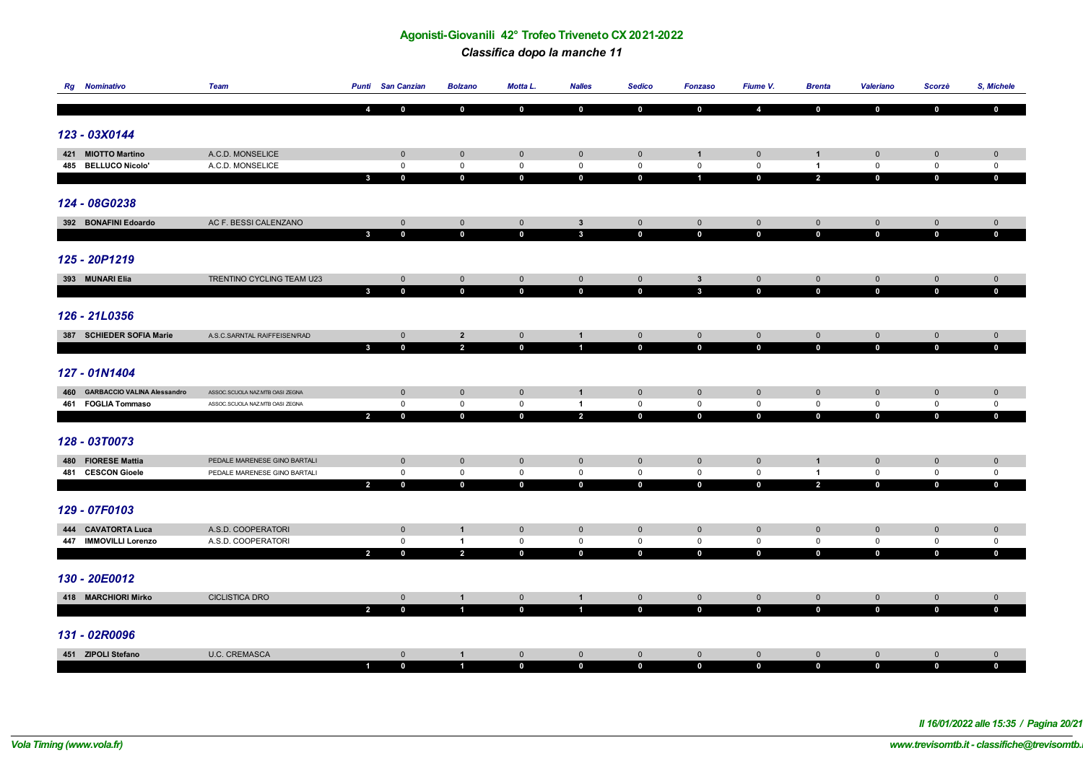#### *Classifica dopo la manche 11*

| <b>Rg</b> Nominativo            | Team                            | <b>Punti</b> San Canzian                      | <b>Bolzano</b>                            | Motta L.                      | <b>Nalles</b>                    | <b>Sedico</b>                 | <b>Fonzaso</b>                      | Fiume V.                    | <b>Brenta</b>                 | <b>Valeriano</b>            | Scorzè                        | S, Michele                     |
|---------------------------------|---------------------------------|-----------------------------------------------|-------------------------------------------|-------------------------------|----------------------------------|-------------------------------|-------------------------------------|-----------------------------|-------------------------------|-----------------------------|-------------------------------|--------------------------------|
|                                 |                                 | 4<br>$\mathbf{0}$                             | $\mathbf 0$                               | $\mathbf{0}$                  | $\bf{0}$                         | $\mathbf 0$                   | $\mathbf 0$                         | $\overline{4}$              | $\mathbf{0}$                  | $\mathbf{0}$                | $\mathbf 0$                   | $\bf{0}$                       |
|                                 |                                 |                                               |                                           |                               |                                  |                               |                                     |                             |                               |                             |                               |                                |
| 123 - 03X0144                   |                                 |                                               |                                           |                               |                                  |                               |                                     |                             |                               |                             |                               |                                |
| 421 MIOTTO Martino              | A.C.D. MONSELICE                | $\mathbf{0}$                                  | $\mathsf{O}\xspace$                       | $\mathbf 0$                   | $\overline{0}$                   | $\mathsf{O}\xspace$           | $\mathbf{1}$                        | $\mathbf 0$                 | $\mathbf{1}$                  | $\mathbf 0$                 | $\mathbf 0$                   | $\mathbf 0$                    |
| 485 BELLUCO Nicolo'             | A.C.D. MONSELICE                | $\mathsf{O}\xspace$                           | $\mathbf 0$                               | $\mathsf 0$                   | $\mathbf 0$                      | $\mathsf{O}\xspace$           | $\mathsf{O}\xspace$                 | $\mathsf{O}\xspace$         | $\mathbf{1}$                  | $\mathsf{O}\xspace$         | $\mathsf 0$                   | $\mathsf{O}\xspace$            |
|                                 |                                 | $\mathbf{0}$<br>$\mathbf{3}$                  | $\mathbf 0$                               | $\mathbf 0$                   | $\mathbf 0$                      | $\mathbf 0$                   | $\overline{1}$                      | $\mathbf 0$                 | $\overline{2}$                | $\mathbf 0$                 | $\mathbf 0$                   | $\mathbf 0$                    |
|                                 |                                 |                                               |                                           |                               |                                  |                               |                                     |                             |                               |                             |                               |                                |
| 124 - 08G0238                   |                                 |                                               |                                           |                               |                                  |                               |                                     |                             |                               |                             |                               |                                |
| 392 BONAFINI Edoardo            | AC F. BESSI CALENZANO           | $\mathbf 0$                                   | $\mathsf{O}\xspace$                       | $\mathbf{0}$                  | $\mathbf{3}$                     | $\mathsf{O}\xspace$           | $\mathsf{O}\xspace$                 | $\mathsf{O}\xspace$         | $\mathbf 0$                   | $\mathsf{O}\xspace$         | $\mathsf{O}\xspace$           | $\mathbf{0}$                   |
|                                 |                                 | $\mathbf 0$<br>$\mathbf{3}$                   | $\mathbf 0$                               | $\mathbf 0$                   | $\mathbf{3}$                     | $\mathbf 0$                   | $\mathbf 0$                         | $\mathbf 0$                 | $\mathbf{0}$                  | $\mathbf 0$                 | $\mathbf 0$                   | $\mathbf{0}$                   |
|                                 |                                 |                                               |                                           |                               |                                  |                               |                                     |                             |                               |                             |                               |                                |
| 125 - 20P1219                   |                                 |                                               |                                           |                               |                                  |                               |                                     |                             |                               |                             |                               |                                |
| 393 MUNARI Elia                 | TRENTINO CYCLING TEAM U23       | $\mathbf{0}$                                  | $\mathsf{O}\xspace$                       | $\mathbf 0$                   | $\mathbf 0$                      | $\mathbf 0$                   | $\mathbf{3}$                        | $\mathbf 0$                 | $\mathbf{0}$                  | $\mathsf{O}\xspace$         | $\mathbf 0$                   | $\mathbf{0}$                   |
|                                 |                                 | $\mathbf{3}$<br>$\mathbf 0$                   | $\mathbf 0$                               | $\mathbf{0}$                  | $\mathbf 0$                      | $\mathbf 0$                   | $\mathbf{3}$                        | $\mathbf 0$                 | $\mathbf 0$                   | $\mathbf 0$                 | $\mathbf 0$                   | $\mathbf 0$                    |
|                                 |                                 |                                               |                                           |                               |                                  |                               |                                     |                             |                               |                             |                               |                                |
| 126 - 21L0356                   |                                 |                                               |                                           |                               |                                  |                               |                                     |                             |                               |                             |                               |                                |
|                                 |                                 |                                               |                                           |                               |                                  |                               |                                     |                             |                               |                             |                               |                                |
| 387 SCHIEDER SOFIA Marie        | A.S.C.SARNTAL RAIFFEISEN/RAD    | $\overline{0}$<br>$\mathbf{3}$<br>$\mathbf 0$ | $\overline{\mathbf{2}}$<br>$\overline{2}$ | $\overline{0}$<br>$\mathbf 0$ | $\mathbf{1}$<br>$\mathbf{1}$     | $\overline{0}$<br>$\mathbf 0$ | $\overline{0}$<br>$\mathbf 0$       | $\mathbf 0$<br>$\mathbf 0$  | $\overline{0}$<br>$\mathbf 0$ | $\mathbf{0}$<br>$\mathbf 0$ | $\overline{0}$<br>$\mathbf 0$ | $\overline{0}$<br>$\mathbf{0}$ |
|                                 |                                 |                                               |                                           |                               |                                  |                               |                                     |                             |                               |                             |                               |                                |
| 127 - 01N1404                   |                                 |                                               |                                           |                               |                                  |                               |                                     |                             |                               |                             |                               |                                |
|                                 |                                 |                                               |                                           |                               |                                  |                               |                                     |                             |                               |                             |                               |                                |
| 460 GARBACCIO VALINA Alessandro | ASSOC.SCUOLA NAZ.MTB OASI ZEGNA | $\mathbf 0$                                   | $\mathbf 0$                               | $\mathbf 0$                   | $\mathbf{1}$                     | $\mathbf{0}$                  | $\mathsf{O}\xspace$                 | $\mathbf 0$                 | $\mathbf 0$                   | $\mathsf{O}\xspace$         | $\mathbf{0}$                  | $\mathbf 0$                    |
| 461 FOGLIA Tommaso              | ASSOC.SCUOLA NAZ.MTB OASI ZEGNA | $\overline{0}$                                | $\mathbf 0$                               | $\mathbf 0$<br>$\mathbf{0}$   | $\overline{1}$<br>$\overline{2}$ | $\mathbf 0$                   | $\mathsf{O}\xspace$<br>$\mathbf{0}$ | $\mathbf 0$<br>$\mathbf{0}$ | $\mathsf 0$                   | $\mathbf 0$                 | $\mathsf 0$                   | $\mathbf 0$<br>$\mathbf{0}$    |
|                                 |                                 | $\mathbf 0$<br>$\overline{2}$                 | $\mathbf 0$                               |                               |                                  | $\mathbf 0$                   |                                     |                             | $\mathbf 0$                   | $\mathbf 0$                 | $\mathbf 0$                   |                                |
| 128 - 03T0073                   |                                 |                                               |                                           |                               |                                  |                               |                                     |                             |                               |                             |                               |                                |
|                                 |                                 |                                               |                                           |                               |                                  |                               |                                     |                             |                               |                             |                               |                                |
| 480 FIORESE Mattia              | PEDALE MARENESE GINO BARTALI    | $\mathbf 0$                                   | $\mathbf 0$                               | $\mathbf 0$                   | $\mathbf 0$                      | $\mathbf 0$                   | $\mathbf 0$                         | $\mathbf 0$                 | $\mathbf{1}$                  | $\mathbf 0$                 | $\mathbf 0$                   | $\mathbf 0$                    |
| 481 CESCON Gioele               | PEDALE MARENESE GINO BARTALI    | $\mathbf 0$                                   | $\overline{0}$                            | $\mathbf 0$                   | $\mathbf 0$                      | $\mathbf 0$                   | $\mathsf 0$                         | $\mathsf 0$                 | $\mathbf{1}$                  | $\mathbf 0$                 | $\mathsf 0$                   | $\mathbf 0$                    |
|                                 |                                 | $\mathbf{0}$<br>$\overline{2}$                | $\overline{\mathbf{0}}$                   | $\overline{\mathbf{0}}$       | $\overline{\mathbf{0}}$          | $\mathbf{0}$                  | $\mathbf{0}$                        | $\overline{\mathbf{0}}$     | $\overline{2}$                | $\mathbf{0}$                | $\mathbf{0}$                  | $\mathbf{0}$                   |
| 129 - 07F0103                   |                                 |                                               |                                           |                               |                                  |                               |                                     |                             |                               |                             |                               |                                |
|                                 |                                 |                                               |                                           |                               |                                  |                               |                                     |                             |                               |                             |                               |                                |
| 444 CAVATORTA Luca              | A.S.D. COOPERATORI              | $\mathbf 0$                                   | $\mathbf{1}$                              | $\mathbf 0$                   | $\overline{0}$                   | $\mathbf 0$                   | $\mathbf 0$                         | $\mathbf 0$                 | $\mathbf 0$                   | $\mathbf 0$                 | $\mathbf 0$                   | $\mathbf 0$                    |
| 447 IMMOVILLI Lorenzo           | A.S.D. COOPERATORI              | $\mathsf 0$                                   | $\overline{1}$                            | $\mathsf 0$                   | $\mathbb O$                      | $\mathsf 0$                   | $\mathsf{O}\xspace$                 | $\mathsf 0$                 | $\mathbf 0$                   | $\mathbf 0$                 | $\mathsf 0$                   | $\mathsf 0$                    |
|                                 |                                 | $\overline{2}$<br>$\mathbf 0$                 | $\overline{2}$                            | $\mathbf{0}$                  | $\mathbf{0}$                     | $\mathbf{0}$                  | $\mathbf 0$                         | $\mathbf{0}$                | $\mathbf 0$                   | $\mathbf 0$                 | $\mathbf{0}$                  | $\mathbf 0$                    |
| 130 - 20E0012                   |                                 |                                               |                                           |                               |                                  |                               |                                     |                             |                               |                             |                               |                                |
|                                 |                                 |                                               |                                           |                               |                                  |                               |                                     |                             |                               |                             |                               |                                |
| 418 MARCHIORI Mirko             | <b>CICLISTICA DRO</b>           | $\mathbf{0}$                                  | $\overline{1}$                            | $\overline{0}$                | $\mathbf{1}$                     | $\mathbf{0}$                  | $\mathbf 0$                         | $\mathbf 0$                 | $\overline{0}$                | $\mathbf 0$                 | $\mathbf{0}$                  | $\overline{0}$                 |
|                                 |                                 | $\overline{2}$<br>$\mathbf 0$                 | $\overline{1}$                            | $\mathbf 0$                   | $\overline{1}$                   | $\mathbf 0$                   | $\mathbf 0$                         | $\mathbf{0}$                | $\mathbf 0$                   | $\mathbf{0}$                | $\mathbf 0$                   | $\mathbf 0$                    |
|                                 |                                 |                                               |                                           |                               |                                  |                               |                                     |                             |                               |                             |                               |                                |
| 131 - 02R0096                   |                                 |                                               |                                           |                               |                                  |                               |                                     |                             |                               |                             |                               |                                |
| 451 ZIPOLI Stefano              | <b>U.C. CREMASCA</b>            | $\overline{0}$                                | $\mathbf{1}$                              | $\mathbf{0}$                  | $\mathsf{O}\xspace$              | $\mathsf{O}\xspace$           | $\mathsf{O}\xspace$                 | $\mathbf 0$                 | $\mathbf 0$                   | $\mathbf 0$                 | $\mathbf 0$                   | $\mathsf{O}\xspace$            |
|                                 |                                 | $\bf{0}$<br>$\overline{1}$                    | $\mathbf{1}$                              | $\mathbf{0}$                  | $\mathbf{0}$                     | $\mathbf 0$                   | $\mathbf 0$                         | $\mathbf{0}$                | $\mathbf 0$                   | $\mathbf 0$                 | $\mathbf 0$                   | $\mathbf 0$                    |

*Il 16/01/2022 alle 15:35 / Pagina 20/21*